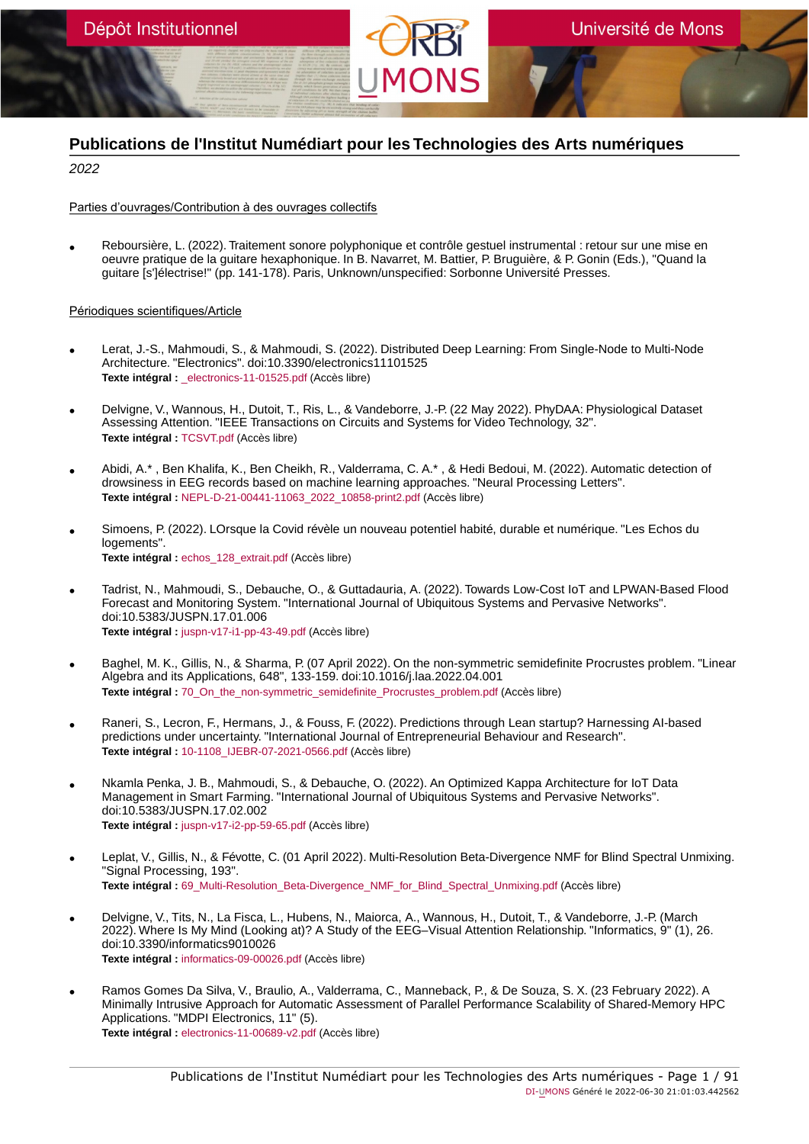

# **Publications de l'Institut Numédiart pour les Technologies des Arts numériques**

2022

Parties d'ouvrages/Contribution à des ouvrages collectifs

• Reboursière, L. (2022). Traitement sonore polyphonique et contrôle gestuel instrumental : retour sur une mise en oeuvre pratique de la guitare hexaphonique. In B. Navarret, M. Battier, P. Bruguière, & P. Gonin (Eds.), "Quand la guitare [s']électrise!" (pp. 141-178). Paris, Unknown/unspecified: Sorbonne Université Presses.

### Périodiques scientifiques/Article

- Lerat, J.-S., Mahmoudi, S., & Mahmoudi, S. (2022). Distributed Deep Learning: From Single-Node to Multi-Node Architecture. "Electronics". doi:10.3390/electronics11101525 **Texte intégral :** [\\_electronics-11-01525.pdf](https://orbi.umons.ac.be/bitstream/20.500.12907/42655/1/_electronics-11-01525.pdf) (Accès libre)
- Delvigne, V., Wannous, H., Dutoit, T., Ris, L., & Vandeborre, J.-P. (22 May 2022). PhyDAA: Physiological Dataset Assessing Attention. "IEEE Transactions on Circuits and Systems for Video Technology, 32". **Texte intégral :** [TCSVT.pdf](https://orbi.umons.ac.be/bitstream/20.500.12907/35027/1/TCSVT.pdf) (Accès libre)
- Abidi, A.\* , Ben Khalifa, K., Ben Cheikh, R., Valderrama, C. A.\* , & Hedi Bedoui, M. (2022). Automatic detection of drowsiness in EEG records based on machine learning approaches. "Neural Processing Letters". **Texte intégral :** [NEPL-D-21-00441-11063\\_2022\\_10858-print2.pdf](https://orbi.umons.ac.be/bitstream/20.500.12907/42652/1/NEPL-D-21-00441-11063_2022_10858-print2.pdf) (Accès libre)
- Simoens, P. (2022). LOrsque la Covid révèle un nouveau potentiel habité, durable et numérique. "Les Echos du logements". **Texte intégral :** [echos\\_128\\_extrait.pdf](https://orbi.umons.ac.be/bitstream/20.500.12907/42460/1/echos_128_extrait.pdf) (Accès libre)
- Tadrist, N., Mahmoudi, S., Debauche, O., & Guttadauria, A. (2022). Towards Low-Cost IoT and LPWAN-Based Flood Forecast and Monitoring System. "International Journal of Ubiquitous Systems and Pervasive Networks". doi:10.5383/JUSPN.17.01.006 **Texte intégral :** [juspn-v17-i1-pp-43-49.pdf](https://orbi.umons.ac.be/bitstream/20.500.12907/42562/1/juspn-v17-i1-pp-43-49.pdf) (Accès libre)
- Baghel, M. K., Gillis, N., & Sharma, P. (07 April 2022). On the non-symmetric semidefinite Procrustes problem. "Linear Algebra and its Applications, 648", 133-159. doi:10.1016/j.laa.2022.04.001 **Texte intégral :** [70\\_On\\_the\\_non-symmetric\\_semidefinite\\_Procrustes\\_problem.pdf](https://orbi.umons.ac.be/bitstream/20.500.12907/42496/1/70_On_the_non-symmetric_semidefinite_Procrustes_problem.pdf) (Accès libre)
- Raneri, S., Lecron, F., Hermans, J., & Fouss, F. (2022). Predictions through Lean startup? Harnessing AI-based predictions under uncertainty. "International Journal of Entrepreneurial Behaviour and Research". **Texte intégral :** [10-1108\\_IJEBR-07-2021-0566.pdf](https://orbi.umons.ac.be/bitstream/20.500.12907/42491/1/10-1108_IJEBR-07-2021-0566.pdf) (Accès libre)
- Nkamla Penka, J. B., Mahmoudi, S., & Debauche, O. (2022). An Optimized Kappa Architecture for IoT Data Management in Smart Farming. "International Journal of Ubiquitous Systems and Pervasive Networks". doi:10.5383/JUSPN.17.02.002 **Texte intégral :** [juspn-v17-i2-pp-59-65.pdf](https://orbi.umons.ac.be/bitstream/20.500.12907/42561/1/juspn-v17-i2-pp-59-65.pdf) (Accès libre)
- Leplat, V., Gillis, N., & Févotte, C. (01 April 2022). Multi-Resolution Beta-Divergence NMF for Blind Spectral Unmixing. "Signal Processing, 193". **Texte intégral :** [69\\_Multi-Resolution\\_Beta-Divergence\\_NMF\\_for\\_Blind\\_Spectral\\_Unmixing.pdf](https://orbi.umons.ac.be/bitstream/20.500.12907/42439/1/69_Multi-Resolution_Beta-Divergence_NMF_for_Blind_Spectral_Unmixing.pdf) (Accès libre)
- Delvigne, V., Tits, N., La Fisca, L., Hubens, N., Maiorca, A., Wannous, H., Dutoit, T., & Vandeborre, J.-P. (March 2022). Where Is My Mind (Looking at)? A Study of the EEG–Visual Attention Relationship. "Informatics, 9" (1), 26. doi:10.3390/informatics9010026 **Texte intégral :** [informatics-09-00026.pdf](https://orbi.umons.ac.be/bitstream/20.500.12907/42672/1/informatics-09-00026.pdf) (Accès libre)
- Ramos Gomes Da Silva, V., Braulio, A., Valderrama, C., Manneback, P., & De Souza, S. X. (23 February 2022). A Minimally Intrusive Approach for Automatic Assessment of Parallel Performance Scalability of Shared-Memory HPC Applications. "MDPI Electronics, 11" (5). **Texte intégral :** [electronics-11-00689-v2.pdf](https://orbi.umons.ac.be/bitstream/20.500.12907/42553/1/electronics-11-00689-v2.pdf) (Accès libre)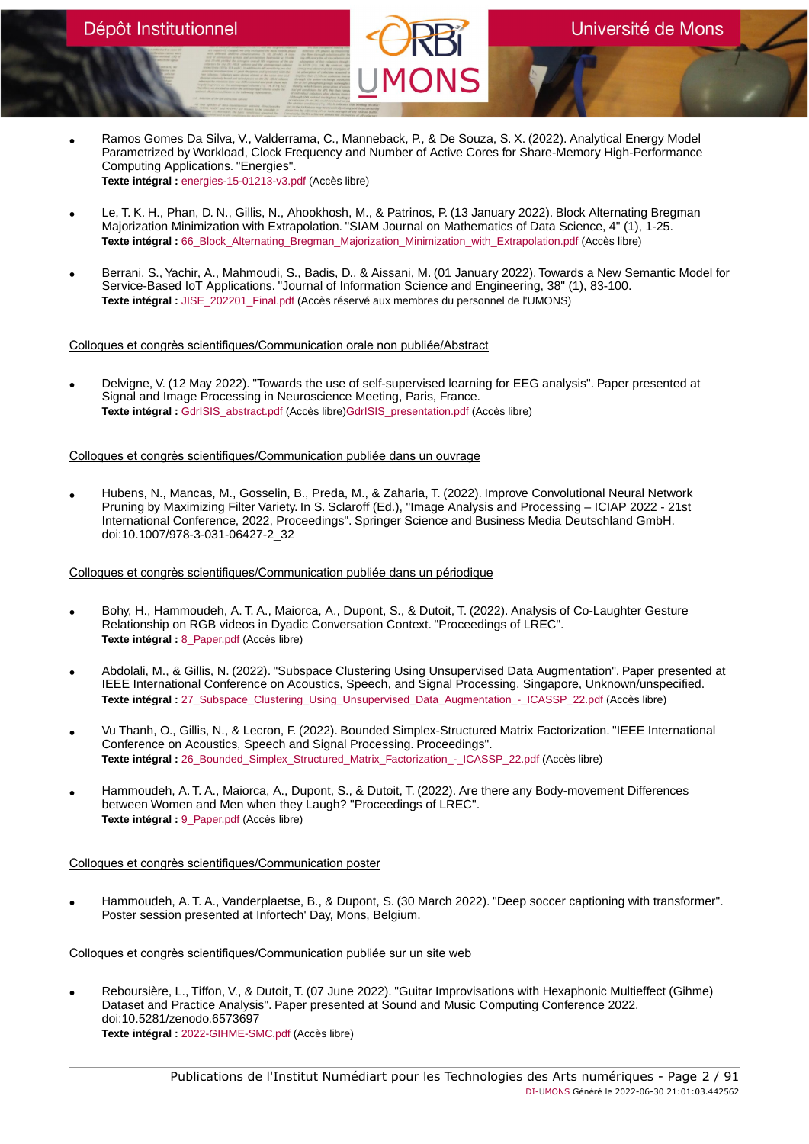- Ramos Gomes Da Silva, V., Valderrama, C., Manneback, P., & De Souza, S. X. (2022). Analytical Energy Model Parametrized by Workload, Clock Frequency and Number of Active Cores for Share-Memory High-Performance Computing Applications. "Energies". **Texte intégral :** [energies-15-01213-v3.pdf](https://orbi.umons.ac.be/bitstream/20.500.12907/42536/1/energies-15-01213-v3.pdf) (Accès libre)
- Le, T. K. H., Phan, D. N., Gillis, N., Ahookhosh, M., & Patrinos, P. (13 January 2022). Block Alternating Bregman Majorization Minimization with Extrapolation. "SIAM Journal on Mathematics of Data Science, 4" (1), 1-25. **Texte intégral :** [66\\_Block\\_Alternating\\_Bregman\\_Majorization\\_Minimization\\_with\\_Extrapolation.pdf](https://orbi.umons.ac.be/bitstream/20.500.12907/42426/1/66_Block_Alternating_Bregman_Majorization_Minimization_with_Extrapolation.pdf) (Accès libre)
- Berrani, S., Yachir, A., Mahmoudi, S., Badis, D., & Aissani, M. (01 January 2022). Towards a New Semantic Model for Service-Based IoT Applications. "Journal of Information Science and Engineering, 38" (1), 83-100. **Texte intégral :** [JISE\\_202201\\_Final.pdf](https://orbi.umons.ac.be/bitstream/20.500.12907/42451/1/JISE_202201_Final.pdf) (Accès réservé aux membres du personnel de l'UMONS)

Colloques et congrès scientifiques/Communication orale non publiée/Abstract

• Delvigne, V. (12 May 2022). "Towards the use of self-supervised learning for EEG analysis". Paper presented at Signal and Image Processing in Neuroscience Meeting, Paris, France. **Texte intégral :** [GdrISIS\\_abstract.pdf](https://orbi.umons.ac.be/bitstream/20.500.12907/42673/1/GdrISIS_abstract.pdf) (Accès libre)[GdrISIS\\_presentation.pdf](https://orbi.umons.ac.be/bitstream/20.500.12907/42673/2/GdrISIS_presentation.pdf) (Accès libre)

### Colloques et congrès scientifiques/Communication publiée dans un ouvrage

• Hubens, N., Mancas, M., Gosselin, B., Preda, M., & Zaharia, T. (2022). Improve Convolutional Neural Network Pruning by Maximizing Filter Variety. In S. Sclaroff (Ed.), "Image Analysis and Processing – ICIAP 2022 - 21st International Conference, 2022, Proceedings". Springer Science and Business Media Deutschland GmbH. doi:10.1007/978-3-031-06427-2\_32

### Colloques et congrès scientifiques/Communication publiée dans un périodique

- Bohy, H., Hammoudeh, A. T. A., Maiorca, A., Dupont, S., & Dutoit, T. (2022). Analysis of Co-Laughter Gesture Relationship on RGB videos in Dyadic Conversation Context. "Proceedings of LREC". **Texte intégral :** [8\\_Paper.pdf](https://orbi.umons.ac.be/bitstream/20.500.12907/43009/1/8_Paper.pdf) (Accès libre)
- Abdolali, M., & Gillis, N. (2022). "Subspace Clustering Using Unsupervised Data Augmentation". Paper presented at IEEE International Conference on Acoustics, Speech, and Signal Processing, Singapore, Unknown/unspecified. **Texte intégral :** [27\\_Subspace\\_Clustering\\_Using\\_Unsupervised\\_Data\\_Augmentation\\_-\\_ICASSP\\_22.pdf](https://orbi.umons.ac.be/bitstream/20.500.12907/42514/1/27_Subspace_Clustering_Using_Unsupervised_Data_Augmentation_-_ICASSP_22.pdf) (Accès libre)
- Vu Thanh, O., Gillis, N., & Lecron, F. (2022). Bounded Simplex-Structured Matrix Factorization. "IEEE International Conference on Acoustics, Speech and Signal Processing. Proceedings". **Texte intégral :** 26 Bounded Simplex Structured Matrix Factorization - ICASSP 22.pdf (Accès libre)
- Hammoudeh, A. T. A., Maiorca, A., Dupont, S., & Dutoit, T. (2022). Are there any Body-movement Differences between Women and Men when they Laugh? "Proceedings of LREC". **Texte intégral :** [9\\_Paper.pdf](https://orbi.umons.ac.be/bitstream/20.500.12907/43010/1/9_Paper.pdf) (Accès libre)

Colloques et congrès scientifiques/Communication poster

• Hammoudeh, A. T. A., Vanderplaetse, B., & Dupont, S. (30 March 2022). "Deep soccer captioning with transformer". Poster session presented at Infortech' Day, Mons, Belgium.

### Colloques et congrès scientifiques/Communication publiée sur un site web

• Reboursière, L., Tiffon, V., & Dutoit, T. (07 June 2022). "Guitar Improvisations with Hexaphonic Multieffect (Gihme) Dataset and Practice Analysis". Paper presented at Sound and Music Computing Conference 2022. doi:10.5281/zenodo.6573697 **Texte intégral :** [2022-GIHME-SMC.pdf](https://orbi.umons.ac.be/bitstream/20.500.12907/43013/1/2022-GIHME-SMC.pdf) (Accès libre)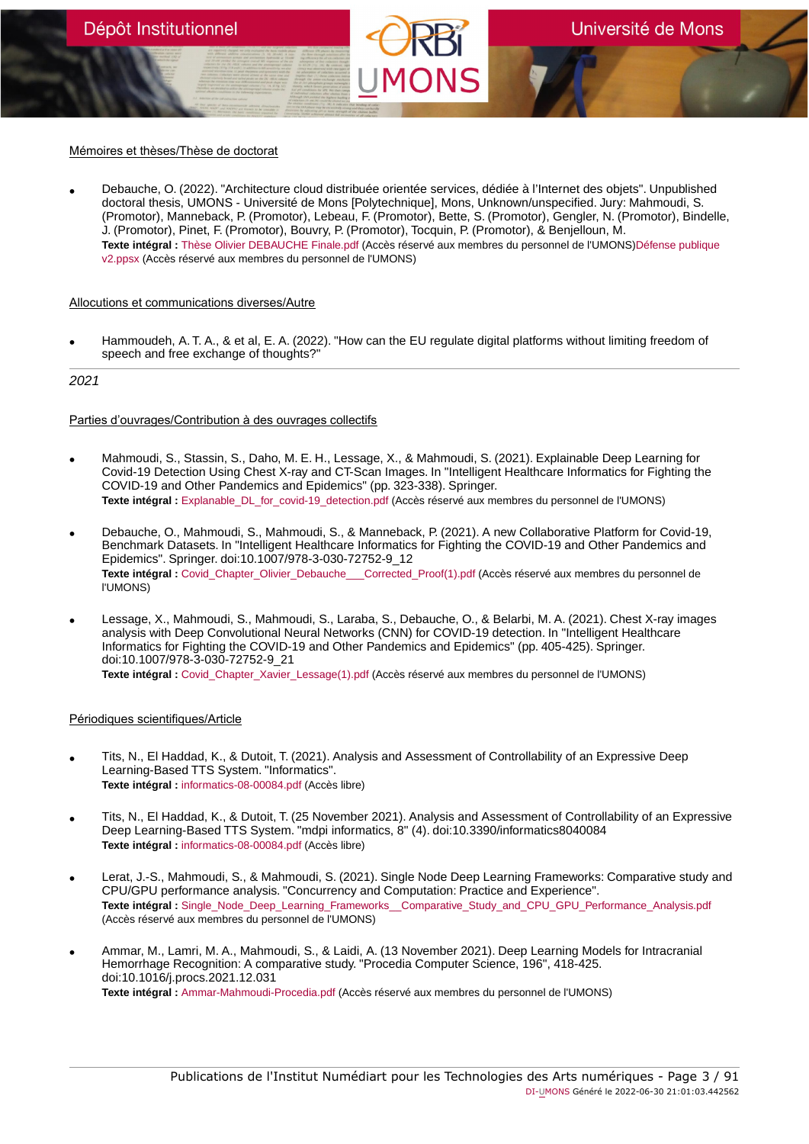### Mémoires et thèses/Thèse de doctorat

• Debauche, O. (2022). "Architecture cloud distribuée orientée services, dédiée à l'Internet des objets". Unpublished doctoral thesis, UMONS - Université de Mons [Polytechnique], Mons, Unknown/unspecified. Jury: Mahmoudi, S. (Promotor), Manneback, P. (Promotor), Lebeau, F. (Promotor), Bette, S. (Promotor), Gengler, N. (Promotor), Bindelle, J. (Promotor), Pinet, F. (Promotor), Bouvry, P. (Promotor), Tocquin, P. (Promotor), & Benjelloun, M. **Texte intégral :** [Thèse Olivier DEBAUCHE Finale.pdf](https://orbi.umons.ac.be/bitstream/20.500.12907/42996/1/Th�se Olivier DEBAUCHE Finale.pdf) (Accès réservé aux membres du personnel de l'UMONS[\)Défense publique](https://orbi.umons.ac.be/bitstream/20.500.12907/42996/2/D�fense publique v2.ppsx) [v2.ppsx](https://orbi.umons.ac.be/bitstream/20.500.12907/42996/2/D�fense publique v2.ppsx) (Accès réservé aux membres du personnel de l'UMONS)

#### Allocutions et communications diverses/Autre

• Hammoudeh, A. T. A., & et al, E. A. (2022). "How can the EU regulate digital platforms without limiting freedom of speech and free exchange of thoughts?"

#### 2021

### Parties d'ouvrages/Contribution à des ouvrages collectifs

- Mahmoudi, S., Stassin, S., Daho, M. E. H., Lessage, X., & Mahmoudi, S. (2021). Explainable Deep Learning for Covid-19 Detection Using Chest X-ray and CT-Scan Images. In "Intelligent Healthcare Informatics for Fighting the COVID-19 and Other Pandemics and Epidemics" (pp. 323-338). Springer. **Texte intégral :** [Explanable\\_DL\\_for\\_covid-19\\_detection.pdf](https://orbi.umons.ac.be/bitstream/20.500.12907/42412/1/Explanable_DL_for_covid-19_detection.pdf) (Accès réservé aux membres du personnel de l'UMONS)
- Debauche, O., Mahmoudi, S., Mahmoudi, S., & Manneback, P. (2021). A new Collaborative Platform for Covid-19, Benchmark Datasets. In "Intelligent Healthcare Informatics for Fighting the COVID-19 and Other Pandemics and Epidemics". Springer. doi:10.1007/978-3-030-72752-9\_12 **Texte intégral :** [Covid\\_Chapter\\_Olivier\\_Debauche\\_\\_\\_Corrected\\_Proof\(1\).pdf](https://orbi.umons.ac.be/bitstream/20.500.12907/42323/1/Covid_Chapter_Olivier_Debauche___Corrected_Proof(1).pdf) (Accès réservé aux membres du personnel de l'UMONS)
- Lessage, X., Mahmoudi, S., Mahmoudi, S., Laraba, S., Debauche, O., & Belarbi, M. A. (2021). Chest X-ray images analysis with Deep Convolutional Neural Networks (CNN) for COVID-19 detection. In "Intelligent Healthcare Informatics for Fighting the COVID-19 and Other Pandemics and Epidemics" (pp. 405-425). Springer. doi:10.1007/978-3-030-72752-9\_21 **Texte intégral :** [Covid\\_Chapter\\_Xavier\\_Lessage\(1\).pdf](https://orbi.umons.ac.be/bitstream/20.500.12907/42340/1/Covid_Chapter_Xavier_Lessage(1).pdf) (Accès réservé aux membres du personnel de l'UMONS)

#### Périodiques scientifiques/Article

- Tits, N., El Haddad, K., & Dutoit, T. (2021). Analysis and Assessment of Controllability of an Expressive Deep Learning-Based TTS System. "Informatics". **Texte intégral :** [informatics-08-00084.pdf](https://orbi.umons.ac.be/bitstream/20.500.12907/42434/1/informatics-08-00084.pdf) (Accès libre)
- Tits, N., El Haddad, K., & Dutoit, T. (25 November 2021). Analysis and Assessment of Controllability of an Expressive Deep Learning-Based TTS System. "mdpi informatics, 8" (4). doi:10.3390/informatics8040084 **Texte intégral :** [informatics-08-00084.pdf](https://orbi.umons.ac.be/bitstream/20.500.12907/42442/1/informatics-08-00084.pdf) (Accès libre)
- Lerat, J.-S., Mahmoudi, S., & Mahmoudi, S. (2021). Single Node Deep Learning Frameworks: Comparative study and CPU/GPU performance analysis. "Concurrency and Computation: Practice and Experience". **Texte intégral :** [Single\\_Node\\_Deep\\_Learning\\_Frameworks\\_\\_Comparative\\_Study\\_and\\_CPU\\_GPU\\_Performance\\_Analysis.pdf](https://orbi.umons.ac.be/bitstream/20.500.12907/42443/1/Single_Node_Deep_Learning_Frameworks__Comparative_Study_and_CPU_GPU_Performance_Analysis.pdf) (Accès réservé aux membres du personnel de l'UMONS)
- Ammar, M., Lamri, M. A., Mahmoudi, S., & Laidi, A. (13 November 2021). Deep Learning Models for Intracranial Hemorrhage Recognition: A comparative study. "Procedia Computer Science, 196", 418-425. doi:10.1016/j.procs.2021.12.031 **Texte intégral :** [Ammar-Mahmoudi-Procedia.pdf](https://orbi.umons.ac.be/bitstream/20.500.12907/42452/1/Ammar-Mahmoudi-Procedia.pdf) (Accès réservé aux membres du personnel de l'UMONS)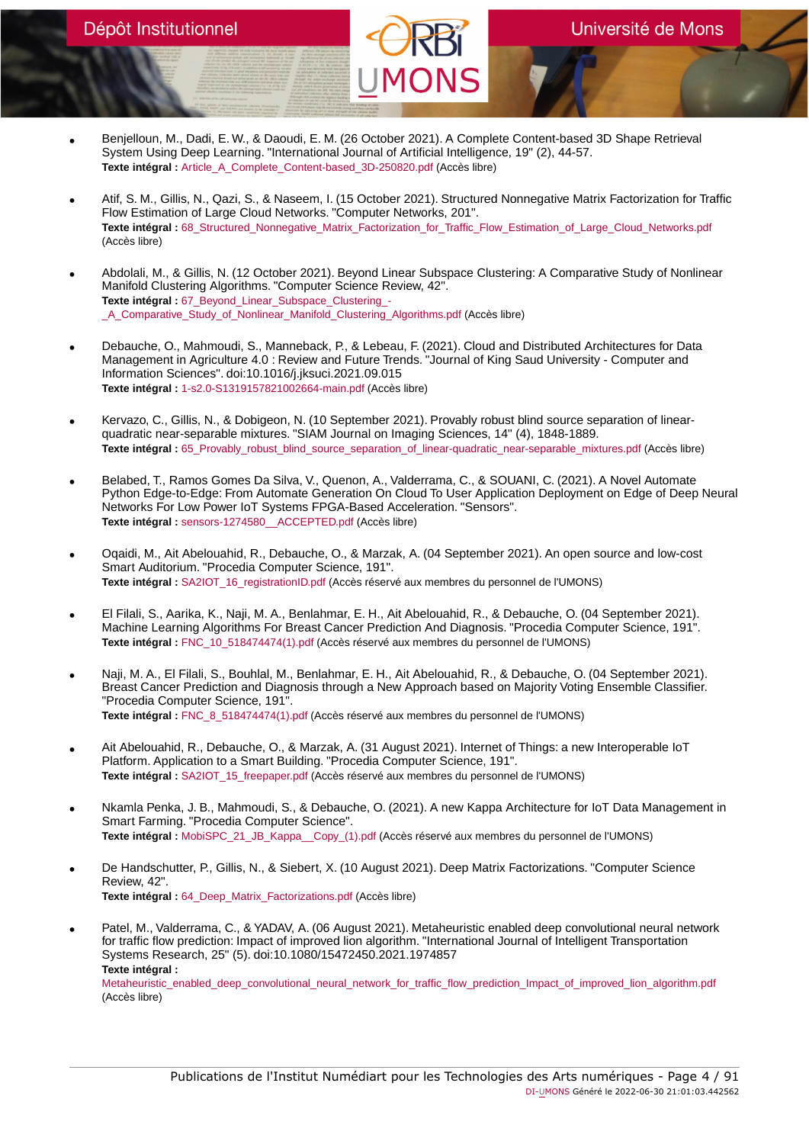- Benjelloun, M., Dadi, E. W., & Daoudi, E. M. (26 October 2021). A Complete Content-based 3D Shape Retrieval System Using Deep Learning. "International Journal of Artificial Intelligence, 19" (2), 44-57. **Texte intégral :** [Article\\_A\\_Complete\\_Content-based\\_3D-250820.pdf](https://orbi.umons.ac.be/bitstream/20.500.12907/42446/1/Article_A_Complete_Content-based_3D-250820.pdf) (Accès libre)
- Atif, S. M., Gillis, N., Qazi, S., & Naseem, I. (15 October 2021). Structured Nonnegative Matrix Factorization for Traffic Flow Estimation of Large Cloud Networks. "Computer Networks, 201". **Texte intégral :** [68\\_Structured\\_Nonnegative\\_Matrix\\_Factorization\\_for\\_Traffic\\_Flow\\_Estimation\\_of\\_Large\\_Cloud\\_Networks.pdf](https://orbi.umons.ac.be/bitstream/20.500.12907/42427/1/68_Structured_Nonnegative_Matrix_Factorization_for_Traffic_Flow_Estimation_of_Large_Cloud_Networks.pdf) (Accès libre)
- Abdolali, M., & Gillis, N. (12 October 2021). Beyond Linear Subspace Clustering: A Comparative Study of Nonlinear Manifold Clustering Algorithms. "Computer Science Review, 42". **Texte intégral :** [67\\_Beyond\\_Linear\\_Subspace\\_Clustering\\_-](https://orbi.umons.ac.be/bitstream/20.500.12907/42429/1/67_Beyond_Linear_Subspace_Clustering_-_A_Comparative_Study_of_Nonlinear_Manifold_Clustering_Algorithms.pdf) [\\_A\\_Comparative\\_Study\\_of\\_Nonlinear\\_Manifold\\_Clustering\\_Algorithms.pdf](https://orbi.umons.ac.be/bitstream/20.500.12907/42429/1/67_Beyond_Linear_Subspace_Clustering_-_A_Comparative_Study_of_Nonlinear_Manifold_Clustering_Algorithms.pdf) (Accès libre)
- Debauche, O., Mahmoudi, S., Manneback, P., & Lebeau, F. (2021). Cloud and Distributed Architectures for Data Management in Agriculture 4.0 : Review and Future Trends. "Journal of King Saud University - Computer and Information Sciences". doi:10.1016/j.jksuci.2021.09.015 **Texte intégral :** [1-s2.0-S1319157821002664-main.pdf](https://orbi.umons.ac.be/bitstream/20.500.12907/42428/1/1-s2.0-S1319157821002664-main.pdf) (Accès libre)
- Kervazo, C., Gillis, N., & Dobigeon, N. (10 September 2021). Provably robust blind source separation of linearquadratic near-separable mixtures. "SIAM Journal on Imaging Sciences, 14" (4), 1848-1889. **Texte intégral :** [65\\_Provably\\_robust\\_blind\\_source\\_separation\\_of\\_linear-quadratic\\_near-separable\\_mixtures.pdf](https://orbi.umons.ac.be/bitstream/20.500.12907/42422/1/65_Provably_robust_blind_source_separation_of_linear-quadratic_near-separable_mixtures.pdf) (Accès libre)
- Belabed, T., Ramos Gomes Da Silva, V., Quenon, A., Valderrama, C., & SOUANI, C. (2021). A Novel Automate Python Edge-to-Edge: From Automate Generation On Cloud To User Application Deployment on Edge of Deep Neural Networks For Low Power IoT Systems FPGA-Based Acceleration. "Sensors". **Texte intégral :** [sensors-1274580\\_\\_ACCEPTED.pdf](https://orbi.umons.ac.be/bitstream/20.500.12907/42423/1/sensors-1274580__ACCEPTED.pdf) (Accès libre)
- Oqaidi, M., Ait Abelouahid, R., Debauche, O., & Marzak, A. (04 September 2021). An open source and low-cost Smart Auditorium. "Procedia Computer Science, 191". Texte intégral : [SA2IOT\\_16\\_registrationID.pdf](https://orbi.umons.ac.be/bitstream/20.500.12907/42414/1/SA2IOT_16_registrationID.pdf) (Accès réservé aux membres du personnel de l'UMONS)
- El Filali, S., Aarika, K., Naji, M. A., Benlahmar, E. H., Ait Abelouahid, R., & Debauche, O. (04 September 2021). Machine Learning Algorithms For Breast Cancer Prediction And Diagnosis. "Procedia Computer Science, 191". **Texte intégral :** [FNC\\_10\\_518474474\(1\).pdf](https://orbi.umons.ac.be/bitstream/20.500.12907/42417/1/FNC_10_518474474(1).pdf) (Accès réservé aux membres du personnel de l'UMONS)
- Naji, M. A., El Filali, S., Bouhlal, M., Benlahmar, E. H., Ait Abelouahid, R., & Debauche, O. (04 September 2021). Breast Cancer Prediction and Diagnosis through a New Approach based on Majority Voting Ensemble Classifier. "Procedia Computer Science, 191". **Texte intégral :** [FNC\\_8\\_518474474\(1\).pdf](https://orbi.umons.ac.be/bitstream/20.500.12907/42418/1/FNC_8_518474474(1).pdf) (Accès réservé aux membres du personnel de l'UMONS)
- Ait Abelouahid, R., Debauche, O., & Marzak, A. (31 August 2021). Internet of Things: a new Interoperable IoT Platform. Application to a Smart Building. "Procedia Computer Science, 191". **Texte intégral :** [SA2IOT\\_15\\_freepaper.pdf](https://orbi.umons.ac.be/bitstream/20.500.12907/42425/1/SA2IOT_15_freepaper.pdf) (Accès réservé aux membres du personnel de l'UMONS)
- Nkamla Penka, J. B., Mahmoudi, S., & Debauche, O. (2021). A new Kappa Architecture for IoT Data Management in Smart Farming. "Procedia Computer Science". **Texte intégral :** [MobiSPC\\_21\\_JB\\_Kappa\\_\\_Copy\\_\(1\).pdf](https://orbi.umons.ac.be/bitstream/20.500.12907/42407/1/MobiSPC_21_JB_Kappa__Copy_(1).pdf) (Accès réservé aux membres du personnel de l'UMONS)
- De Handschutter, P., Gillis, N., & Siebert, X. (10 August 2021). Deep Matrix Factorizations. "Computer Science Review, 42". **Texte intégral :** [64\\_Deep\\_Matrix\\_Factorizations.pdf](https://orbi.umons.ac.be/bitstream/20.500.12907/42416/1/64_Deep_Matrix_Factorizations.pdf) (Accès libre)
- Patel, M., Valderrama, C., & YADAV, A. (06 August 2021). Metaheuristic enabled deep convolutional neural network for traffic flow prediction: Impact of improved lion algorithm. "International Journal of Intelligent Transportation Systems Research, 25" (5). doi:10.1080/15472450.2021.1974857 **Texte intégral :**

[Metaheuristic\\_enabled\\_deep\\_convolutional\\_neural\\_network\\_for\\_traffic\\_flow\\_prediction\\_Impact\\_of\\_improved\\_lion\\_algorithm.pdf](https://orbi.umons.ac.be/bitstream/20.500.12907/42415/1/Metaheuristic_enabled_deep_convolutional_neural_network_for_traffic_flow_prediction_Impact_of_improved_lion_algorithm.pdf) (Accès libre)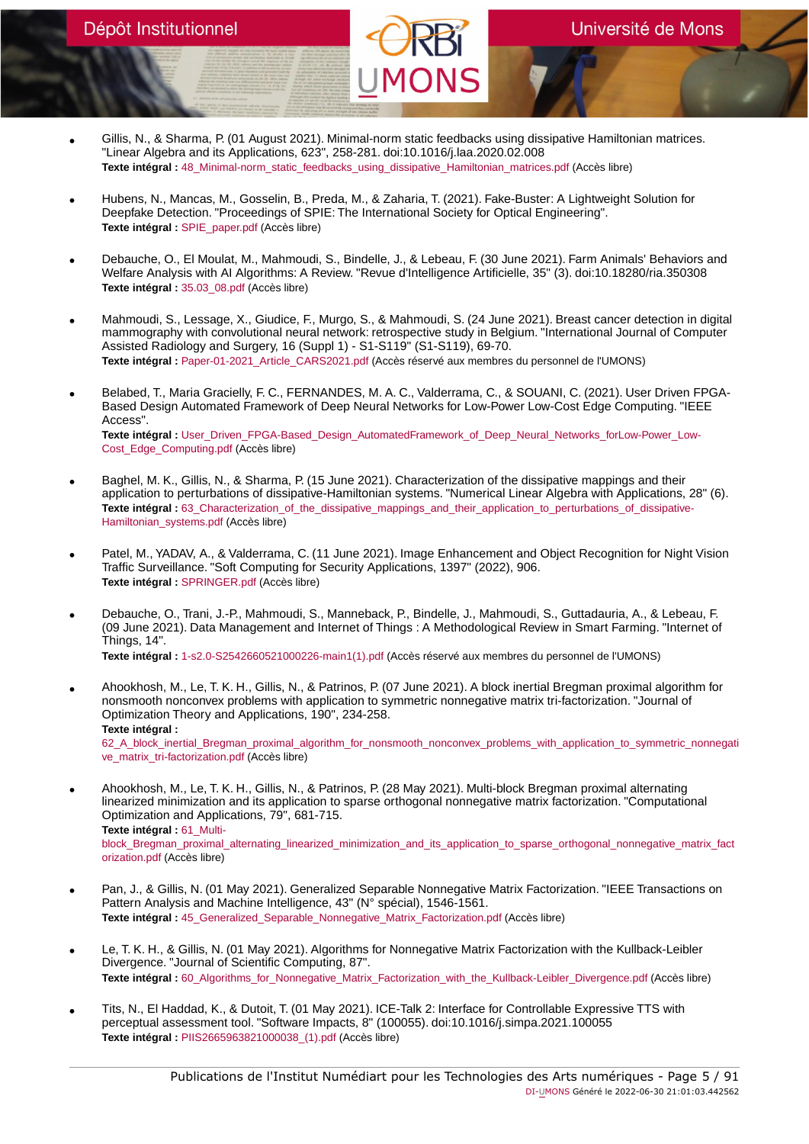- Gillis, N., & Sharma, P. (01 August 2021). Minimal-norm static feedbacks using dissipative Hamiltonian matrices. "Linear Algebra and its Applications, 623", 258-281. doi:10.1016/j.laa.2020.02.008 **Texte intégral :** [48\\_Minimal-norm\\_static\\_feedbacks\\_using\\_dissipative\\_Hamiltonian\\_matrices.pdf](https://orbi.umons.ac.be/bitstream/20.500.12907/42291/1/48_Minimal-norm_static_feedbacks_using_dissipative_Hamiltonian_matrices.pdf) (Accès libre)
- Hubens, N., Mancas, M., Gosselin, B., Preda, M., & Zaharia, T. (2021). Fake-Buster: A Lightweight Solution for Deepfake Detection. "Proceedings of SPIE: The International Society for Optical Engineering". **Texte intégral :** [SPIE\\_paper.pdf](https://orbi.umons.ac.be/bitstream/20.500.12907/42438/1/SPIE_paper.pdf) (Accès libre)
- Debauche, O., El Moulat, M., Mahmoudi, S., Bindelle, J., & Lebeau, F. (30 June 2021). Farm Animals' Behaviors and Welfare Analysis with AI Algorithms: A Review. "Revue d'Intelligence Artificielle, 35" (3). doi:10.18280/ria.350308 **Texte intégral :** [35.03\\_08.pdf](https://orbi.umons.ac.be/bitstream/20.500.12907/42419/1/35.03_08.pdf) (Accès libre)
- Mahmoudi, S., Lessage, X., Giudice, F., Murgo, S., & Mahmoudi, S. (24 June 2021). Breast cancer detection in digital mammography with convolutional neural network: retrospective study in Belgium. "International Journal of Computer Assisted Radiology and Surgery, 16 (Suppl 1) - S1-S119" (S1-S119), 69-70. **Texte intégral :** [Paper-01-2021\\_Article\\_CARS2021.pdf](https://orbi.umons.ac.be/bitstream/20.500.12907/42411/1/Paper-01-2021_Article_CARS2021.pdf) (Accès réservé aux membres du personnel de l'UMONS)
- Belabed, T., Maria Gracielly, F. C., FERNANDES, M. A. C., Valderrama, C., & SOUANI, C. (2021). User Driven FPGA-Based Design Automated Framework of Deep Neural Networks for Low-Power Low-Cost Edge Computing. "IEEE Access". Texte intégral : [User\\_Driven\\_FPGA-Based\\_Design\\_AutomatedFramework\\_of\\_Deep\\_Neural\\_Networks\\_forLow-Power\\_Low-](https://orbi.umons.ac.be/bitstream/20.500.12907/42420/1/User_Driven_FPGA-Based_Design_AutomatedFramework_of_Deep_Neural_Networks_forLow-Power_Low-Cost_Edge_Computing.pdf)[Cost\\_Edge\\_Computing.pdf](https://orbi.umons.ac.be/bitstream/20.500.12907/42420/1/User_Driven_FPGA-Based_Design_AutomatedFramework_of_Deep_Neural_Networks_forLow-Power_Low-Cost_Edge_Computing.pdf) (Accès libre)
- Baghel, M. K., Gillis, N., & Sharma, P. (15 June 2021). Characterization of the dissipative mappings and their application to perturbations of dissipative-Hamiltonian systems. "Numerical Linear Algebra with Applications, 28" (6). Texte intégral : 63 Characterization of the dissipative mappings and their application to perturbations of dissipative-[Hamiltonian\\_systems.pdf](https://orbi.umons.ac.be/bitstream/20.500.12907/42410/1/63_Characterization_of_the_dissipative_mappings_and_their_application_to_perturbations_of_dissipative-Hamiltonian_systems.pdf) (Accès libre)
- Patel, M., YADAV, A., & Valderrama, C. (11 June 2021). Image Enhancement and Object Recognition for Night Vision Traffic Surveillance. "Soft Computing for Security Applications, 1397" (2022), 906. **Texte intégral :** [SPRINGER.pdf](https://orbi.umons.ac.be/bitstream/20.500.12907/42430/1/SPRINGER.pdf) (Accès libre)
- Debauche, O., Trani, J.-P., Mahmoudi, S., Manneback, P., Bindelle, J., Mahmoudi, S., Guttadauria, A., & Lebeau, F. (09 June 2021). Data Management and Internet of Things : A Methodological Review in Smart Farming. "Internet of Things, 14".

**Texte intégral :** [1-s2.0-S2542660521000226-main1\(1\).pdf](https://orbi.umons.ac.be/bitstream/20.500.12907/42409/1/1-s2.0-S2542660521000226-main1(1).pdf) (Accès réservé aux membres du personnel de l'UMONS)

- Ahookhosh, M., Le, T. K. H., Gillis, N., & Patrinos, P. (07 June 2021). A block inertial Bregman proximal algorithm for nonsmooth nonconvex problems with application to symmetric nonnegative matrix tri-factorization. "Journal of Optimization Theory and Applications, 190", 234-258. **Texte intégral :** [62\\_A\\_block\\_inertial\\_Bregman\\_proximal\\_algorithm\\_for\\_nonsmooth\\_nonconvex\\_problems\\_with\\_application\\_to\\_symmetric\\_nonnegati](https://orbi.umons.ac.be/bitstream/20.500.12907/42406/1/62_A_block_inertial_Bregman_proximal_algorithm_for_nonsmooth_nonconvex_problems_with_application_to_symmetric_nonnegative_matrix_tri-factorization.pdf) [ve\\_matrix\\_tri-factorization.pdf](https://orbi.umons.ac.be/bitstream/20.500.12907/42406/1/62_A_block_inertial_Bregman_proximal_algorithm_for_nonsmooth_nonconvex_problems_with_application_to_symmetric_nonnegative_matrix_tri-factorization.pdf) (Accès libre)
- Ahookhosh, M., Le, T. K. H., Gillis, N., & Patrinos, P. (28 May 2021). Multi-block Bregman proximal alternating linearized minimization and its application to sparse orthogonal nonnegative matrix factorization. "Computational Optimization and Applications, 79", 681-715. **Texte intégral :** [61\\_Multi](https://orbi.umons.ac.be/bitstream/20.500.12907/42405/1/61_Multi-block_Bregman_proximal_alternating_linearized_minimization_and_its_application_to_sparse_orthogonal_nonnegative_matrix_factorization.pdf)[block\\_Bregman\\_proximal\\_alternating\\_linearized\\_minimization\\_and\\_its\\_application\\_to\\_sparse\\_orthogonal\\_nonnegative\\_matrix\\_fact](https://orbi.umons.ac.be/bitstream/20.500.12907/42405/1/61_Multi-block_Bregman_proximal_alternating_linearized_minimization_and_its_application_to_sparse_orthogonal_nonnegative_matrix_factorization.pdf) [orization.pdf](https://orbi.umons.ac.be/bitstream/20.500.12907/42405/1/61_Multi-block_Bregman_proximal_alternating_linearized_minimization_and_its_application_to_sparse_orthogonal_nonnegative_matrix_factorization.pdf) (Accès libre)
- Pan, J., & Gillis, N. (01 May 2021). Generalized Separable Nonnegative Matrix Factorization. "IEEE Transactions on Pattern Analysis and Machine Intelligence, 43" (N° spécial), 1546-1561. **Texte intégral :** [45\\_Generalized\\_Separable\\_Nonnegative\\_Matrix\\_Factorization.pdf](https://orbi.umons.ac.be/bitstream/20.500.12907/42247/1/45_Generalized_Separable_Nonnegative_Matrix_Factorization.pdf) (Accès libre)
- Le, T. K. H., & Gillis, N. (01 May 2021). Algorithms for Nonnegative Matrix Factorization with the Kullback-Leibler Divergence. "Journal of Scientific Computing, 87". **Texte intégral :** [60\\_Algorithms\\_for\\_Nonnegative\\_Matrix\\_Factorization\\_with\\_the\\_Kullback-Leibler\\_Divergence.pdf](https://orbi.umons.ac.be/bitstream/20.500.12907/42397/1/60_Algorithms_for_Nonnegative_Matrix_Factorization_with_the_Kullback-Leibler_Divergence.pdf) (Accès libre)
- Tits, N., El Haddad, K., & Dutoit, T. (01 May 2021). ICE-Talk 2: Interface for Controllable Expressive TTS with perceptual assessment tool. "Software Impacts, 8" (100055). doi:10.1016/j.simpa.2021.100055 **Texte intégral :** [PIIS2665963821000038\\_\(1\).pdf](https://orbi.umons.ac.be/bitstream/20.500.12907/42436/1/PIIS2665963821000038_(1).pdf) (Accès libre)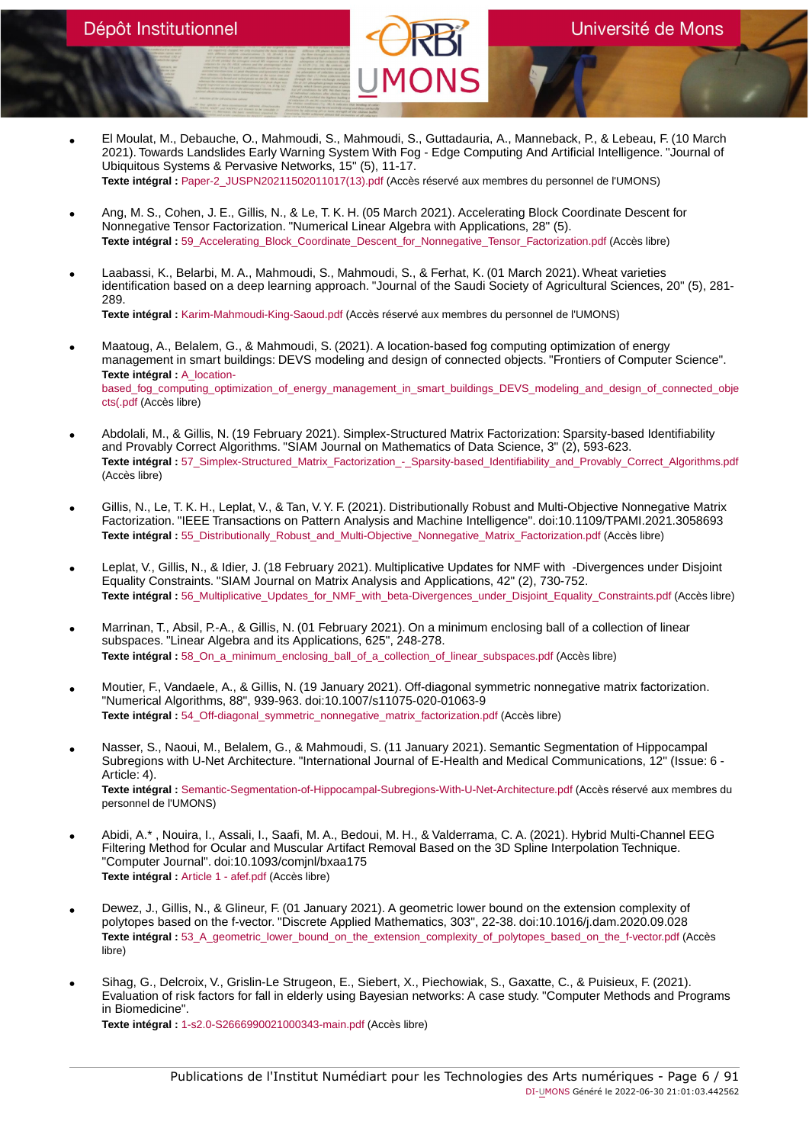- El Moulat, M., Debauche, O., Mahmoudi, S., Mahmoudi, S., Guttadauria, A., Manneback, P., & Lebeau, F. (10 March 2021). Towards Landslides Early Warning System With Fog - Edge Computing And Artificial Intelligence. "Journal of Ubiquitous Systems & Pervasive Networks, 15" (5), 11-17. **Texte intégral :** [Paper-2\\_JUSPN20211502011017\(13\).pdf](https://orbi.umons.ac.be/bitstream/20.500.12907/42408/1/Paper-2_JUSPN20211502011017(13).pdf) (Accès réservé aux membres du personnel de l'UMONS)
- Ang, M. S., Cohen, J. E., Gillis, N., & Le, T. K. H. (05 March 2021). Accelerating Block Coordinate Descent for Nonnegative Tensor Factorization. "Numerical Linear Algebra with Applications, 28" (5). Texte intégral : 59 Accelerating\_Block\_Coordinate\_Descent\_for\_Nonnegative\_Tensor\_Factorization.pdf (Accès libre)
- Laabassi, K., Belarbi, M. A., Mahmoudi, S., Mahmoudi, S., & Ferhat, K. (01 March 2021). Wheat varieties identification based on a deep learning approach. "Journal of the Saudi Society of Agricultural Sciences, 20" (5), 281- 289.

**Texte intégral :** [Karim-Mahmoudi-King-Saoud.pdf](https://orbi.umons.ac.be/bitstream/20.500.12907/42450/1/Karim-Mahmoudi-King-Saoud.pdf) (Accès réservé aux membres du personnel de l'UMONS)

- Maatoug, A., Belalem, G., & Mahmoudi, S. (2021). A location-based fog computing optimization of energy management in smart buildings: DEVS modeling and design of connected objects. "Frontiers of Computer Science". **Texte intégral :** [A\\_location](https://orbi.umons.ac.be/bitstream/20.500.12907/42448/1/A_location-based_fog_computing_optimization_of_energy_management_in_smart_buildings_DEVS_modeling_and_design_of_connected_objects(.pdf)[based\\_fog\\_computing\\_optimization\\_of\\_energy\\_management\\_in\\_smart\\_buildings\\_DEVS\\_modeling\\_and\\_design\\_of\\_connected\\_obje](https://orbi.umons.ac.be/bitstream/20.500.12907/42448/1/A_location-based_fog_computing_optimization_of_energy_management_in_smart_buildings_DEVS_modeling_and_design_of_connected_objects(.pdf) [cts\(.pdf](https://orbi.umons.ac.be/bitstream/20.500.12907/42448/1/A_location-based_fog_computing_optimization_of_energy_management_in_smart_buildings_DEVS_modeling_and_design_of_connected_objects(.pdf) (Accès libre)
- Abdolali, M., & Gillis, N. (19 February 2021). Simplex-Structured Matrix Factorization: Sparsity-based Identifiability and Provably Correct Algorithms. "SIAM Journal on Mathematics of Data Science, 3" (2), 593-623. Texte intégral : [57\\_Simplex-Structured\\_Matrix\\_Factorization\\_-\\_Sparsity-based\\_Identifiability\\_and\\_Provably\\_Correct\\_Algorithms.pdf](https://orbi.umons.ac.be/bitstream/20.500.12907/42386/1/57_Simplex-Structured_Matrix_Factorization_-_Sparsity-based_Identifiability_and_Provably_Correct_Algorithms.pdf) (Accès libre)
- Gillis, N., Le, T. K. H., Leplat, V., & Tan, V. Y. F. (2021). Distributionally Robust and Multi-Objective Nonnegative Matrix Factorization. "IEEE Transactions on Pattern Analysis and Machine Intelligence". doi:10.1109/TPAMI.2021.3058693 **Texte intégral :** [55\\_Distributionally\\_Robust\\_and\\_Multi-Objective\\_Nonnegative\\_Matrix\\_Factorization.pdf](https://orbi.umons.ac.be/bitstream/20.500.12907/42384/1/55_Distributionally_Robust_and_Multi-Objective_Nonnegative_Matrix_Factorization.pdf) (Accès libre)
- Leplat, V., Gillis, N., & Idier, J. (18 February 2021). Multiplicative Updates for NMF with -Divergences under Disjoint Equality Constraints. "SIAM Journal on Matrix Analysis and Applications, 42" (2), 730-752. **Texte intégral :** [56\\_Multiplicative\\_Updates\\_for\\_NMF\\_with\\_beta-Divergences\\_under\\_Disjoint\\_Equality\\_Constraints.pdf](https://orbi.umons.ac.be/bitstream/20.500.12907/42620/1/56_Multiplicative_Updates_for_NMF_with_beta-Divergences_under_Disjoint_Equality_Constraints.pdf) (Accès libre)
- Marrinan, T., Absil, P.-A., & Gillis, N. (01 February 2021). On a minimum enclosing ball of a collection of linear subspaces. "Linear Algebra and its Applications, 625", 248-278. **Texte intégral :** [58\\_On\\_a\\_minimum\\_enclosing\\_ball\\_of\\_a\\_collection\\_of\\_linear\\_subspaces.pdf](https://orbi.umons.ac.be/bitstream/20.500.12907/42383/1/58_On_a_minimum_enclosing_ball_of_a_collection_of_linear_subspaces.pdf) (Accès libre)
- Moutier, F., Vandaele, A., & Gillis, N. (19 January 2021). Off-diagonal symmetric nonnegative matrix factorization. "Numerical Algorithms, 88", 939-963. doi:10.1007/s11075-020-01063-9 **Texte intégral :** [54\\_Off-diagonal\\_symmetric\\_nonnegative\\_matrix\\_factorization.pdf](https://orbi.umons.ac.be/bitstream/20.500.12907/42380/1/54_Off-diagonal_symmetric_nonnegative_matrix_factorization.pdf) (Accès libre)
- Nasser, S., Naoui, M., Belalem, G., & Mahmoudi, S. (11 January 2021). Semantic Segmentation of Hippocampal Subregions with U-Net Architecture. "International Journal of E-Health and Medical Communications, 12" (Issue: 6 - Article: 4). **Texte intégral :** [Semantic-Segmentation-of-Hippocampal-Subregions-With-U-Net-Architecture.pdf](https://orbi.umons.ac.be/bitstream/20.500.12907/42453/1/Semantic-Segmentation-of-Hippocampal-Subregions-With-U-Net-Architecture.pdf) (Accès réservé aux membres du personnel de l'UMONS)
- Abidi, A.\* , Nouira, I., Assali, I., Saafi, M. A., Bedoui, M. H., & Valderrama, C. A. (2021). Hybrid Multi-Channel EEG Filtering Method for Ocular and Muscular Artifact Removal Based on the 3D Spline Interpolation Technique. "Computer Journal". doi:10.1093/comjnl/bxaa175 **Texte intégral :** [Article 1 - afef.pdf](https://orbi.umons.ac.be/bitstream/20.500.12907/42654/1/Article 1 - afef.pdf) (Accès libre)
- Dewez, J., Gillis, N., & Glineur, F. (01 January 2021). A geometric lower bound on the extension complexity of polytopes based on the f-vector. "Discrete Applied Mathematics, 303", 22-38. doi:10.1016/j.dam.2020.09.028 **Texte intégral :** [53\\_A\\_geometric\\_lower\\_bound\\_on\\_the\\_extension\\_complexity\\_of\\_polytopes\\_based\\_on\\_the\\_f-vector.pdf](https://orbi.umons.ac.be/bitstream/20.500.12907/42335/1/53_A_geometric_lower_bound_on_the_extension_complexity_of_polytopes_based_on_the_f-vector.pdf) (Accès libre)
- Sihag, G., Delcroix, V., Grislin-Le Strugeon, E., Siebert, X., Piechowiak, S., Gaxatte, C., & Puisieux, F. (2021). Evaluation of risk factors for fall in elderly using Bayesian networks: A case study. "Computer Methods and Programs in Biomedicine". **Texte intégral :** [1-s2.0-S2666990021000343-main.pdf](https://orbi.umons.ac.be/bitstream/20.500.12907/42445/1/1-s2.0-S2666990021000343-main.pdf) (Accès libre)

Publications de l'Institut Numédiart pour les Technologies des Arts numériques - Page 6 / 91 DI-UMONS Généré le 2022-06-30 21:01:03.442562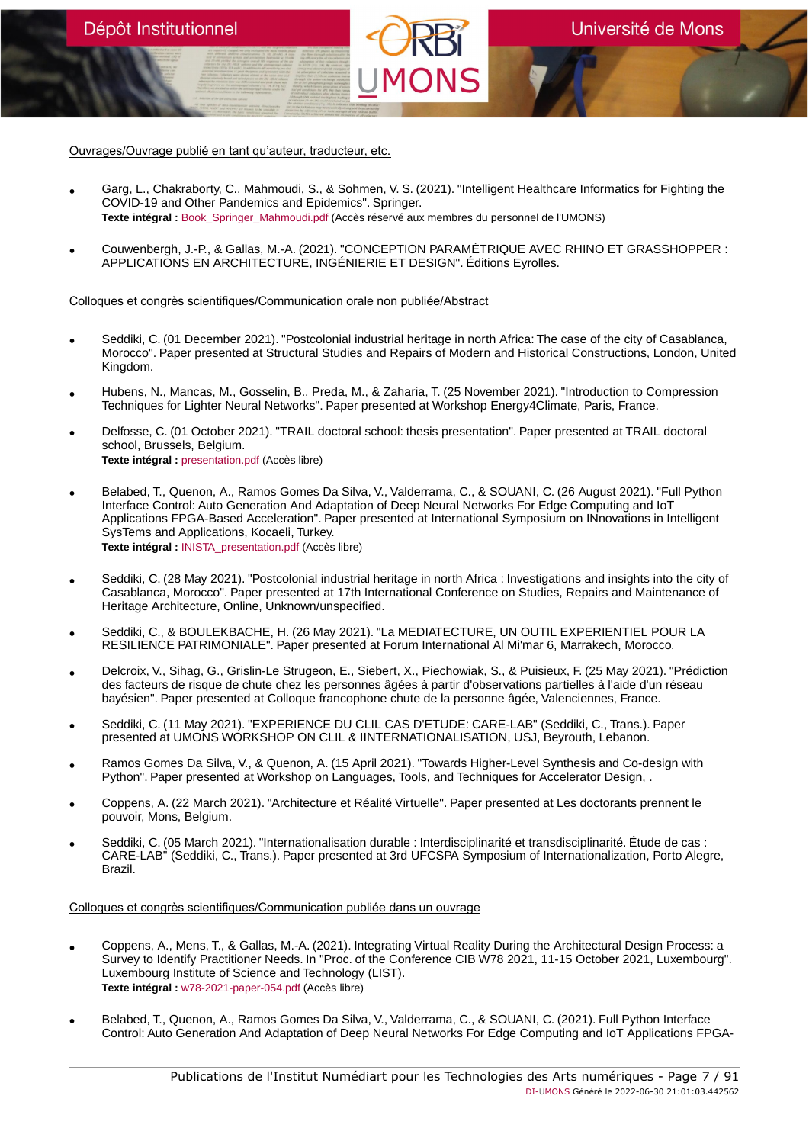Ouvrages/Ouvrage publié en tant qu'auteur, traducteur, etc.

Dépôt Institutionnel

- Garg, L., Chakraborty, C., Mahmoudi, S., & Sohmen, V. S. (2021). "Intelligent Healthcare Informatics for Fighting the COVID-19 and Other Pandemics and Epidemics". Springer. **Texte intégral :** [Book\\_Springer\\_Mahmoudi.pdf](https://orbi.umons.ac.be/bitstream/20.500.12907/42413/1/Book_Springer_Mahmoudi.pdf) (Accès réservé aux membres du personnel de l'UMONS)
- Couwenbergh, J.-P., & Gallas, M.-A. (2021). "CONCEPTION PARAMÉTRIQUE AVEC RHINO ET GRASSHOPPER : APPLICATIONS EN ARCHITECTURE, INGÉNIERIE ET DESIGN". Éditions Eyrolles.

#### Colloques et congrès scientifiques/Communication orale non publiée/Abstract

- Seddiki, C. (01 December 2021). "Postcolonial industrial heritage in north Africa: The case of the city of Casablanca, Morocco". Paper presented at Structural Studies and Repairs of Modern and Historical Constructions, London, United Kingdom.
- Hubens, N., Mancas, M., Gosselin, B., Preda, M., & Zaharia, T. (25 November 2021). "Introduction to Compression Techniques for Lighter Neural Networks". Paper presented at Workshop Energy4Climate, Paris, France.
- Delfosse, C. (01 October 2021). "TRAIL doctoral school: thesis presentation". Paper presented at TRAIL doctoral school, Brussels, Belgium. **Texte intégral :** [presentation.pdf](https://orbi.umons.ac.be/bitstream/20.500.12907/42431/1/presentation.pdf) (Accès libre)
- Belabed, T., Quenon, A., Ramos Gomes Da Silva, V., Valderrama, C., & SOUANI, C. (26 August 2021). "Full Python Interface Control: Auto Generation And Adaptation of Deep Neural Networks For Edge Computing and IoT Applications FPGA-Based Acceleration". Paper presented at International Symposium on INnovations in Intelligent SysTems and Applications, Kocaeli, Turkey. **Texte intégral :** [INISTA\\_presentation.pdf](https://orbi.umons.ac.be/bitstream/20.500.12907/42421/1/INISTA_presentation.pdf) (Accès libre)
- Seddiki, C. (28 May 2021). "Postcolonial industrial heritage in north Africa : Investigations and insights into the city of Casablanca, Morocco". Paper presented at 17th International Conference on Studies, Repairs and Maintenance of Heritage Architecture, Online, Unknown/unspecified.
- Seddiki, C., & BOULEKBACHE, H. (26 May 2021). "La MEDIATECTURE, UN OUTIL EXPERIENTIEL POUR LA RESILIENCE PATRIMONIALE". Paper presented at Forum International Al Mi'mar 6, Marrakech, Morocco.
- Delcroix, V., Sihag, G., Grislin-Le Strugeon, E., Siebert, X., Piechowiak, S., & Puisieux, F. (25 May 2021). "Prédiction des facteurs de risque de chute chez les personnes âgées à partir d'observations partielles à l'aide d'un réseau bayésien". Paper presented at Colloque francophone chute de la personne âgée, Valenciennes, France.
- Seddiki, C. (11 May 2021). "EXPERIENCE DU CLIL CAS D'ETUDE: CARE-LAB" (Seddiki, C., Trans.). Paper presented at UMONS WORKSHOP ON CLIL & IINTERNATIONALISATION, USJ, Beyrouth, Lebanon.
- Ramos Gomes Da Silva, V., & Quenon, A. (15 April 2021). "Towards Higher-Level Synthesis and Co-design with Python". Paper presented at Workshop on Languages, Tools, and Techniques for Accelerator Design, .
- Coppens, A. (22 March 2021). "Architecture et Réalité Virtuelle". Paper presented at Les doctorants prennent le pouvoir, Mons, Belgium.
- Seddiki, C. (05 March 2021). "Internationalisation durable : Interdisciplinarité et transdisciplinarité. Étude de cas : CARE-LAB" (Seddiki, C., Trans.). Paper presented at 3rd UFCSPA Symposium of Internationalization, Porto Alegre, Brazil.

#### Colloques et congrès scientifiques/Communication publiée dans un ouvrage

- Coppens, A., Mens, T., & Gallas, M.-A. (2021). Integrating Virtual Reality During the Architectural Design Process: a Survey to Identify Practitioner Needs. In "Proc. of the Conference CIB W78 2021, 11-15 October 2021, Luxembourg". Luxembourg Institute of Science and Technology (LIST). **Texte intégral :** [w78-2021-paper-054.pdf](https://orbi.umons.ac.be/bitstream/20.500.12907/42455/1/w78-2021-paper-054.pdf) (Accès libre)
- Belabed, T., Quenon, A., Ramos Gomes Da Silva, V., Valderrama, C., & SOUANI, C. (2021). Full Python Interface Control: Auto Generation And Adaptation of Deep Neural Networks For Edge Computing and IoT Applications FPGA-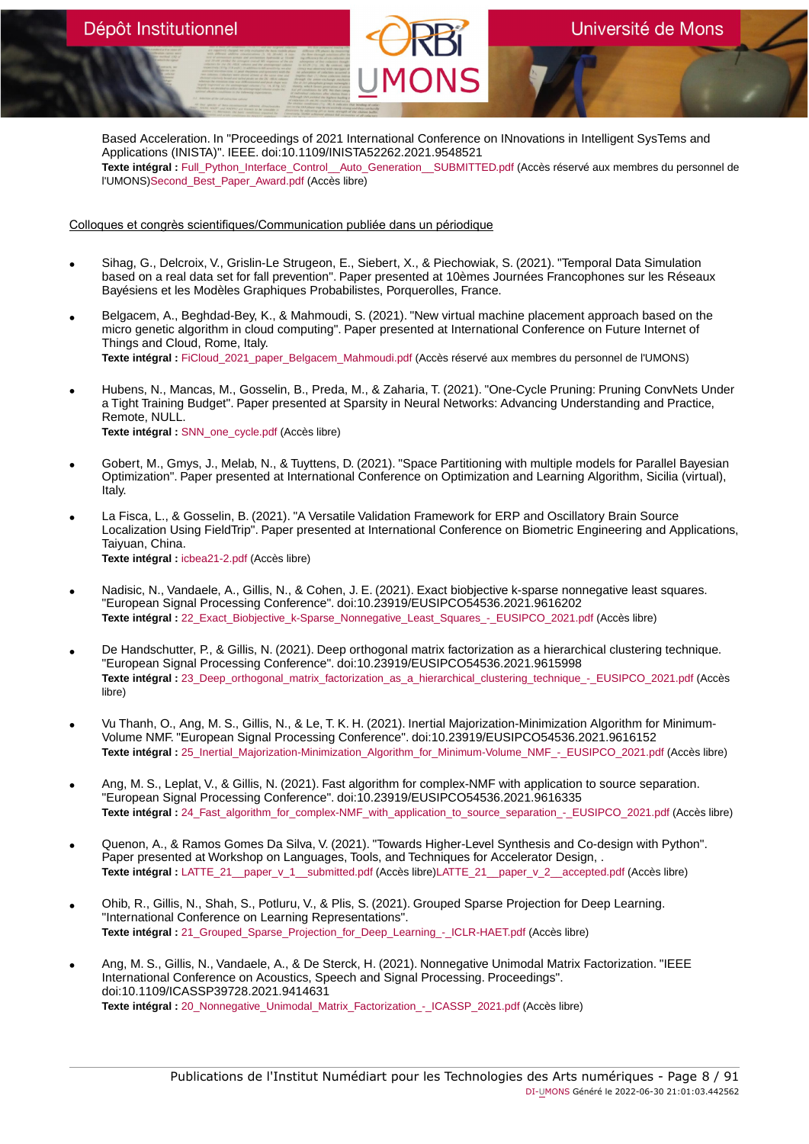Based Acceleration. In "Proceedings of 2021 International Conference on INnovations in Intelligent SysTems and Applications (INISTA)". IEEE. doi:10.1109/INISTA52262.2021.9548521 **Texte intégral :** [Full\\_Python\\_Interface\\_Control\\_\\_Auto\\_Generation\\_\\_SUBMITTED.pdf](https://orbi.umons.ac.be/bitstream/20.500.12907/42424/1/Full_Python_Interface_Control__Auto_Generation__SUBMITTED.pdf) (Accès réservé aux membres du personnel de l'UMONS)[Second\\_Best\\_Paper\\_Award.pdf](https://orbi.umons.ac.be/bitstream/20.500.12907/42424/3/Second_Best_Paper_Award.pdf) (Accès libre)

Colloques et congrès scientifiques/Communication publiée dans un périodique

- Sihag, G., Delcroix, V., Grislin-Le Strugeon, E., Siebert, X., & Piechowiak, S. (2021). "Temporal Data Simulation based on a real data set for fall prevention". Paper presented at 10èmes Journées Francophones sur les Réseaux Bayésiens et les Modèles Graphiques Probabilistes, Porquerolles, France.
- Belgacem, A., Beghdad-Bey, K., & Mahmoudi, S. (2021). "New virtual machine placement approach based on the micro genetic algorithm in cloud computing". Paper presented at International Conference on Future Internet of Things and Cloud, Rome, Italy. **Texte intégral :** [FiCloud\\_2021\\_paper\\_Belgacem\\_Mahmoudi.pdf](https://orbi.umons.ac.be/bitstream/20.500.12907/42449/1/FiCloud_2021_paper_Belgacem_Mahmoudi.pdf) (Accès réservé aux membres du personnel de l'UMONS)
- Hubens, N., Mancas, M., Gosselin, B., Preda, M., & Zaharia, T. (2021). "One-Cycle Pruning: Pruning ConvNets Under a Tight Training Budget". Paper presented at Sparsity in Neural Networks: Advancing Understanding and Practice, Remote, NULL. **Texte intégral :** [SNN\\_one\\_cycle.pdf](https://orbi.umons.ac.be/bitstream/20.500.12907/42435/1/SNN_one_cycle.pdf) (Accès libre)
- Gobert, M., Gmys, J., Melab, N., & Tuyttens, D. (2021). "Space Partitioning with multiple models for Parallel Bayesian Optimization". Paper presented at International Conference on Optimization and Learning Algorithm, Sicilia (virtual), Italy.
- La Fisca, L., & Gosselin, B. (2021). "A Versatile Validation Framework for ERP and Oscillatory Brain Source Localization Using FieldTrip". Paper presented at International Conference on Biometric Engineering and Applications, Taiyuan, China. **Texte intégral :** [icbea21-2.pdf](https://orbi.umons.ac.be/bitstream/20.500.12907/42437/1/icbea21-2.pdf) (Accès libre)
- Nadisic, N., Vandaele, A., Gillis, N., & Cohen, J. E. (2021). Exact biobjective k-sparse nonnegative least squares. "European Signal Processing Conference". doi:10.23919/EUSIPCO54536.2021.9616202 Texte intégral : 22 Exact Biobjective k-Sparse Nonnegative Least Squares - EUSIPCO 2021.pdf (Accès libre)
- De Handschutter, P., & Gillis, N. (2021). Deep orthogonal matrix factorization as a hierarchical clustering technique. "European Signal Processing Conference". doi:10.23919/EUSIPCO54536.2021.9615998 Texte intégral : 23 Deep\_orthogonal\_matrix\_factorization\_as\_a\_hierarchical\_clustering\_technique\_-\_EUSIPCO\_2021.pdf (Accès libre)
- Vu Thanh, O., Ang, M. S., Gillis, N., & Le, T. K. H. (2021). Inertial Majorization-Minimization Algorithm for Minimum-Volume NMF. "European Signal Processing Conference". doi:10.23919/EUSIPCO54536.2021.9616152 Texte intégral : [25\\_Inertial\\_Majorization-Minimization\\_Algorithm\\_for\\_Minimum-Volume\\_NMF\\_-\\_EUSIPCO\\_2021.pdf](https://orbi.umons.ac.be/bitstream/20.500.12907/42401/1/25_Inertial_Majorization-Minimization_Algorithm_for_Minimum-Volume_NMF_-_EUSIPCO_2021.pdf) (Accès libre)
- Ang, M. S., Leplat, V., & Gillis, N. (2021). Fast algorithm for complex-NMF with application to source separation. "European Signal Processing Conference". doi:10.23919/EUSIPCO54536.2021.9616335 Texte intégral : 24 Fast\_algorithm\_for\_complex-NMF\_with\_application\_to\_source\_separation\_-\_EUSIPCO\_2021.pdf (Accès libre)
- Quenon, A., & Ramos Gomes Da Silva, V. (2021). "Towards Higher-Level Synthesis and Co-design with Python". Paper presented at Workshop on Languages, Tools, and Techniques for Accelerator Design, . Texte intégral : [LATTE\\_21\\_\\_paper\\_v\\_1\\_\\_submitted.pdf](https://orbi.umons.ac.be/bitstream/20.500.12907/42396/2/LATTE_21__paper_v_1__submitted.pdf) (Accès libre[\)LATTE\\_21\\_\\_paper\\_v\\_2\\_\\_accepted.pdf](https://orbi.umons.ac.be/bitstream/20.500.12907/42396/4/LATTE_21__paper_v_2__accepted.pdf) (Accès libre)
- Ohib, R., Gillis, N., Shah, S., Potluru, V., & Plis, S. (2021). Grouped Sparse Projection for Deep Learning. "International Conference on Learning Representations". **Texte intégral :** [21\\_Grouped\\_Sparse\\_Projection\\_for\\_Deep\\_Learning\\_-\\_ICLR-HAET.pdf](https://orbi.umons.ac.be/bitstream/20.500.12907/42403/1/21_Grouped_Sparse_Projection_for_Deep_Learning_-_ICLR-HAET.pdf) (Accès libre)
- Ang, M. S., Gillis, N., Vandaele, A., & De Sterck, H. (2021). Nonnegative Unimodal Matrix Factorization. "IEEE International Conference on Acoustics, Speech and Signal Processing. Proceedings". doi:10.1109/ICASSP39728.2021.9414631 **Texte intégral :** 20 Nonnegative Unimodal Matrix Factorization - ICASSP 2021.pdf (Accès libre)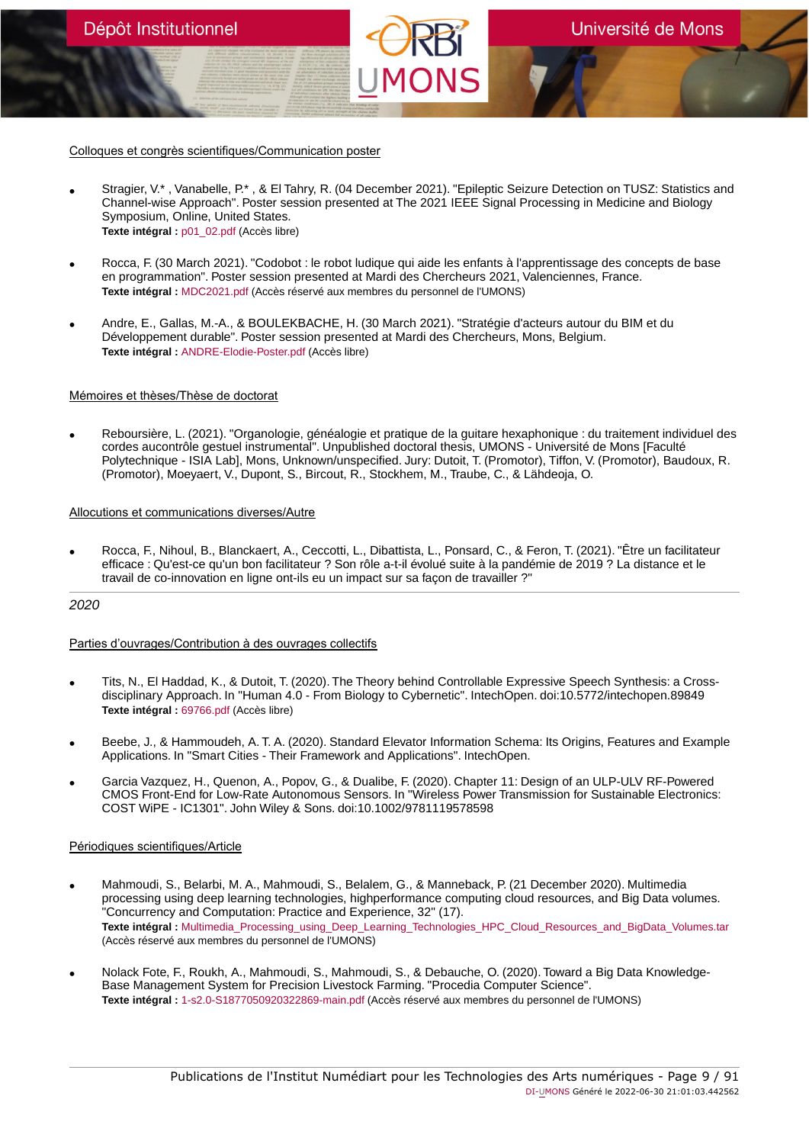Colloques et congrès scientifiques/Communication poster

- Stragier, V.\* , Vanabelle, P.\* , & El Tahry, R. (04 December 2021). "Epileptic Seizure Detection on TUSZ: Statistics and Channel-wise Approach". Poster session presented at The 2021 IEEE Signal Processing in Medicine and Biology Symposium, Online, United States. **Texte intégral :** [p01\\_02.pdf](https://orbi.umons.ac.be/bitstream/20.500.12907/42534/1/p01_02.pdf) (Accès libre)
- Rocca, F. (30 March 2021). "Codobot : le robot ludique qui aide les enfants à l'apprentissage des concepts de base en programmation". Poster session presented at Mardi des Chercheurs 2021, Valenciennes, France. **Texte intégral :** [MDC2021.pdf](https://orbi.umons.ac.be/bitstream/20.500.12907/42459/1/MDC2021.pdf) (Accès réservé aux membres du personnel de l'UMONS)
- Andre, E., Gallas, M.-A., & BOULEKBACHE, H. (30 March 2021). "Stratégie d'acteurs autour du BIM et du Développement durable". Poster session presented at Mardi des Chercheurs, Mons, Belgium. **Texte intégral :** [ANDRE-Elodie-Poster.pdf](https://orbi.umons.ac.be/bitstream/20.500.12907/42457/1/ANDRE-Elodie-Poster.pdf) (Accès libre)

### Mémoires et thèses/Thèse de doctorat

• Reboursière, L. (2021). "Organologie, généalogie et pratique de la guitare hexaphonique : du traitement individuel des cordes aucontrôle gestuel instrumental". Unpublished doctoral thesis, UMONS - Université de Mons [Faculté Polytechnique - ISIA Lab], Mons, Unknown/unspecified. Jury: Dutoit, T. (Promotor), Tiffon, V. (Promotor), Baudoux, R. (Promotor), Moeyaert, V., Dupont, S., Bircout, R., Stockhem, M., Traube, C., & Lähdeoja, O.

# Allocutions et communications diverses/Autre

• Rocca, F., Nihoul, B., Blanckaert, A., Ceccotti, L., Dibattista, L., Ponsard, C., & Feron, T. (2021). "Être un facilitateur efficace : Qu'est-ce qu'un bon facilitateur ? Son rôle a-t-il évolué suite à la pandémie de 2019 ? La distance et le travail de co-innovation en ligne ont-ils eu un impact sur sa façon de travailler ?"

# 2020

# Parties d'ouvrages/Contribution à des ouvrages collectifs

- Tits, N., El Haddad, K., & Dutoit, T. (2020). The Theory behind Controllable Expressive Speech Synthesis: a Crossdisciplinary Approach. In "Human 4.0 - From Biology to Cybernetic". IntechOpen. doi:10.5772/intechopen.89849 **Texte intégral :** [69766.pdf](https://orbi.umons.ac.be/bitstream/20.500.12907/42347/1/69766.pdf) (Accès libre)
- Beebe, J., & Hammoudeh, A. T. A. (2020). Standard Elevator Information Schema: Its Origins, Features and Example Applications. In "Smart Cities - Their Framework and Applications". IntechOpen.
- Garcia Vazquez, H., Quenon, A., Popov, G., & Dualibe, F. (2020). Chapter 11: Design of an ULP-ULV RF-Powered CMOS Front-End for Low-Rate Autonomous Sensors. In "Wireless Power Transmission for Sustainable Electronics: COST WiPE - IC1301". John Wiley & Sons. doi:10.1002/9781119578598

### Périodiques scientifiques/Article

- Mahmoudi, S., Belarbi, M. A., Mahmoudi, S., Belalem, G., & Manneback, P. (21 December 2020). Multimedia processing using deep learning technologies, highperformance computing cloud resources, and Big Data volumes. "Concurrency and Computation: Practice and Experience, 32" (17). **Texte intégral :** [Multimedia\\_Processing\\_using\\_Deep\\_Learning\\_Technologies\\_HPC\\_Cloud\\_Resources\\_and\\_BigData\\_Volumes.tar](https://orbi.umons.ac.be/bitstream/20.500.12907/42367/1/Multimedia_Processing_using_Deep_Learning_Technologies_HPC_Cloud_Resources_and_BigData_Volumes.tar) (Accès réservé aux membres du personnel de l'UMONS)
- Nolack Fote, F., Roukh, A., Mahmoudi, S., Mahmoudi, S., & Debauche, O. (2020). Toward a Big Data Knowledge-Base Management System for Precision Livestock Farming. "Procedia Computer Science". **Texte intégral :** [1-s2.0-S1877050920322869-main.pdf](https://orbi.umons.ac.be/bitstream/20.500.12907/42371/1/1-s2.0-S1877050920322869-main.pdf) (Accès réservé aux membres du personnel de l'UMONS)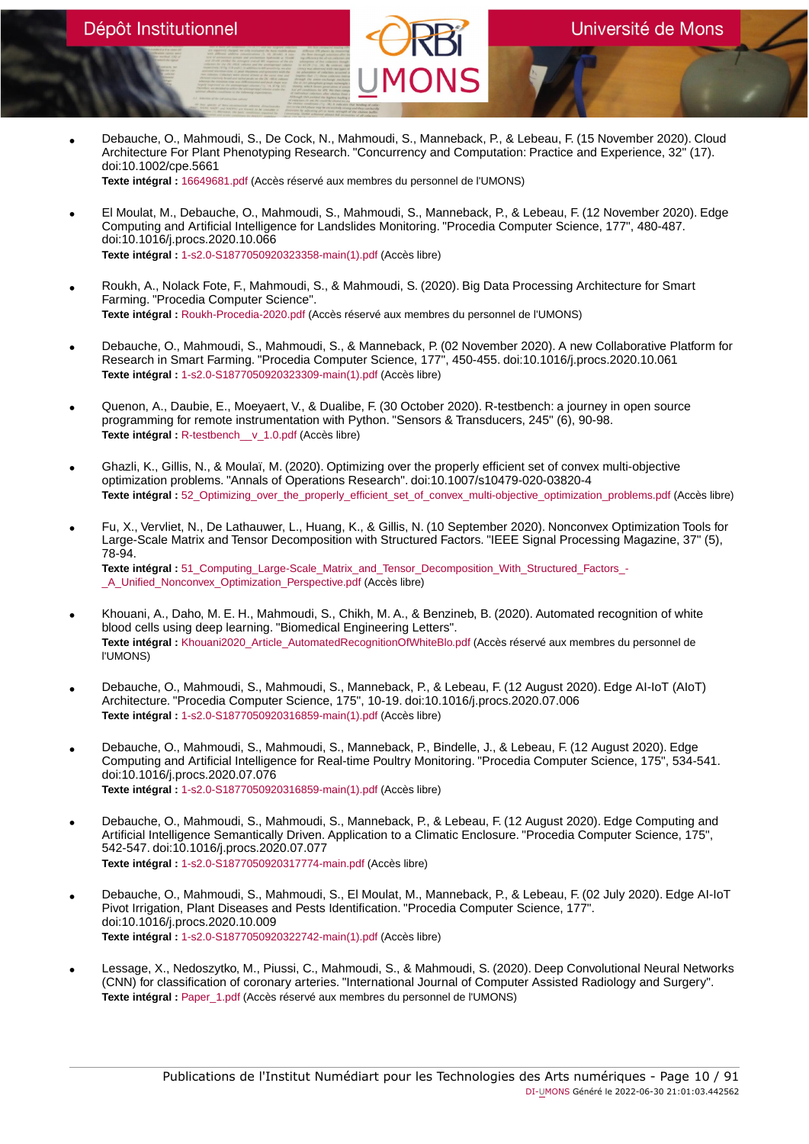• Debauche, O., Mahmoudi, S., De Cock, N., Mahmoudi, S., Manneback, P., & Lebeau, F. (15 November 2020). Cloud Architecture For Plant Phenotyping Research. "Concurrency and Computation: Practice and Experience, 32" (17). doi:10.1002/cpe.5661

**Texte intégral :** [16649681.pdf](https://orbi.umons.ac.be/bitstream/20.500.12907/42123/1/16649681.pdf) (Accès réservé aux membres du personnel de l'UMONS)

- El Moulat, M., Debauche, O., Mahmoudi, S., Mahmoudi, S., Manneback, P., & Lebeau, F. (12 November 2020). Edge Computing and Artificial Intelligence for Landslides Monitoring. "Procedia Computer Science, 177", 480-487. doi:10.1016/j.procs.2020.10.066 **Texte intégral :** [1-s2.0-S1877050920323358-main\(1\).pdf](https://orbi.umons.ac.be/bitstream/20.500.12907/42342/1/1-s2.0-S1877050920323358-main(1).pdf) (Accès libre)
- Roukh, A., Nolack Fote, F., Mahmoudi, S., & Mahmoudi, S. (2020). Big Data Processing Architecture for Smart Farming. "Procedia Computer Science". **Texte intégral :** [Roukh-Procedia-2020.pdf](https://orbi.umons.ac.be/bitstream/20.500.12907/42364/1/Roukh-Procedia-2020.pdf) (Accès réservé aux membres du personnel de l'UMONS)
- Debauche, O., Mahmoudi, S., Mahmoudi, S., & Manneback, P. (02 November 2020). A new Collaborative Platform for Research in Smart Farming. "Procedia Computer Science, 177", 450-455. doi:10.1016/j.procs.2020.10.061 **Texte intégral :** [1-s2.0-S1877050920323309-main\(1\).pdf](https://orbi.umons.ac.be/bitstream/20.500.12907/42320/1/1-s2.0-S1877050920323309-main(1).pdf) (Accès libre)
- Quenon, A., Daubie, E., Moeyaert, V., & Dualibe, F. (30 October 2020). R-testbench: a journey in open source programming for remote instrumentation with Python. "Sensors & Transducers, 245" (6), 90-98. **Texte intégral :** [R-testbench\\_\\_v\\_1.0.pdf](https://orbi.umons.ac.be/bitstream/20.500.12907/42331/1/R-testbench__v_1.0.pdf) (Accès libre)
- Ghazli, K., Gillis, N., & Moulaï, M. (2020). Optimizing over the properly efficient set of convex multi-objective optimization problems. "Annals of Operations Research". doi:10.1007/s10479-020-03820-4 **Texte intégral :** [52\\_Optimizing\\_over\\_the\\_properly\\_efficient\\_set\\_of\\_convex\\_multi-objective\\_optimization\\_problems.pdf](https://orbi.umons.ac.be/bitstream/20.500.12907/42330/1/52_Optimizing_over_the_properly_efficient_set_of_convex_multi-objective_optimization_problems.pdf) (Accès libre)
- Fu, X., Vervliet, N., De Lathauwer, L., Huang, K., & Gillis, N. (10 September 2020). Nonconvex Optimization Tools for Large-Scale Matrix and Tensor Decomposition with Structured Factors. "IEEE Signal Processing Magazine, 37" (5), 78-94. **Texte intégral :** 51 Computing Large-Scale Matrix and Tensor Decomposition With Structured Factors -[\\_A\\_Unified\\_Nonconvex\\_Optimization\\_Perspective.pdf](https://orbi.umons.ac.be/bitstream/20.500.12907/42317/1/51_Computing_Large-Scale_Matrix_and_Tensor_Decomposition_With_Structured_Factors_-_A_Unified_Nonconvex_Optimization_Perspective.pdf) (Accès libre)
- Khouani, A., Daho, M. E. H., Mahmoudi, S., Chikh, M. A., & Benzineb, B. (2020). Automated recognition of white blood cells using deep learning. "Biomedical Engineering Letters". **Texte intégral :** [Khouani2020\\_Article\\_AutomatedRecognitionOfWhiteBlo.pdf](https://orbi.umons.ac.be/bitstream/20.500.12907/42366/1/Khouani2020_Article_AutomatedRecognitionOfWhiteBlo.pdf) (Accès réservé aux membres du personnel de l'UMONS)
- Debauche, O., Mahmoudi, S., Mahmoudi, S., Manneback, P., & Lebeau, F. (12 August 2020). Edge AI-IoT (AIoT) Architecture. "Procedia Computer Science, 175", 10-19. doi:10.1016/j.procs.2020.07.006 **Texte intégral :** [1-s2.0-S1877050920316859-main\(1\).pdf](https://orbi.umons.ac.be/bitstream/20.500.12907/42290/1/1-s2.0-S1877050920316859-main(1).pdf) (Accès libre)
- Debauche, O., Mahmoudi, S., Mahmoudi, S., Manneback, P., Bindelle, J., & Lebeau, F. (12 August 2020). Edge Computing and Artificial Intelligence for Real-time Poultry Monitoring. "Procedia Computer Science, 175", 534-541. doi:10.1016/j.procs.2020.07.076 **Texte intégral :** [1-s2.0-S1877050920316859-main\(1\).pdf](https://orbi.umons.ac.be/bitstream/20.500.12907/42295/1/1-s2.0-S1877050920316859-main(1).pdf) (Accès libre)
- Debauche, O., Mahmoudi, S., Mahmoudi, S., Manneback, P., & Lebeau, F. (12 August 2020). Edge Computing and Artificial Intelligence Semantically Driven. Application to a Climatic Enclosure. "Procedia Computer Science, 175", 542-547. doi:10.1016/j.procs.2020.07.077 **Texte intégral :** [1-s2.0-S1877050920317774-main.pdf](https://orbi.umons.ac.be/bitstream/20.500.12907/42341/1/1-s2.0-S1877050920317774-main.pdf) (Accès libre)
- Debauche, O., Mahmoudi, S., Mahmoudi, S., El Moulat, M., Manneback, P., & Lebeau, F. (02 July 2020). Edge AI-IoT Pivot Irrigation, Plant Diseases and Pests Identification. "Procedia Computer Science, 177". doi:10.1016/j.procs.2020.10.009 **Texte intégral :** [1-s2.0-S1877050920322742-main\(1\).pdf](https://orbi.umons.ac.be/bitstream/20.500.12907/42321/1/1-s2.0-S1877050920322742-main(1).pdf) (Accès libre)
- Lessage, X., Nedoszytko, M., Piussi, C., Mahmoudi, S., & Mahmoudi, S. (2020). Deep Convolutional Neural Networks (CNN) for classification of coronary arteries. "International Journal of Computer Assisted Radiology and Surgery". **Texte intégral :** [Paper\\_1.pdf](https://orbi.umons.ac.be/bitstream/20.500.12907/42372/1/Paper_1.pdf) (Accès réservé aux membres du personnel de l'UMONS)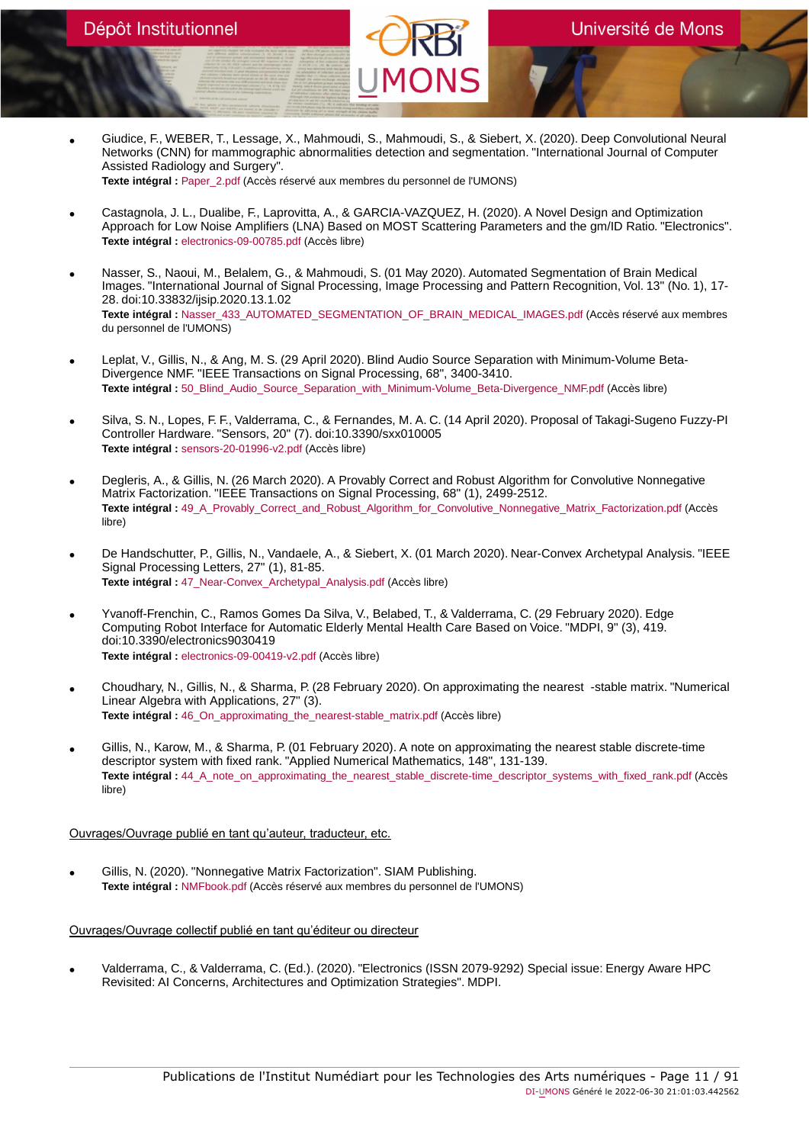• Giudice, F., WEBER, T., Lessage, X., Mahmoudi, S., Mahmoudi, S., & Siebert, X. (2020). Deep Convolutional Neural Networks (CNN) for mammographic abnormalities detection and segmentation. "International Journal of Computer Assisted Radiology and Surgery". **Texte intégral :** [Paper\\_2.pdf](https://orbi.umons.ac.be/bitstream/20.500.12907/42373/1/Paper_2.pdf) (Accès réservé aux membres du personnel de l'UMONS)

• Castagnola, J. L., Dualibe, F., Laprovitta, A., & GARCIA-VAZQUEZ, H. (2020). A Novel Design and Optimization Approach for Low Noise Amplifiers (LNA) Based on MOST Scattering Parameters and the gm/ID Ratio. "Electronics". **Texte intégral :** [electronics-09-00785.pdf](https://orbi.umons.ac.be/bitstream/20.500.12907/42324/1/electronics-09-00785.pdf) (Accès libre)

- Nasser, S., Naoui, M., Belalem, G., & Mahmoudi, S. (01 May 2020). Automated Segmentation of Brain Medical Images. "International Journal of Signal Processing, Image Processing and Pattern Recognition, Vol. 13" (No. 1), 17- 28. doi:10.33832/ijsip.2020.13.1.02 **Texte intégral :** [Nasser\\_433\\_AUTOMATED\\_SEGMENTATION\\_OF\\_BRAIN\\_MEDICAL\\_IMAGES.pdf](https://orbi.umons.ac.be/bitstream/20.500.12907/42374/1/Nasser_433_AUTOMATED_SEGMENTATION_OF_BRAIN_MEDICAL_IMAGES.pdf) (Accès réservé aux membres du personnel de l'UMONS)
- Leplat, V., Gillis, N., & Ang, M. S. (29 April 2020). Blind Audio Source Separation with Minimum-Volume Beta-Divergence NMF. "IEEE Transactions on Signal Processing, 68", 3400-3410. **Texte intégral :** [50\\_Blind\\_Audio\\_Source\\_Separation\\_with\\_Minimum-Volume\\_Beta-Divergence\\_NMF.pdf](https://orbi.umons.ac.be/bitstream/20.500.12907/42307/1/50_Blind_Audio_Source_Separation_with_Minimum-Volume_Beta-Divergence_NMF.pdf) (Accès libre)
- Silva, S. N., Lopes, F. F., Valderrama, C., & Fernandes, M. A. C. (14 April 2020). Proposal of Takagi-Sugeno Fuzzy-PI Controller Hardware. "Sensors, 20" (7). doi:10.3390/sxx010005 **Texte intégral :** [sensors-20-01996-v2.pdf](https://orbi.umons.ac.be/bitstream/20.500.12907/42305/1/sensors-20-01996-v2.pdf) (Accès libre)
- Degleris, A., & Gillis, N. (26 March 2020). A Provably Correct and Robust Algorithm for Convolutive Nonnegative Matrix Factorization. "IEEE Transactions on Signal Processing, 68" (1), 2499-2512. **Texte intégral :** [49\\_A\\_Provably\\_Correct\\_and\\_Robust\\_Algorithm\\_for\\_Convolutive\\_Nonnegative\\_Matrix\\_Factorization.pdf](https://orbi.umons.ac.be/bitstream/20.500.12907/42298/1/49_A_Provably_Correct_and_Robust_Algorithm_for_Convolutive_Nonnegative_Matrix_Factorization.pdf) (Accès libre)
- De Handschutter, P., Gillis, N., Vandaele, A., & Siebert, X. (01 March 2020). Near-Convex Archetypal Analysis. "IEEE Signal Processing Letters, 27" (1), 81-85. **Texte intégral :** [47\\_Near-Convex\\_Archetypal\\_Analysis.pdf](https://orbi.umons.ac.be/bitstream/20.500.12907/42252/1/47_Near-Convex_Archetypal_Analysis.pdf) (Accès libre)
- Yvanoff-Frenchin, C., Ramos Gomes Da Silva, V., Belabed, T., & Valderrama, C. (29 February 2020). Edge Computing Robot Interface for Automatic Elderly Mental Health Care Based on Voice. "MDPI, 9" (3), 419. doi:10.3390/electronics9030419 **Texte intégral :** [electronics-09-00419-v2.pdf](https://orbi.umons.ac.be/bitstream/20.500.12907/42343/1/electronics-09-00419-v2.pdf) (Accès libre)
- Choudhary, N., Gillis, N., & Sharma, P. (28 February 2020). On approximating the nearest -stable matrix. "Numerical Linear Algebra with Applications, 27" (3). **Texte intégral :** [46\\_On\\_approximating\\_the\\_nearest-stable\\_matrix.pdf](https://orbi.umons.ac.be/bitstream/20.500.12907/42248/1/46_On_approximating_the_nearest-stable_matrix.pdf) (Accès libre)
- Gillis, N., Karow, M., & Sharma, P. (01 February 2020). A note on approximating the nearest stable discrete-time descriptor system with fixed rank. "Applied Numerical Mathematics, 148", 131-139. **Texte intégral :** [44\\_A\\_note\\_on\\_approximating\\_the\\_nearest\\_stable\\_discrete-time\\_descriptor\\_systems\\_with\\_fixed\\_rank.pdf](https://orbi.umons.ac.be/bitstream/20.500.12907/42239/1/44_A_note_on_approximating_the_nearest_stable_discrete-time_descriptor_systems_with_fixed_rank.pdf) (Accès libre)

### Ouvrages/Ouvrage publié en tant qu'auteur, traducteur, etc.

• Gillis, N. (2020). "Nonnegative Matrix Factorization". SIAM Publishing. **Texte intégral :** [NMFbook.pdf](https://orbi.umons.ac.be/bitstream/20.500.12907/42337/1/NMFbook.pdf) (Accès réservé aux membres du personnel de l'UMONS)

# Ouvrages/Ouvrage collectif publié en tant qu'éditeur ou directeur

• Valderrama, C., & Valderrama, C. (Ed.). (2020). "Electronics (ISSN 2079-9292) Special issue: Energy Aware HPC Revisited: AI Concerns, Architectures and Optimization Strategies". MDPI.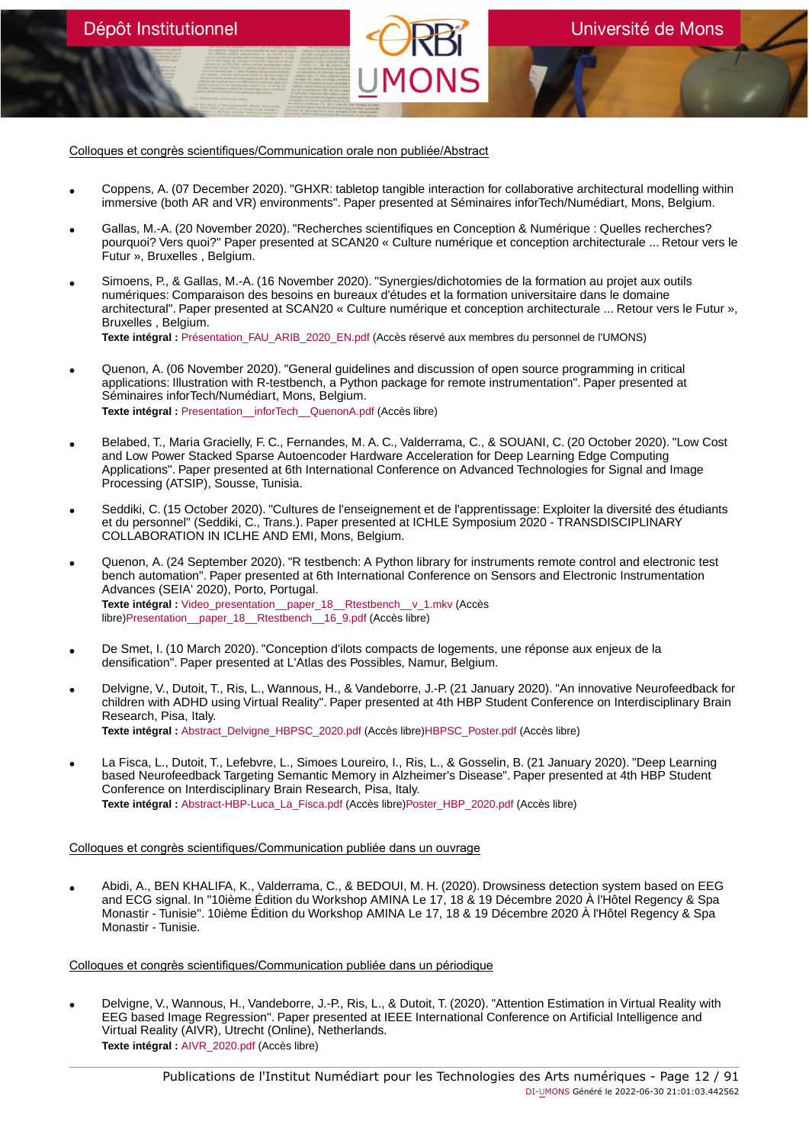Colloques et congrès scientifiques/Communication orale non publiée/Abstract

Dépôt Institutionnel

- Coppens, A. (07 December 2020). "GHXR: tabletop tangible interaction for collaborative architectural modelling within immersive (both AR and VR) environments". Paper presented at Séminaires inforTech/Numédiart, Mons, Belgium.
- Gallas, M.-A. (20 November 2020). "Recherches scientifiques en Conception & Numérique : Quelles recherches? pourquoi? Vers quoi?" Paper presented at SCAN20 « Culture numérique et conception architecturale ... Retour vers le Futur », Bruxelles , Belgium.
- Simoens, P., & Gallas, M.-A. (16 November 2020). "Synergies/dichotomies de la formation au projet aux outils numériques: Comparaison des besoins en bureaux d'études et la formation universitaire dans le domaine architectural". Paper presented at SCAN20 « Culture numérique et conception architecturale ... Retour vers le Futur », Bruxelles , Belgium. **Texte intégral :** [Présentation\\_FAU\\_ARIB\\_2020\\_EN.pdf](https://orbi.umons.ac.be/bitstream/20.500.12907/42359/1/Pr�sentation_FAU_ARIB_2020_EN.pdf) (Accès réservé aux membres du personnel de l'UMONS)
- Quenon, A. (06 November 2020). "General guidelines and discussion of open source programming in critical applications: Illustration with R-testbench, a Python package for remote instrumentation". Paper presented at Séminaires inforTech/Numédiart, Mons, Belgium. **Texte intégral :** [Presentation\\_\\_inforTech\\_\\_QuenonA.pdf](https://orbi.umons.ac.be/bitstream/20.500.12907/42332/1/Presentation__inforTech__QuenonA.pdf) (Accès libre)
- 
- Belabed, T., Maria Gracielly, F. C., Fernandes, M. A. C., Valderrama, C., & SOUANI, C. (20 October 2020). "Low Cost and Low Power Stacked Sparse Autoencoder Hardware Acceleration for Deep Learning Edge Computing Applications". Paper presented at 6th International Conference on Advanced Technologies for Signal and Image Processing (ATSIP), Sousse, Tunisia.
- Seddiki, C. (15 October 2020). "Cultures de l'enseignement et de l'apprentissage: Exploiter la diversité des étudiants et du personnel" (Seddiki, C., Trans.). Paper presented at ICHLE Symposium 2020 - TRANSDISCIPLINARY COLLABORATION IN ICLHE AND EMI, Mons, Belgium.
- Quenon, A. (24 September 2020). "R testbench: A Python library for instruments remote control and electronic test bench automation". Paper presented at 6th International Conference on Sensors and Electronic Instrumentation Advances (SEIA' 2020), Porto, Portugal. **Texte intégral :** [Video\\_presentation\\_\\_paper\\_18\\_\\_Rtestbench\\_\\_v\\_1.mkv](https://orbi.umons.ac.be/bitstream/20.500.12907/42598/1/Video_presentation__paper_18__Rtestbench__v_1.mkv) (Accès libre)[Presentation\\_\\_paper\\_18\\_\\_Rtestbench\\_\\_16\\_9.pdf](https://orbi.umons.ac.be/bitstream/20.500.12907/42598/2/Presentation__paper_18__Rtestbench__16_9.pdf) (Accès libre)
- De Smet, I. (10 March 2020). "Conception d'ilots compacts de logements, une réponse aux enjeux de la densification". Paper presented at L'Atlas des Possibles, Namur, Belgium.
- Delvigne, V., Dutoit, T., Ris, L., Wannous, H., & Vandeborre, J.-P. (21 January 2020). "An innovative Neurofeedback for children with ADHD using Virtual Reality". Paper presented at 4th HBP Student Conference on Interdisciplinary Brain Research, Pisa, Italy. **Texte intégral :** [Abstract\\_Delvigne\\_HBPSC\\_2020.pdf](https://orbi.umons.ac.be/bitstream/20.500.12907/42260/2/Abstract_Delvigne_HBPSC_2020.pdf) (Accès libre)[HBPSC\\_Poster.pdf](https://orbi.umons.ac.be/bitstream/20.500.12907/42260/4/HBPSC_Poster.pdf) (Accès libre)
- La Fisca, L., Dutoit, T., Lefebvre, L., Simoes Loureiro, I., Ris, L., & Gosselin, B. (21 January 2020). "Deep Learning based Neurofeedback Targeting Semantic Memory in Alzheimer's Disease". Paper presented at 4th HBP Student Conference on Interdisciplinary Brain Research, Pisa, Italy. **Texte intégral :** [Abstract-HBP-Luca\\_La\\_Fisca.pdf](https://orbi.umons.ac.be/bitstream/20.500.12907/42303/2/Abstract-HBP-Luca_La_Fisca.pdf) (Accès libre)[Poster\\_HBP\\_2020.pdf](https://orbi.umons.ac.be/bitstream/20.500.12907/42303/4/Poster_HBP_2020.pdf) (Accès libre)

#### Colloques et congrès scientifiques/Communication publiée dans un ouvrage

• Abidi, A., BEN KHALIFA, K., Valderrama, C., & BEDOUI, M. H. (2020). Drowsiness detection system based on EEG and ECG signal. In "10ième Édition du Workshop AMINA Le 17, 18 & 19 Décembre 2020 À l'Hôtel Regency & Spa Monastir - Tunisie". 10ième Édition du Workshop AMINA Le 17, 18 & 19 Décembre 2020 À l'Hôtel Regency & Spa Monastir - Tunisie.

#### Colloques et congrès scientifiques/Communication publiée dans un périodique

• Delvigne, V., Wannous, H., Vandeborre, J.-P., Ris, L., & Dutoit, T. (2020). "Attention Estimation in Virtual Reality with EEG based Image Regression". Paper presented at IEEE International Conference on Artificial Intelligence and Virtual Reality (AIVR), Utrecht (Online), Netherlands. **Texte intégral :** [AIVR\\_2020.pdf](https://orbi.umons.ac.be/bitstream/20.500.12907/42346/1/AIVR_2020.pdf) (Accès libre)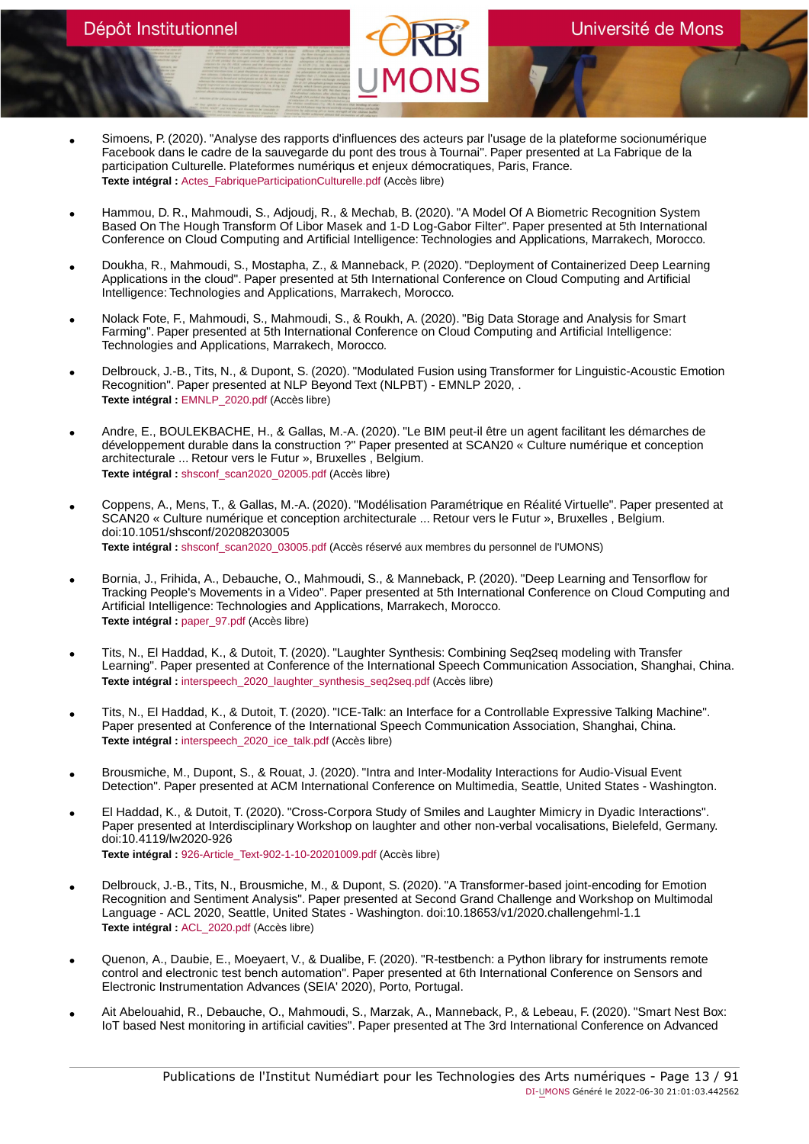- Simoens, P. (2020). "Analyse des rapports d'influences des acteurs par l'usage de la plateforme socionumérique Facebook dans le cadre de la sauvegarde du pont des trous à Tournai". Paper presented at La Fabrique de la participation Culturelle. Plateformes numériqus et enjeux démocratiques, Paris, France. **Texte intégral :** Actes FabriqueParticipationCulturelle.pdf (Accès libre)
- Hammou, D. R., Mahmoudi, S., Adjoudj, R., & Mechab, B. (2020). "A Model Of A Biometric Recognition System Based On The Hough Transform Of Libor Masek and 1-D Log-Gabor Filter". Paper presented at 5th International Conference on Cloud Computing and Artificial Intelligence: Technologies and Applications, Marrakech, Morocco.
- Doukha, R., Mahmoudi, S., Mostapha, Z., & Manneback, P. (2020). "Deployment of Containerized Deep Learning Applications in the cloud". Paper presented at 5th International Conference on Cloud Computing and Artificial Intelligence: Technologies and Applications, Marrakech, Morocco.
- Nolack Fote, F., Mahmoudi, S., Mahmoudi, S., & Roukh, A. (2020). "Big Data Storage and Analysis for Smart Farming". Paper presented at 5th International Conference on Cloud Computing and Artificial Intelligence: Technologies and Applications, Marrakech, Morocco.
- Delbrouck, J.-B., Tits, N., & Dupont, S. (2020). "Modulated Fusion using Transformer for Linguistic-Acoustic Emotion Recognition". Paper presented at NLP Beyond Text (NLPBT) EMNLP 2020, . **Texte intégral :** [EMNLP\\_2020.pdf](https://orbi.umons.ac.be/bitstream/20.500.12907/42329/1/EMNLP_2020.pdf) (Accès libre)
- Andre, E., BOULEKBACHE, H., & Gallas, M.-A. (2020). "Le BIM peut-il être un agent facilitant les démarches de développement durable dans la construction ?" Paper presented at SCAN20 « Culture numérique et conception architecturale ... Retour vers le Futur », Bruxelles , Belgium. **Texte intégral :** [shsconf\\_scan2020\\_02005.pdf](https://orbi.umons.ac.be/bitstream/20.500.12907/42322/1/shsconf_scan2020_02005.pdf) (Accès libre)
- Coppens, A., Mens, T., & Gallas, M.-A. (2020). "Modélisation Paramétrique en Réalité Virtuelle". Paper presented at SCAN20 « Culture numérique et conception architecturale ... Retour vers le Futur », Bruxelles , Belgium. doi:10.1051/shsconf/20208203005 **Texte intégral :** [shsconf\\_scan2020\\_03005.pdf](https://orbi.umons.ac.be/bitstream/20.500.12907/42338/1/shsconf_scan2020_03005.pdf) (Accès réservé aux membres du personnel de l'UMONS)
- Bornia, J., Frihida, A., Debauche, O., Mahmoudi, S., & Manneback, P. (2020). "Deep Learning and Tensorflow for Tracking People's Movements in a Video". Paper presented at 5th International Conference on Cloud Computing and Artificial Intelligence: Technologies and Applications, Marrakech, Morocco. **Texte intégral :** [paper\\_97.pdf](https://orbi.umons.ac.be/bitstream/20.500.12907/42310/1/paper_97.pdf) (Accès libre)
- Tits, N., El Haddad, K., & Dutoit, T. (2020). "Laughter Synthesis: Combining Seq2seq modeling with Transfer Learning". Paper presented at Conference of the International Speech Communication Association, Shanghai, China. **Texte intégral :** [interspeech\\_2020\\_laughter\\_synthesis\\_seq2seq.pdf](https://orbi.umons.ac.be/bitstream/20.500.12907/42326/1/interspeech_2020_laughter_synthesis_seq2seq.pdf) (Accès libre)
- Tits, N., El Haddad, K., & Dutoit, T. (2020). "ICE-Talk: an Interface for a Controllable Expressive Talking Machine". Paper presented at Conference of the International Speech Communication Association, Shanghai, China. **Texte intégral :** [interspeech\\_2020\\_ice\\_talk.pdf](https://orbi.umons.ac.be/bitstream/20.500.12907/42327/1/interspeech_2020_ice_talk.pdf) (Accès libre)
- Brousmiche, M., Dupont, S., & Rouat, J. (2020). "Intra and Inter-Modality Interactions for Audio-Visual Event Detection". Paper presented at ACM International Conference on Multimedia, Seattle, United States - Washington.
- El Haddad, K., & Dutoit, T. (2020). "Cross-Corpora Study of Smiles and Laughter Mimicry in Dyadic Interactions". Paper presented at Interdisciplinary Workshop on laughter and other non-verbal vocalisations, Bielefeld, Germany. doi:10.4119/lw2020-926 **Texte intégral :** [926-Article\\_Text-902-1-10-20201009.pdf](https://orbi.umons.ac.be/bitstream/20.500.12907/42365/1/926-Article_Text-902-1-10-20201009.pdf) (Accès libre)
- Delbrouck, J.-B., Tits, N., Brousmiche, M., & Dupont, S. (2020). "A Transformer-based joint-encoding for Emotion Recognition and Sentiment Analysis". Paper presented at Second Grand Challenge and Workshop on Multimodal Language - ACL 2020, Seattle, United States - Washington. doi:10.18653/v1/2020.challengehml-1.1 **Texte intégral :** [ACL\\_2020.pdf](https://orbi.umons.ac.be/bitstream/20.500.12907/42328/1/ACL_2020.pdf) (Accès libre)
- Quenon, A., Daubie, E., Moeyaert, V., & Dualibe, F. (2020). "R-testbench: a Python library for instruments remote control and electronic test bench automation". Paper presented at 6th International Conference on Sensors and Electronic Instrumentation Advances (SEIA' 2020), Porto, Portugal.
- Ait Abelouahid, R., Debauche, O., Mahmoudi, S., Marzak, A., Manneback, P., & Lebeau, F. (2020). "Smart Nest Box: IoT based Nest monitoring in artificial cavities". Paper presented at The 3rd International Conference on Advanced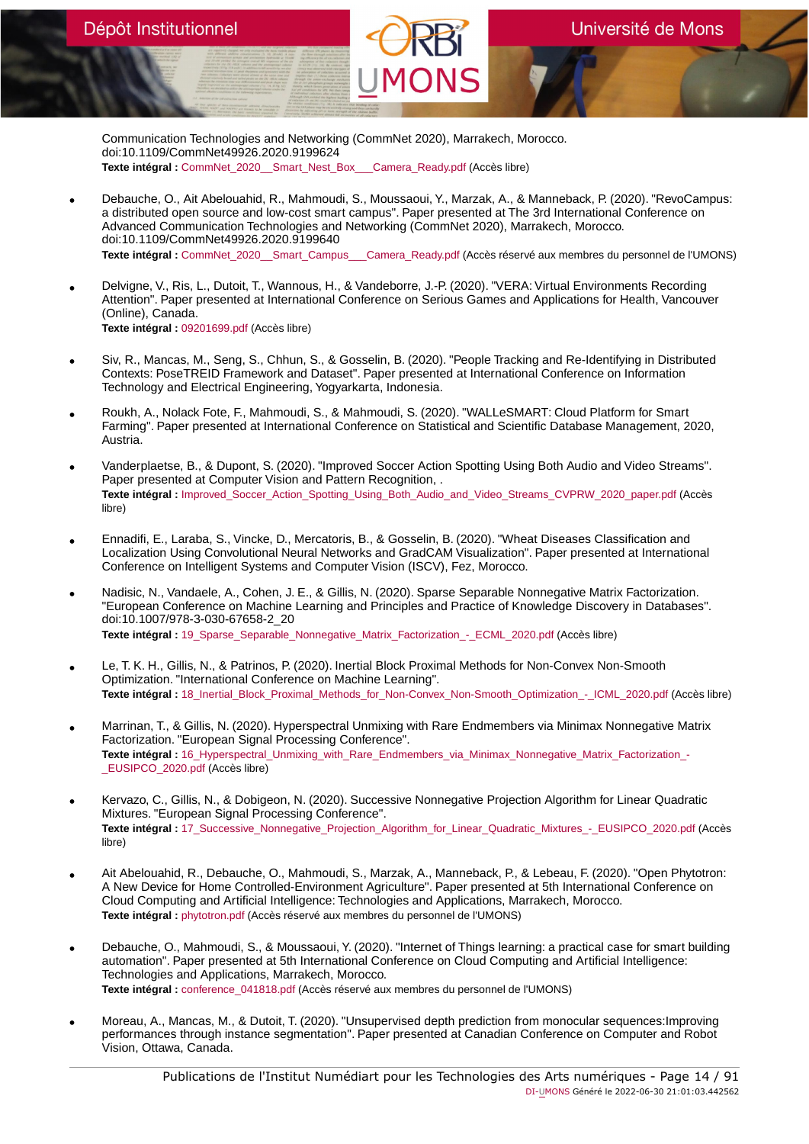Communication Technologies and Networking (CommNet 2020), Marrakech, Morocco. doi:10.1109/CommNet49926.2020.9199624 **Texte intégral :** [CommNet\\_2020\\_\\_Smart\\_Nest\\_Box\\_\\_\\_Camera\\_Ready.pdf](https://orbi.umons.ac.be/bitstream/20.500.12907/42296/1/CommNet_2020__Smart_Nest_Box___Camera_Ready.pdf) (Accès libre)

- Debauche, O., Ait Abelouahid, R., Mahmoudi, S., Moussaoui, Y., Marzak, A., & Manneback, P. (2020). "RevoCampus: a distributed open source and low-cost smart campus". Paper presented at The 3rd International Conference on Advanced Communication Technologies and Networking (CommNet 2020), Marrakech, Morocco. doi:10.1109/CommNet49926.2020.9199640 **Texte intégral :** [CommNet\\_2020\\_\\_Smart\\_Campus\\_\\_\\_Camera\\_Ready.pdf](https://orbi.umons.ac.be/bitstream/20.500.12907/42297/1/CommNet_2020__Smart_Campus___Camera_Ready.pdf) (Accès réservé aux membres du personnel de l'UMONS)
- Delvigne, V., Ris, L., Dutoit, T., Wannous, H., & Vandeborre, J.-P. (2020). "VERA: Virtual Environments Recording Attention". Paper presented at International Conference on Serious Games and Applications for Health, Vancouver (Online), Canada. **Texte intégral :** [09201699.pdf](https://orbi.umons.ac.be/bitstream/20.500.12907/42345/1/09201699.pdf) (Accès libre)
- Siv, R., Mancas, M., Seng, S., Chhun, S., & Gosselin, B. (2020). "People Tracking and Re-Identifying in Distributed Contexts: PoseTREID Framework and Dataset". Paper presented at International Conference on Information Technology and Electrical Engineering, Yogyarkarta, Indonesia.
- Roukh, A., Nolack Fote, F., Mahmoudi, S., & Mahmoudi, S. (2020). "WALLeSMART: Cloud Platform for Smart Farming". Paper presented at International Conference on Statistical and Scientific Database Management, 2020, Austria.
- Vanderplaetse, B., & Dupont, S. (2020). "Improved Soccer Action Spotting Using Both Audio and Video Streams". Paper presented at Computer Vision and Pattern Recognition, . **Texte intégral :** [Improved\\_Soccer\\_Action\\_Spotting\\_Using\\_Both\\_Audio\\_and\\_Video\\_Streams\\_CVPRW\\_2020\\_paper.pdf](https://orbi.umons.ac.be/bitstream/20.500.12907/42318/1/Improved_Soccer_Action_Spotting_Using_Both_Audio_and_Video_Streams_CVPRW_2020_paper.pdf) (Accès libre)
- Ennadifi, E., Laraba, S., Vincke, D., Mercatoris, B., & Gosselin, B. (2020). "Wheat Diseases Classification and Localization Using Convolutional Neural Networks and GradCAM Visualization". Paper presented at International Conference on Intelligent Systems and Computer Vision (ISCV), Fez, Morocco.
- Nadisic, N., Vandaele, A., Cohen, J. E., & Gillis, N. (2020). Sparse Separable Nonnegative Matrix Factorization. "European Conference on Machine Learning and Principles and Practice of Knowledge Discovery in Databases". doi:10.1007/978-3-030-67658-2\_20 **Texte intégral :** [19\\_Sparse\\_Separable\\_Nonnegative\\_Matrix\\_Factorization\\_-\\_ECML\\_2020.pdf](https://orbi.umons.ac.be/bitstream/20.500.12907/42316/1/19_Sparse_Separable_Nonnegative_Matrix_Factorization_-_ECML_2020.pdf) (Accès libre)
- Le, T. K. H., Gillis, N., & Patrinos, P. (2020). Inertial Block Proximal Methods for Non-Convex Non-Smooth Optimization. "International Conference on Machine Learning". **Texte intégral :** [18\\_Inertial\\_Block\\_Proximal\\_Methods\\_for\\_Non-Convex\\_Non-Smooth\\_Optimization\\_-\\_ICML\\_2020.pdf](https://orbi.umons.ac.be/bitstream/20.500.12907/42312/1/18_Inertial_Block_Proximal_Methods_for_Non-Convex_Non-Smooth_Optimization_-_ICML_2020.pdf) (Accès libre)
- Marrinan, T., & Gillis, N. (2020). Hyperspectral Unmixing with Rare Endmembers via Minimax Nonnegative Matrix Factorization. "European Signal Processing Conference". **Texte intégral :** [16\\_Hyperspectral\\_Unmixing\\_with\\_Rare\\_Endmembers\\_via\\_Minimax\\_Nonnegative\\_Matrix\\_Factorization\\_-](https://orbi.umons.ac.be/bitstream/20.500.12907/42313/1/16_Hyperspectral_Unmixing_with_Rare_Endmembers_via_Minimax_Nonnegative_Matrix_Factorization_-_EUSIPCO_2020.pdf) [\\_EUSIPCO\\_2020.pdf](https://orbi.umons.ac.be/bitstream/20.500.12907/42313/1/16_Hyperspectral_Unmixing_with_Rare_Endmembers_via_Minimax_Nonnegative_Matrix_Factorization_-_EUSIPCO_2020.pdf) (Accès libre)
- Kervazo, C., Gillis, N., & Dobigeon, N. (2020). Successive Nonnegative Projection Algorithm for Linear Quadratic Mixtures. "European Signal Processing Conference". Texte intégral : 17 Successive Nonnegative Projection Algorithm for Linear Quadratic Mixtures - EUSIPCO 2020.pdf (Accès libre)
- Ait Abelouahid, R., Debauche, O., Mahmoudi, S., Marzak, A., Manneback, P., & Lebeau, F. (2020). "Open Phytotron: A New Device for Home Controlled-Environment Agriculture". Paper presented at 5th International Conference on Cloud Computing and Artificial Intelligence: Technologies and Applications, Marrakech, Morocco. **Texte intégral :** [phytotron.pdf](https://orbi.umons.ac.be/bitstream/20.500.12907/42287/1/phytotron.pdf) (Accès réservé aux membres du personnel de l'UMONS)
- Debauche, O., Mahmoudi, S., & Moussaoui, Y. (2020). "Internet of Things learning: a practical case for smart building automation". Paper presented at 5th International Conference on Cloud Computing and Artificial Intelligence: Technologies and Applications, Marrakech, Morocco. **Texte intégral :** [conference\\_041818.pdf](https://orbi.umons.ac.be/bitstream/20.500.12907/42288/1/conference_041818.pdf) (Accès réservé aux membres du personnel de l'UMONS)
- Moreau, A., Mancas, M., & Dutoit, T. (2020). "Unsupervised depth prediction from monocular sequences:Improving performances through instance segmentation". Paper presented at Canadian Conference on Computer and Robot Vision, Ottawa, Canada.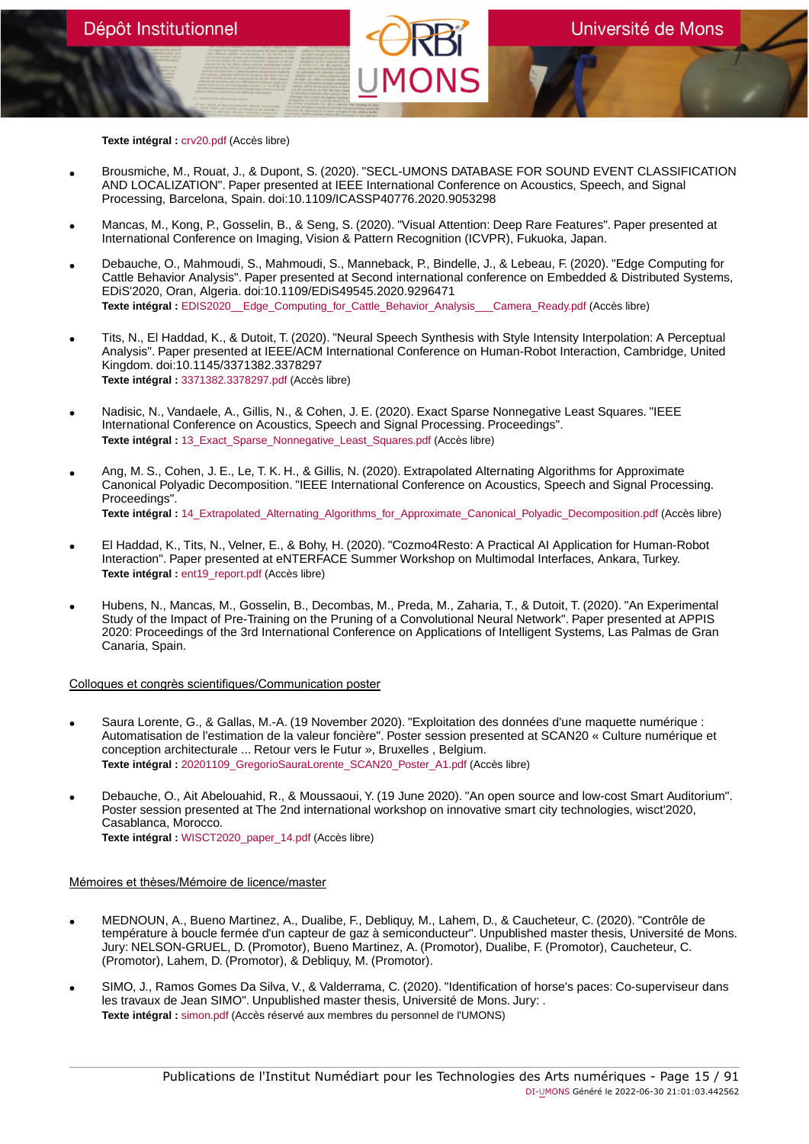**Texte intégral :** [crv20.pdf](https://orbi.umons.ac.be/bitstream/20.500.12907/42308/1/crv20.pdf) (Accès libre)

- Brousmiche, M., Rouat, J., & Dupont, S. (2020). "SECL-UMONS DATABASE FOR SOUND EVENT CLASSIFICATION AND LOCALIZATION". Paper presented at IEEE International Conference on Acoustics, Speech, and Signal Processing, Barcelona, Spain. doi:10.1109/ICASSP40776.2020.9053298
- Mancas, M., Kong, P., Gosselin, B., & Seng, S. (2020). "Visual Attention: Deep Rare Features". Paper presented at International Conference on Imaging, Vision & Pattern Recognition (ICVPR), Fukuoka, Japan.
- Debauche, O., Mahmoudi, S., Mahmoudi, S., Manneback, P., Bindelle, J., & Lebeau, F. (2020). "Edge Computing for Cattle Behavior Analysis". Paper presented at Second international conference on Embedded & Distributed Systems, EDiS'2020, Oran, Algeria. doi:10.1109/EDiS49545.2020.9296471 **Texte intégral :** [EDIS2020\\_\\_Edge\\_Computing\\_for\\_Cattle\\_Behavior\\_Analysis\\_\\_\\_Camera\\_Ready.pdf](https://orbi.umons.ac.be/bitstream/20.500.12907/42289/1/EDIS2020__Edge_Computing_for_Cattle_Behavior_Analysis___Camera_Ready.pdf) (Accès libre)
- Tits, N., El Haddad, K., & Dutoit, T. (2020). "Neural Speech Synthesis with Style Intensity Interpolation: A Perceptual Analysis". Paper presented at IEEE/ACM International Conference on Human-Robot Interaction, Cambridge, United Kingdom. doi:10.1145/3371382.3378297 **Texte intégral :** [3371382.3378297.pdf](https://orbi.umons.ac.be/bitstream/20.500.12907/42306/1/3371382.3378297.pdf) (Accès libre)
- Nadisic, N., Vandaele, A., Gillis, N., & Cohen, J. E. (2020). Exact Sparse Nonnegative Least Squares. "IEEE International Conference on Acoustics, Speech and Signal Processing. Proceedings". **Texte intégral :** [13\\_Exact\\_Sparse\\_Nonnegative\\_Least\\_Squares.pdf](https://orbi.umons.ac.be/bitstream/20.500.12907/42292/1/13_Exact_Sparse_Nonnegative_Least_Squares.pdf) (Accès libre)
- Ang, M. S., Cohen, J. E., Le, T. K. H., & Gillis, N. (2020). Extrapolated Alternating Algorithms for Approximate Canonical Polyadic Decomposition. "IEEE International Conference on Acoustics, Speech and Signal Processing. Proceedings". **Texte intégral :** [14\\_Extrapolated\\_Alternating\\_Algorithms\\_for\\_Approximate\\_Canonical\\_Polyadic\\_Decomposition.pdf](https://orbi.umons.ac.be/bitstream/20.500.12907/42293/1/14_Extrapolated_Alternating_Algorithms_for_Approximate_Canonical_Polyadic_Decomposition.pdf) (Accès libre)
- El Haddad, K., Tits, N., Velner, E., & Bohy, H. (2020). "Cozmo4Resto: A Practical AI Application for Human-Robot Interaction". Paper presented at eNTERFACE Summer Workshop on Multimodal Interfaces, Ankara, Turkey. **Texte intégral :** [ent19\\_report.pdf](https://orbi.umons.ac.be/bitstream/20.500.12907/42276/1/ent19_report.pdf) (Accès libre)
- Hubens, N., Mancas, M., Gosselin, B., Decombas, M., Preda, M., Zaharia, T., & Dutoit, T. (2020). "An Experimental Study of the Impact of Pre-Training on the Pruning of a Convolutional Neural Network". Paper presented at APPIS 2020: Proceedings of the 3rd International Conference on Applications of Intelligent Systems, Las Palmas de Gran Canaria, Spain.

#### Colloques et congrès scientifiques/Communication poster

- Saura Lorente, G., & Gallas, M.-A. (19 November 2020). "Exploitation des données d'une maquette numérique : Automatisation de l'estimation de la valeur foncière". Poster session presented at SCAN20 « Culture numérique et conception architecturale ... Retour vers le Futur », Bruxelles , Belgium. **Texte intégral :** [20201109\\_GregorioSauraLorente\\_SCAN20\\_Poster\\_A1.pdf](https://orbi.umons.ac.be/bitstream/20.500.12907/42381/1/20201109_GregorioSauraLorente_SCAN20_Poster_A1.pdf) (Accès libre)
- Debauche, O., Ait Abelouahid, R., & Moussaoui, Y. (19 June 2020). "An open source and low-cost Smart Auditorium". Poster session presented at The 2nd international workshop on innovative smart city technologies, wisct'2020, Casablanca, Morocco. **Texte intégral :** [WISCT2020\\_paper\\_14.pdf](https://orbi.umons.ac.be/bitstream/20.500.12907/42311/1/WISCT2020_paper_14.pdf) (Accès libre)

#### Mémoires et thèses/Mémoire de licence/master

- MEDNOUN, A., Bueno Martinez, A., Dualibe, F., Debliquy, M., Lahem, D., & Caucheteur, C. (2020). "Contrôle de température à boucle fermée d'un capteur de gaz à semiconducteur". Unpublished master thesis, Université de Mons. Jury: NELSON-GRUEL, D. (Promotor), Bueno Martinez, A. (Promotor), Dualibe, F. (Promotor), Caucheteur, C. (Promotor), Lahem, D. (Promotor), & Debliquy, M. (Promotor).
- SIMO, J., Ramos Gomes Da Silva, V., & Valderrama, C. (2020). "Identification of horse's paces: Co-superviseur dans les travaux de Jean SIMO". Unpublished master thesis, Université de Mons. Jury: . **Texte intégral :** [simon.pdf](https://orbi.umons.ac.be/bitstream/20.500.12907/42353/1/simon.pdf) (Accès réservé aux membres du personnel de l'UMONS)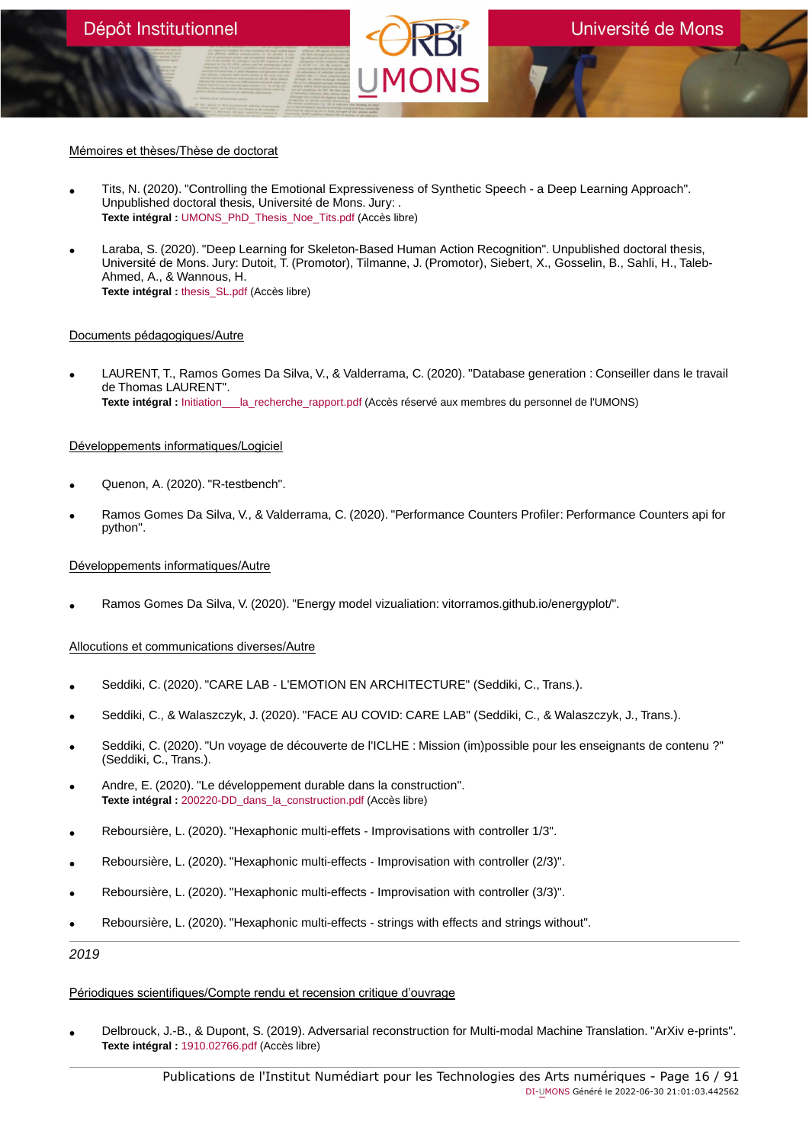#### Mémoires et thèses/Thèse de doctorat

- Tits, N. (2020). "Controlling the Emotional Expressiveness of Synthetic Speech a Deep Learning Approach". Unpublished doctoral thesis, Université de Mons. Jury: . **Texte intégral :** [UMONS\\_PhD\\_Thesis\\_Noe\\_Tits.pdf](https://orbi.umons.ac.be/bitstream/20.500.12907/42349/1/UMONS_PhD_Thesis_Noe_Tits.pdf) (Accès libre)
- Laraba, S. (2020). "Deep Learning for Skeleton-Based Human Action Recognition". Unpublished doctoral thesis, Université de Mons. Jury: Dutoit, T. (Promotor), Tilmanne, J. (Promotor), Siebert, X., Gosselin, B., Sahli, H., Taleb-Ahmed, A., & Wannous, H. **Texte intégral :** [thesis\\_SL.pdf](https://orbi.umons.ac.be/bitstream/20.500.12907/42333/1/thesis_SL.pdf) (Accès libre)

#### Documents pédagogiques/Autre

• LAURENT, T., Ramos Gomes Da Silva, V., & Valderrama, C. (2020). "Database generation : Conseiller dans le travail de Thomas LAURENT". **Texte intégral :** [Initiation\\_\\_\\_la\\_recherche\\_rapport.pdf](https://orbi.umons.ac.be/bitstream/20.500.12907/42354/1/Initiation___la_recherche_rapport.pdf) (Accès réservé aux membres du personnel de l'UMONS)

### Développements informatiques/Logiciel

- Quenon, A. (2020). "R-testbench".
- Ramos Gomes Da Silva, V., & Valderrama, C. (2020). "Performance Counters Profiler: Performance Counters api for python".

### Développements informatiques/Autre

• Ramos Gomes Da Silva, V. (2020). "Energy model vizualiation: vitorramos.github.io/energyplot/".

### Allocutions et communications diverses/Autre

- Seddiki, C. (2020). "CARE LAB L'EMOTION EN ARCHITECTURE" (Seddiki, C., Trans.).
- Seddiki, C., & Walaszczyk, J. (2020). "FACE AU COVID: CARE LAB" (Seddiki, C., & Walaszczyk, J., Trans.).
- Seddiki, C. (2020). "Un voyage de découverte de l'ICLHE : Mission (im)possible pour les enseignants de contenu ?" (Seddiki, C., Trans.).
- Andre, E. (2020). "Le développement durable dans la construction". **Texte intégral :** [200220-DD\\_dans\\_la\\_construction.pdf](https://orbi.umons.ac.be/bitstream/20.500.12907/42352/1/200220-DD_dans_la_construction.pdf) (Accès libre)
- Reboursière, L. (2020). "Hexaphonic multi-effets Improvisations with controller 1/3".
- Reboursière, L. (2020). "Hexaphonic multi-effects Improvisation with controller (2/3)".
- Reboursière, L. (2020). "Hexaphonic multi-effects Improvisation with controller (3/3)".
- Reboursière, L. (2020). "Hexaphonic multi-effects strings with effects and strings without".

2019

### Périodiques scientifiques/Compte rendu et recension critique d'ouvrage

• Delbrouck, J.-B., & Dupont, S. (2019). Adversarial reconstruction for Multi-modal Machine Translation. "ArXiv e-prints". **Texte intégral :** [1910.02766.pdf](https://orbi.umons.ac.be/bitstream/20.500.12907/42275/1/1910.02766.pdf) (Accès libre)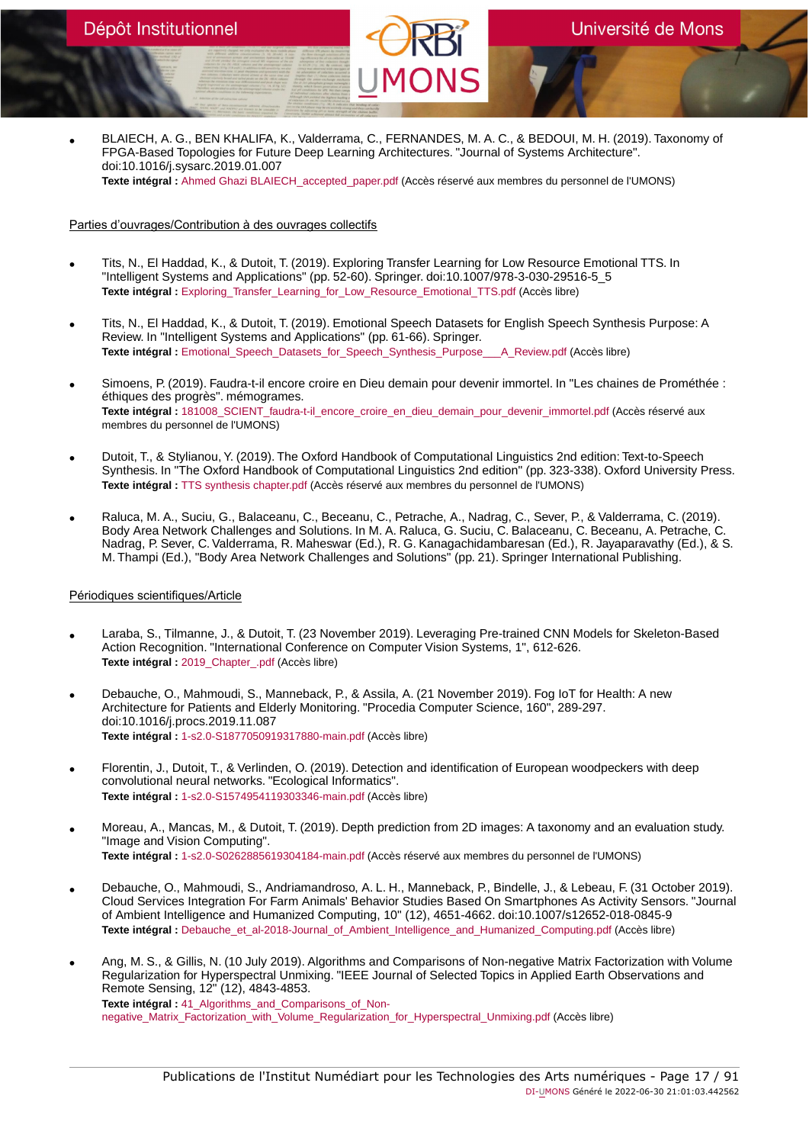• BLAIECH, A. G., BEN KHALIFA, K., Valderrama, C., FERNANDES, M. A. C., & BEDOUI, M. H. (2019). Taxonomy of FPGA-Based Topologies for Future Deep Learning Architectures. "Journal of Systems Architecture". doi:10.1016/j.sysarc.2019.01.007 **Texte intégral :** [Ahmed Ghazi BLAIECH\\_accepted\\_paper.pdf](https://orbi.umons.ac.be/bitstream/20.500.12907/42207/1/Ahmed Ghazi BLAIECH_accepted_paper.pdf) (Accès réservé aux membres du personnel de l'UMONS)

# Parties d'ouvrages/Contribution à des ouvrages collectifs

- Tits, N., El Haddad, K., & Dutoit, T. (2019). Exploring Transfer Learning for Low Resource Emotional TTS. In "Intelligent Systems and Applications" (pp. 52-60). Springer. doi:10.1007/978-3-030-29516-5\_5 **Texte intégral :** Exploring Transfer Learning for Low Resource Emotional TTS.pdf (Accès libre)
- Tits, N., El Haddad, K., & Dutoit, T. (2019). Emotional Speech Datasets for English Speech Synthesis Purpose: A Review. In "Intelligent Systems and Applications" (pp. 61-66). Springer. Texte intégral : Emotional Speech Datasets for Speech Synthesis Purpose A Review.pdf (Accès libre)
- Simoens, P. (2019). Faudra-t-il encore croire en Dieu demain pour devenir immortel. In "Les chaines de Prométhée : éthiques des progrès". mémogrames. Texte intégral : [181008\\_SCIENT\\_faudra-t-il\\_encore\\_croire\\_en\\_dieu\\_demain\\_pour\\_devenir\\_immortel.pdf](https://orbi.umons.ac.be/bitstream/20.500.12907/42192/1/181008_SCIENT_faudra-t-il_encore_croire_en_dieu_demain_pour_devenir_immortel.pdf) (Accès réservé aux membres du personnel de l'UMONS)
- Dutoit, T., & Stylianou, Y. (2019). The Oxford Handbook of Computational Linguistics 2nd edition: Text-to-Speech Synthesis. In "The Oxford Handbook of Computational Linguistics 2nd edition" (pp. 323-338). Oxford University Press. **Texte intégral :** [TTS synthesis chapter.pdf](https://orbi.umons.ac.be/bitstream/20.500.12907/42214/1/TTS synthesis chapter.pdf) (Accès réservé aux membres du personnel de l'UMONS)
- Raluca, M. A., Suciu, G., Balaceanu, C., Beceanu, C., Petrache, A., Nadrag, C., Sever, P., & Valderrama, C. (2019). Body Area Network Challenges and Solutions. In M. A. Raluca, G. Suciu, C. Balaceanu, C. Beceanu, A. Petrache, C. Nadrag, P. Sever, C. Valderrama, R. Maheswar (Ed.), R. G. Kanagachidambaresan (Ed.), R. Jayaparavathy (Ed.), & S. M. Thampi (Ed.), "Body Area Network Challenges and Solutions" (pp. 21). Springer International Publishing.

### Périodiques scientifiques/Article

- Laraba, S., Tilmanne, J., & Dutoit, T. (23 November 2019). Leveraging Pre-trained CNN Models for Skeleton-Based Action Recognition. "International Conference on Computer Vision Systems, 1", 612-626. **Texte intégral :** [2019\\_Chapter\\_.pdf](https://orbi.umons.ac.be/bitstream/20.500.12907/42246/1/2019_Chapter_.pdf) (Accès libre)
- Debauche, O., Mahmoudi, S., Manneback, P., & Assila, A. (21 November 2019). Fog IoT for Health: A new Architecture for Patients and Elderly Monitoring. "Procedia Computer Science, 160", 289-297. doi:10.1016/j.procs.2019.11.087 **Texte intégral :** [1-s2.0-S1877050919317880-main.pdf](https://orbi.umons.ac.be/bitstream/20.500.12907/42238/1/1-s2.0-S1877050919317880-main.pdf) (Accès libre)
- Florentin, J., Dutoit, T., & Verlinden, O. (2019). Detection and identification of European woodpeckers with deep convolutional neural networks. "Ecological Informatics". **Texte intégral :** [1-s2.0-S1574954119303346-main.pdf](https://orbi.umons.ac.be/bitstream/20.500.12907/42286/1/1-s2.0-S1574954119303346-main.pdf) (Accès libre)
- Moreau, A., Mancas, M., & Dutoit, T. (2019). Depth prediction from 2D images: A taxonomy and an evaluation study. "Image and Vision Computing". **Texte intégral :** [1-s2.0-S0262885619304184-main.pdf](https://orbi.umons.ac.be/bitstream/20.500.12907/42251/1/1-s2.0-S0262885619304184-main.pdf) (Accès réservé aux membres du personnel de l'UMONS)
- Debauche, O., Mahmoudi, S., Andriamandroso, A. L. H., Manneback, P., Bindelle, J., & Lebeau, F. (31 October 2019). Cloud Services Integration For Farm Animals' Behavior Studies Based On Smartphones As Activity Sensors. "Journal of Ambient Intelligence and Humanized Computing, 10" (12), 4651-4662. doi:10.1007/s12652-018-0845-9 **Texte intégral :** [Debauche\\_et\\_al-2018-Journal\\_of\\_Ambient\\_Intelligence\\_and\\_Humanized\\_Computing.pdf](https://orbi.umons.ac.be/bitstream/20.500.12907/42065/1/Debauche_et_al-2018-Journal_of_Ambient_Intelligence_and_Humanized_Computing.pdf) (Accès libre)
- Ang, M. S., & Gillis, N. (10 July 2019). Algorithms and Comparisons of Non-negative Matrix Factorization with Volume Regularization for Hyperspectral Unmixing. "IEEE Journal of Selected Topics in Applied Earth Observations and Remote Sensing, 12" (12), 4843-4853. **Texte intégral :** [41\\_Algorithms\\_and\\_Comparisons\\_of\\_Non](https://orbi.umons.ac.be/bitstream/20.500.12907/42231/1/41_Algorithms_and_Comparisons_of_Non-negative_Matrix_Factorization_with_Volume_Regularization_for_Hyperspectral_Unmixing.pdf)[negative\\_Matrix\\_Factorization\\_with\\_Volume\\_Regularization\\_for\\_Hyperspectral\\_Unmixing.pdf](https://orbi.umons.ac.be/bitstream/20.500.12907/42231/1/41_Algorithms_and_Comparisons_of_Non-negative_Matrix_Factorization_with_Volume_Regularization_for_Hyperspectral_Unmixing.pdf) (Accès libre)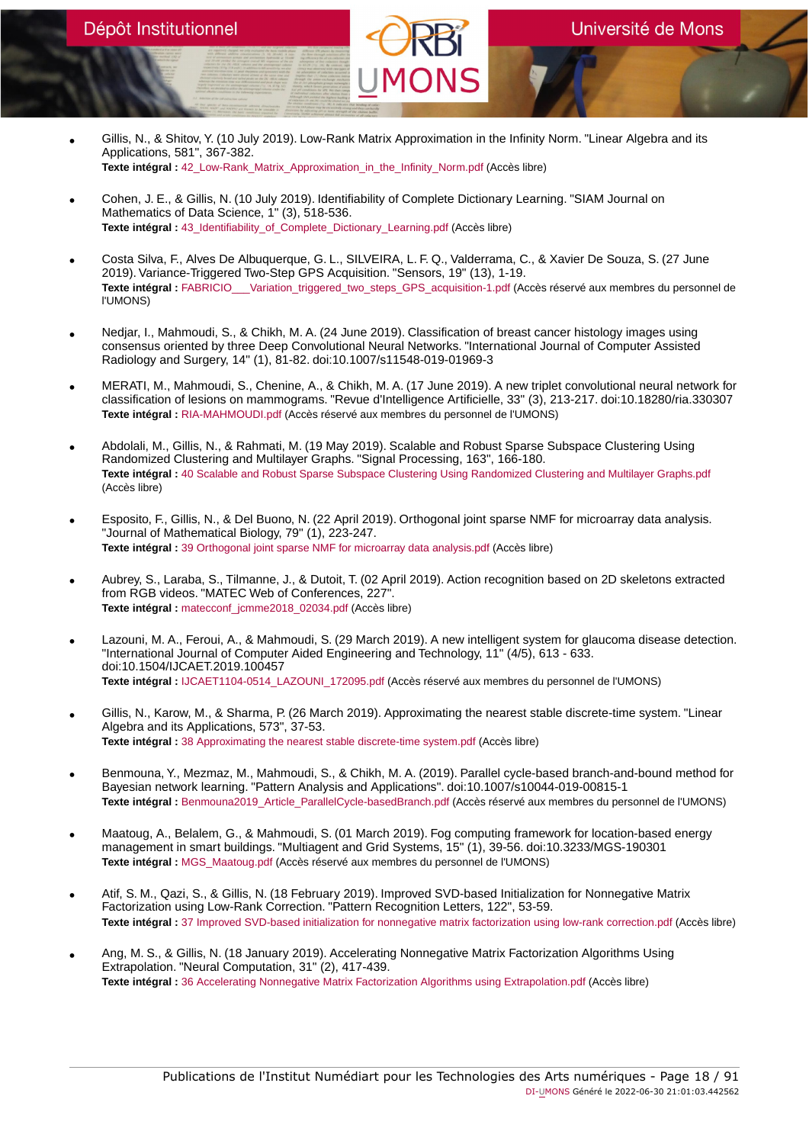- Gillis, N., & Shitov, Y. (10 July 2019). Low-Rank Matrix Approximation in the Infinity Norm. "Linear Algebra and its Applications, 581", 367-382. **Texte intégral :** [42\\_Low-Rank\\_Matrix\\_Approximation\\_in\\_the\\_Infinity\\_Norm.pdf](https://orbi.umons.ac.be/bitstream/20.500.12907/42232/1/42_Low-Rank_Matrix_Approximation_in_the_Infinity_Norm.pdf) (Accès libre)
- Cohen, J. E., & Gillis, N. (10 July 2019). Identifiability of Complete Dictionary Learning. "SIAM Journal on Mathematics of Data Science, 1" (3), 518-536. **Texte intégral :** [43\\_Identifiability\\_of\\_Complete\\_Dictionary\\_Learning.pdf](https://orbi.umons.ac.be/bitstream/20.500.12907/42233/1/43_Identifiability_of_Complete_Dictionary_Learning.pdf) (Accès libre)
- Costa Silva, F., Alves De Albuquerque, G. L., SILVEIRA, L. F. Q., Valderrama, C., & Xavier De Souza, S. (27 June 2019). Variance-Triggered Two-Step GPS Acquisition. "Sensors, 19" (13), 1-19. **Texte intégral :** [FABRICIO\\_\\_\\_Variation\\_triggered\\_two\\_steps\\_GPS\\_acquisition-1.pdf](https://orbi.umons.ac.be/bitstream/20.500.12907/42230/1/FABRICIO___Variation_triggered_two_steps_GPS_acquisition-1.pdf) (Accès réservé aux membres du personnel de l'UMONS)
- Nedjar, I., Mahmoudi, S., & Chikh, M. A. (24 June 2019). Classification of breast cancer histology images using consensus oriented by three Deep Convolutional Neural Networks. "International Journal of Computer Assisted Radiology and Surgery, 14" (1), 81-82. doi:10.1007/s11548-019-01969-3
- MERATI, M., Mahmoudi, S., Chenine, A., & Chikh, M. A. (17 June 2019). A new triplet convolutional neural network for classification of lesions on mammograms. "Revue d'Intelligence Artificielle, 33" (3), 213-217. doi:10.18280/ria.330307 **Texte intégral :** [RIA-MAHMOUDI.pdf](https://orbi.umons.ac.be/bitstream/20.500.12907/42261/1/RIA-MAHMOUDI.pdf) (Accès réservé aux membres du personnel de l'UMONS)
- Abdolali, M., Gillis, N., & Rahmati, M. (19 May 2019). Scalable and Robust Sparse Subspace Clustering Using Randomized Clustering and Multilayer Graphs. "Signal Processing, 163", 166-180. **Texte intégral :** [40 Scalable and Robust Sparse Subspace Clustering Using Randomized Clustering and Multilayer Graphs.pdf](https://orbi.umons.ac.be/bitstream/20.500.12907/42220/1/40 Scalable and Robust Sparse Subspace Clustering Using Randomized Clustering and Multilayer Graphs.pdf) (Accès libre)
- Esposito, F., Gillis, N., & Del Buono, N. (22 April 2019). Orthogonal joint sparse NMF for microarray data analysis. "Journal of Mathematical Biology, 79" (1), 223-247. **Texte intégral :** [39 Orthogonal joint sparse NMF for microarray data analysis.pdf](https://orbi.umons.ac.be/bitstream/20.500.12907/42217/1/39 Orthogonal joint sparse NMF for microarray data analysis.pdf) (Accès libre)
- Aubrey, S., Laraba, S., Tilmanne, J., & Dutoit, T. (02 April 2019). Action recognition based on 2D skeletons extracted from RGB videos. "MATEC Web of Conferences, 227". **Texte intégral :** [matecconf\\_jcmme2018\\_02034.pdf](https://orbi.umons.ac.be/bitstream/20.500.12907/42216/1/matecconf_jcmme2018_02034.pdf) (Accès libre)
- Lazouni, M. A., Feroui, A., & Mahmoudi, S. (29 March 2019). A new intelligent system for glaucoma disease detection. "International Journal of Computer Aided Engineering and Technology, 11" (4/5), 613 - 633. doi:10.1504/IJCAET.2019.100457 **Texte intégral :** [IJCAET1104-0514\\_LAZOUNI\\_172095.pdf](https://orbi.umons.ac.be/bitstream/20.500.12907/42266/1/IJCAET1104-0514_LAZOUNI_172095.pdf) (Accès réservé aux membres du personnel de l'UMONS)
- Gillis, N., Karow, M., & Sharma, P. (26 March 2019). Approximating the nearest stable discrete-time system. "Linear Algebra and its Applications, 573", 37-53. **Texte intégral :** [38 Approximating the nearest stable discrete-time system.pdf](https://orbi.umons.ac.be/bitstream/20.500.12907/42215/1/38 Approximating the nearest stable discrete-time system.pdf) (Accès libre)
- Benmouna, Y., Mezmaz, M., Mahmoudi, S., & Chikh, M. A. (2019). Parallel cycle-based branch-and-bound method for Bayesian network learning. "Pattern Analysis and Applications". doi:10.1007/s10044-019-00815-1 Texte intégral : Benmouna2019 Article ParallelCycle-basedBranch.pdf (Accès réservé aux membres du personnel de l'UMONS)
- Maatoug, A., Belalem, G., & Mahmoudi, S. (01 March 2019). Fog computing framework for location-based energy management in smart buildings. "Multiagent and Grid Systems, 15" (1), 39-56. doi:10.3233/MGS-190301 **Texte intégral :** [MGS\\_Maatoug.pdf](https://orbi.umons.ac.be/bitstream/20.500.12907/42264/1/MGS_Maatoug.pdf) (Accès réservé aux membres du personnel de l'UMONS)
- Atif, S. M., Qazi, S., & Gillis, N. (18 February 2019). Improved SVD-based Initialization for Nonnegative Matrix Factorization using Low-Rank Correction. "Pattern Recognition Letters, 122", 53-59. **Texte intégral :** [37 Improved SVD-based initialization for nonnegative matrix factorization using low-rank correction.pdf](https://orbi.umons.ac.be/bitstream/20.500.12907/42213/1/37 Improved SVD-based initialization for nonnegative matrix factorization using low-rank correction.pdf) (Accès libre)
- Ang, M. S., & Gillis, N. (18 January 2019). Accelerating Nonnegative Matrix Factorization Algorithms Using Extrapolation. "Neural Computation, 31" (2), 417-439. **Texte intégral :** [36 Accelerating Nonnegative Matrix Factorization Algorithms using Extrapolation.pdf](https://orbi.umons.ac.be/bitstream/20.500.12907/42177/1/36 Accelerating Nonnegative Matrix Factorization Algorithms using Extrapolation.pdf) (Accès libre)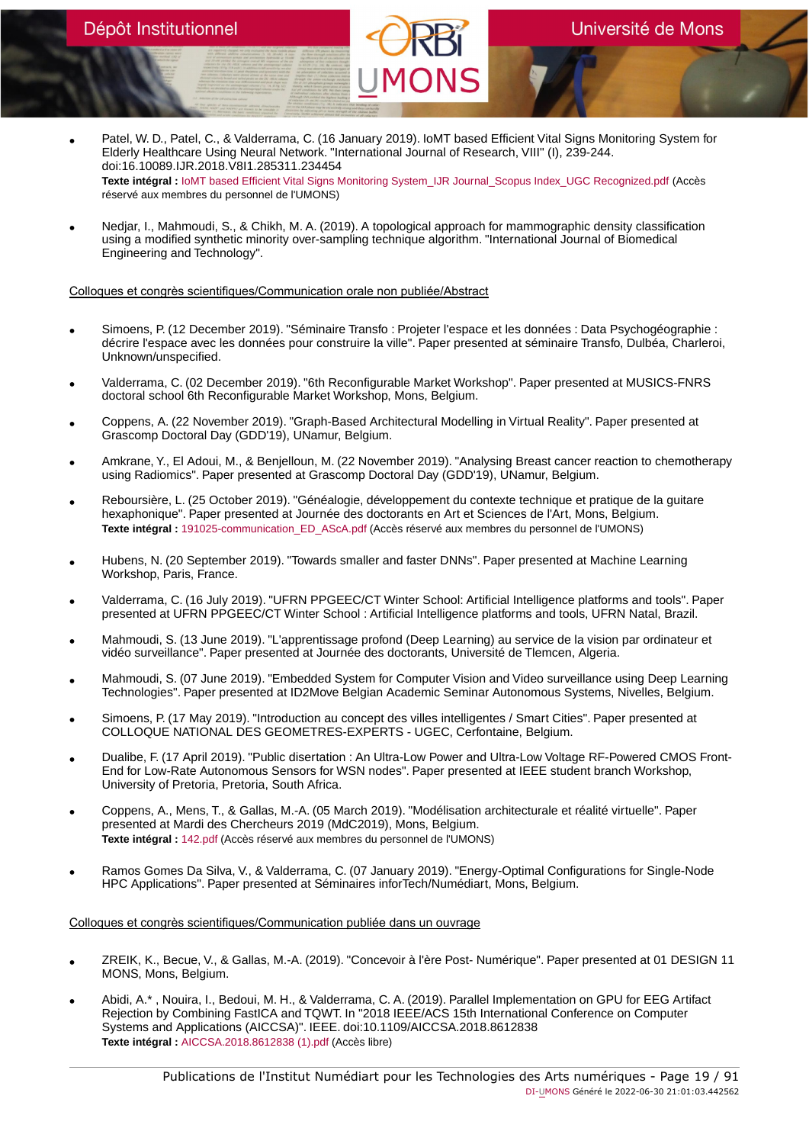- Patel, W. D., Patel, C., & Valderrama, C. (16 January 2019). IoMT based Efficient Vital Signs Monitoring System for Elderly Healthcare Using Neural Network. "International Journal of Research, VIII" (I), 239-244. doi:16.10089.IJR.2018.V8I1.285311.234454 **Texte intégral :** [IoMT based Efficient Vital Signs Monitoring System\\_IJR Journal\\_Scopus Index\\_UGC Recognized.pdf](https://orbi.umons.ac.be/bitstream/20.500.12907/42189/1/IoMT based Efficient Vital Signs Monitoring System_IJR Journal_Scopus Index_UGC Recognized.pdf) (Accès réservé aux membres du personnel de l'UMONS)
- Nedjar, I., Mahmoudi, S., & Chikh, M. A. (2019). A topological approach for mammographic density classification using a modified synthetic minority over-sampling technique algorithm. "International Journal of Biomedical Engineering and Technology".

### Colloques et congrès scientifiques/Communication orale non publiée/Abstract

- Simoens, P. (12 December 2019). "Séminaire Transfo : Projeter l'espace et les données : Data Psychogéographie : décrire l'espace avec les données pour construire la ville". Paper presented at séminaire Transfo, Dulbéa, Charleroi, Unknown/unspecified.
- Valderrama, C. (02 December 2019). "6th Reconfigurable Market Workshop". Paper presented at MUSICS-FNRS doctoral school 6th Reconfigurable Market Workshop, Mons, Belgium.
- Coppens, A. (22 November 2019). "Graph-Based Architectural Modelling in Virtual Reality". Paper presented at Grascomp Doctoral Day (GDD'19), UNamur, Belgium.
- Amkrane, Y., El Adoui, M., & Benjelloun, M. (22 November 2019). "Analysing Breast cancer reaction to chemotherapy using Radiomics". Paper presented at Grascomp Doctoral Day (GDD'19), UNamur, Belgium.
- Reboursière, L. (25 October 2019). "Généalogie, développement du contexte technique et pratique de la guitare hexaphonique". Paper presented at Journée des doctorants en Art et Sciences de l'Art, Mons, Belgium. **Texte intégral :** [191025-communication\\_ED\\_AScA.pdf](https://orbi.umons.ac.be/bitstream/20.500.12907/42284/1/191025-communication_ED_AScA.pdf) (Accès réservé aux membres du personnel de l'UMONS)
- Hubens, N. (20 September 2019). "Towards smaller and faster DNNs". Paper presented at Machine Learning Workshop, Paris, France.
- Valderrama, C. (16 July 2019). "UFRN PPGEEC/CT Winter School: Artificial Intelligence platforms and tools". Paper presented at UFRN PPGEEC/CT Winter School : Artificial Intelligence platforms and tools, UFRN Natal, Brazil.
- Mahmoudi, S. (13 June 2019). "L'apprentissage profond (Deep Learning) au service de la vision par ordinateur et vidéo surveillance". Paper presented at Journée des doctorants, Université de Tlemcen, Algeria.
- Mahmoudi, S. (07 June 2019). "Embedded System for Computer Vision and Video surveillance using Deep Learning Technologies". Paper presented at ID2Move Belgian Academic Seminar Autonomous Systems, Nivelles, Belgium.
- Simoens, P. (17 May 2019). "Introduction au concept des villes intelligentes / Smart Cities". Paper presented at COLLOQUE NATIONAL DES GEOMETRES-EXPERTS - UGEC, Cerfontaine, Belgium.
- Dualibe, F. (17 April 2019). "Public disertation : An Ultra-Low Power and Ultra-Low Voltage RF-Powered CMOS Front-End for Low-Rate Autonomous Sensors for WSN nodes". Paper presented at IEEE student branch Workshop, University of Pretoria, Pretoria, South Africa.
- Coppens, A., Mens, T., & Gallas, M.-A. (05 March 2019). "Modélisation architecturale et réalité virtuelle". Paper presented at Mardi des Chercheurs 2019 (MdC2019), Mons, Belgium. **Texte intégral :** [142.pdf](https://orbi.umons.ac.be/bitstream/20.500.12907/42253/1/142.pdf) (Accès réservé aux membres du personnel de l'UMONS)
- Ramos Gomes Da Silva, V., & Valderrama, C. (07 January 2019). "Energy-Optimal Configurations for Single-Node HPC Applications". Paper presented at Séminaires inforTech/Numédiart, Mons, Belgium.

### Colloques et congrès scientifiques/Communication publiée dans un ouvrage

- ZREIK, K., Becue, V., & Gallas, M.-A. (2019). "Concevoir à l'ère Post- Numérique". Paper presented at 01 DESIGN 11 MONS, Mons, Belgium.
- Abidi, A.\* , Nouira, I., Bedoui, M. H., & Valderrama, C. A. (2019). Parallel Implementation on GPU for EEG Artifact Rejection by Combining FastICA and TQWT. In "2018 IEEE/ACS 15th International Conference on Computer Systems and Applications (AICCSA)". IEEE. doi:10.1109/AICCSA.2018.8612838 **Texte intégral :** [AICCSA.2018.8612838 \(1\).pdf](https://orbi.umons.ac.be/bitstream/20.500.12907/42653/1/AICCSA.2018.8612838 (1).pdf) (Accès libre)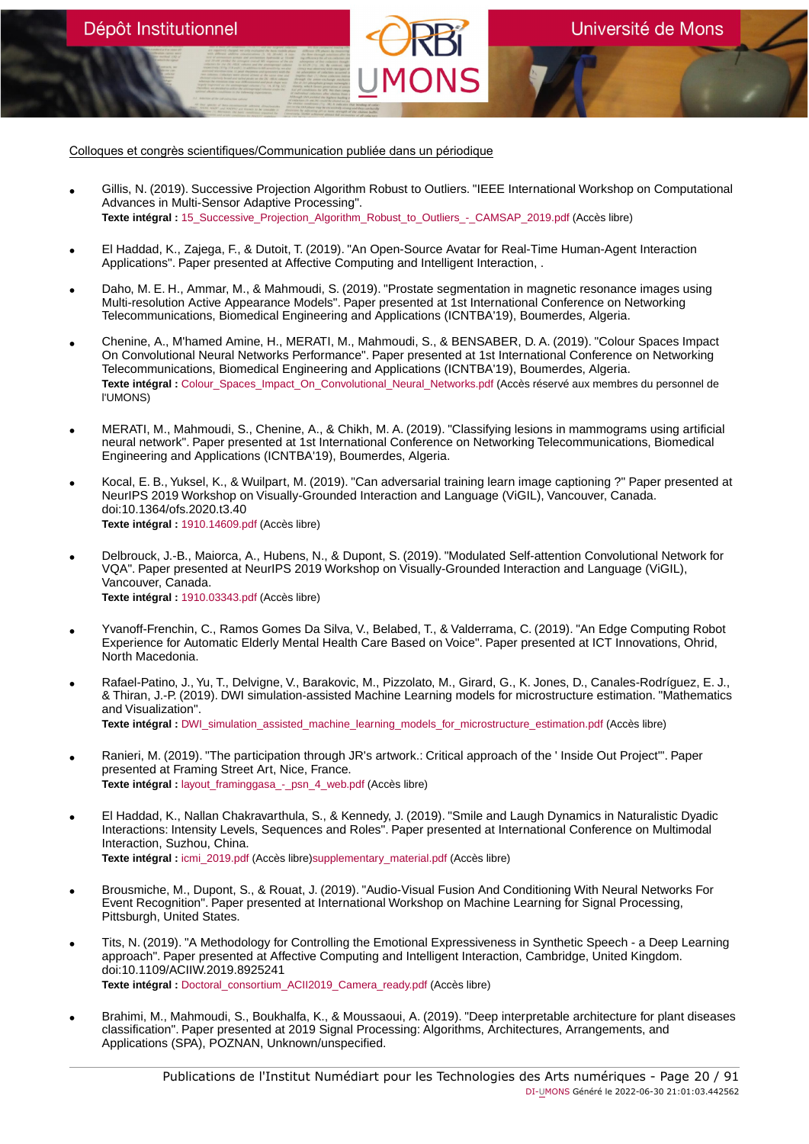Colloques et congrès scientifiques/Communication publiée dans un périodique

Dépôt Institutionnel

- Gillis, N. (2019). Successive Projection Algorithm Robust to Outliers. "IEEE International Workshop on Computational Advances in Multi-Sensor Adaptive Processing". **Texte intégral :** [15\\_Successive\\_Projection\\_Algorithm\\_Robust\\_to\\_Outliers\\_-\\_CAMSAP\\_2019.pdf](https://orbi.umons.ac.be/bitstream/20.500.12907/42294/1/15_Successive_Projection_Algorithm_Robust_to_Outliers_-_CAMSAP_2019.pdf) (Accès libre)
- El Haddad, K., Zajega, F., & Dutoit, T. (2019). "An Open-Source Avatar for Real-Time Human-Agent Interaction Applications". Paper presented at Affective Computing and Intelligent Interaction, .
- Daho, M. E. H., Ammar, M., & Mahmoudi, S. (2019). "Prostate segmentation in magnetic resonance images using Multi-resolution Active Appearance Models". Paper presented at 1st International Conference on Networking Telecommunications, Biomedical Engineering and Applications (ICNTBA'19), Boumerdes, Algeria.
- Chenine, A., M'hamed Amine, H., MERATI, M., Mahmoudi, S., & BENSABER, D. A. (2019). "Colour Spaces Impact On Convolutional Neural Networks Performance". Paper presented at 1st International Conference on Networking Telecommunications, Biomedical Engineering and Applications (ICNTBA'19), Boumerdes, Algeria. **Texte intégral :** [Colour\\_Spaces\\_Impact\\_On\\_Convolutional\\_Neural\\_Networks.pdf](https://orbi.umons.ac.be/bitstream/20.500.12907/42269/1/Colour_Spaces_Impact_On_Convolutional_Neural_Networks.pdf) (Accès réservé aux membres du personnel de l'UMONS)
- MERATI, M., Mahmoudi, S., Chenine, A., & Chikh, M. A. (2019). "Classifying lesions in mammograms using artificial neural network". Paper presented at 1st International Conference on Networking Telecommunications, Biomedical Engineering and Applications (ICNTBA'19), Boumerdes, Algeria.
- Kocal, E. B., Yuksel, K., & Wuilpart, M. (2019). "Can adversarial training learn image captioning ?" Paper presented at NeurIPS 2019 Workshop on Visually-Grounded Interaction and Language (ViGIL), Vancouver, Canada. doi:10.1364/ofs.2020.t3.40 **Texte intégral :** [1910.14609.pdf](https://orbi.umons.ac.be/bitstream/20.500.12907/42273/1/1910.14609.pdf) (Accès libre)
- Delbrouck, J.-B., Maiorca, A., Hubens, N., & Dupont, S. (2019). "Modulated Self-attention Convolutional Network for VQA". Paper presented at NeurIPS 2019 Workshop on Visually-Grounded Interaction and Language (ViGIL), Vancouver, Canada. **Texte intégral :** [1910.03343.pdf](https://orbi.umons.ac.be/bitstream/20.500.12907/42274/1/1910.03343.pdf) (Accès libre)
- Yvanoff-Frenchin, C., Ramos Gomes Da Silva, V., Belabed, T., & Valderrama, C. (2019). "An Edge Computing Robot Experience for Automatic Elderly Mental Health Care Based on Voice". Paper presented at ICT Innovations, Ohrid, North Macedonia.
- Rafael-Patino, J., Yu, T., Delvigne, V., Barakovic, M., Pizzolato, M., Girard, G., K. Jones, D., Canales-Rodríguez, E. J., & Thiran, J.-P. (2019). DWI simulation-assisted Machine Learning models for microstructure estimation. "Mathematics and Visualization". Texte intégral : [DWI\\_simulation\\_assisted\\_machine\\_learning\\_models\\_for\\_microstructure\\_estimation.pdf](https://orbi.umons.ac.be/bitstream/20.500.12907/42344/1/DWI_simulation_assisted_machine_learning_models_for_microstructure_estimation.pdf) (Accès libre)
- Ranieri, M. (2019). "The participation through JR's artwork.: Critical approach of the ' Inside Out Project'". Paper presented at Framing Street Art, Nice, France. **Texte intégral :** layout framinggasa - psn 4 web.pdf (Accès libre)
- El Haddad, K., Nallan Chakravarthula, S., & Kennedy, J. (2019). "Smile and Laugh Dynamics in Naturalistic Dyadic Interactions: Intensity Levels, Sequences and Roles". Paper presented at International Conference on Multimodal Interaction, Suzhou, China. **Texte intégral :** [icmi\\_2019.pdf](https://orbi.umons.ac.be/bitstream/20.500.12907/42258/2/icmi_2019.pdf) (Accès libre[\)supplementary\\_material.pdf](https://orbi.umons.ac.be/bitstream/20.500.12907/42258/4/supplementary_material.pdf) (Accès libre)
- Brousmiche, M., Dupont, S., & Rouat, J. (2019). "Audio-Visual Fusion And Conditioning With Neural Networks For Event Recognition". Paper presented at International Workshop on Machine Learning for Signal Processing, Pittsburgh, United States.
- Tits, N. (2019). "A Methodology for Controlling the Emotional Expressiveness in Synthetic Speech a Deep Learning approach". Paper presented at Affective Computing and Intelligent Interaction, Cambridge, United Kingdom. doi:10.1109/ACIIW.2019.8925241 **Texte intégral :** [Doctoral\\_consortium\\_ACII2019\\_Camera\\_ready.pdf](https://orbi.umons.ac.be/bitstream/20.500.12907/42244/1/Doctoral_consortium_ACII2019_Camera_ready.pdf) (Accès libre)
- Brahimi, M., Mahmoudi, S., Boukhalfa, K., & Moussaoui, A. (2019). "Deep interpretable architecture for plant diseases classification". Paper presented at 2019 Signal Processing: Algorithms, Architectures, Arrangements, and Applications (SPA), POZNAN, Unknown/unspecified.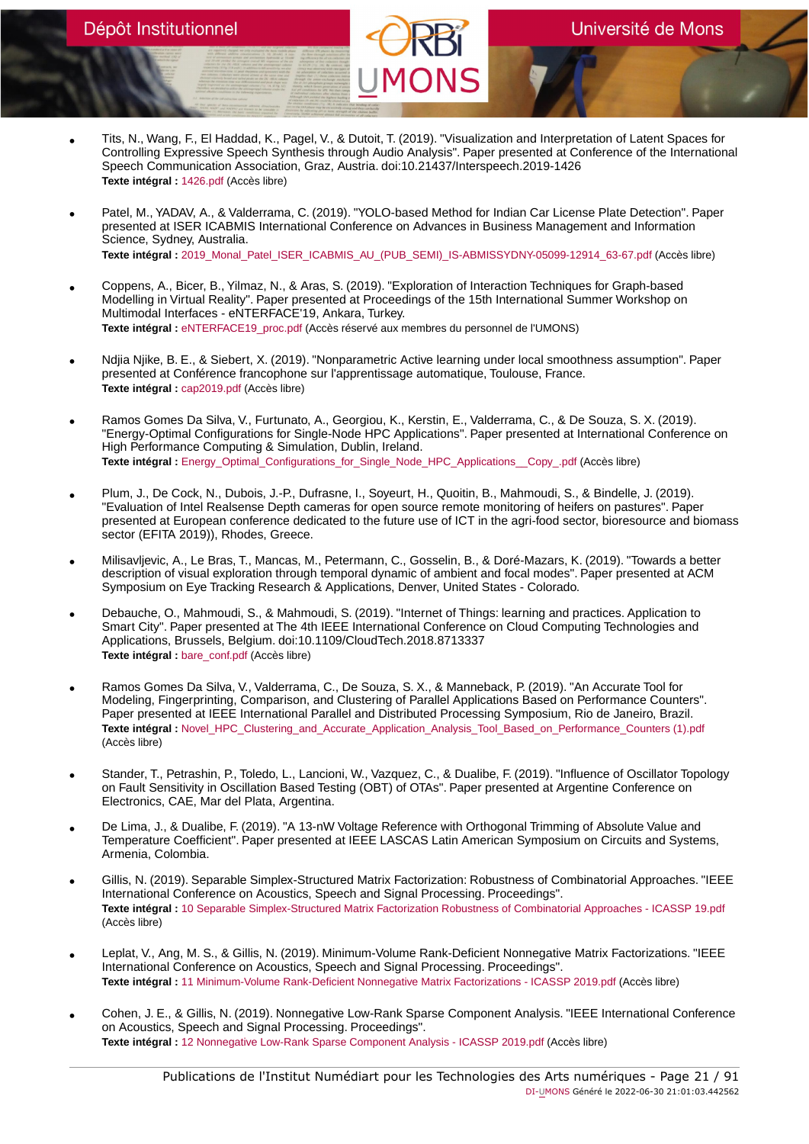- Tits, N., Wang, F., El Haddad, K., Pagel, V., & Dutoit, T. (2019). "Visualization and Interpretation of Latent Spaces for Controlling Expressive Speech Synthesis through Audio Analysis". Paper presented at Conference of the International Speech Communication Association, Graz, Austria. doi:10.21437/Interspeech.2019-1426 **Texte intégral :** [1426.pdf](https://orbi.umons.ac.be/bitstream/20.500.12907/42243/1/1426.pdf) (Accès libre)
- Patel, M., YADAV, A., & Valderrama, C. (2019). "YOLO-based Method for Indian Car License Plate Detection". Paper presented at ISER ICABMIS International Conference on Advances in Business Management and Information Science, Sydney, Australia. **Texte intégral :** [2019\\_Monal\\_Patel\\_ISER\\_ICABMIS\\_AU\\_\(PUB\\_SEMI\)\\_IS-ABMISSYDNY-05099-12914\\_63-67.pdf](https://orbi.umons.ac.be/bitstream/20.500.12907/42240/1/2019_Monal_Patel_ISER_ICABMIS_AU_(PUB_SEMI)_IS-ABMISSYDNY-05099-12914_63-67.pdf) (Accès libre)
- Coppens, A., Bicer, B., Yilmaz, N., & Aras, S. (2019). "Exploration of Interaction Techniques for Graph-based Modelling in Virtual Reality". Paper presented at Proceedings of the 15th International Summer Workshop on Multimodal Interfaces - eNTERFACE'19, Ankara, Turkey. **Texte intégral :** [eNTERFACE19\\_proc.pdf](https://orbi.umons.ac.be/bitstream/20.500.12907/42255/1/eNTERFACE19_proc.pdf) (Accès réservé aux membres du personnel de l'UMONS)
- Ndjia Njike, B. E., & Siebert, X. (2019). "Nonparametric Active learning under local smoothness assumption". Paper presented at Conférence francophone sur l'apprentissage automatique, Toulouse, France. **Texte intégral :** [cap2019.pdf](https://orbi.umons.ac.be/bitstream/20.500.12907/42278/1/cap2019.pdf) (Accès libre)
- Ramos Gomes Da Silva, V., Furtunato, A., Georgiou, K., Kerstin, E., Valderrama, C., & De Souza, S. X. (2019). "Energy-Optimal Configurations for Single-Node HPC Applications". Paper presented at International Conference on High Performance Computing & Simulation, Dublin, Ireland. Texte intégral : [Energy\\_Optimal\\_Configurations\\_for\\_Single\\_Node\\_HPC\\_Applications\\_\\_Copy\\_.pdf](https://orbi.umons.ac.be/bitstream/20.500.12907/42219/1/Energy_Optimal_Configurations_for_Single_Node_HPC_Applications__Copy_.pdf) (Accès libre)
- Plum, J., De Cock, N., Dubois, J.-P., Dufrasne, I., Soyeurt, H., Quoitin, B., Mahmoudi, S., & Bindelle, J. (2019). "Evaluation of Intel Realsense Depth cameras for open source remote monitoring of heifers on pastures". Paper presented at European conference dedicated to the future use of ICT in the agri-food sector, bioresource and biomass sector (EFITA 2019)), Rhodes, Greece.
- Milisavljevic, A., Le Bras, T., Mancas, M., Petermann, C., Gosselin, B., & Doré-Mazars, K. (2019). "Towards a better description of visual exploration through temporal dynamic of ambient and focal modes". Paper presented at ACM Symposium on Eye Tracking Research & Applications, Denver, United States - Colorado.
- Debauche, O., Mahmoudi, S., & Mahmoudi, S. (2019). "Internet of Things: learning and practices. Application to Smart City". Paper presented at The 4th IEEE International Conference on Cloud Computing Technologies and Applications, Brussels, Belgium. doi:10.1109/CloudTech.2018.8713337 **Texte intégral :** [bare\\_conf.pdf](https://orbi.umons.ac.be/bitstream/20.500.12907/42153/1/bare_conf.pdf) (Accès libre)
- Ramos Gomes Da Silva, V., Valderrama, C., De Souza, S. X., & Manneback, P. (2019). "An Accurate Tool for Modeling, Fingerprinting, Comparison, and Clustering of Parallel Applications Based on Performance Counters". Paper presented at IEEE International Parallel and Distributed Processing Symposium, Rio de Janeiro, Brazil. **Texte intégral :** [Novel\\_HPC\\_Clustering\\_and\\_Accurate\\_Application\\_Analysis\\_Tool\\_Based\\_on\\_Performance\\_Counters \(1\).pdf](https://orbi.umons.ac.be/bitstream/20.500.12907/42218/1/Novel_HPC_Clustering_and_Accurate_Application_Analysis_Tool_Based_on_Performance_Counters (1).pdf) (Accès libre)
- Stander, T., Petrashin, P., Toledo, L., Lancioni, W., Vazquez, C., & Dualibe, F. (2019). "Influence of Oscillator Topology on Fault Sensitivity in Oscillation Based Testing (OBT) of OTAs". Paper presented at Argentine Conference on Electronics, CAE, Mar del Plata, Argentina.
- De Lima, J., & Dualibe, F. (2019). "A 13-nW Voltage Reference with Orthogonal Trimming of Absolute Value and Temperature Coefficient". Paper presented at IEEE LASCAS Latin American Symposium on Circuits and Systems, Armenia, Colombia.
- Gillis, N. (2019). Separable Simplex-Structured Matrix Factorization: Robustness of Combinatorial Approaches. "IEEE International Conference on Acoustics, Speech and Signal Processing. Proceedings". **Texte intégral :** [10 Separable Simplex-Structured Matrix Factorization Robustness of Combinatorial Approaches - ICASSP 19.pdf](https://orbi.umons.ac.be/bitstream/20.500.12907/42210/1/10 Separable Simplex-Structured Matrix Factorization Robustness of Combinatorial Approaches - ICASSP 19.pdf) (Accès libre)
- Leplat, V., Ang, M. S., & Gillis, N. (2019). Minimum-Volume Rank-Deficient Nonnegative Matrix Factorizations. "IEEE International Conference on Acoustics, Speech and Signal Processing. Proceedings". **Texte intégral :** [11 Minimum-Volume Rank-Deficient Nonnegative Matrix Factorizations - ICASSP 2019.pdf](https://orbi.umons.ac.be/bitstream/20.500.12907/42211/1/11 Minimum-Volume Rank-Deficient Nonnegative Matrix Factorizations - ICASSP 2019.pdf) (Accès libre)
- Cohen, J. E., & Gillis, N. (2019). Nonnegative Low-Rank Sparse Component Analysis. "IEEE International Conference on Acoustics, Speech and Signal Processing. Proceedings". **Texte intégral :** [12 Nonnegative Low-Rank Sparse Component Analysis - ICASSP 2019.pdf](https://orbi.umons.ac.be/bitstream/20.500.12907/42212/1/12 Nonnegative Low-Rank Sparse Component Analysis - ICASSP 2019.pdf) (Accès libre)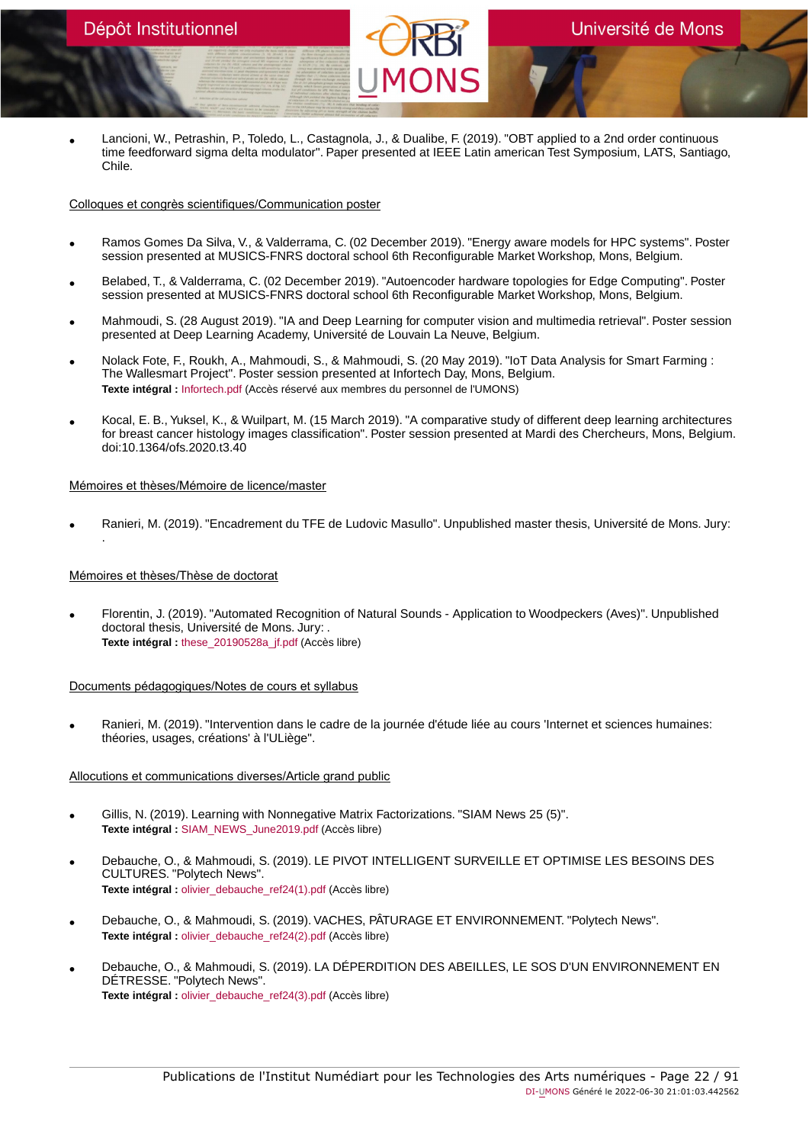• Lancioni, W., Petrashin, P., Toledo, L., Castagnola, J., & Dualibe, F. (2019). "OBT applied to a 2nd order continuous time feedforward sigma delta modulator". Paper presented at IEEE Latin american Test Symposium, LATS, Santiago, Chile.

### Colloques et congrès scientifiques/Communication poster

- Ramos Gomes Da Silva, V., & Valderrama, C. (02 December 2019). "Energy aware models for HPC systems". Poster session presented at MUSICS-FNRS doctoral school 6th Reconfigurable Market Workshop, Mons, Belgium.
- Belabed, T., & Valderrama, C. (02 December 2019). "Autoencoder hardware topologies for Edge Computing". Poster session presented at MUSICS-FNRS doctoral school 6th Reconfigurable Market Workshop, Mons, Belgium.
- Mahmoudi, S. (28 August 2019). "IA and Deep Learning for computer vision and multimedia retrieval". Poster session presented at Deep Learning Academy, Université de Louvain La Neuve, Belgium.
- Nolack Fote, F., Roukh, A., Mahmoudi, S., & Mahmoudi, S. (20 May 2019). "IoT Data Analysis for Smart Farming : The Wallesmart Project". Poster session presented at Infortech Day, Mons, Belgium. **Texte intégral :** [Infortech.pdf](https://orbi.umons.ac.be/bitstream/20.500.12907/42234/1/Infortech.pdf) (Accès réservé aux membres du personnel de l'UMONS)
- Kocal, E. B., Yuksel, K., & Wuilpart, M. (15 March 2019). "A comparative study of different deep learning architectures for breast cancer histology images classification". Poster session presented at Mardi des Chercheurs, Mons, Belgium. doi:10.1364/ofs.2020.t3.40

### Mémoires et thèses/Mémoire de licence/master

• Ranieri, M. (2019). "Encadrement du TFE de Ludovic Masullo". Unpublished master thesis, Université de Mons. Jury: .

# Mémoires et thèses/Thèse de doctorat

• Florentin, J. (2019). "Automated Recognition of Natural Sounds - Application to Woodpeckers (Aves)". Unpublished doctoral thesis, Université de Mons. Jury: . **Texte intégral :** [these\\_20190528a\\_jf.pdf](https://orbi.umons.ac.be/bitstream/20.500.12907/42229/1/these_20190528a_jf.pdf) (Accès libre)

### Documents pédagogiques/Notes de cours et syllabus

• Ranieri, M. (2019). "Intervention dans le cadre de la journée d'étude liée au cours 'Internet et sciences humaines: théories, usages, créations' à l'ULiège".

### Allocutions et communications diverses/Article grand public

- Gillis, N. (2019). Learning with Nonnegative Matrix Factorizations. "SIAM News 25 (5)". **Texte intégral :** [SIAM\\_NEWS\\_June2019.pdf](https://orbi.umons.ac.be/bitstream/20.500.12907/42228/1/SIAM_NEWS_June2019.pdf) (Accès libre)
- Debauche, O., & Mahmoudi, S. (2019). LE PIVOT INTELLIGENT SURVEILLE ET OPTIMISE LES BESOINS DES CULTURES. "Polytech News". **Texte intégral :** [olivier\\_debauche\\_ref24\(1\).pdf](https://orbi.umons.ac.be/bitstream/20.500.12907/42225/1/olivier_debauche_ref24(1).pdf) (Accès libre)
- Debauche, O., & Mahmoudi, S. (2019). VACHES, PÂTURAGE ET ENVIRONNEMENT. "Polytech News". **Texte intégral :** olivier debauche ref24(2).pdf (Accès libre)
- Debauche, O., & Mahmoudi, S. (2019). LA DÉPERDITION DES ABEILLES, LE SOS D'UN ENVIRONNEMENT EN DÉTRESSE. "Polytech News". **Texte intégral :** [olivier\\_debauche\\_ref24\(3\).pdf](https://orbi.umons.ac.be/bitstream/20.500.12907/42227/1/olivier_debauche_ref24(3).pdf) (Accès libre)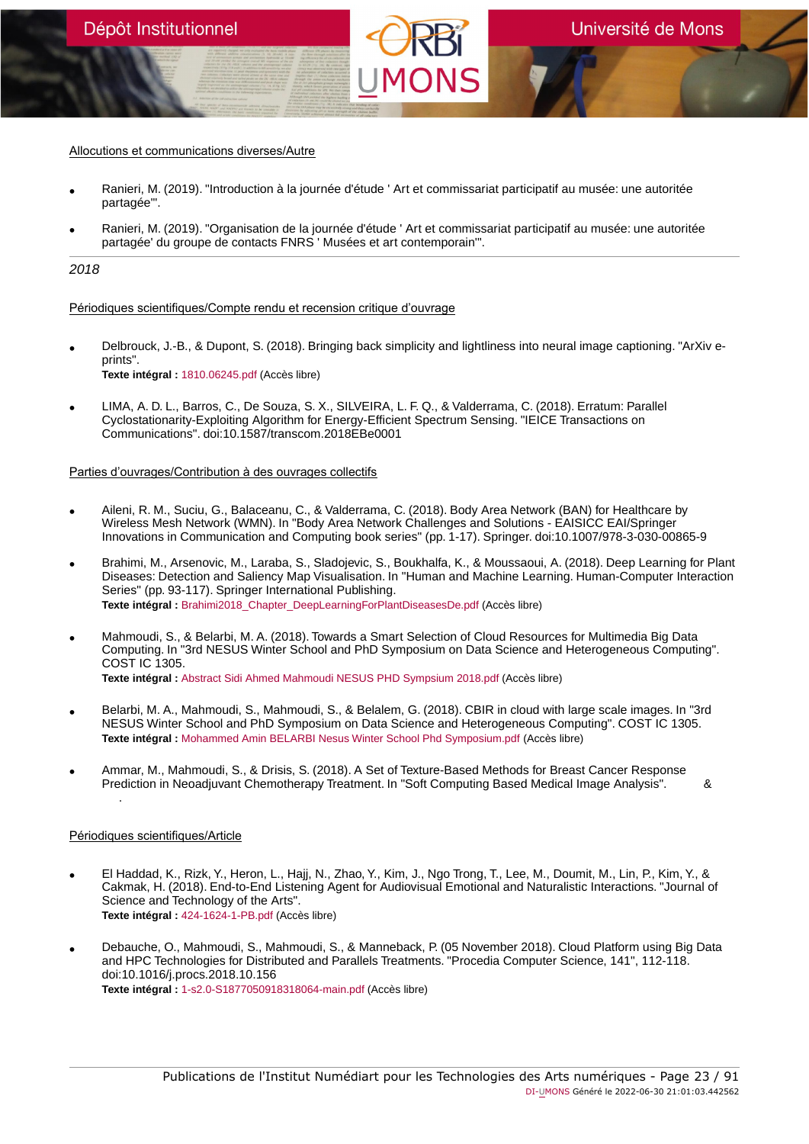#### Allocutions et communications diverses/Autre

- Ranieri, M. (2019). "Introduction à la journée d'étude ' Art et commissariat participatif au musée: une autoritée partagée'".
- Ranieri, M. (2019). "Organisation de la journée d'étude ' Art et commissariat participatif au musée: une autoritée partagée' du groupe de contacts FNRS ' Musées et art contemporain'".

#### 2018

Périodiques scientifiques/Compte rendu et recension critique d'ouvrage

- Delbrouck, J.-B., & Dupont, S. (2018). Bringing back simplicity and lightliness into neural image captioning. "ArXiv eprints". **Texte intégral :** [1810.06245.pdf](https://orbi.umons.ac.be/bitstream/20.500.12907/42169/1/1810.06245.pdf) (Accès libre)
- LIMA, A. D. L., Barros, C., De Souza, S. X., SILVEIRA, L. F. Q., & Valderrama, C. (2018). Erratum: Parallel Cyclostationarity-Exploiting Algorithm for Energy-Efficient Spectrum Sensing. "IEICE Transactions on Communications". doi:10.1587/transcom.2018EBe0001

# Parties d'ouvrages/Contribution à des ouvrages collectifs

- Aileni, R. M., Suciu, G., Balaceanu, C., & Valderrama, C. (2018). Body Area Network (BAN) for Healthcare by Wireless Mesh Network (WMN). In "Body Area Network Challenges and Solutions - EAISICC EAI/Springer Innovations in Communication and Computing book series" (pp. 1-17). Springer. doi:10.1007/978-3-030-00865-9
- Brahimi, M., Arsenovic, M., Laraba, S., Sladojevic, S., Boukhalfa, K., & Moussaoui, A. (2018). Deep Learning for Plant Diseases: Detection and Saliency Map Visualisation. In "Human and Machine Learning. Human-Computer Interaction Series" (pp. 93-117). Springer International Publishing. **Texte intégral :** [Brahimi2018\\_Chapter\\_DeepLearningForPlantDiseasesDe.pdf](https://orbi.umons.ac.be/bitstream/20.500.12907/42145/1/Brahimi2018_Chapter_DeepLearningForPlantDiseasesDe.pdf) (Accès libre)
- Mahmoudi, S., & Belarbi, M. A. (2018). Towards a Smart Selection of Cloud Resources for Multimedia Big Data Computing. In "3rd NESUS Winter School and PhD Symposium on Data Science and Heterogeneous Computing". COST IC 1305. **Texte intégral :** [Abstract Sidi Ahmed Mahmoudi NESUS PHD Sympsium 2018.pdf](https://orbi.umons.ac.be/bitstream/20.500.12907/42079/1/Abstract Sidi Ahmed Mahmoudi NESUS PHD Sympsium 2018.pdf) (Accès libre)
- Belarbi, M. A., Mahmoudi, S., Mahmoudi, S., & Belalem, G. (2018). CBIR in cloud with large scale images. In "3rd NESUS Winter School and PhD Symposium on Data Science and Heterogeneous Computing". COST IC 1305. **Texte intégral :** [Mohammed Amin BELARBI Nesus Winter School Phd Symposium.pdf](https://orbi.umons.ac.be/bitstream/20.500.12907/42080/1/Mohammed Amin BELARBI Nesus Winter School Phd Symposium.pdf) (Accès libre)
- Ammar, M., Mahmoudi, S., & Drisis, S. (2018). A Set of Texture-Based Methods for Breast Cancer Response Prediction in Neoadjuvant Chemotherapy Treatment. In "Soft Computing Based Medical Image Analysis". & .

### Périodiques scientifiques/Article

- El Haddad, K., Rizk, Y., Heron, L., Hajj, N., Zhao, Y., Kim, J., Ngo Trong, T., Lee, M., Doumit, M., Lin, P., Kim, Y., & Cakmak, H. (2018). End-to-End Listening Agent for Audiovisual Emotional and Naturalistic Interactions. "Journal of Science and Technology of the Arts". **Texte intégral :** [424-1624-1-PB.pdf](https://orbi.umons.ac.be/bitstream/20.500.12907/42166/1/424-1624-1-PB.pdf) (Accès libre)
- Debauche, O., Mahmoudi, S., Mahmoudi, S., & Manneback, P. (05 November 2018). Cloud Platform using Big Data and HPC Technologies for Distributed and Parallels Treatments. "Procedia Computer Science, 141", 112-118. doi:10.1016/j.procs.2018.10.156 **Texte intégral :** [1-s2.0-S1877050918318064-main.pdf](https://orbi.umons.ac.be/bitstream/20.500.12907/42135/1/1-s2.0-S1877050918318064-main.pdf) (Accès libre)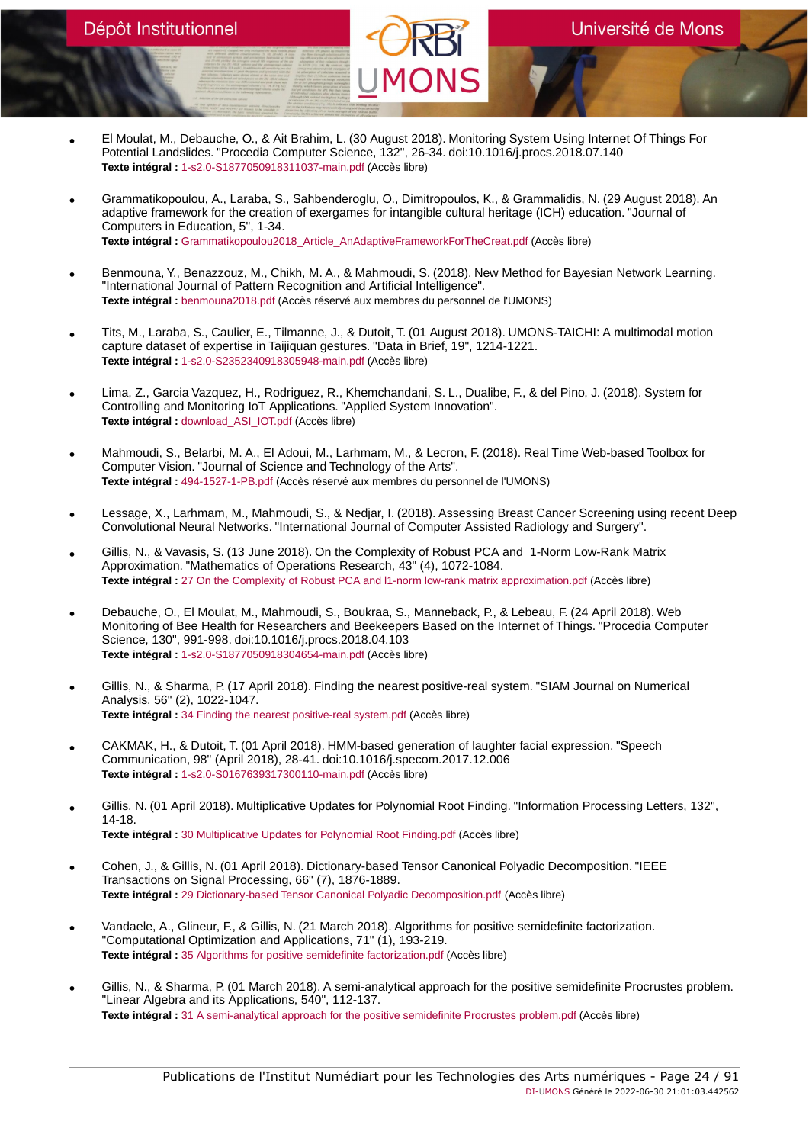- El Moulat, M., Debauche, O., & Ait Brahim, L. (30 August 2018). Monitoring System Using Internet Of Things For Potential Landslides. "Procedia Computer Science, 132", 26-34. doi:10.1016/j.procs.2018.07.140 **Texte intégral :** [1-s2.0-S1877050918311037-main.pdf](https://orbi.umons.ac.be/bitstream/20.500.12907/42070/1/1-s2.0-S1877050918311037-main.pdf) (Accès libre)
- Grammatikopoulou, A., Laraba, S., Sahbenderoglu, O., Dimitropoulos, K., & Grammalidis, N. (29 August 2018). An adaptive framework for the creation of exergames for intangible cultural heritage (ICH) education. "Journal of Computers in Education, 5", 1-34. **Texte intégral :** [Grammatikopoulou2018\\_Article\\_AnAdaptiveFrameworkForTheCreat.pdf](https://orbi.umons.ac.be/bitstream/20.500.12907/42144/1/Grammatikopoulou2018_Article_AnAdaptiveFrameworkForTheCreat.pdf) (Accès libre)
- Benmouna, Y., Benazzouz, M., Chikh, M. A., & Mahmoudi, S. (2018). New Method for Bayesian Network Learning. "International Journal of Pattern Recognition and Artificial Intelligence". **Texte intégral :** [benmouna2018.pdf](https://orbi.umons.ac.be/bitstream/20.500.12907/42194/1/benmouna2018.pdf) (Accès réservé aux membres du personnel de l'UMONS)
- Tits, M., Laraba, S., Caulier, E., Tilmanne, J., & Dutoit, T. (01 August 2018). UMONS-TAICHI: A multimodal motion capture dataset of expertise in Taijiquan gestures. "Data in Brief, 19", 1214-1221. **Texte intégral :** [1-s2.0-S2352340918305948-main.pdf](https://orbi.umons.ac.be/bitstream/20.500.12907/42149/1/1-s2.0-S2352340918305948-main.pdf) (Accès libre)
- Lima, Z., Garcia Vazquez, H., Rodriguez, R., Khemchandani, S. L., Dualibe, F., & del Pino, J. (2018). System for Controlling and Monitoring IoT Applications. "Applied System Innovation". **Texte intégral :** [download\\_ASI\\_IOT.pdf](https://orbi.umons.ac.be/bitstream/20.500.12907/42132/1/download_ASI_IOT.pdf) (Accès libre)
- Mahmoudi, S., Belarbi, M. A., El Adoui, M., Larhmam, M., & Lecron, F. (2018). Real Time Web-based Toolbox for Computer Vision. "Journal of Science and Technology of the Arts". **Texte intégral :** [494-1527-1-PB.pdf](https://orbi.umons.ac.be/bitstream/20.500.12907/42110/1/494-1527-1-PB.pdf) (Accès réservé aux membres du personnel de l'UMONS)
- Lessage, X., Larhmam, M., Mahmoudi, S., & Nedjar, I. (2018). Assessing Breast Cancer Screening using recent Deep Convolutional Neural Networks. "International Journal of Computer Assisted Radiology and Surgery".
- Gillis, N., & Vavasis, S. (13 June 2018). On the Complexity of Robust PCA and 1-Norm Low-Rank Matrix Approximation. "Mathematics of Operations Research, 43" (4), 1072-1084. **Texte intégral :** [27 On the Complexity of Robust PCA and l1-norm low-rank matrix approximation.pdf](https://orbi.umons.ac.be/bitstream/20.500.12907/42128/1/27 On the Complexity of Robust PCA and l1-norm low-rank matrix approximation.pdf) (Accès libre)
- Debauche, O., El Moulat, M., Mahmoudi, S., Boukraa, S., Manneback, P., & Lebeau, F. (24 April 2018). Web Monitoring of Bee Health for Researchers and Beekeepers Based on the Internet of Things. "Procedia Computer Science, 130", 991-998. doi:10.1016/j.procs.2018.04.103 **Texte intégral :** [1-s2.0-S1877050918304654-main.pdf](https://orbi.umons.ac.be/bitstream/20.500.12907/42063/1/1-s2.0-S1877050918304654-main.pdf) (Accès libre)
- Gillis, N., & Sharma, P. (17 April 2018). Finding the nearest positive-real system. "SIAM Journal on Numerical Analysis, 56" (2), 1022-1047. **Texte intégral :** [34 Finding the nearest positive-real system.pdf](https://orbi.umons.ac.be/bitstream/20.500.12907/42125/1/34 Finding the nearest positive-real system.pdf) (Accès libre)
- CAKMAK, H., & Dutoit, T. (01 April 2018). HMM-based generation of laughter facial expression. "Speech Communication, 98" (April 2018), 28-41. doi:10.1016/j.specom.2017.12.006 **Texte intégral :** [1-s2.0-S0167639317300110-main.pdf](https://orbi.umons.ac.be/bitstream/20.500.12907/42119/1/1-s2.0-S0167639317300110-main.pdf) (Accès libre)
- Gillis, N. (01 April 2018). Multiplicative Updates for Polynomial Root Finding. "Information Processing Letters, 132", 14-18. **Texte intégral :** [30 Multiplicative Updates for Polynomial Root Finding.pdf](https://orbi.umons.ac.be/bitstream/20.500.12907/42043/1/30 Multiplicative Updates for Polynomial Root Finding.pdf) (Accès libre)
- Cohen, J., & Gillis, N. (01 April 2018). Dictionary-based Tensor Canonical Polyadic Decomposition. "IEEE Transactions on Signal Processing, 66" (7), 1876-1889. **Texte intégral :** [29 Dictionary-based Tensor Canonical Polyadic Decomposition.pdf](https://orbi.umons.ac.be/bitstream/20.500.12907/42040/1/29 Dictionary-based Tensor Canonical Polyadic Decomposition.pdf) (Accès libre)
- Vandaele, A., Glineur, F., & Gillis, N. (21 March 2018). Algorithms for positive semidefinite factorization. "Computational Optimization and Applications, 71" (1), 193-219. **Texte intégral :** [35 Algorithms for positive semidefinite factorization.pdf](https://orbi.umons.ac.be/bitstream/20.500.12907/42120/1/35 Algorithms for positive semidefinite factorization.pdf) (Accès libre)
- Gillis, N., & Sharma, P. (01 March 2018). A semi-analytical approach for the positive semidefinite Procrustes problem. "Linear Algebra and its Applications, 540", 112-137. **Texte intégral :** [31 A semi-analytical approach for the positive semidefinite Procrustes problem.pdf](https://orbi.umons.ac.be/bitstream/20.500.12907/42041/1/31 A semi-analytical approach for the positive semidefinite Procrustes problem.pdf) (Accès libre)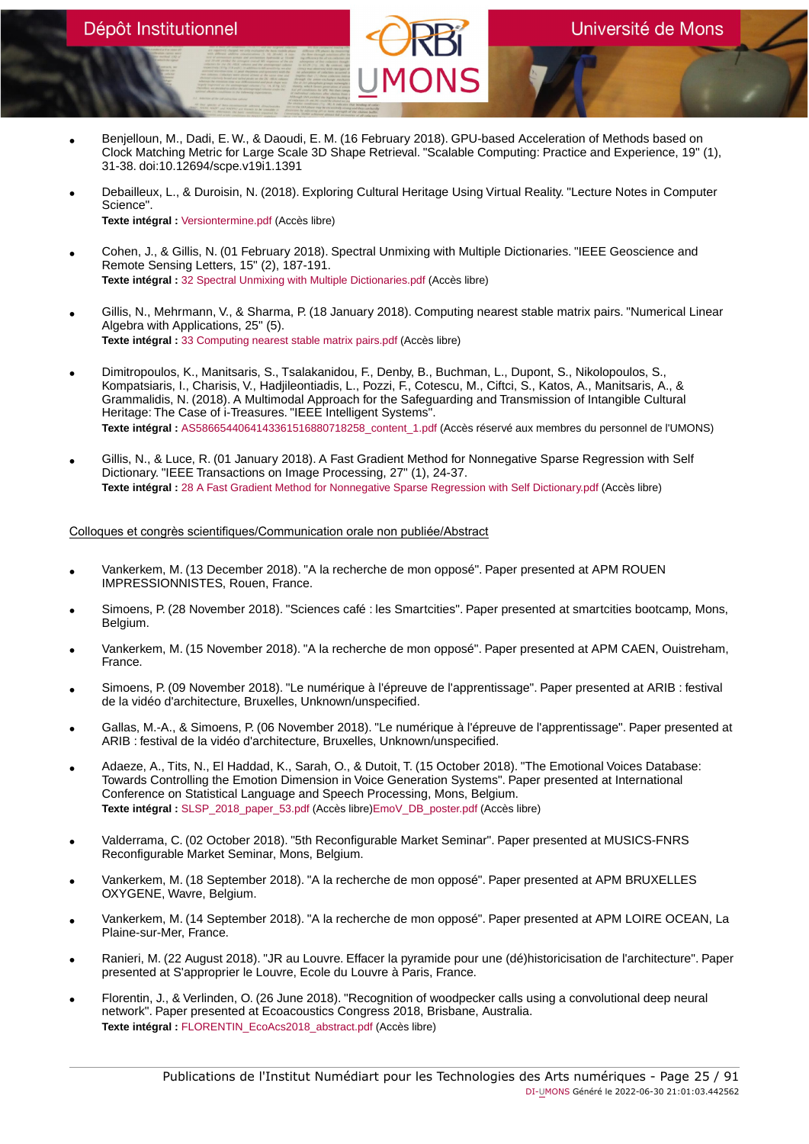- Benjelloun, M., Dadi, E. W., & Daoudi, E. M. (16 February 2018). GPU-based Acceleration of Methods based on Clock Matching Metric for Large Scale 3D Shape Retrieval. "Scalable Computing: Practice and Experience, 19" (1), 31-38. doi:10.12694/scpe.v19i1.1391
- Debailleux, L., & Duroisin, N. (2018). Exploring Cultural Heritage Using Virtual Reality. "Lecture Notes in Computer Science". **Texte intégral :** [Versiontermine.pdf](https://orbi.umons.ac.be/bitstream/20.500.12907/42109/1/Versiontermine.pdf) (Accès libre)
- Cohen, J., & Gillis, N. (01 February 2018). Spectral Unmixing with Multiple Dictionaries. "IEEE Geoscience and Remote Sensing Letters, 15" (2), 187-191. **Texte intégral :** [32 Spectral Unmixing with Multiple Dictionaries.pdf](https://orbi.umons.ac.be/bitstream/20.500.12907/42044/1/32 Spectral Unmixing with Multiple Dictionaries.pdf) (Accès libre)
- Gillis, N., Mehrmann, V., & Sharma, P. (18 January 2018). Computing nearest stable matrix pairs. "Numerical Linear Algebra with Applications, 25" (5). **Texte intégral :** [33 Computing nearest stable matrix pairs.pdf](https://orbi.umons.ac.be/bitstream/20.500.12907/42077/1/33 Computing nearest stable matrix pairs.pdf) (Accès libre)
- Dimitropoulos, K., Manitsaris, S., Tsalakanidou, F., Denby, B., Buchman, L., Dupont, S., Nikolopoulos, S., Kompatsiaris, I., Charisis, V., Hadjileontiadis, L., Pozzi, F., Cotescu, M., Ciftci, S., Katos, A., Manitsaris, A., & Grammalidis, N. (2018). A Multimodal Approach for the Safeguarding and Transmission of Intangible Cultural Heritage: The Case of i-Treasures. "IEEE Intelligent Systems". **Texte intégral :** [AS5866544064143361516880718258\\_content\\_1.pdf](https://orbi.umons.ac.be/bitstream/20.500.12907/42121/1/AS5866544064143361516880718258_content_1.pdf) (Accès réservé aux membres du personnel de l'UMONS)
- Gillis, N., & Luce, R. (01 January 2018). A Fast Gradient Method for Nonnegative Sparse Regression with Self Dictionary. "IEEE Transactions on Image Processing, 27" (1), 24-37. **Texte intégral :** [28 A Fast Gradient Method for Nonnegative Sparse Regression with Self Dictionary.pdf](https://orbi.umons.ac.be/bitstream/20.500.12907/42028/1/28 A Fast Gradient Method for Nonnegative Sparse Regression with Self Dictionary.pdf) (Accès libre)

### Colloques et congrès scientifiques/Communication orale non publiée/Abstract

- Vankerkem, M. (13 December 2018). "A la recherche de mon opposé". Paper presented at APM ROUEN IMPRESSIONNISTES, Rouen, France.
- Simoens, P. (28 November 2018). "Sciences café : les Smartcities". Paper presented at smartcities bootcamp, Mons, Belgium.
- Vankerkem, M. (15 November 2018). "A la recherche de mon opposé". Paper presented at APM CAEN, Ouistreham, France.
- Simoens, P. (09 November 2018). "Le numérique à l'épreuve de l'apprentissage". Paper presented at ARIB : festival de la vidéo d'architecture, Bruxelles, Unknown/unspecified.
- Gallas, M.-A., & Simoens, P. (06 November 2018). "Le numérique à l'épreuve de l'apprentissage". Paper presented at ARIB : festival de la vidéo d'architecture, Bruxelles, Unknown/unspecified.
- Adaeze, A., Tits, N., El Haddad, K., Sarah, O., & Dutoit, T. (15 October 2018). "The Emotional Voices Database: Towards Controlling the Emotion Dimension in Voice Generation Systems". Paper presented at International Conference on Statistical Language and Speech Processing, Mons, Belgium. **Texte intégral :** [SLSP\\_2018\\_paper\\_53.pdf](https://orbi.umons.ac.be/bitstream/20.500.12907/42167/2/SLSP_2018_paper_53.pdf) (Accès libre)[EmoV\\_DB\\_poster.pdf](https://orbi.umons.ac.be/bitstream/20.500.12907/42167/4/EmoV_DB_poster.pdf) (Accès libre)
- Valderrama, C. (02 October 2018). "5th Reconfigurable Market Seminar". Paper presented at MUSICS-FNRS Reconfigurable Market Seminar, Mons, Belgium.
- Vankerkem, M. (18 September 2018). "A la recherche de mon opposé". Paper presented at APM BRUXELLES OXYGENE, Wavre, Belgium.
- Vankerkem, M. (14 September 2018). "A la recherche de mon opposé". Paper presented at APM LOIRE OCEAN, La Plaine-sur-Mer, France.
- Ranieri, M. (22 August 2018). "JR au Louvre. Effacer la pyramide pour une (dé)historicisation de l'architecture". Paper presented at S'approprier le Louvre, Ecole du Louvre à Paris, France.
- Florentin, J., & Verlinden, O. (26 June 2018). "Recognition of woodpecker calls using a convolutional deep neural network". Paper presented at Ecoacoustics Congress 2018, Brisbane, Australia. **Texte intégral :** [FLORENTIN\\_EcoAcs2018\\_abstract.pdf](https://orbi.umons.ac.be/bitstream/20.500.12907/42178/1/FLORENTIN_EcoAcs2018_abstract.pdf) (Accès libre)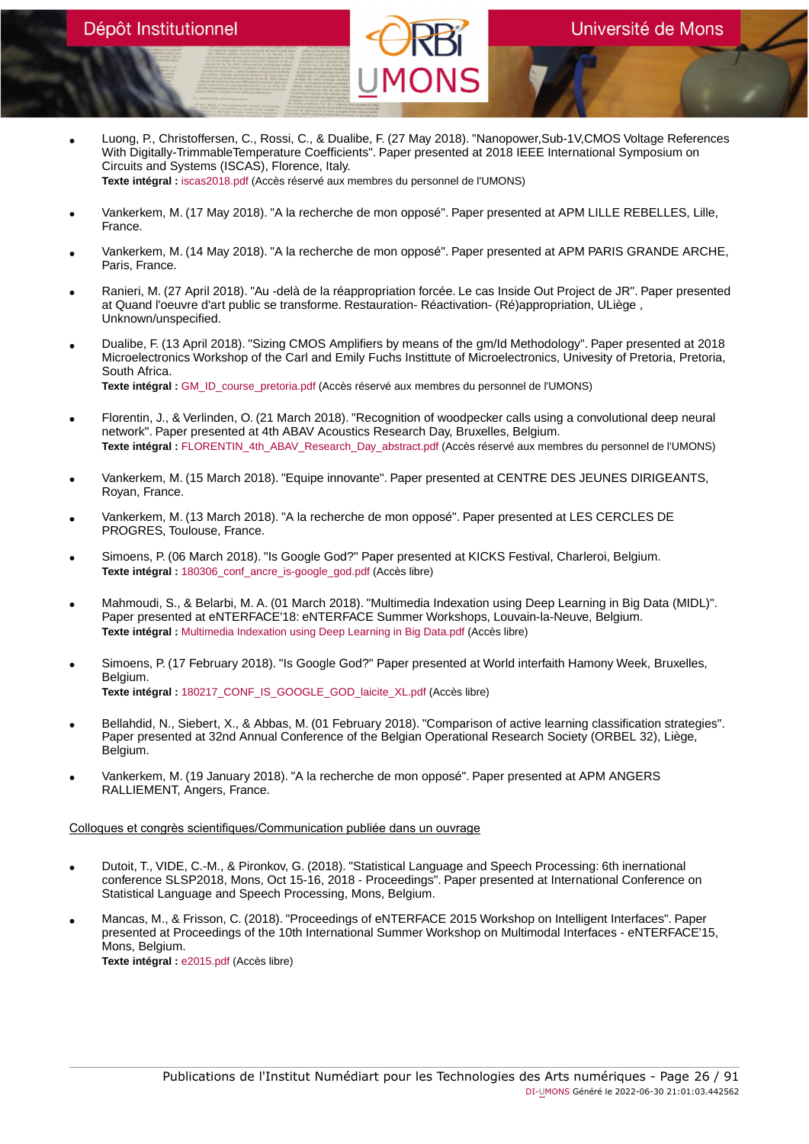- Luong, P., Christoffersen, C., Rossi, C., & Dualibe, F. (27 May 2018). "Nanopower,Sub-1V,CMOS Voltage References With Digitally-TrimmableTemperature Coefficients". Paper presented at 2018 IEEE International Symposium on Circuits and Systems (ISCAS), Florence, Italy. **Texte intégral :** [iscas2018.pdf](https://orbi.umons.ac.be/bitstream/20.500.12907/42175/1/iscas2018.pdf) (Accès réservé aux membres du personnel de l'UMONS)
- Vankerkem, M. (17 May 2018). "A la recherche de mon opposé". Paper presented at APM LILLE REBELLES, Lille, France.
- Vankerkem, M. (14 May 2018). "A la recherche de mon opposé". Paper presented at APM PARIS GRANDE ARCHE, Paris, France.
- Ranieri, M. (27 April 2018). "Au -delà de la réappropriation forcée. Le cas Inside Out Project de JR". Paper presented at Quand l'oeuvre d'art public se transforme. Restauration- Réactivation- (Ré)appropriation, ULiège , Unknown/unspecified.
- Dualibe, F. (13 April 2018). "Sizing CMOS Amplifiers by means of the gm/Id Methodology". Paper presented at 2018 Microelectronics Workshop of the Carl and Emily Fuchs Instittute of Microelectronics, Univesity of Pretoria, Pretoria, South Africa.

**Texte intégral :** [GM\\_ID\\_course\\_pretoria.pdf](https://orbi.umons.ac.be/bitstream/20.500.12907/42176/1/GM_ID_course_pretoria.pdf) (Accès réservé aux membres du personnel de l'UMONS)

- Florentin, J., & Verlinden, O. (21 March 2018). "Recognition of woodpecker calls using a convolutional deep neural network". Paper presented at 4th ABAV Acoustics Research Day, Bruxelles, Belgium. Texte intégral : [FLORENTIN\\_4th\\_ABAV\\_Research\\_Day\\_abstract.pdf](https://orbi.umons.ac.be/bitstream/20.500.12907/42179/1/FLORENTIN_4th_ABAV_Research_Day_abstract.pdf) (Accès réservé aux membres du personnel de l'UMONS)
- Vankerkem, M. (15 March 2018). "Equipe innovante". Paper presented at CENTRE DES JEUNES DIRIGEANTS, Royan, France.
- Vankerkem, M. (13 March 2018). "A la recherche de mon opposé". Paper presented at LES CERCLES DE PROGRES, Toulouse, France.
- Simoens, P. (06 March 2018). "Is Google God?" Paper presented at KICKS Festival, Charleroi, Belgium. **Texte intégral :** [180306\\_conf\\_ancre\\_is-google\\_god.pdf](https://orbi.umons.ac.be/bitstream/20.500.12907/42147/1/180306_conf_ancre_is-google_god.pdf) (Accès libre)
- Mahmoudi, S., & Belarbi, M. A. (01 March 2018). "Multimedia Indexation using Deep Learning in Big Data (MIDL)". Paper presented at eNTERFACE'18: eNTERFACE Summer Workshops, Louvain-la-Neuve, Belgium. **Texte intégral :** [Multimedia Indexation using Deep Learning in Big Data.pdf](https://orbi.umons.ac.be/bitstream/20.500.12907/42124/1/Multimedia Indexation using Deep Learning in Big Data.pdf) (Accès libre)
- Simoens, P. (17 February 2018). "Is Google God?" Paper presented at World interfaith Hamony Week, Bruxelles, Belgium. **Texte intégral :** [180217\\_CONF\\_IS\\_GOOGLE\\_GOD\\_laicite\\_XL.pdf](https://orbi.umons.ac.be/bitstream/20.500.12907/42148/1/180217_CONF_IS_GOOGLE_GOD_laicite_XL.pdf) (Accès libre)
- Bellahdid, N., Siebert, X., & Abbas, M. (01 February 2018). "Comparison of active learning classification strategies". Paper presented at 32nd Annual Conference of the Belgian Operational Research Society (ORBEL 32), Liège, Belgium.
- Vankerkem, M. (19 January 2018). "A la recherche de mon opposé". Paper presented at APM ANGERS RALLIEMENT, Angers, France.

# Colloques et congrès scientifiques/Communication publiée dans un ouvrage

- Dutoit, T., VIDE, C.-M., & Pironkov, G. (2018). "Statistical Language and Speech Processing: 6th inernational conference SLSP2018, Mons, Oct 15-16, 2018 - Proceedings". Paper presented at International Conference on Statistical Language and Speech Processing, Mons, Belgium.
- Mancas, M., & Frisson, C. (2018). "Proceedings of eNTERFACE 2015 Workshop on Intelligent Interfaces". Paper presented at Proceedings of the 10th International Summer Workshop on Multimodal Interfaces - eNTERFACE'15, Mons, Belgium. **Texte intégral :** [e2015.pdf](https://orbi.umons.ac.be/bitstream/20.500.12907/42098/1/e2015.pdf) (Accès libre)

Publications de l'Institut Numédiart pour les Technologies des Arts numériques - Page 26 / 91 DI-UMONS Généré le 2022-06-30 21:01:03.442562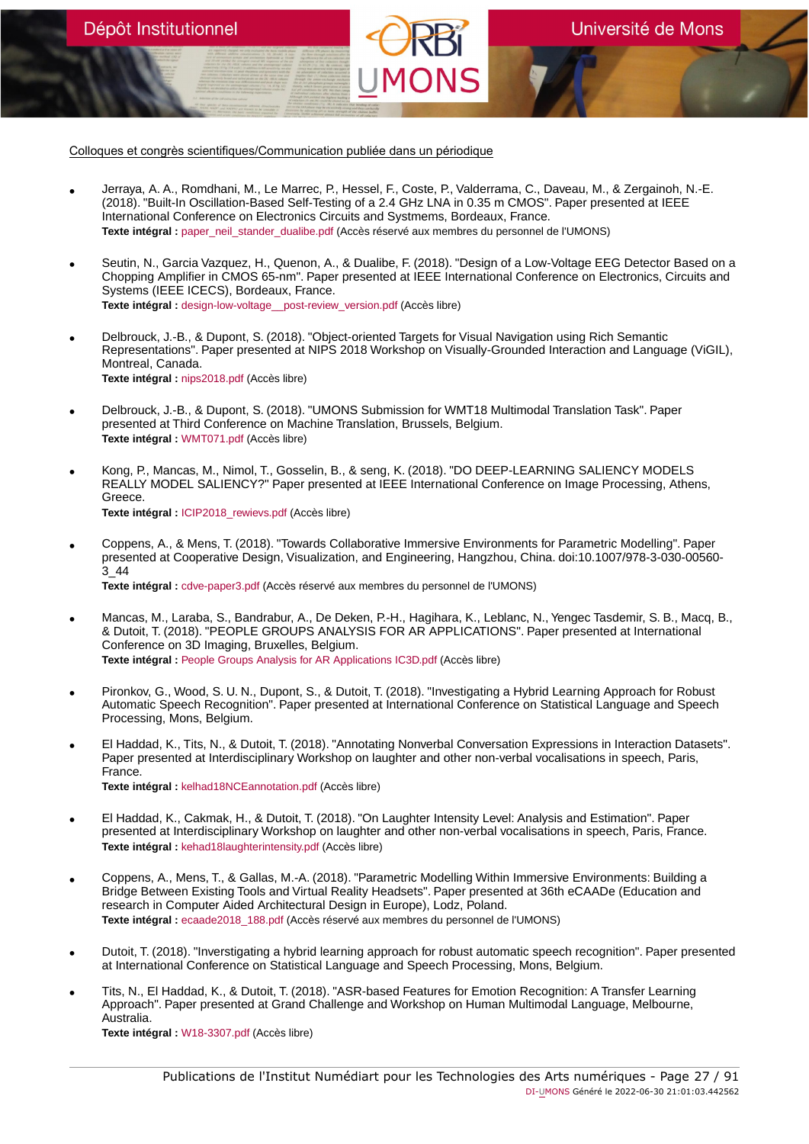Colloques et congrès scientifiques/Communication publiée dans un périodique

Dépôt Institutionnel

- Jerraya, A. A., Romdhani, M., Le Marrec, P., Hessel, F., Coste, P., Valderrama, C., Daveau, M., & Zergainoh, N.-E. (2018). "Built-In Oscillation-Based Self-Testing of a 2.4 GHz LNA in 0.35 m CMOS". Paper presented at IEEE International Conference on Electronics Circuits and Systmems, Bordeaux, France. **Texte intégral :** [paper\\_neil\\_stander\\_dualibe.pdf](https://orbi.umons.ac.be/bitstream/20.500.12907/42173/1/paper_neil_stander_dualibe.pdf) (Accès réservé aux membres du personnel de l'UMONS)
- Seutin, N., Garcia Vazquez, H., Quenon, A., & Dualibe, F. (2018). "Design of a Low-Voltage EEG Detector Based on a Chopping Amplifier in CMOS 65-nm". Paper presented at IEEE International Conference on Electronics, Circuits and Systems (IEEE ICECS), Bordeaux, France. **Texte intégral :** [design-low-voltage\\_\\_post-review\\_version.pdf](https://orbi.umons.ac.be/bitstream/20.500.12907/42133/2/design-low-voltage__post-review_version.pdf) (Accès libre)
- Delbrouck, J.-B., & Dupont, S. (2018). "Object-oriented Targets for Visual Navigation using Rich Semantic Representations". Paper presented at NIPS 2018 Workshop on Visually-Grounded Interaction and Language (ViGIL), Montreal, Canada. **Texte intégral :** [nips2018.pdf](https://orbi.umons.ac.be/bitstream/20.500.12907/42170/1/nips2018.pdf) (Accès libre)
- Delbrouck, J.-B., & Dupont, S. (2018). "UMONS Submission for WMT18 Multimodal Translation Task". Paper presented at Third Conference on Machine Translation, Brussels, Belgium. **Texte intégral :** [WMT071.pdf](https://orbi.umons.ac.be/bitstream/20.500.12907/42171/1/WMT071.pdf) (Accès libre)
- Kong, P., Mancas, M., Nimol, T., Gosselin, B., & seng, K. (2018). "DO DEEP-LEARNING SALIENCY MODELS REALLY MODEL SALIENCY?" Paper presented at IEEE International Conference on Image Processing, Athens, Greece. **Texte intégral :** [ICIP2018\\_rewievs.pdf](https://orbi.umons.ac.be/bitstream/20.500.12907/42136/1/ICIP2018_rewievs.pdf) (Accès libre)
- Coppens, A., & Mens, T. (2018). "Towards Collaborative Immersive Environments for Parametric Modelling". Paper presented at Cooperative Design, Visualization, and Engineering, Hangzhou, China. doi:10.1007/978-3-030-00560- 3\_44 **Texte intégral :** [cdve-paper3.pdf](https://orbi.umons.ac.be/bitstream/20.500.12907/42131/1/cdve-paper3.pdf) (Accès réservé aux membres du personnel de l'UMONS)
- Mancas, M., Laraba, S., Bandrabur, A., De Deken, P.-H., Hagihara, K., Leblanc, N., Yengec Tasdemir, S. B., Macq, B., & Dutoit, T. (2018). "PEOPLE GROUPS ANALYSIS FOR AR APPLICATIONS". Paper presented at International Conference on 3D Imaging, Bruxelles, Belgium. **Texte intégral :** [People Groups Analysis for AR Applications IC3D.pdf](https://orbi.umons.ac.be/bitstream/20.500.12907/42202/1/People Groups Analysis for AR Applications IC3D.pdf) (Accès libre)
- Pironkov, G., Wood, S. U. N., Dupont, S., & Dutoit, T. (2018). "Investigating a Hybrid Learning Approach for Robust Automatic Speech Recognition". Paper presented at International Conference on Statistical Language and Speech Processing, Mons, Belgium.
- El Haddad, K., Tits, N., & Dutoit, T. (2018). "Annotating Nonverbal Conversation Expressions in Interaction Datasets". Paper presented at Interdisciplinary Workshop on laughter and other non-verbal vocalisations in speech, Paris, France. **Texte intégral :** [kelhad18NCEannotation.pdf](https://orbi.umons.ac.be/bitstream/20.500.12907/42156/1/kelhad18NCEannotation.pdf) (Accès libre)
- El Haddad, K., Cakmak, H., & Dutoit, T. (2018). "On Laughter Intensity Level: Analysis and Estimation". Paper presented at Interdisciplinary Workshop on laughter and other non-verbal vocalisations in speech, Paris, France. **Texte intégral :** [kehad18laughterintensity.pdf](https://orbi.umons.ac.be/bitstream/20.500.12907/42165/1/kehad18laughterintensity.pdf) (Accès libre)
- Coppens, A., Mens, T., & Gallas, M.-A. (2018). "Parametric Modelling Within Immersive Environments: Building a Bridge Between Existing Tools and Virtual Reality Headsets". Paper presented at 36th eCAADe (Education and research in Computer Aided Architectural Design in Europe), Lodz, Poland. Texte intégral : [ecaade2018\\_188.pdf](https://orbi.umons.ac.be/bitstream/20.500.12907/42130/1/ecaade2018_188.pdf) (Accès réservé aux membres du personnel de l'UMONS)
- Dutoit, T. (2018). "Inverstigating a hybrid learning approach for robust automatic speech recognition". Paper presented at International Conference on Statistical Language and Speech Processing, Mons, Belgium.
- Tits, N., El Haddad, K., & Dutoit, T. (2018). "ASR-based Features for Emotion Recognition: A Transfer Learning Approach". Paper presented at Grand Challenge and Workshop on Human Multimodal Language, Melbourne, Australia.

**Texte intégral :** [W18-3307.pdf](https://orbi.umons.ac.be/bitstream/20.500.12907/42155/1/W18-3307.pdf) (Accès libre)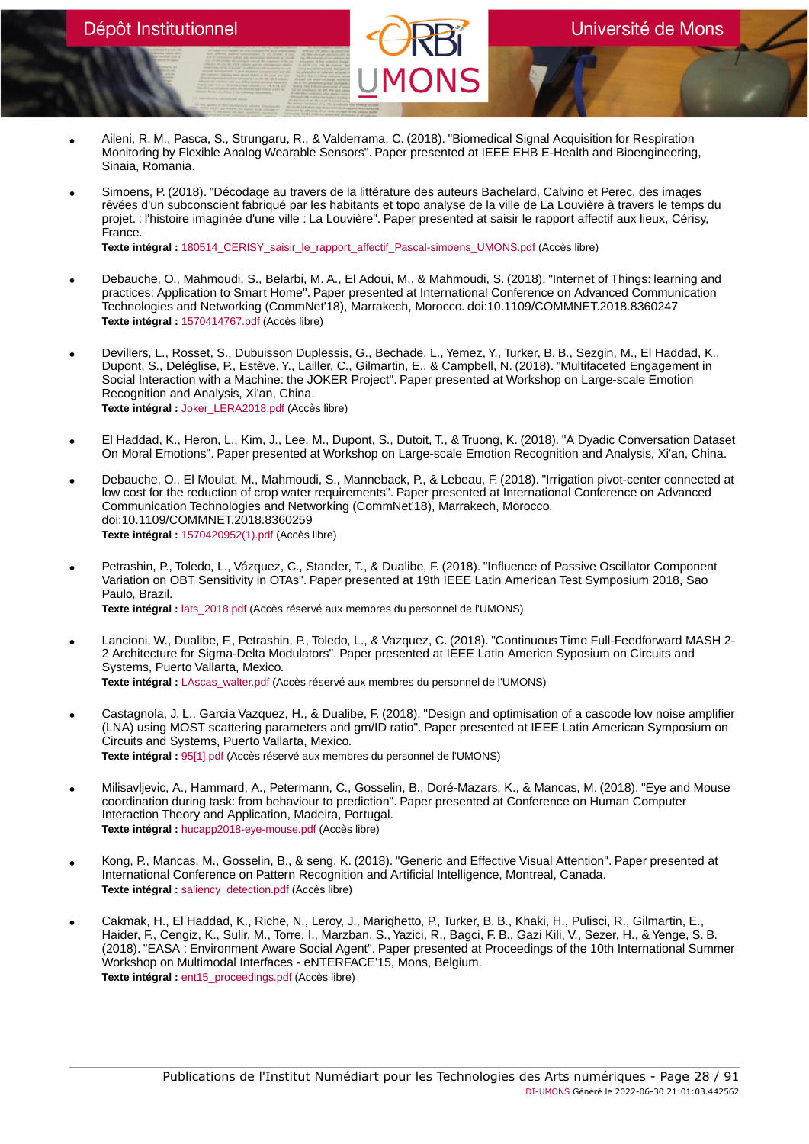- Aileni, R. M., Pasca, S., Strungaru, R., & Valderrama, C. (2018). "Biomedical Signal Acquisition for Respiration Monitoring by Flexible Analog Wearable Sensors". Paper presented at IEEE EHB E-Health and Bioengineering, Sinaia, Romania.
- Simoens, P. (2018). "Décodage au travers de la littérature des auteurs Bachelard, Calvino et Perec, des images rêvées d'un subconscient fabriqué par les habitants et topo analyse de la ville de La Louvière à travers le temps du projet. : l'histoire imaginée d'une ville : La Louvière". Paper presented at saisir le rapport affectif aux lieux, Cérisy, France.

Texte intégral : 180514 CERISY saisir le rapport affectif Pascal-simoens UMONS.pdf (Accès libre)

- Debauche, O., Mahmoudi, S., Belarbi, M. A., El Adoui, M., & Mahmoudi, S. (2018). "Internet of Things: learning and practices: Application to Smart Home". Paper presented at International Conference on Advanced Communication Technologies and Networking (CommNet'18), Marrakech, Morocco. doi:10.1109/COMMNET.2018.8360247 **Texte intégral :** [1570414767.pdf](https://orbi.umons.ac.be/bitstream/20.500.12907/42026/1/1570414767.pdf) (Accès libre)
- Devillers, L., Rosset, S., Dubuisson Duplessis, G., Bechade, L., Yemez, Y., Turker, B. B., Sezgin, M., El Haddad, K., Dupont, S., Deléglise, P., Estève, Y., Lailler, C., Gilmartin, E., & Campbell, N. (2018). "Multifaceted Engagement in Social Interaction with a Machine: the JOKER Project". Paper presented at Workshop on Large-scale Emotion Recognition and Analysis, Xi'an, China. **Texte intégral :** [Joker\\_LERA2018.pdf](https://orbi.umons.ac.be/bitstream/20.500.12907/42126/1/Joker_LERA2018.pdf) (Accès libre)
- El Haddad, K., Heron, L., Kim, J., Lee, M., Dupont, S., Dutoit, T., & Truong, K. (2018). "A Dyadic Conversation Dataset On Moral Emotions". Paper presented at Workshop on Large-scale Emotion Recognition and Analysis, Xi'an, China.
- Debauche, O., El Moulat, M., Mahmoudi, S., Manneback, P., & Lebeau, F. (2018). "Irrigation pivot-center connected at low cost for the reduction of crop water requirements". Paper presented at International Conference on Advanced Communication Technologies and Networking (CommNet'18), Marrakech, Morocco. doi:10.1109/COMMNET.2018.8360259 **Texte intégral :** [1570420952\(1\).pdf](https://orbi.umons.ac.be/bitstream/20.500.12907/42064/1/1570420952(1).pdf) (Accès libre)
- Petrashin, P., Toledo, L., Vázquez, C., Stander, T., & Dualibe, F. (2018). "Influence of Passive Oscillator Component Variation on OBT Sensitivity in OTAs". Paper presented at 19th IEEE Latin American Test Symposium 2018, Sao Paulo, Brazil. **Texte intégral :** [lats\\_2018.pdf](https://orbi.umons.ac.be/bitstream/20.500.12907/42174/1/lats_2018.pdf) (Accès réservé aux membres du personnel de l'UMONS)
- Lancioni, W., Dualibe, F., Petrashin, P., Toledo, L., & Vazquez, C. (2018). "Continuous Time Full-Feedforward MASH 2- 2 Architecture for Sigma-Delta Modulators". Paper presented at IEEE Latin Americn Syposium on Circuits and Systems, Puerto Vallarta, Mexico. **Texte intégral :** [LAscas\\_walter.pdf](https://orbi.umons.ac.be/bitstream/20.500.12907/42129/1/LAscas_walter.pdf) (Accès réservé aux membres du personnel de l'UMONS)
- Castagnola, J. L., Garcia Vazquez, H., & Dualibe, F. (2018). "Design and optimisation of a cascode low noise amplifier (LNA) using MOST scattering parameters and gm/ID ratio". Paper presented at IEEE Latin American Symposium on Circuits and Systems, Puerto Vallarta, Mexico. **Texte intégral :** [95\[1\].pdf](https://orbi.umons.ac.be/bitstream/20.500.12907/42042/1/95[1].pdf) (Accès réservé aux membres du personnel de l'UMONS)
- Milisavljevic, A., Hammard, A., Petermann, C., Gosselin, B., Doré-Mazars, K., & Mancas, M. (2018). "Eye and Mouse coordination during task: from behaviour to prediction". Paper presented at Conference on Human Computer Interaction Theory and Application, Madeira, Portugal. **Texte intégral :** [hucapp2018-eye-mouse.pdf](https://orbi.umons.ac.be/bitstream/20.500.12907/42099/1/hucapp2018-eye-mouse.pdf) (Accès libre)
- Kong, P., Mancas, M., Gosselin, B., & seng, K. (2018). "Generic and Effective Visual Attention". Paper presented at International Conference on Pattern Recognition and Artificial Intelligence, Montreal, Canada. **Texte intégral :** [saliency\\_detection.pdf](https://orbi.umons.ac.be/bitstream/20.500.12907/42100/1/saliency_detection.pdf) (Accès libre)
- Cakmak, H., El Haddad, K., Riche, N., Leroy, J., Marighetto, P., Turker, B. B., Khaki, H., Pulisci, R., Gilmartin, E., Haider, F., Cengiz, K., Sulir, M., Torre, I., Marzban, S., Yazici, R., Bagci, F. B., Gazi Kili, V., Sezer, H., & Yenge, S. B. (2018). "EASA : Environment Aware Social Agent". Paper presented at Proceedings of the 10th International Summer Workshop on Multimodal Interfaces - eNTERFACE'15, Mons, Belgium. **Texte intégral :** [ent15\\_proceedings.pdf](https://orbi.umons.ac.be/bitstream/20.500.12907/42107/1/ent15_proceedings.pdf) (Accès libre)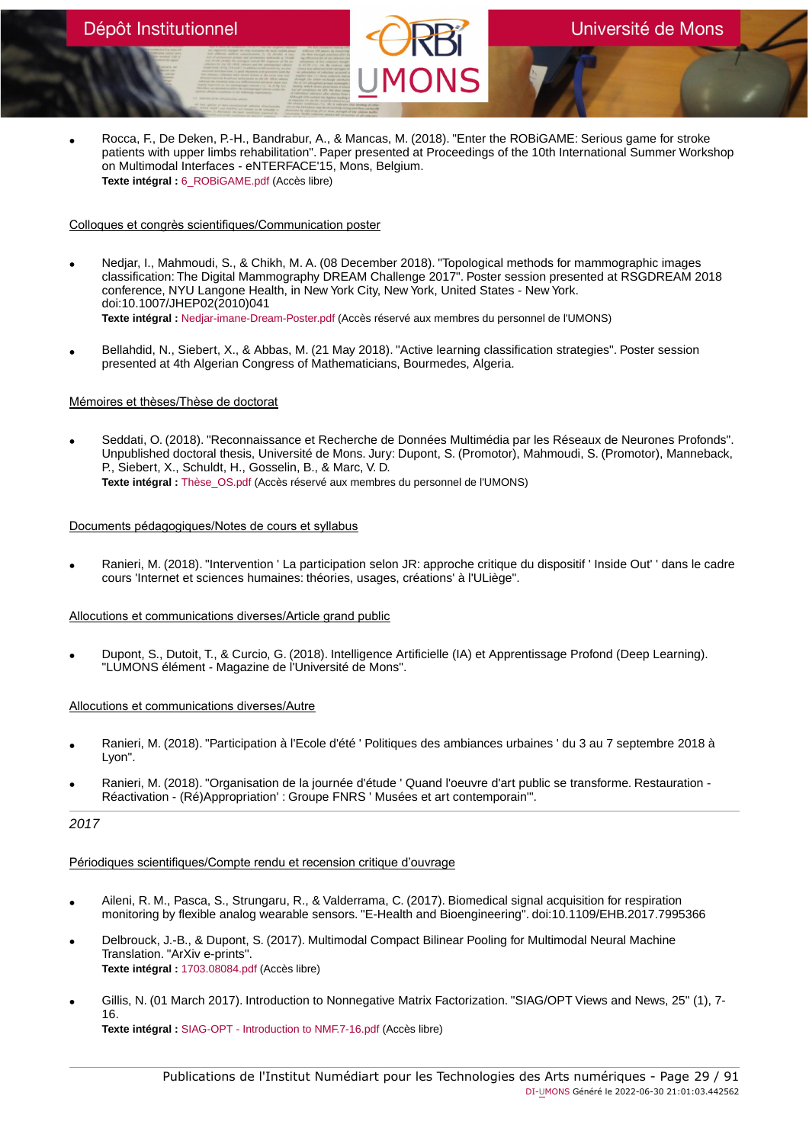Rocca, F., De Deken, P.-H., Bandrabur, A., & Mancas, M. (2018). "Enter the ROBiGAME: Serious game for stroke<br>patients with upper limbs rehabilitation". Paper presented at Proceedings of the 10th International Summer Worksh on Multimodal Interfaces - eNTERFACE'15, Mons, Belgium. **Texte intégral :** [6\\_ROBiGAME.pdf](https://orbi.umons.ac.be/bitstream/20.500.12907/42116/1/6_ROBiGAME.pdf) (Accès libre)

### Colloques et congrès scientifiques/Communication poster

- Nedjar, I., Mahmoudi, S., & Chikh, M. A. (08 December 2018). "Topological methods for mammographic images classification: The Digital Mammography DREAM Challenge 2017". Poster session presented at RSGDREAM 2018 conference, NYU Langone Health, in New York City, New York, United States - New York. doi:10.1007/JHEP02(2010)041 **Texte intégral :** [Nedjar-imane-Dream-Poster.pdf](https://orbi.umons.ac.be/bitstream/20.500.12907/42195/1/Nedjar-imane-Dream-Poster.pdf) (Accès réservé aux membres du personnel de l'UMONS)
- Bellahdid, N., Siebert, X., & Abbas, M. (21 May 2018). "Active learning classification strategies". Poster session presented at 4th Algerian Congress of Mathematicians, Bourmedes, Algeria.

### Mémoires et thèses/Thèse de doctorat

• Seddati, O. (2018). "Reconnaissance et Recherche de Données Multimédia par les Réseaux de Neurones Profonds". Unpublished doctoral thesis, Université de Mons. Jury: Dupont, S. (Promotor), Mahmoudi, S. (Promotor), Manneback, P., Siebert, X., Schuldt, H., Gosselin, B., & Marc, V. D. **Texte intégral :** [Thèse\\_OS.pdf](https://orbi.umons.ac.be/bitstream/20.500.12907/42315/1/Th�se_OS.pdf) (Accès réservé aux membres du personnel de l'UMONS)

### Documents pédagogiques/Notes de cours et syllabus

• Ranieri, M. (2018). "Intervention ' La participation selon JR: approche critique du dispositif ' Inside Out' ' dans le cadre cours 'Internet et sciences humaines: théories, usages, créations' à l'ULiège".

### Allocutions et communications diverses/Article grand public

• Dupont, S., Dutoit, T., & Curcio, G. (2018). Intelligence Artificielle (IA) et Apprentissage Profond (Deep Learning). "LUMONS élément - Magazine de l'Université de Mons".

### Allocutions et communications diverses/Autre

- Ranieri, M. (2018). "Participation à l'Ecole d'été ' Politiques des ambiances urbaines ' du 3 au 7 septembre 2018 à Lyon".
- Ranieri, M. (2018). "Organisation de la journée d'étude ' Quand l'oeuvre d'art public se transforme. Restauration Réactivation - (Ré)Appropriation' : Groupe FNRS ' Musées et art contemporain'".

### 2017

### Périodiques scientifiques/Compte rendu et recension critique d'ouvrage

- Aileni, R. M., Pasca, S., Strungaru, R., & Valderrama, C. (2017). Biomedical signal acquisition for respiration monitoring by flexible analog wearable sensors. "E-Health and Bioengineering". doi:10.1109/EHB.2017.7995366
- Delbrouck, J.-B., & Dupont, S. (2017). Multimodal Compact Bilinear Pooling for Multimodal Neural Machine Translation. "ArXiv e-prints". **Texte intégral :** [1703.08084.pdf](https://orbi.umons.ac.be/bitstream/20.500.12907/42003/1/1703.08084.pdf) (Accès libre)
- Gillis, N. (01 March 2017). Introduction to Nonnegative Matrix Factorization. "SIAG/OPT Views and News, 25" (1), 7- 16. **Texte intégral :** [SIAG-OPT - Introduction to NMF.7-16.pdf](https://orbi.umons.ac.be/bitstream/20.500.12907/41996/1/SIAG-OPT - Introduction to NMF.7-16.pdf) (Accès libre)

Publications de l'Institut Numédiart pour les Technologies des Arts numériques - Page 29 / 91 DI-UMONS Généré le 2022-06-30 21:01:03.442562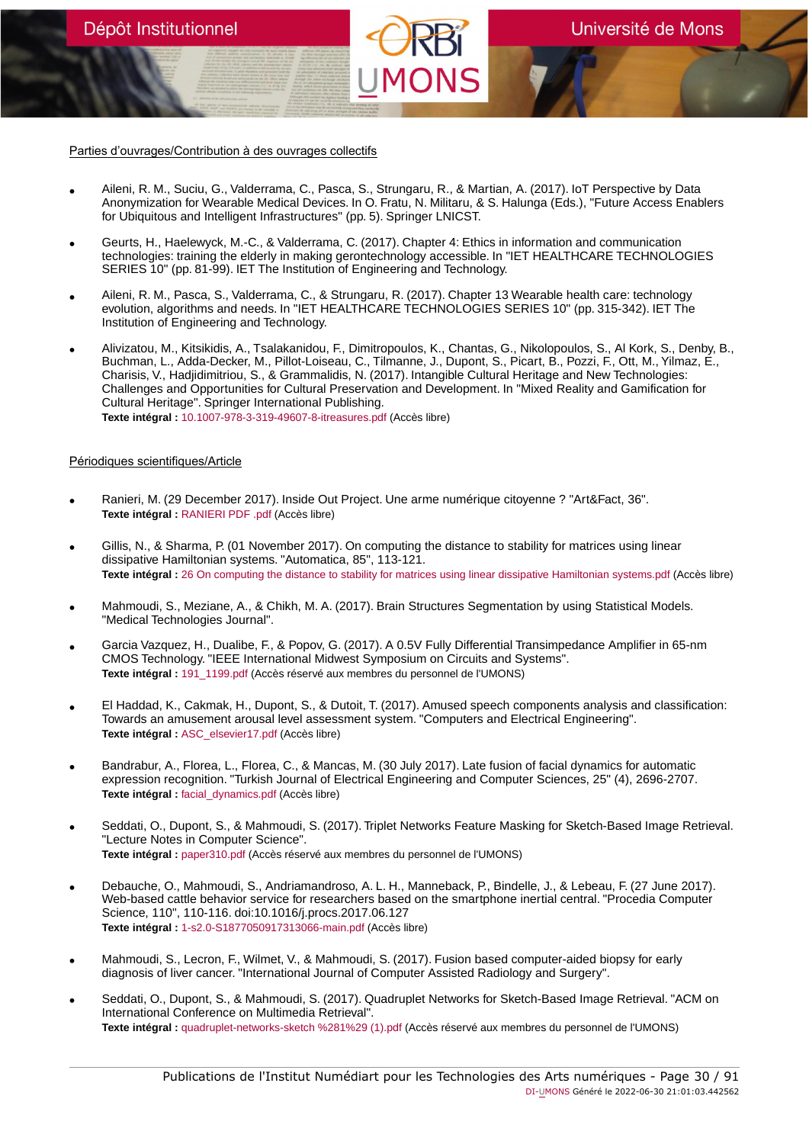Parties d'ouvrages/Contribution à des ouvrages collectifs

Dépôt Institutionnel

- Aileni, R. M., Suciu, G., Valderrama, C., Pasca, S., Strungaru, R., & Martian, A. (2017). IoT Perspective by Data Anonymization for Wearable Medical Devices. In O. Fratu, N. Militaru, & S. Halunga (Eds.), "Future Access Enablers for Ubiquitous and Intelligent Infrastructures" (pp. 5). Springer LNICST.
- Geurts, H., Haelewyck, M.-C., & Valderrama, C. (2017). Chapter 4: Ethics in information and communication technologies: training the elderly in making gerontechnology accessible. In "IET HEALTHCARE TECHNOLOGIES SERIES 10" (pp. 81-99). IET The Institution of Engineering and Technology.
- Aileni, R. M., Pasca, S., Valderrama, C., & Strungaru, R. (2017). Chapter 13 Wearable health care: technology evolution, algorithms and needs. In "IET HEALTHCARE TECHNOLOGIES SERIES 10" (pp. 315-342). IET The Institution of Engineering and Technology.
- Alivizatou, M., Kitsikidis, A., Tsalakanidou, F., Dimitropoulos, K., Chantas, G., Nikolopoulos, S., Al Kork, S., Denby, B., Buchman, L., Adda-Decker, M., Pillot-Loiseau, C., Tilmanne, J., Dupont, S., Picart, B., Pozzi, F., Ott, M., Yilmaz, E., Charisis, V., Hadjidimitriou, S., & Grammalidis, N. (2017). Intangible Cultural Heritage and New Technologies: Challenges and Opportunities for Cultural Preservation and Development. In "Mixed Reality and Gamification for Cultural Heritage". Springer International Publishing. **Texte intégral :** [10.1007-978-3-319-49607-8-itreasures.pdf](https://orbi.umons.ac.be/bitstream/20.500.12907/42008/1/10.1007-978-3-319-49607-8-itreasures.pdf) (Accès libre)

#### Périodiques scientifiques/Article

- Ranieri, M. (29 December 2017). Inside Out Project. Une arme numérique citoyenne ? "Art&Fact, 36". **Texte intégral :** [RANIERI PDF .pdf](https://orbi.umons.ac.be/bitstream/20.500.12907/42050/1/RANIERI PDF .pdf) (Accès libre)
- Gillis, N., & Sharma, P. (01 November 2017). On computing the distance to stability for matrices using linear dissipative Hamiltonian systems. "Automatica, 85", 113-121. **Texte intégral :** [26 On computing the distance to stability for matrices using linear dissipative Hamiltonian systems.pdf](https://orbi.umons.ac.be/bitstream/20.500.12907/42022/1/26 On computing the distance to stability for matrices using linear dissipative Hamiltonian systems.pdf) (Accès libre)
- Mahmoudi, S., Meziane, A., & Chikh, M. A. (2017). Brain Structures Segmentation by using Statistical Models. "Medical Technologies Journal".
- Garcia Vazquez, H., Dualibe, F., & Popov, G. (2017). A 0.5V Fully Differential Transimpedance Amplifier in 65-nm CMOS Technology. "IEEE International Midwest Symposium on Circuits and Systems". **Texte intégral :** [191\\_1199.pdf](https://orbi.umons.ac.be/bitstream/20.500.12907/42020/1/191_1199.pdf) (Accès réservé aux membres du personnel de l'UMONS)
- El Haddad, K., Cakmak, H., Dupont, S., & Dutoit, T. (2017). Amused speech components analysis and classification: Towards an amusement arousal level assessment system. "Computers and Electrical Engineering". **Texte intégral :** [ASC\\_elsevier17.pdf](https://orbi.umons.ac.be/bitstream/20.500.12907/42030/1/ASC_elsevier17.pdf) (Accès libre)
- Bandrabur, A., Florea, L., Florea, C., & Mancas, M. (30 July 2017). Late fusion of facial dynamics for automatic expression recognition. "Turkish Journal of Electrical Engineering and Computer Sciences, 25" (4), 2696-2707. **Texte intégral :** [facial\\_dynamics.pdf](https://orbi.umons.ac.be/bitstream/20.500.12907/42096/1/facial_dynamics.pdf) (Accès libre)
- Seddati, O., Dupont, S., & Mahmoudi, S. (2017). Triplet Networks Feature Masking for Sketch-Based Image Retrieval. "Lecture Notes in Computer Science". **Texte intégral :** [paper310.pdf](https://orbi.umons.ac.be/bitstream/20.500.12907/42011/1/paper310.pdf) (Accès réservé aux membres du personnel de l'UMONS)
- Debauche, O., Mahmoudi, S., Andriamandroso, A. L. H., Manneback, P., Bindelle, J., & Lebeau, F. (27 June 2017). Web-based cattle behavior service for researchers based on the smartphone inertial central. "Procedia Computer Science, 110", 110-116. doi:10.1016/j.procs.2017.06.127 **Texte intégral :** [1-s2.0-S1877050917313066-main.pdf](https://orbi.umons.ac.be/bitstream/20.500.12907/42017/1/1-s2.0-S1877050917313066-main.pdf) (Accès libre)
- Mahmoudi, S., Lecron, F., Wilmet, V., & Mahmoudi, S. (2017). Fusion based computer-aided biopsy for early diagnosis of liver cancer. "International Journal of Computer Assisted Radiology and Surgery".
- Seddati, O., Dupont, S., & Mahmoudi, S. (2017). Quadruplet Networks for Sketch-Based Image Retrieval. "ACM on International Conference on Multimedia Retrieval". **Texte intégral :** [quadruplet-networks-sketch %281%29 \(1\).pdf](https://orbi.umons.ac.be/bitstream/20.500.12907/42007/1/quadruplet-networks-sketch %281%29 (1).pdf) (Accès réservé aux membres du personnel de l'UMONS)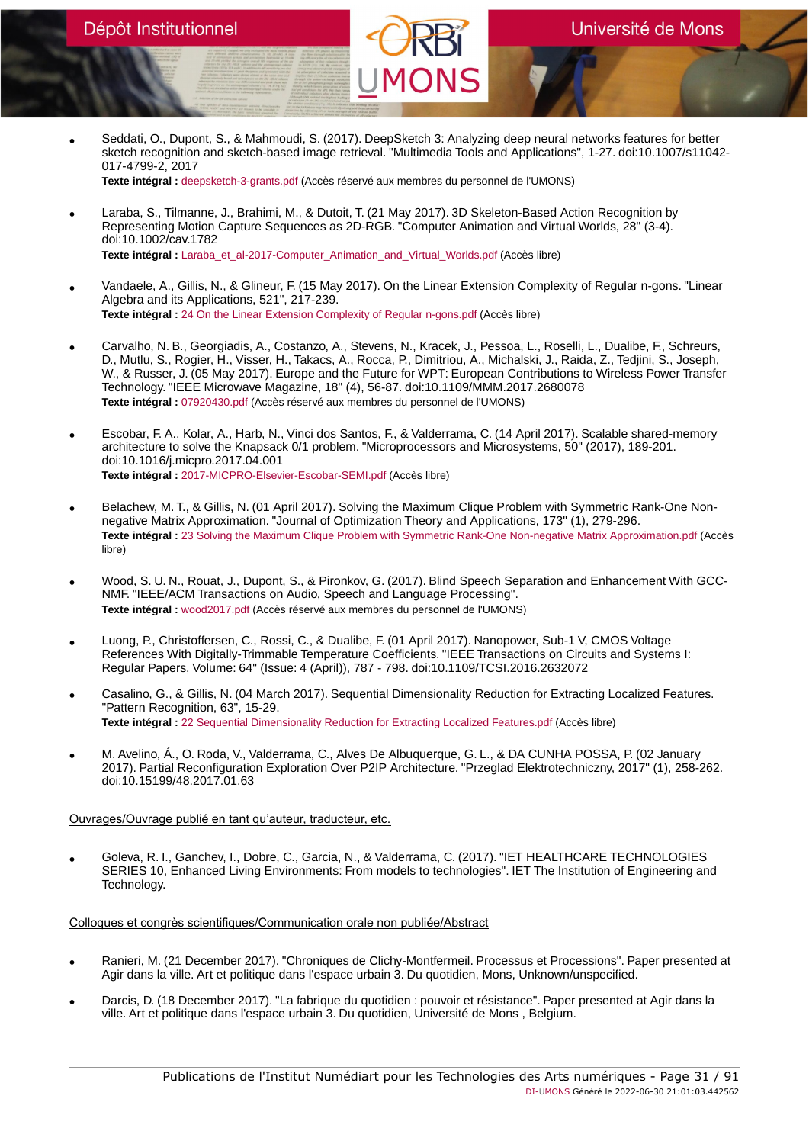• Seddati, O., Dupont, S., & Mahmoudi, S. (2017). DeepSketch 3: Analyzing deep neural networks features for better sketch recognition and sketch-based image retrieval. "Multimedia Tools and Applications", 1-27. doi:10.1007/s11042- 017-4799-2, 2017

**Texte intégral :** [deepsketch-3-grants.pdf](https://orbi.umons.ac.be/bitstream/20.500.12907/42012/1/deepsketch-3-grants.pdf) (Accès réservé aux membres du personnel de l'UMONS)

- Laraba, S., Tilmanne, J., Brahimi, M., & Dutoit, T. (21 May 2017). 3D Skeleton-Based Action Recognition by Representing Motion Capture Sequences as 2D-RGB. "Computer Animation and Virtual Worlds, 28" (3-4). doi:10.1002/cav.1782 **Texte intégral :** [Laraba\\_et\\_al-2017-Computer\\_Animation\\_and\\_Virtual\\_Worlds.pdf](https://orbi.umons.ac.be/bitstream/20.500.12907/42006/1/Laraba_et_al-2017-Computer_Animation_and_Virtual_Worlds.pdf) (Accès libre)
- Vandaele, A., Gillis, N., & Glineur, F. (15 May 2017). On the Linear Extension Complexity of Regular n-gons. "Linear Algebra and its Applications, 521", 217-239. **Texte intégral :** [24 On the Linear Extension Complexity of Regular n-gons.pdf](https://orbi.umons.ac.be/bitstream/20.500.12907/41936/1/24 On the Linear Extension Complexity of Regular n-gons.pdf) (Accès libre)
- Carvalho, N. B., Georgiadis, A., Costanzo, A., Stevens, N., Kracek, J., Pessoa, L., Roselli, L., Dualibe, F., Schreurs, D., Mutlu, S., Rogier, H., Visser, H., Takacs, A., Rocca, P., Dimitriou, A., Michalski, J., Raida, Z., Tedjini, S., Joseph, W., & Russer, J. (05 May 2017). Europe and the Future for WPT: European Contributions to Wireless Power Transfer Technology. "IEEE Microwave Magazine, 18" (4), 56-87. doi:10.1109/MMM.2017.2680078 **Texte intégral :** [07920430.pdf](https://orbi.umons.ac.be/bitstream/20.500.12907/41897/1/07920430.pdf) (Accès réservé aux membres du personnel de l'UMONS)
- Escobar, F. A., Kolar, A., Harb, N., Vinci dos Santos, F., & Valderrama, C. (14 April 2017). Scalable shared-memory architecture to solve the Knapsack 0/1 problem. "Microprocessors and Microsystems, 50" (2017), 189-201. doi:10.1016/j.micpro.2017.04.001 **Texte intégral :** [2017-MICPRO-Elsevier-Escobar-SEMI.pdf](https://orbi.umons.ac.be/bitstream/20.500.12907/42005/1/2017-MICPRO-Elsevier-Escobar-SEMI.pdf) (Accès libre)
- Belachew, M. T., & Gillis, N. (01 April 2017). Solving the Maximum Clique Problem with Symmetric Rank-One Nonnegative Matrix Approximation. "Journal of Optimization Theory and Applications, 173" (1), 279-296. **Texte intégral :** [23 Solving the Maximum Clique Problem with Symmetric Rank-One Non-negative Matrix Approximation.pdf](https://orbi.umons.ac.be/bitstream/20.500.12907/41911/1/23 Solving the Maximum Clique Problem with Symmetric Rank-One Non-negative Matrix Approximation.pdf) (Accès libre)
- Wood, S. U. N., Rouat, J., Dupont, S., & Pironkov, G. (2017). Blind Speech Separation and Enhancement With GCC-NMF. "IEEE/ACM Transactions on Audio, Speech and Language Processing". **Texte intégral :** [wood2017.pdf](https://orbi.umons.ac.be/bitstream/20.500.12907/42001/1/wood2017.pdf) (Accès réservé aux membres du personnel de l'UMONS)
- Luong, P., Christoffersen, C., Rossi, C., & Dualibe, F. (01 April 2017). Nanopower, Sub-1 V, CMOS Voltage References With Digitally-Trimmable Temperature Coefficients. "IEEE Transactions on Circuits and Systems I: Regular Papers, Volume: 64" (Issue: 4 (April)), 787 - 798. doi:10.1109/TCSI.2016.2632072
- Casalino, G., & Gillis, N. (04 March 2017). Sequential Dimensionality Reduction for Extracting Localized Features. "Pattern Recognition, 63", 15-29. **Texte intégral :** [22 Sequential Dimensionality Reduction for Extracting Localized Features.pdf](https://orbi.umons.ac.be/bitstream/20.500.12907/41892/1/22 Sequential Dimensionality Reduction for Extracting Localized Features.pdf) (Accès libre)
- M. Avelino, Á., O. Roda, V., Valderrama, C., Alves De Albuquerque, G. L., & DA CUNHA POSSA, P. (02 January 2017). Partial Reconfiguration Exploration Over P2IP Architecture. "Przeglad Elektrotechniczny, 2017" (1), 258-262. doi:10.15199/48.2017.01.63

### Ouvrages/Ouvrage publié en tant qu'auteur, traducteur, etc.

• Goleva, R. I., Ganchev, I., Dobre, C., Garcia, N., & Valderrama, C. (2017). "IET HEALTHCARE TECHNOLOGIES SERIES 10, Enhanced Living Environments: From models to technologies". IET The Institution of Engineering and Technology.

Colloques et congrès scientifiques/Communication orale non publiée/Abstract

- Ranieri, M. (21 December 2017). "Chroniques de Clichy-Montfermeil. Processus et Processions". Paper presented at Agir dans la ville. Art et politique dans l'espace urbain 3. Du quotidien, Mons, Unknown/unspecified.
- Darcis, D. (18 December 2017). "La fabrique du quotidien : pouvoir et résistance". Paper presented at Agir dans la ville. Art et politique dans l'espace urbain 3. Du quotidien, Université de Mons , Belgium.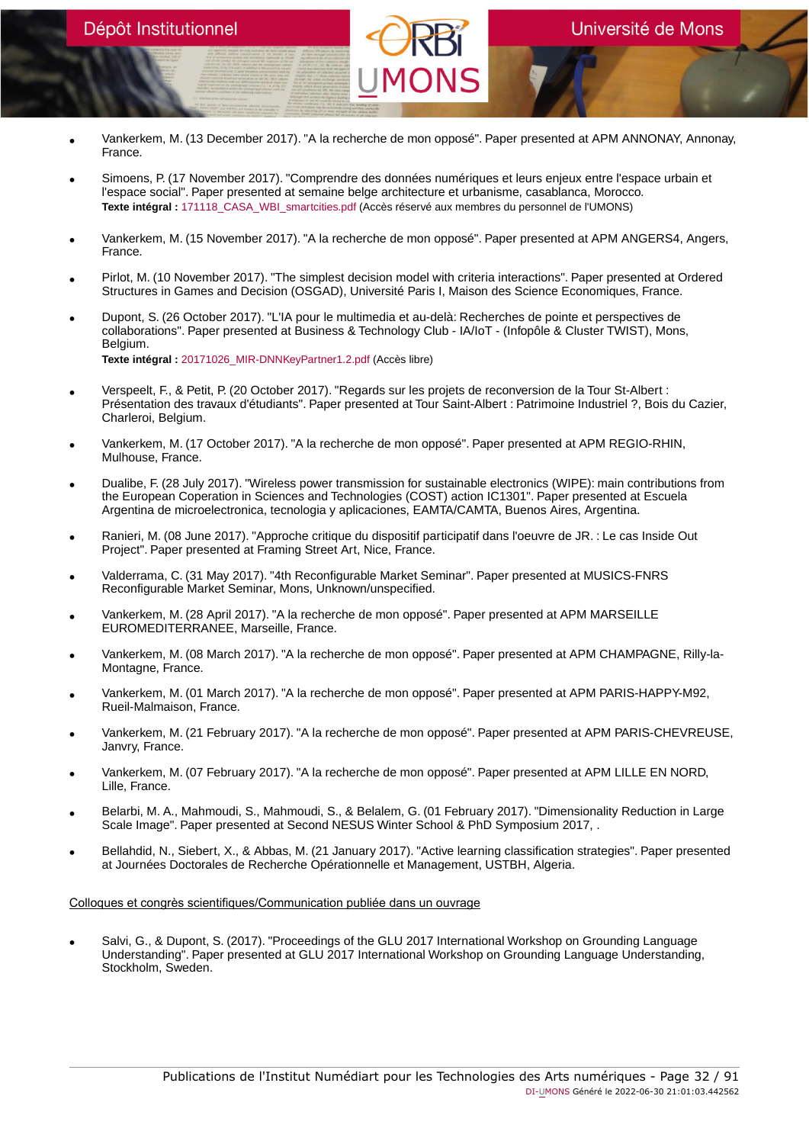# Dépôt Institutionnel

• Vankerkem, M. (13 December 2017). "A la recherche de mon opposé". Paper presented at APM ANNONAY, Annonay, France.

Université de Mons

- Simoens, P. (17 November 2017). "Comprendre des données numériques et leurs enjeux entre l'espace urbain et l'espace social". Paper presented at semaine belge architecture et urbanisme, casablanca, Morocco. Texte intégral : 171118 CASA\_WBI\_smartcities.pdf (Accès réservé aux membres du personnel de l'UMONS)
- Vankerkem, M. (15 November 2017). "A la recherche de mon opposé". Paper presented at APM ANGERS4, Angers, France.
- Pirlot, M. (10 November 2017). "The simplest decision model with criteria interactions". Paper presented at Ordered Structures in Games and Decision (OSGAD), Université Paris I, Maison des Science Economiques, France.
- Dupont, S. (26 October 2017). "L'IA pour le multimedia et au-delà: Recherches de pointe et perspectives de collaborations". Paper presented at Business & Technology Club - IA/IoT - (Infopôle & Cluster TWIST), Mons, Belgium. **Texte intégral :** [20171026\\_MIR-DNNKeyPartner1.2.pdf](https://orbi.umons.ac.be/bitstream/20.500.12907/42074/1/20171026_MIR-DNNKeyPartner1.2.pdf) (Accès libre)
- Verspeelt, F., & Petit, P. (20 October 2017). "Regards sur les projets de reconversion de la Tour St-Albert : Présentation des travaux d'étudiants". Paper presented at Tour Saint-Albert : Patrimoine Industriel ?, Bois du Cazier, Charleroi, Belgium.
- Vankerkem, M. (17 October 2017). "A la recherche de mon opposé". Paper presented at APM REGIO-RHIN, Mulhouse, France.
- Dualibe, F. (28 July 2017). "Wireless power transmission for sustainable electronics (WIPE): main contributions from the European Coperation in Sciences and Technologies (COST) action IC1301". Paper presented at Escuela Argentina de microelectronica, tecnologia y aplicaciones, EAMTA/CAMTA, Buenos Aires, Argentina.
- Ranieri, M. (08 June 2017). "Approche critique du dispositif participatif dans l'oeuvre de JR. : Le cas Inside Out Project". Paper presented at Framing Street Art, Nice, France.
- Valderrama, C. (31 May 2017). "4th Reconfigurable Market Seminar". Paper presented at MUSICS-FNRS Reconfigurable Market Seminar, Mons, Unknown/unspecified.
- Vankerkem, M. (28 April 2017). "A la recherche de mon opposé". Paper presented at APM MARSEILLE EUROMEDITERRANEE, Marseille, France.
- Vankerkem, M. (08 March 2017). "A la recherche de mon opposé". Paper presented at APM CHAMPAGNE, Rilly-la-Montagne, France.
- Vankerkem, M. (01 March 2017). "A la recherche de mon opposé". Paper presented at APM PARIS-HAPPY-M92, Rueil-Malmaison, France.
- Vankerkem, M. (21 February 2017). "A la recherche de mon opposé". Paper presented at APM PARIS-CHEVREUSE, Janvry, France.
- Vankerkem, M. (07 February 2017). "A la recherche de mon opposé". Paper presented at APM LILLE EN NORD, Lille, France.
- Belarbi, M. A., Mahmoudi, S., Mahmoudi, S., & Belalem, G. (01 February 2017). "Dimensionality Reduction in Large Scale Image". Paper presented at Second NESUS Winter School & PhD Symposium 2017, .
- Bellahdid, N., Siebert, X., & Abbas, M. (21 January 2017). "Active learning classification strategies". Paper presented at Journées Doctorales de Recherche Opérationnelle et Management, USTBH, Algeria.

# Colloques et congrès scientifiques/Communication publiée dans un ouvrage

• Salvi, G., & Dupont, S. (2017). "Proceedings of the GLU 2017 International Workshop on Grounding Language Understanding". Paper presented at GLU 2017 International Workshop on Grounding Language Understanding, Stockholm, Sweden.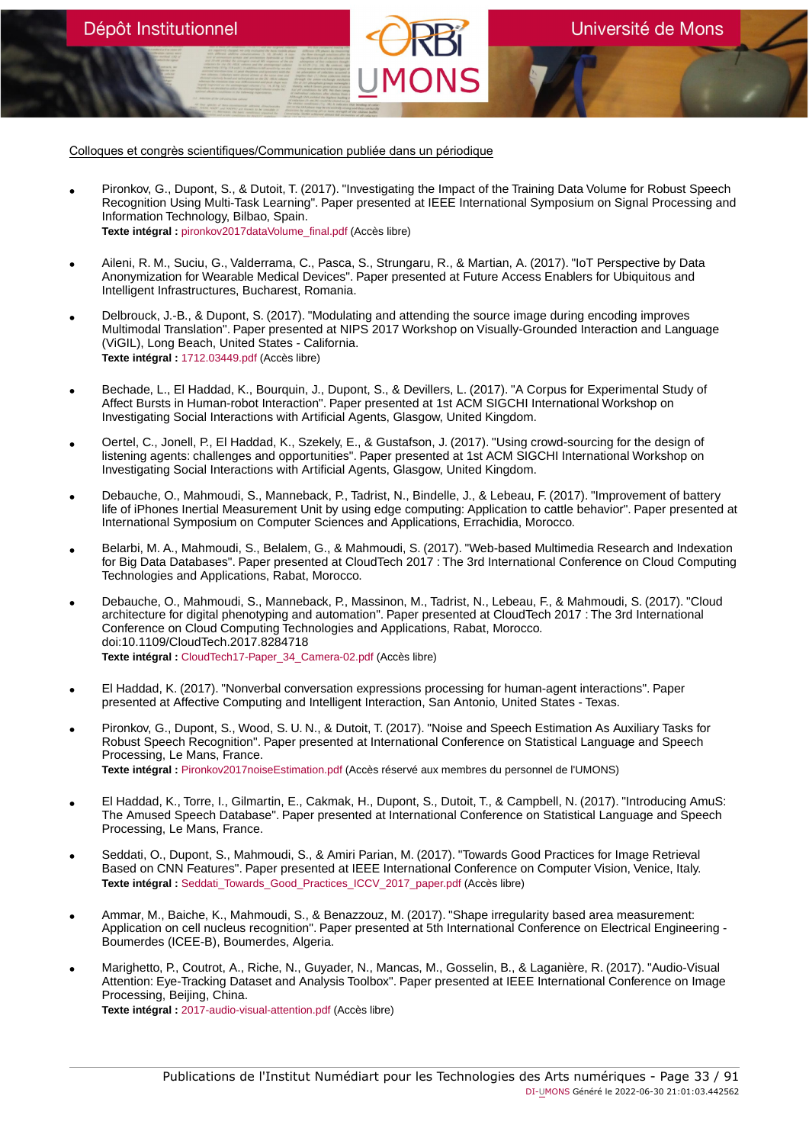Colloques et congrès scientifiques/Communication publiée dans un périodique

Dépôt Institutionnel

- Pironkov, G., Dupont, S., & Dutoit, T. (2017). "Investigating the Impact of the Training Data Volume for Robust Speech Recognition Using Multi-Task Learning". Paper presented at IEEE International Symposium on Signal Processing and Information Technology, Bilbao, Spain. **Texte intégral :** [pironkov2017dataVolume\\_final.pdf](https://orbi.umons.ac.be/bitstream/20.500.12907/42058/1/pironkov2017dataVolume_final.pdf) (Accès libre)
- Aileni, R. M., Suciu, G., Valderrama, C., Pasca, S., Strungaru, R., & Martian, A. (2017). "IoT Perspective by Data Anonymization for Wearable Medical Devices". Paper presented at Future Access Enablers for Ubiquitous and Intelligent Infrastructures, Bucharest, Romania.
- Delbrouck, J.-B., & Dupont, S. (2017). "Modulating and attending the source image during encoding improves Multimodal Translation". Paper presented at NIPS 2017 Workshop on Visually-Grounded Interaction and Language (ViGIL), Long Beach, United States - California. **Texte intégral :** [1712.03449.pdf](https://orbi.umons.ac.be/bitstream/20.500.12907/42056/1/1712.03449.pdf) (Accès libre)
- Bechade, L., El Haddad, K., Bourquin, J., Dupont, S., & Devillers, L. (2017). "A Corpus for Experimental Study of Affect Bursts in Human-robot Interaction". Paper presented at 1st ACM SIGCHI International Workshop on Investigating Social Interactions with Artificial Agents, Glasgow, United Kingdom.
- Oertel, C., Jonell, P., El Haddad, K., Szekely, E., & Gustafson, J. (2017). "Using crowd-sourcing for the design of<br>listening agents: challenges and opportunities". Paper presented at 1st ACM SIGCHI International Worksh Investigating Social Interactions with Artificial Agents, Glasgow, United Kingdom.
- Debauche, O., Mahmoudi, S., Manneback, P., Tadrist, N., Bindelle, J., & Lebeau, F. (2017). "Improvement of battery life of iPhones Inertial Measurement Unit by using edge computing: Application to cattle behavior". Paper presented at International Symposium on Computer Sciences and Applications, Errachidia, Morocco.
- Belarbi, M. A., Mahmoudi, S., Belalem, G., & Mahmoudi, S. (2017). "Web-based Multimedia Research and Indexation for Big Data Databases". Paper presented at CloudTech 2017 : The 3rd International Conference on Cloud Computing Technologies and Applications, Rabat, Morocco.
- Debauche, O., Mahmoudi, S., Manneback, P., Massinon, M., Tadrist, N., Lebeau, F., & Mahmoudi, S. (2017). "Cloud architecture for digital phenotyping and automation". Paper presented at CloudTech 2017 : The 3rd International Conference on Cloud Computing Technologies and Applications, Rabat, Morocco. doi:10.1109/CloudTech.2017.8284718 **Texte intégral :** [CloudTech17-Paper\\_34\\_Camera-02.pdf](https://orbi.umons.ac.be/bitstream/20.500.12907/42024/1/CloudTech17-Paper_34_Camera-02.pdf) (Accès libre)
- El Haddad, K. (2017). "Nonverbal conversation expressions processing for human-agent interactions". Paper presented at Affective Computing and Intelligent Interaction, San Antonio, United States - Texas.
- Pironkov, G., Dupont, S., Wood, S. U. N., & Dutoit, T. (2017). "Noise and Speech Estimation As Auxiliary Tasks for Robust Speech Recognition". Paper presented at International Conference on Statistical Language and Speech Processing, Le Mans, France. **Texte intégral :** [Pironkov2017noiseEstimation.pdf](https://orbi.umons.ac.be/bitstream/20.500.12907/42029/1/Pironkov2017noiseEstimation.pdf) (Accès réservé aux membres du personnel de l'UMONS)
- El Haddad, K., Torre, I., Gilmartin, E., Cakmak, H., Dupont, S., Dutoit, T., & Campbell, N. (2017). "Introducing AmuS: The Amused Speech Database". Paper presented at International Conference on Statistical Language and Speech Processing, Le Mans, France.
- Seddati, O., Dupont, S., Mahmoudi, S., & Amiri Parian, M. (2017). "Towards Good Practices for Image Retrieval Based on CNN Features". Paper presented at IEEE International Conference on Computer Vision, Venice, Italy. **Texte intégral :** [Seddati\\_Towards\\_Good\\_Practices\\_ICCV\\_2017\\_paper.pdf](https://orbi.umons.ac.be/bitstream/20.500.12907/42060/1/Seddati_Towards_Good_Practices_ICCV_2017_paper.pdf) (Accès libre)
- Ammar, M., Baiche, K., Mahmoudi, S., & Benazzouz, M. (2017). "Shape irregularity based area measurement: Application on cell nucleus recognition". Paper presented at 5th International Conference on Electrical Engineering - Boumerdes (ICEE-B), Boumerdes, Algeria.
- Marighetto, P., Coutrot, A., Riche, N., Guyader, N., Mancas, M., Gosselin, B., & Laganière, R. (2017). "Audio-Visual Attention: Eye-Tracking Dataset and Analysis Toolbox". Paper presented at IEEE International Conference on Image Processing, Beijing, China. **Texte intégral :** [2017-audio-visual-attention.pdf](https://orbi.umons.ac.be/bitstream/20.500.12907/42076/1/2017-audio-visual-attention.pdf) (Accès libre)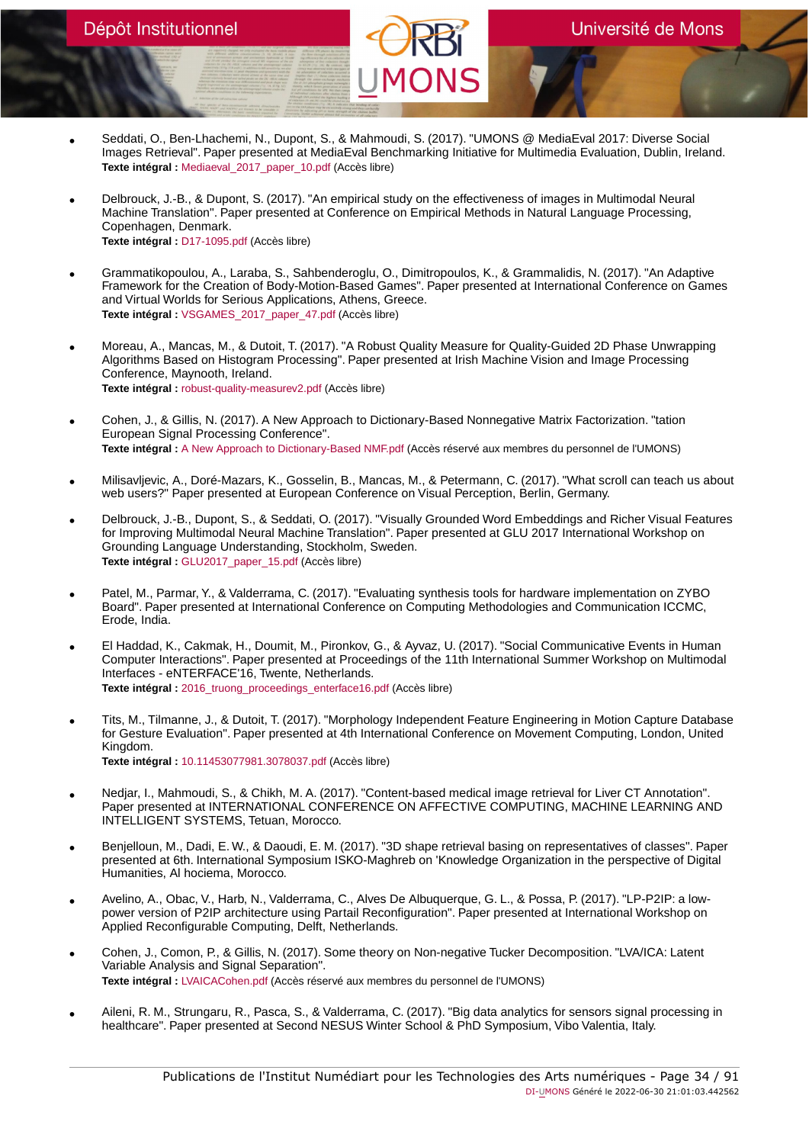- Seddati, O., Ben-Lhachemi, N., Dupont, S., & Mahmoudi, S. (2017). "UMONS @ MediaEval 2017: Diverse Social Images Retrieval". Paper presented at MediaEval Benchmarking Initiative for Multimedia Evaluation, Dublin, Ireland. **Texte intégral :** [Mediaeval\\_2017\\_paper\\_10.pdf](https://orbi.umons.ac.be/bitstream/20.500.12907/42059/1/Mediaeval_2017_paper_10.pdf) (Accès libre)
- Delbrouck, J.-B., & Dupont, S. (2017). "An empirical study on the effectiveness of images in Multimodal Neural Machine Translation". Paper presented at Conference on Empirical Methods in Natural Language Processing, Copenhagen, Denmark. **Texte intégral :** [D17-1095.pdf](https://orbi.umons.ac.be/bitstream/20.500.12907/42032/1/D17-1095.pdf) (Accès libre)
- Grammatikopoulou, A., Laraba, S., Sahbenderoglu, O., Dimitropoulos, K., & Grammalidis, N. (2017). "An Adaptive Framework for the Creation of Body-Motion-Based Games". Paper presented at International Conference on Games and Virtual Worlds for Serious Applications, Athens, Greece. **Texte intégral :** [VSGAMES\\_2017\\_paper\\_47.pdf](https://orbi.umons.ac.be/bitstream/20.500.12907/42027/1/VSGAMES_2017_paper_47.pdf) (Accès libre)
- Moreau, A., Mancas, M., & Dutoit, T. (2017). "A Robust Quality Measure for Quality-Guided 2D Phase Unwrapping Algorithms Based on Histogram Processing". Paper presented at Irish Machine Vision and Image Processing Conference, Maynooth, Ireland. **Texte intégral :** [robust-quality-measurev2.pdf](https://orbi.umons.ac.be/bitstream/20.500.12907/42023/1/robust-quality-measurev2.pdf) (Accès libre)
- Cohen, J., & Gillis, N. (2017). A New Approach to Dictionary-Based Nonnegative Matrix Factorization. "tation European Signal Processing Conference". **Texte intégral :** [A New Approach to Dictionary-Based NMF.pdf](https://orbi.umons.ac.be/bitstream/20.500.12907/42039/1/A New Approach to Dictionary-Based NMF.pdf) (Accès réservé aux membres du personnel de l'UMONS)
- Milisavljevic, A., Doré-Mazars, K., Gosselin, B., Mancas, M., & Petermann, C. (2017). "What scroll can teach us about web users?" Paper presented at European Conference on Visual Perception, Berlin, Germany.
- Delbrouck, J.-B., Dupont, S., & Seddati, O. (2017). "Visually Grounded Word Embeddings and Richer Visual Features for Improving Multimodal Neural Machine Translation". Paper presented at GLU 2017 International Workshop on Grounding Language Understanding, Stockholm, Sweden. **Texte intégral :** [GLU2017\\_paper\\_15.pdf](https://orbi.umons.ac.be/bitstream/20.500.12907/42031/1/GLU2017_paper_15.pdf) (Accès libre)
- Patel, M., Parmar, Y., & Valderrama, C. (2017). "Evaluating synthesis tools for hardware implementation on ZYBO Board". Paper presented at International Conference on Computing Methodologies and Communication ICCMC, Erode, India.
- El Haddad, K., Cakmak, H., Doumit, M., Pironkov, G., & Ayvaz, U. (2017). "Social Communicative Events in Human Computer Interactions". Paper presented at Proceedings of the 11th International Summer Workshop on Multimodal Interfaces - eNTERFACE'16, Twente, Netherlands. **Texte intégral :** 2016 truong proceedings enterface16.pdf (Accès libre)
- Tits, M., Tilmanne, J., & Dutoit, T. (2017). "Morphology Independent Feature Engineering in Motion Capture Database for Gesture Evaluation". Paper presented at 4th International Conference on Movement Computing, London, United Kingdom.
	- **Texte intégral :** [10.11453077981.3078037.pdf](https://orbi.umons.ac.be/bitstream/20.500.12907/42019/1/10.11453077981.3078037.pdf) (Accès libre)
- Nedjar, I., Mahmoudi, S., & Chikh, M. A. (2017). "Content-based medical image retrieval for Liver CT Annotation". Paper presented at INTERNATIONAL CONFERENCE ON AFFECTIVE COMPUTING, MACHINE LEARNING AND INTELLIGENT SYSTEMS, Tetuan, Morocco.
- Benjelloun, M., Dadi, E. W., & Daoudi, E. M. (2017). "3D shape retrieval basing on representatives of classes". Paper presented at 6th. International Symposium ISKO-Maghreb on 'Knowledge Organization in the perspective of Digital Humanities, Al hociema, Morocco.
- Avelino, A., Obac, V., Harb, N., Valderrama, C., Alves De Albuquerque, G. L., & Possa, P. (2017). "LP-P2IP: a lowpower version of P2IP architecture using Partail Reconfiguration". Paper presented at International Workshop on Applied Reconfigurable Computing, Delft, Netherlands.
- Cohen, J., Comon, P., & Gillis, N. (2017). Some theory on Non-negative Tucker Decomposition. "LVA/ICA: Latent Variable Analysis and Signal Separation". **Texte intégral :** [LVAICACohen.pdf](https://orbi.umons.ac.be/bitstream/20.500.12907/41919/1/LVAICACohen.pdf) (Accès réservé aux membres du personnel de l'UMONS)
- Aileni, R. M., Strungaru, R., Pasca, S., & Valderrama, C. (2017). "Big data analytics for sensors signal processing in healthcare". Paper presented at Second NESUS Winter School & PhD Symposium, Vibo Valentia, Italy.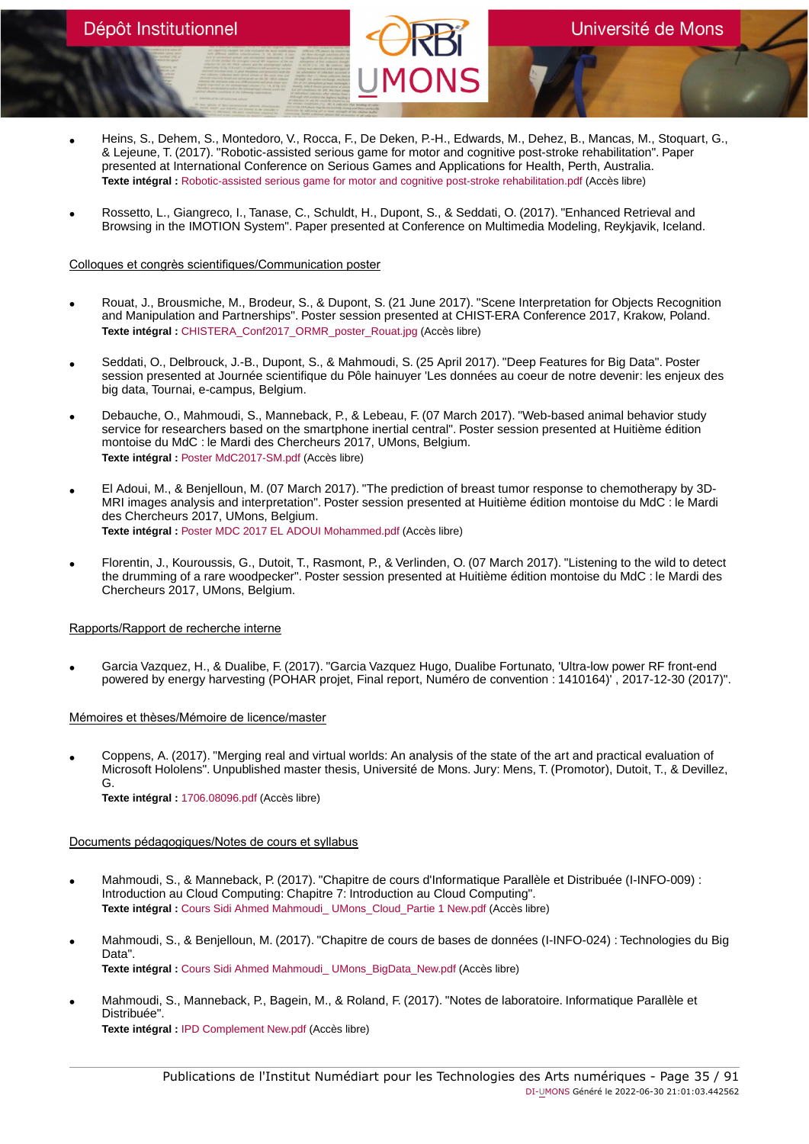- Heins, S., Dehem, S., Montedoro, V., Rocca, F., De Deken, P.-H., Edwards, M., Dehez, B., Mancas, M., Stoquart, G., & Lejeune, T. (2017). "Robotic-assisted serious game for motor and cognitive post-stroke rehabilitation". Paper presented at International Conference on Serious Games and Applications for Health, Perth, Australia. **Texte intégral :** [Robotic-assisted serious game for motor and cognitive post-stroke rehabilitation.pdf](https://orbi.umons.ac.be/bitstream/20.500.12907/42097/1/Robotic-assisted serious game for motor and cognitive post-stroke rehabilitation.pdf) (Accès libre)
- Rossetto, L., Giangreco, I., Tanase, C., Schuldt, H., Dupont, S., & Seddati, O. (2017). "Enhanced Retrieval and Browsing in the IMOTION System". Paper presented at Conference on Multimedia Modeling, Reykjavik, Iceland.

### Colloques et congrès scientifiques/Communication poster

- Rouat, J., Brousmiche, M., Brodeur, S., & Dupont, S. (21 June 2017). "Scene Interpretation for Objects Recognition and Manipulation and Partnerships". Poster session presented at CHIST-ERA Conference 2017, Krakow, Poland. **Texte intégral :** [CHISTERA\\_Conf2017\\_ORMR\\_poster\\_Rouat.jpg](https://orbi.umons.ac.be/bitstream/20.500.12907/42033/1/CHISTERA_Conf2017_ORMR_poster_Rouat.jpg) (Accès libre)
- Seddati, O., Delbrouck, J.-B., Dupont, S., & Mahmoudi, S. (25 April 2017). "Deep Features for Big Data". Poster session presented at Journée scientifique du Pôle hainuyer 'Les données au coeur de notre devenir: les enjeux des big data, Tournai, e-campus, Belgium.
- Debauche, O., Mahmoudi, S., Manneback, P., & Lebeau, F. (07 March 2017). "Web-based animal behavior study service for researchers based on the smartphone inertial central". Poster session presented at Huitième édition montoise du MdC : le Mardi des Chercheurs 2017, UMons, Belgium. **Texte intégral :** [Poster MdC2017-SM.pdf](https://orbi.umons.ac.be/bitstream/20.500.12907/41997/1/Poster MdC2017-SM.pdf) (Accès libre)
- El Adoui, M., & Benjelloun, M. (07 March 2017). "The prediction of breast tumor response to chemotherapy by 3D-MRI images analysis and interpretation". Poster session presented at Huitième édition montoise du MdC : le Mardi des Chercheurs 2017, UMons, Belgium. **Texte intégral :** [Poster MDC 2017 EL ADOUI Mohammed.pdf](https://orbi.umons.ac.be/bitstream/20.500.12907/41998/1/Poster MDC 2017 EL ADOUI Mohammed.pdf) (Accès libre)
- Florentin, J., Kouroussis, G., Dutoit, T., Rasmont, P., & Verlinden, O. (07 March 2017). "Listening to the wild to detect the drumming of a rare woodpecker". Poster session presented at Huitième édition montoise du MdC : le Mardi des Chercheurs 2017, UMons, Belgium.

### Rapports/Rapport de recherche interne

• Garcia Vazquez, H., & Dualibe, F. (2017). "Garcia Vazquez Hugo, Dualibe Fortunato, 'Ultra-low power RF front-end powered by energy harvesting (POHAR projet, Final report, Numéro de convention : 1410164)', 2017-12-30 (2017)'.

### Mémoires et thèses/Mémoire de licence/master

• Coppens, A. (2017). "Merging real and virtual worlds: An analysis of the state of the art and practical evaluation of Microsoft Hololens". Unpublished master thesis, Université de Mons. Jury: Mens, T. (Promotor), Dutoit, T., & Devillez, G. **Texte intégral :** [1706.08096.pdf](https://orbi.umons.ac.be/bitstream/20.500.12907/42016/1/1706.08096.pdf) (Accès libre)

### Documents pédagogiques/Notes de cours et syllabus

- Mahmoudi, S., & Manneback, P. (2017). "Chapitre de cours d'Informatique Parallèle et Distribuée (I-INFO-009) : Introduction au Cloud Computing: Chapitre 7: Introduction au Cloud Computing". **Texte intégral :** [Cours Sidi Ahmed Mahmoudi\\_ UMons\\_Cloud\\_Partie 1 New.pdf](https://orbi.umons.ac.be/bitstream/20.500.12907/42048/1/Cours Sidi Ahmed Mahmoudi_ UMons_Cloud_Partie 1 New.pdf) (Accès libre)
- Mahmoudi, S., & Benjelloun, M. (2017). "Chapitre de cours de bases de données (I-INFO-024) : Technologies du Big Data". **Texte intégral :** [Cours Sidi Ahmed Mahmoudi\\_ UMons\\_BigData\\_New.pdf](https://orbi.umons.ac.be/bitstream/20.500.12907/42049/1/Cours Sidi Ahmed Mahmoudi_ UMons_BigData_New.pdf) (Accès libre)
- Mahmoudi, S., Manneback, P., Bagein, M., & Roland, F. (2017). "Notes de laboratoire. Informatique Parallèle et Distribuée". **Texte intégral :** [IPD Complement New.pdf](https://orbi.umons.ac.be/bitstream/20.500.12907/42045/1/IPD Complement New.pdf) (Accès libre)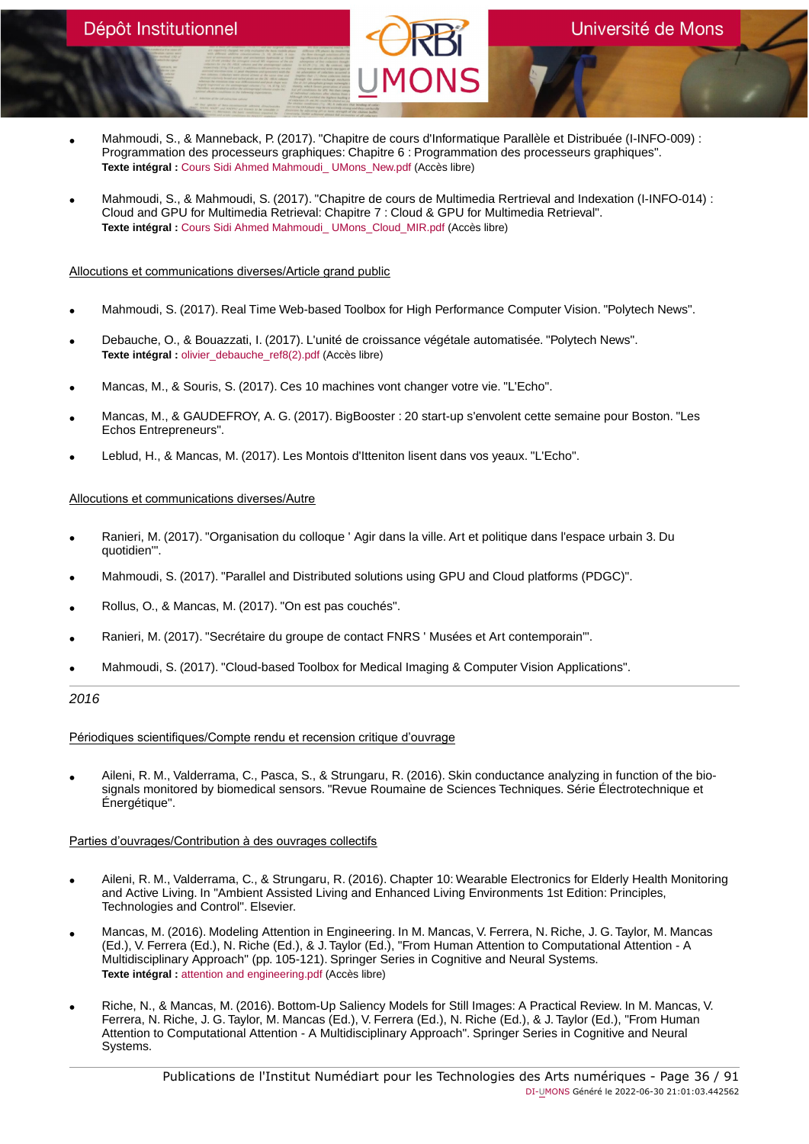- Mahmoudi, S., & Manneback, P. (2017). "Chapitre de cours d'Informatique Parallèle et Distribuée (I-INFO-009) : Programmation des processeurs graphiques: Chapitre 6 : Programmation des processeurs graphiques". **Texte intégral :** [Cours Sidi Ahmed Mahmoudi\\_ UMons\\_New.pdf](https://orbi.umons.ac.be/bitstream/20.500.12907/42046/1/Cours Sidi Ahmed Mahmoudi_ UMons_New.pdf) (Accès libre)
- Mahmoudi, S., & Mahmoudi, S. (2017). "Chapitre de cours de Multimedia Rertrieval and Indexation (I-INFO-014) : Cloud and GPU for Multimedia Retrieval: Chapitre 7 : Cloud & GPU for Multimedia Retrieval". **Texte intégral :** [Cours Sidi Ahmed Mahmoudi\\_ UMons\\_Cloud\\_MIR.pdf](https://orbi.umons.ac.be/bitstream/20.500.12907/42047/1/Cours Sidi Ahmed Mahmoudi_ UMons_Cloud_MIR.pdf) (Accès libre)

### Allocutions et communications diverses/Article grand public

- Mahmoudi, S. (2017). Real Time Web-based Toolbox for High Performance Computer Vision. "Polytech News".
- Debauche, O., & Bouazzati, I. (2017). L'unité de croissance végétale automatisée. "Polytech News". **Texte intégral :** olivier debauche ref8(2).pdf (Accès libre)
- Mancas, M., & Souris, S. (2017). Ces 10 machines vont changer votre vie. "L'Echo".
- Mancas, M., & GAUDEFROY, A. G. (2017). BigBooster : 20 start-up s'envolent cette semaine pour Boston. "Les Echos Entrepreneurs".
- Leblud, H., & Mancas, M. (2017). Les Montois d'Itteniton lisent dans vos yeaux. "L'Echo".

### Allocutions et communications diverses/Autre

- Ranieri, M. (2017). "Organisation du colloque ' Agir dans la ville. Art et politique dans l'espace urbain 3. Du quotidien'".
- Mahmoudi, S. (2017). "Parallel and Distributed solutions using GPU and Cloud platforms (PDGC)".
- Rollus, O., & Mancas, M. (2017). "On est pas couchés".
- Ranieri, M. (2017). "Secrétaire du groupe de contact FNRS ' Musées et Art contemporain'".
- Mahmoudi, S. (2017). "Cloud-based Toolbox for Medical Imaging & Computer Vision Applications".

# 2016

Périodiques scientifiques/Compte rendu et recension critique d'ouvrage

• Aileni, R. M., Valderrama, C., Pasca, S., & Strungaru, R. (2016). Skin conductance analyzing in function of the biosignals monitored by biomedical sensors. "Revue Roumaine de Sciences Techniques. Série Électrotechnique et Énergétique".

# Parties d'ouvrages/Contribution à des ouvrages collectifs

- Aileni, R. M., Valderrama, C., & Strungaru, R. (2016). Chapter 10: Wearable Electronics for Elderly Health Monitoring and Active Living. In "Ambient Assisted Living and Enhanced Living Environments 1st Edition: Principles, Technologies and Control". Elsevier.
- Mancas, M. (2016). Modeling Attention in Engineering. In M. Mancas, V. Ferrera, N. Riche, J. G. Taylor, M. Mancas (Ed.), V. Ferrera (Ed.), N. Riche (Ed.), & J. Taylor (Ed.), "From Human Attention to Computational Attention - A Multidisciplinary Approach" (pp. 105-121). Springer Series in Cognitive and Neural Systems. **Texte intégral :** [attention and engineering.pdf](https://orbi.umons.ac.be/bitstream/20.500.12907/41967/1/attention and engineering.pdf) (Accès libre)
- Riche, N., & Mancas, M. (2016). Bottom-Up Saliency Models for Still Images: A Practical Review. In M. Mancas, V. Ferrera, N. Riche, J. G. Taylor, M. Mancas (Ed.), V. Ferrera (Ed.), N. Riche (Ed.), & J. Taylor (Ed.), "From Human Attention to Computational Attention - A Multidisciplinary Approach". Springer Series in Cognitive and Neural Systems.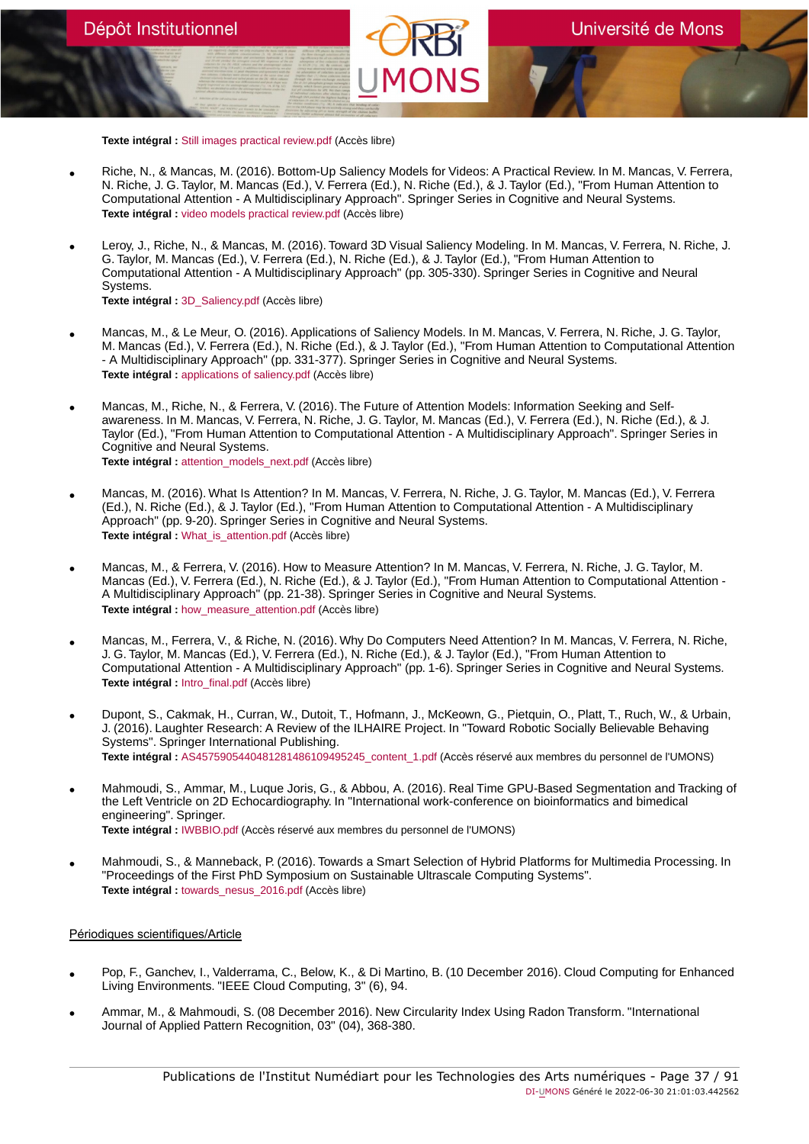**Texte intégral :** [Still images practical review.pdf](https://orbi.umons.ac.be/bitstream/20.500.12907/41970/1/Still images practical review.pdf) (Accès libre)

- Riche, N., & Mancas, M. (2016). Bottom-Up Saliency Models for Videos: A Practical Review. In M. Mancas, V. Ferrera, N. Riche, J. G. Taylor, M. Mancas (Ed.), V. Ferrera (Ed.), N. Riche (Ed.), & J. Taylor (Ed.), "From Human Attention to Computational Attention - A Multidisciplinary Approach". Springer Series in Cognitive and Neural Systems. **Texte intégral :** [video models practical review.pdf](https://orbi.umons.ac.be/bitstream/20.500.12907/41971/1/video models practical review.pdf) (Accès libre)
- Leroy, J., Riche, N., & Mancas, M. (2016). Toward 3D Visual Saliency Modeling. In M. Mancas, V. Ferrera, N. Riche, J. G. Taylor, M. Mancas (Ed.), V. Ferrera (Ed.), N. Riche (Ed.), & J. Taylor (Ed.), "From Human Attention to Computational Attention - A Multidisciplinary Approach" (pp. 305-330). Springer Series in Cognitive and Neural Systems. **Texte intégral :** [3D\\_Saliency.pdf](https://orbi.umons.ac.be/bitstream/20.500.12907/41972/1/3D_Saliency.pdf) (Accès libre)
- Mancas, M., & Le Meur, O. (2016). Applications of Saliency Models. In M. Mancas, V. Ferrera, N. Riche, J. G. Taylor, M. Mancas (Ed.), V. Ferrera (Ed.), N. Riche (Ed.), & J. Taylor (Ed.), "From Human Attention to Computational Attention - A Multidisciplinary Approach" (pp. 331-377). Springer Series in Cognitive and Neural Systems. **Texte intégral :** [applications of saliency.pdf](https://orbi.umons.ac.be/bitstream/20.500.12907/41973/1/applications of saliency.pdf) (Accès libre)
- Mancas, M., Riche, N., & Ferrera, V. (2016). The Future of Attention Models: Information Seeking and Selfawareness. In M. Mancas, V. Ferrera, N. Riche, J. G. Taylor, M. Mancas (Ed.), V. Ferrera (Ed.), N. Riche (Ed.), & J. Taylor (Ed.), "From Human Attention to Computational Attention - A Multidisciplinary Approach". Springer Series in Cognitive and Neural Systems. **Texte intégral :** [attention\\_models\\_next.pdf](https://orbi.umons.ac.be/bitstream/20.500.12907/41974/1/attention_models_next.pdf) (Accès libre)
- Mancas, M. (2016). What Is Attention? In M. Mancas, V. Ferrera, N. Riche, J. G. Taylor, M. Mancas (Ed.), V. Ferrera (Ed.), N. Riche (Ed.), & J. Taylor (Ed.), "From Human Attention to Computational Attention - A Multidisciplinary Approach" (pp. 9-20). Springer Series in Cognitive and Neural Systems. **Texte intégral :** [What\\_is\\_attention.pdf](https://orbi.umons.ac.be/bitstream/20.500.12907/41966/1/What_is_attention.pdf) (Accès libre)
- Mancas, M., & Ferrera, V. (2016). How to Measure Attention? In M. Mancas, V. Ferrera, N. Riche, J. G. Taylor, M. Mancas (Ed.), V. Ferrera (Ed.), N. Riche (Ed.), & J. Taylor (Ed.), "From Human Attention to Computational Attention -A Multidisciplinary Approach" (pp. 21-38). Springer Series in Cognitive and Neural Systems. **Texte intégral :** [how\\_measure\\_attention.pdf](https://orbi.umons.ac.be/bitstream/20.500.12907/41968/1/how_measure_attention.pdf) (Accès libre)
- Mancas, M., Ferrera, V., & Riche, N. (2016). Why Do Computers Need Attention? In M. Mancas, V. Ferrera, N. Riche, J. G. Taylor, M. Mancas (Ed.), V. Ferrera (Ed.), N. Riche (Ed.), & J. Taylor (Ed.), "From Human Attention to Computational Attention - A Multidisciplinary Approach" (pp. 1-6). Springer Series in Cognitive and Neural Systems. **Texte intégral :** [Intro\\_final.pdf](https://orbi.umons.ac.be/bitstream/20.500.12907/41969/1/Intro_final.pdf) (Accès libre)
- Dupont, S., Cakmak, H., Curran, W., Dutoit, T., Hofmann, J., McKeown, G., Pietquin, O., Platt, T., Ruch, W., & Urbain, J. (2016). Laughter Research: A Review of the ILHAIRE Project. In "Toward Robotic Socially Believable Behaving Systems". Springer International Publishing. **Texte intégral :** [AS4575905440481281486109495245\\_content\\_1.pdf](https://orbi.umons.ac.be/bitstream/20.500.12907/41849/1/AS4575905440481281486109495245_content_1.pdf) (Accès réservé aux membres du personnel de l'UMONS)
- Mahmoudi, S., Ammar, M., Luque Joris, G., & Abbou, A. (2016). Real Time GPU-Based Segmentation and Tracking of the Left Ventricle on 2D Echocardiography. In "International work-conference on bioinformatics and bimedical engineering". Springer. **Texte intégral :** [IWBBIO.pdf](https://orbi.umons.ac.be/bitstream/20.500.12907/41888/1/IWBBIO.pdf) (Accès réservé aux membres du personnel de l'UMONS)
- Mahmoudi, S., & Manneback, P. (2016). Towards a Smart Selection of Hybrid Platforms for Multimedia Processing. In "Proceedings of the First PhD Symposium on Sustainable Ultrascale Computing Systems". **Texte intégral :** [towards\\_nesus\\_2016.pdf](https://orbi.umons.ac.be/bitstream/20.500.12907/41890/1/towards_nesus_2016.pdf) (Accès libre)

# Périodiques scientifiques/Article

- Pop, F., Ganchev, I., Valderrama, C., Below, K., & Di Martino, B. (10 December 2016). Cloud Computing for Enhanced Living Environments. "IEEE Cloud Computing, 3" (6), 94.
- Ammar, M., & Mahmoudi, S. (08 December 2016). New Circularity Index Using Radon Transform. "International Journal of Applied Pattern Recognition, 03" (04), 368-380.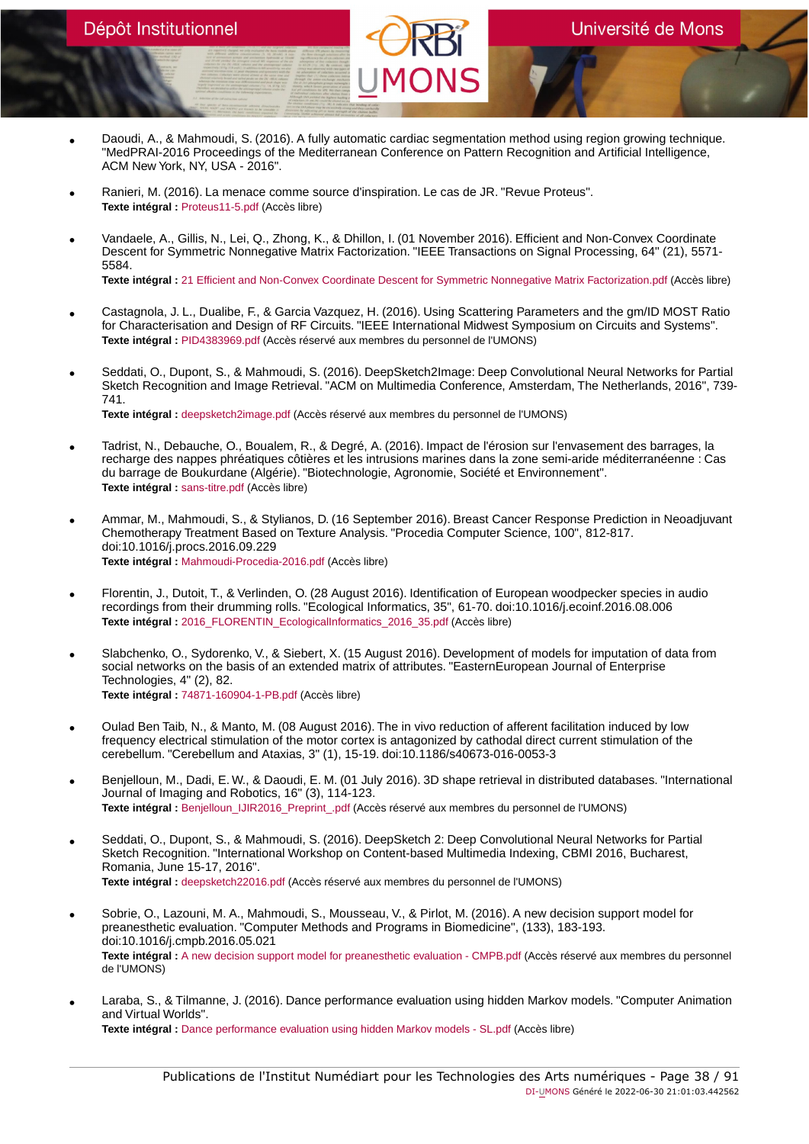- Daoudi, A., & Mahmoudi, S. (2016). A fully automatic cardiac segmentation method using region growing technique. "MedPRAI-2016 Proceedings of the Mediterranean Conference on Pattern Recognition and Artificial Intelligence, ACM New York, NY, USA - 2016".
- Ranieri, M. (2016). La menace comme source d'inspiration. Le cas de JR. "Revue Proteus". **Texte intégral :** [Proteus11-5.pdf](https://orbi.umons.ac.be/bitstream/20.500.12907/41975/1/Proteus11-5.pdf) (Accès libre)
- Vandaele, A., Gillis, N., Lei, Q., Zhong, K., & Dhillon, I. (01 November 2016). Efficient and Non-Convex Coordinate Descent for Symmetric Nonnegative Matrix Factorization. "IEEE Transactions on Signal Processing, 64" (21), 5571- 5584. **Texte intégral :** [21 Efficient and Non-Convex Coordinate Descent for Symmetric Nonnegative Matrix Factorization.pdf](https://orbi.umons.ac.be/bitstream/20.500.12907/41891/1/21 Efficient and Non-Convex Coordinate Descent for Symmetric Nonnegative Matrix Factorization.pdf) (Accès libre)
- Castagnola, J. L., Dualibe, F., & Garcia Vazquez, H. (2016). Using Scattering Parameters and the gm/ID MOST Ratio for Characterisation and Design of RF Circuits. "IEEE International Midwest Symposium on Circuits and Systems". **Texte intégral :** [PID4383969.pdf](https://orbi.umons.ac.be/bitstream/20.500.12907/41896/1/PID4383969.pdf) (Accès réservé aux membres du personnel de l'UMONS)
- Seddati, O., Dupont, S., & Mahmoudi, S. (2016). DeepSketch2Image: Deep Convolutional Neural Networks for Partial Sketch Recognition and Image Retrieval. "ACM on Multimedia Conference, Amsterdam, The Netherlands, 2016", 739- 741. **Texte intégral :** [deepsketch2image.pdf](https://orbi.umons.ac.be/bitstream/20.500.12907/41895/1/deepsketch2image.pdf) (Accès réservé aux membres du personnel de l'UMONS)
- Tadrist, N., Debauche, O., Boualem, R., & Degré, A. (2016). Impact de l'érosion sur l'envasement des barrages, la recharge des nappes phréatiques côtières et les intrusions marines dans la zone semi-aride méditerranéenne : Cas du barrage de Boukurdane (Algérie). "Biotechnologie, Agronomie, Société et Environnement". **Texte intégral :** [sans-titre.pdf](https://orbi.umons.ac.be/bitstream/20.500.12907/41893/1/sans-titre.pdf) (Accès libre)
- Ammar, M., Mahmoudi, S., & Stylianos, D. (16 September 2016). Breast Cancer Response Prediction in Neoadjuvant Chemotherapy Treatment Based on Texture Analysis. "Procedia Computer Science, 100", 812-817. doi:10.1016/j.procs.2016.09.229 **Texte intégral :** [Mahmoudi-Procedia-2016.pdf](https://orbi.umons.ac.be/bitstream/20.500.12907/41907/1/Mahmoudi-Procedia-2016.pdf) (Accès libre)
- Florentin, J., Dutoit, T., & Verlinden, O. (28 August 2016). Identification of European woodpecker species in audio recordings from their drumming rolls. "Ecological Informatics, 35", 61-70. doi:10.1016/j.ecoinf.2016.08.006 **Texte intégral :** [2016\\_FLORENTIN\\_EcologicalInformatics\\_2016\\_35.pdf](https://orbi.umons.ac.be/bitstream/20.500.12907/41944/1/2016_FLORENTIN_EcologicalInformatics_2016_35.pdf) (Accès libre)
- Slabchenko, O., Sydorenko, V., & Siebert, X. (15 August 2016). Development of models for imputation of data from social networks on the basis of an extended matrix of attributes. "EasternEuropean Journal of Enterprise Technologies, 4" (2), 82. **Texte intégral :** [74871-160904-1-PB.pdf](https://orbi.umons.ac.be/bitstream/20.500.12907/41934/1/74871-160904-1-PB.pdf) (Accès libre)
- Oulad Ben Taib, N., & Manto, M. (08 August 2016). The in vivo reduction of afferent facilitation induced by low frequency electrical stimulation of the motor cortex is antagonized by cathodal direct current stimulation of the cerebellum. "Cerebellum and Ataxias, 3" (1), 15-19. doi:10.1186/s40673-016-0053-3
- Benjelloun, M., Dadi, E. W., & Daoudi, E. M. (01 July 2016). 3D shape retrieval in distributed databases. "International Journal of Imaging and Robotics, 16" (3), 114-123. **Texte intégral :** [Benjelloun\\_IJIR2016\\_Preprint\\_.pdf](https://orbi.umons.ac.be/bitstream/20.500.12907/41940/1/Benjelloun_IJIR2016_Preprint_.pdf) (Accès réservé aux membres du personnel de l'UMONS)
- Seddati, O., Dupont, S., & Mahmoudi, S. (2016). DeepSketch 2: Deep Convolutional Neural Networks for Partial Sketch Recognition. "International Workshop on Content-based Multimedia Indexing, CBMI 2016, Bucharest, Romania, June 15-17, 2016". **Texte intégral :** [deepsketch22016.pdf](https://orbi.umons.ac.be/bitstream/20.500.12907/41875/1/deepsketch22016.pdf) (Accès réservé aux membres du personnel de l'UMONS)
- Sobrie, O., Lazouni, M. A., Mahmoudi, S., Mousseau, V., & Pirlot, M. (2016). A new decision support model for preanesthetic evaluation. "Computer Methods and Programs in Biomedicine", (133), 183-193. doi:10.1016/j.cmpb.2016.05.021 **Texte intégral :** [A new decision support model for preanesthetic evaluation - CMPB.pdf](https://orbi.umons.ac.be/bitstream/20.500.12907/41937/1/A new decision support model for preanesthetic evaluation - CMPB.pdf) (Accès réservé aux membres du personnel de l'UMONS)
- Laraba, S., & Tilmanne, J. (2016). Dance performance evaluation using hidden Markov models. "Computer Animation and Virtual Worlds". **Texte intégral :** [Dance performance evaluation using hidden Markov models - SL.pdf](https://orbi.umons.ac.be/bitstream/20.500.12907/41927/1/Dance performance evaluation using hidden Markov models - SL.pdf) (Accès libre)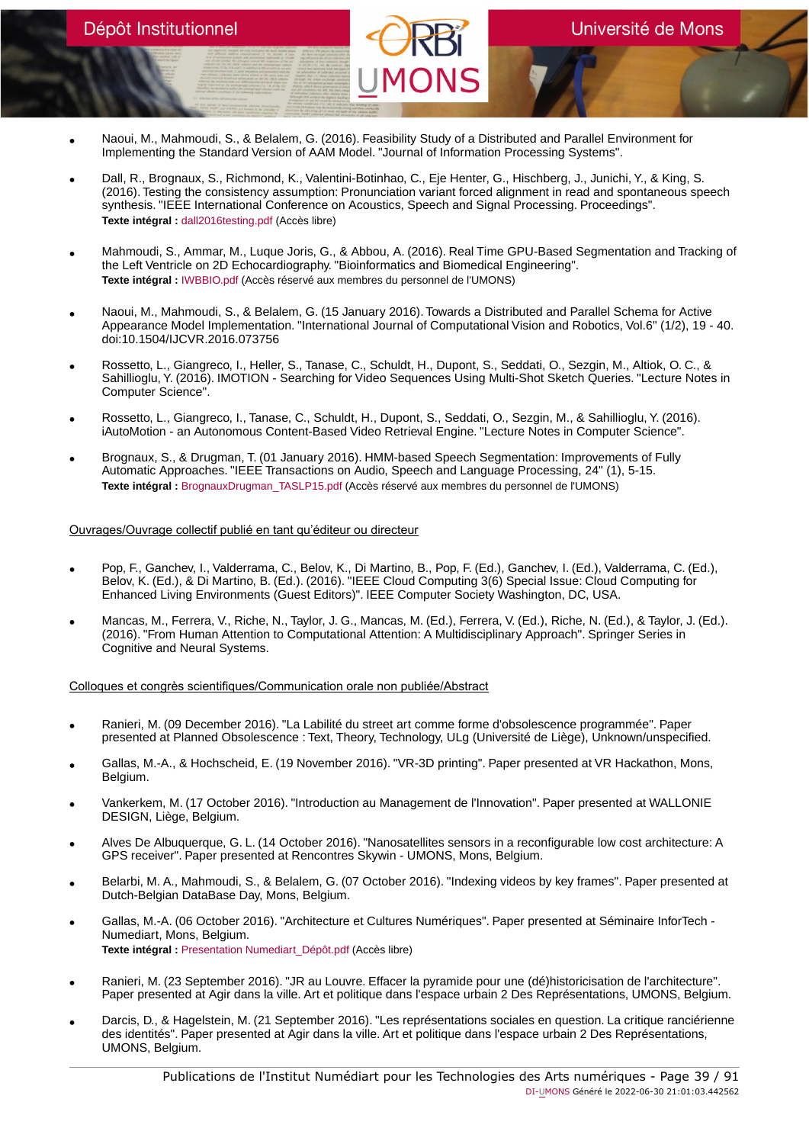- Naoui, M., Mahmoudi, S., & Belalem, G. (2016). Feasibility Study of a Distributed and Parallel Environment for Implementing the Standard Version of AAM Model. "Journal of Information Processing Systems".
- Dall, R., Brognaux, S., Richmond, K., Valentini-Botinhao, C., Eje Henter, G., Hischberg, J., Junichi, Y., & King, S. (2016). Testing the consistency assumption: Pronunciation variant forced alignment in read and spontaneous speech synthesis. "IEEE International Conference on Acoustics, Speech and Signal Processing. Proceedings". **Texte intégral :** [dall2016testing.pdf](https://orbi.umons.ac.be/bitstream/20.500.12907/41910/1/dall2016testing.pdf) (Accès libre)
- Mahmoudi, S., Ammar, M., Luque Joris, G., & Abbou, A. (2016). Real Time GPU-Based Segmentation and Tracking of the Left Ventricle on 2D Echocardiography. "Bioinformatics and Biomedical Engineering". **Texte intégral :** [IWBBIO.pdf](https://orbi.umons.ac.be/bitstream/20.500.12907/41887/1/IWBBIO.pdf) (Accès réservé aux membres du personnel de l'UMONS)
- Naoui, M., Mahmoudi, S., & Belalem, G. (15 January 2016). Towards a Distributed and Parallel Schema for Active Appearance Model Implementation. "International Journal of Computational Vision and Robotics, Vol.6" (1/2), 19 - 40. doi:10.1504/IJCVR.2016.073756
- Rossetto, L., Giangreco, I., Heller, S., Tanase, C., Schuldt, H., Dupont, S., Seddati, O., Sezgin, M., Altiok, O. C., & Sahillioglu, Y. (2016). IMOTION - Searching for Video Sequences Using Multi-Shot Sketch Queries. "Lecture Notes in Computer Science".
- Rossetto, L., Giangreco, I., Tanase, C., Schuldt, H., Dupont, S., Seddati, O., Sezgin, M., & Sahillioglu, Y. (2016). iAutoMotion - an Autonomous Content-Based Video Retrieval Engine. "Lecture Notes in Computer Science".
- Brognaux, S., & Drugman, T. (01 January 2016). HMM-based Speech Segmentation: Improvements of Fully Automatic Approaches. "IEEE Transactions on Audio, Speech and Language Processing, 24" (1), 5-15. **Texte intégral :** [BrognauxDrugman\\_TASLP15.pdf](https://orbi.umons.ac.be/bitstream/20.500.12907/41909/1/BrognauxDrugman_TASLP15.pdf) (Accès réservé aux membres du personnel de l'UMONS)

# Ouvrages/Ouvrage collectif publié en tant qu'éditeur ou directeur

- Pop, F., Ganchev, I., Valderrama, C., Belov, K., Di Martino, B., Pop, F. (Ed.), Ganchev, I. (Ed.), Valderrama, C. (Ed.), Belov, K. (Ed.), & Di Martino, B. (Ed.). (2016). "IEEE Cloud Computing 3(6) Special Issue: Cloud Computing for Enhanced Living Environments (Guest Editors)". IEEE Computer Society Washington, DC, USA.
- Mancas, M., Ferrera, V., Riche, N., Taylor, J. G., Mancas, M. (Ed.), Ferrera, V. (Ed.), Riche, N. (Ed.), & Taylor, J. (Ed.). (2016). "From Human Attention to Computational Attention: A Multidisciplinary Approach". Springer Series in Cognitive and Neural Systems.

Colloques et congrès scientifiques/Communication orale non publiée/Abstract

- Ranieri, M. (09 December 2016). "La Labilité du street art comme forme d'obsolescence programmée". Paper presented at Planned Obsolescence : Text, Theory, Technology, ULg (Université de Liège), Unknown/unspecified.
- Gallas, M.-A., & Hochscheid, E. (19 November 2016). "VR-3D printing". Paper presented at VR Hackathon, Mons, Belgium.
- Vankerkem, M. (17 October 2016). "Introduction au Management de l'Innovation". Paper presented at WALLONIE DESIGN, Liège, Belgium.
- Alves De Albuquerque, G. L. (14 October 2016). "Nanosatellites sensors in a reconfigurable low cost architecture: A GPS receiver". Paper presented at Rencontres Skywin - UMONS, Mons, Belgium.
- Belarbi, M. A., Mahmoudi, S., & Belalem, G. (07 October 2016). "Indexing videos by key frames". Paper presented at Dutch-Belgian DataBase Day, Mons, Belgium.
- Gallas, M.-A. (06 October 2016). "Architecture et Cultures Numériques". Paper presented at Séminaire InforTech Numediart, Mons, Belgium. **Texte intégral :** [Presentation Numediart\\_Dépôt.pdf](https://orbi.umons.ac.be/bitstream/20.500.12907/41924/1/Presentation Numediart_D�p�t.pdf) (Accès libre)
- Ranieri, M. (23 September 2016). "JR au Louvre. Effacer la pyramide pour une (dé)historicisation de l'architecture". Paper presented at Agir dans la ville. Art et politique dans l'espace urbain 2 Des Représentations, UMONS, Belgium.
- Darcis, D., & Hagelstein, M. (21 September 2016). "Les représentations sociales en question. La critique ranciérienne des identités". Paper presented at Agir dans la ville. Art et politique dans l'espace urbain 2 Des Représentations, UMONS, Belgium.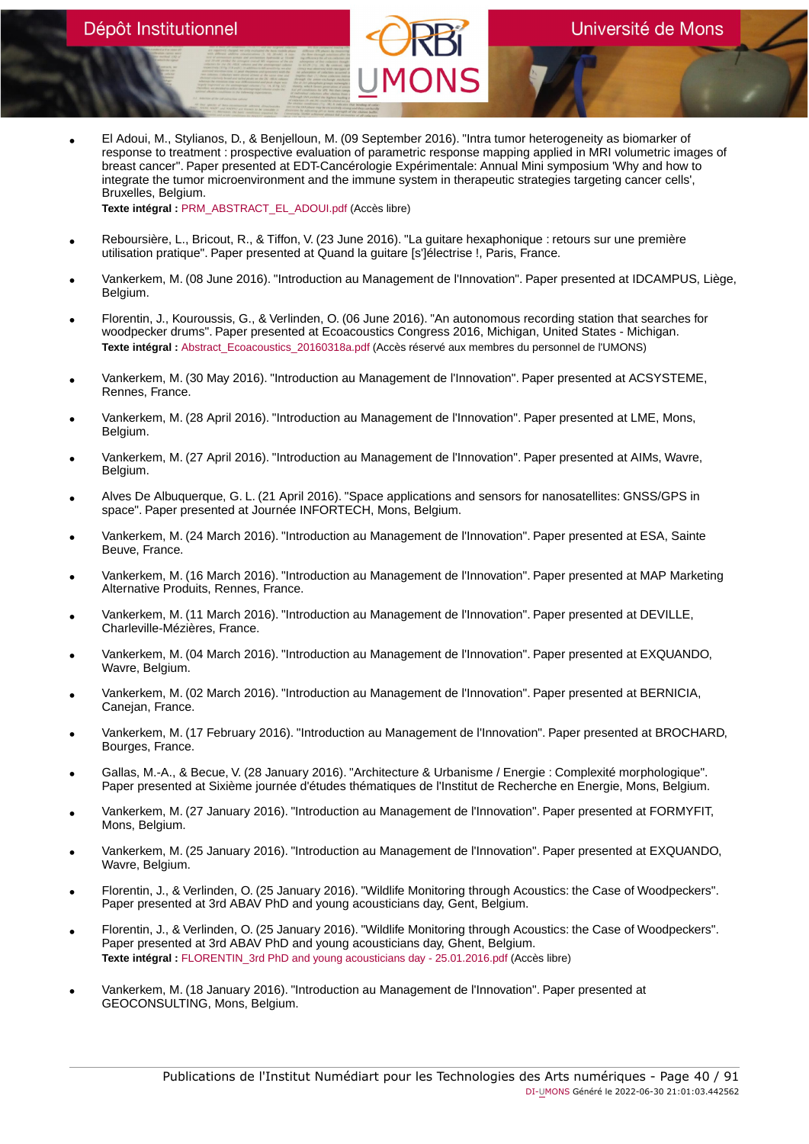• El Adoui, M., Stylianos, D., & Benjelloun, M. (09 September 2016). "Intra tumor heterogeneity as biomarker of response to treatment : prospective evaluation of parametric response mapping applied in MRI volumetric images of breast cancer". Paper presented at EDT-Cancérologie Expérimentale: Annual Mini symposium 'Why and how to integrate the tumor microenvironment and the immune system in therapeutic strategies targeting cancer cells', Bruxelles, Belgium.

**Texte intégral :** [PRM\\_ABSTRACT\\_EL\\_ADOUI.pdf](https://orbi.umons.ac.be/bitstream/20.500.12907/41917/1/PRM_ABSTRACT_EL_ADOUI.pdf) (Accès libre)

- Reboursière, L., Bricout, R., & Tiffon, V. (23 June 2016). "La guitare hexaphonique : retours sur une première utilisation pratique". Paper presented at Quand la guitare [s']électrise !, Paris, France.
- Vankerkem, M. (08 June 2016). "Introduction au Management de l'Innovation". Paper presented at IDCAMPUS, Liège, Belgium.
- Florentin, J., Kouroussis, G., & Verlinden, O. (06 June 2016). "An autonomous recording station that searches for woodpecker drums". Paper presented at Ecoacoustics Congress 2016, Michigan, United States - Michigan. **Texte intégral :** [Abstract\\_Ecoacoustics\\_20160318a.pdf](https://orbi.umons.ac.be/bitstream/20.500.12907/41872/1/Abstract_Ecoacoustics_20160318a.pdf) (Accès réservé aux membres du personnel de l'UMONS)
- Vankerkem, M. (30 May 2016). "Introduction au Management de l'Innovation". Paper presented at ACSYSTEME, Rennes, France.
- Vankerkem, M. (28 April 2016). "Introduction au Management de l'Innovation". Paper presented at LME, Mons, Belgium.
- Vankerkem, M. (27 April 2016). "Introduction au Management de l'Innovation". Paper presented at AIMs, Wavre, Belgium.
- Alves De Albuquerque, G. L. (21 April 2016). "Space applications and sensors for nanosatellites: GNSS/GPS in space". Paper presented at Journée INFORTECH, Mons, Belgium.
- Vankerkem, M. (24 March 2016). "Introduction au Management de l'Innovation". Paper presented at ESA, Sainte Beuve, France.
- Vankerkem, M. (16 March 2016). "Introduction au Management de l'Innovation". Paper presented at MAP Marketing Alternative Produits, Rennes, France.
- Vankerkem, M. (11 March 2016). "Introduction au Management de l'Innovation". Paper presented at DEVILLE, Charleville-Mézières, France.
- Vankerkem, M. (04 March 2016). "Introduction au Management de l'Innovation". Paper presented at EXQUANDO, Wavre, Belgium.
- Vankerkem, M. (02 March 2016). "Introduction au Management de l'Innovation". Paper presented at BERNICIA, Canejan, France.
- Vankerkem, M. (17 February 2016). "Introduction au Management de l'Innovation". Paper presented at BROCHARD, Bourges, France.
- Gallas, M.-A., & Becue, V. (28 January 2016). "Architecture & Urbanisme / Energie : Complexité morphologique". Paper presented at Sixième journée d'études thématiques de l'Institut de Recherche en Energie, Mons, Belgium.
- Vankerkem, M. (27 January 2016). "Introduction au Management de l'Innovation". Paper presented at FORMYFIT, Mons, Belgium.
- Vankerkem, M. (25 January 2016). "Introduction au Management de l'Innovation". Paper presented at EXQUANDO, Wavre, Belgium.
- Florentin, J., & Verlinden, O. (25 January 2016). "Wildlife Monitoring through Acoustics: the Case of Woodpeckers". Paper presented at 3rd ABAV PhD and young acousticians day, Gent, Belgium.
- Florentin, J., & Verlinden, O. (25 January 2016). "Wildlife Monitoring through Acoustics: the Case of Woodpeckers". Paper presented at 3rd ABAV PhD and young acousticians day, Ghent, Belgium. **Texte intégral :** [FLORENTIN\\_3rd PhD and young acousticians day - 25.01.2016.pdf](https://orbi.umons.ac.be/bitstream/20.500.12907/41943/1/FLORENTIN_3rd PhD and young acousticians day - 25.01.2016.pdf) (Accès libre)
- Vankerkem, M. (18 January 2016). "Introduction au Management de l'Innovation". Paper presented at GEOCONSULTING, Mons, Belgium.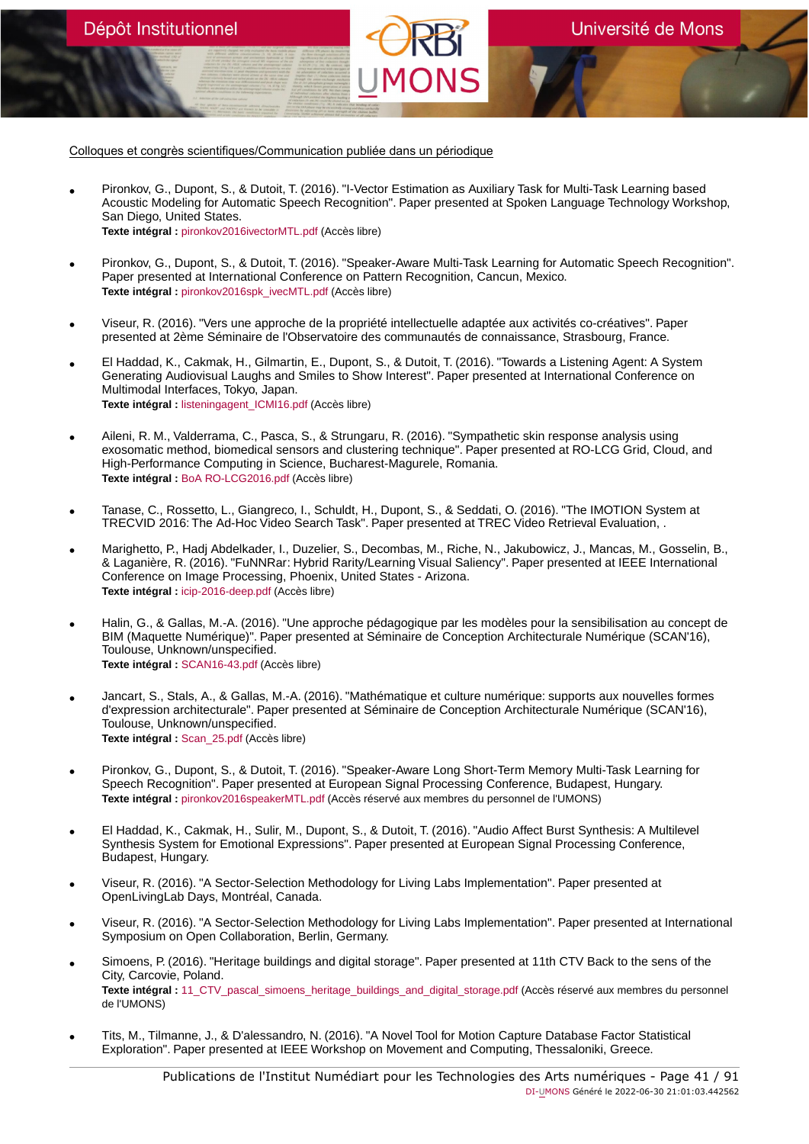Colloques et congrès scientifiques/Communication publiée dans un périodique

Dépôt Institutionnel

- Pironkov, G., Dupont, S., & Dutoit, T. (2016). "I-Vector Estimation as Auxiliary Task for Multi-Task Learning based Acoustic Modeling for Automatic Speech Recognition". Paper presented at Spoken Language Technology Workshop, San Diego, United States. **Texte intégral :** [pironkov2016ivectorMTL.pdf](https://orbi.umons.ac.be/bitstream/20.500.12907/41935/1/pironkov2016ivectorMTL.pdf) (Accès libre)
- Pironkov, G., Dupont, S., & Dutoit, T. (2016). "Speaker-Aware Multi-Task Learning for Automatic Speech Recognition". Paper presented at International Conference on Pattern Recognition, Cancun, Mexico. **Texte intégral :** [pironkov2016spk\\_ivecMTL.pdf](https://orbi.umons.ac.be/bitstream/20.500.12907/41933/1/pironkov2016spk_ivecMTL.pdf) (Accès libre)
- Viseur, R. (2016). "Vers une approche de la propriété intellectuelle adaptée aux activités co-créatives". Paper presented at 2ème Séminaire de l'Observatoire des communautés de connaissance, Strasbourg, France.
- El Haddad, K., Cakmak, H., Gilmartin, E., Dupont, S., & Dutoit, T. (2016). "Towards a Listening Agent: A System Generating Audiovisual Laughs and Smiles to Show Interest". Paper presented at International Conference on Multimodal Interfaces, Tokyo, Japan. **Texte intégral :** [listeningagent\\_ICMI16.pdf](https://orbi.umons.ac.be/bitstream/20.500.12907/41946/1/listeningagent_ICMI16.pdf) (Accès libre)
- Aileni, R. M., Valderrama, C., Pasca, S., & Strungaru, R. (2016). "Sympathetic skin response analysis using exosomatic method, biomedical sensors and clustering technique". Paper presented at RO-LCG Grid, Cloud, and High-Performance Computing in Science, Bucharest-Magurele, Romania. **Texte intégral :** [BoA RO-LCG2016.pdf](https://orbi.umons.ac.be/bitstream/20.500.12907/41906/1/BoA RO-LCG2016.pdf) (Accès libre)
- Tanase, C., Rossetto, L., Giangreco, I., Schuldt, H., Dupont, S., & Seddati, O. (2016). "The IMOTION System at TRECVID 2016: The Ad-Hoc Video Search Task". Paper presented at TREC Video Retrieval Evaluation, .
- Marighetto, P., Hadj Abdelkader, I., Duzelier, S., Decombas, M., Riche, N., Jakubowicz, J., Mancas, M., Gosselin, B., & Laganière, R. (2016). "FuNNRar: Hybrid Rarity/Learning Visual Saliency". Paper presented at IEEE International Conference on Image Processing, Phoenix, United States - Arizona. **Texte intégral :** [icip-2016-deep.pdf](https://orbi.umons.ac.be/bitstream/20.500.12907/42075/1/icip-2016-deep.pdf) (Accès libre)
- Halin, G., & Gallas, M.-A. (2016). "Une approche pédagogique par les modèles pour la sensibilisation au concept de BIM (Maquette Numérique)". Paper presented at Séminaire de Conception Architecturale Numérique (SCAN'16), Toulouse, Unknown/unspecified. **Texte intégral :** [SCAN16-43.pdf](https://orbi.umons.ac.be/bitstream/20.500.12907/41922/1/SCAN16-43.pdf) (Accès libre)
- Jancart, S., Stals, A., & Gallas, M.-A. (2016). "Mathématique et culture numérique: supports aux nouvelles formes d'expression architecturale". Paper presented at Séminaire de Conception Architecturale Numérique (SCAN'16), Toulouse, Unknown/unspecified. **Texte intégral :** [Scan\\_25.pdf](https://orbi.umons.ac.be/bitstream/20.500.12907/41923/1/Scan_25.pdf) (Accès libre)
- Pironkov, G., Dupont, S., & Dutoit, T. (2016). "Speaker-Aware Long Short-Term Memory Multi-Task Learning for Speech Recognition". Paper presented at European Signal Processing Conference, Budapest, Hungary. **Texte intégral :** [pironkov2016speakerMTL.pdf](https://orbi.umons.ac.be/bitstream/20.500.12907/41885/1/pironkov2016speakerMTL.pdf) (Accès réservé aux membres du personnel de l'UMONS)
- El Haddad, K., Cakmak, H., Sulir, M., Dupont, S., & Dutoit, T. (2016). "Audio Affect Burst Synthesis: A Multilevel Synthesis System for Emotional Expressions". Paper presented at European Signal Processing Conference, Budapest, Hungary.
- Viseur, R. (2016). "A Sector-Selection Methodology for Living Labs Implementation". Paper presented at OpenLivingLab Days, Montréal, Canada.
- Viseur, R. (2016). "A Sector-Selection Methodology for Living Labs Implementation". Paper presented at International Symposium on Open Collaboration, Berlin, Germany.
- Simoens, P. (2016). "Heritage buildings and digital storage". Paper presented at 11th CTV Back to the sens of the City, Carcovie, Poland. **Texte intégral :** [11\\_CTV\\_pascal\\_simoens\\_heritage\\_buildings\\_and\\_digital\\_storage.pdf](https://orbi.umons.ac.be/bitstream/20.500.12907/41871/1/11_CTV_pascal_simoens_heritage_buildings_and_digital_storage.pdf) (Accès réservé aux membres du personnel de l'UMONS)
- Tits, M., Tilmanne, J., & D'alessandro, N. (2016). "A Novel Tool for Motion Capture Database Factor Statistical Exploration". Paper presented at IEEE Workshop on Movement and Computing, Thessaloniki, Greece.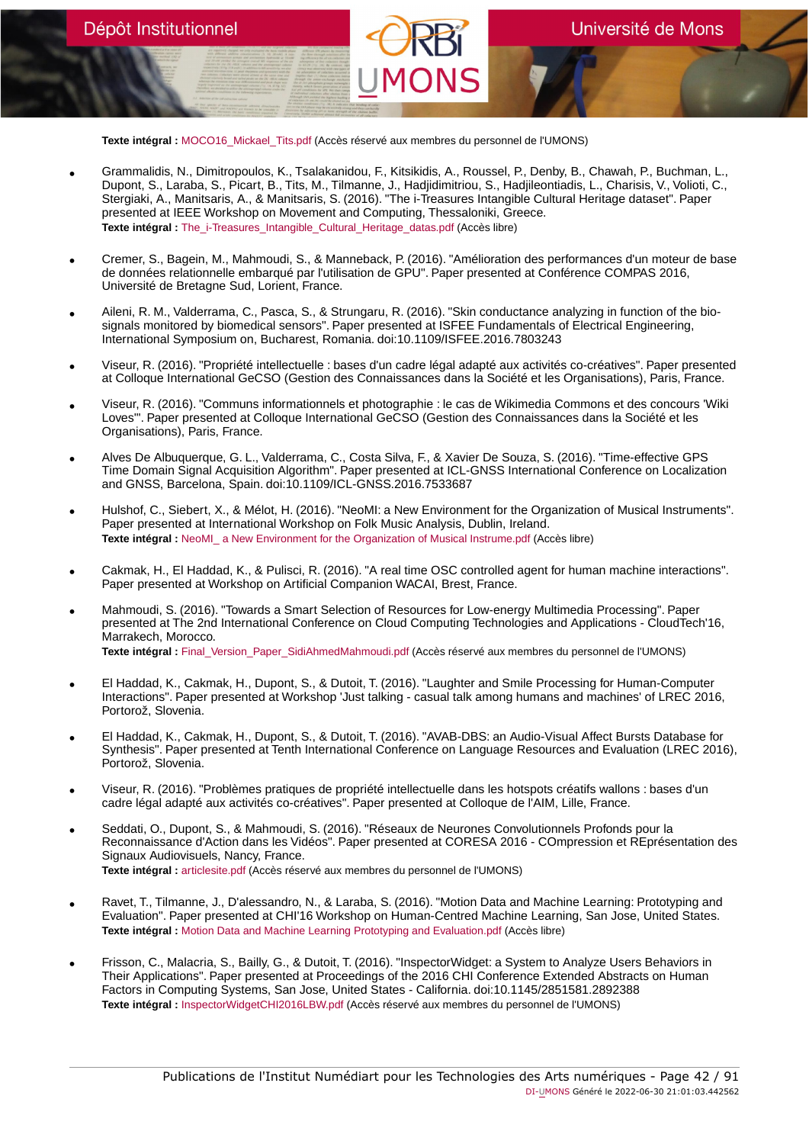**Texte intégral :** [MOCO16\\_Mickael\\_Tits.pdf](https://orbi.umons.ac.be/bitstream/20.500.12907/41877/1/MOCO16_Mickael_Tits.pdf) (Accès réservé aux membres du personnel de l'UMONS)

- Grammalidis, N., Dimitropoulos, K., Tsalakanidou, F., Kitsikidis, A., Roussel, P., Denby, B., Chawah, P., Buchman, L., Dupont, S., Laraba, S., Picart, B., Tits, M., Tilmanne, J., Hadjidimitriou, S., Hadjileontiadis, L., Charisis, V., Volioti, C., Stergiaki, A., Manitsaris, A., & Manitsaris, S. (2016). "The i-Treasures Intangible Cultural Heritage dataset". Paper presented at IEEE Workshop on Movement and Computing, Thessaloniki, Greece. **Texte intégral :** [The\\_i-Treasures\\_Intangible\\_Cultural\\_Heritage\\_datas.pdf](https://orbi.umons.ac.be/bitstream/20.500.12907/41878/1/The_i-Treasures_Intangible_Cultural_Heritage_datas.pdf) (Accès libre)
- Cremer, S., Bagein, M., Mahmoudi, S., & Manneback, P. (2016). "Amélioration des performances d'un moteur de base de données relationnelle embarqué par l'utilisation de GPU". Paper presented at Conférence COMPAS 2016, Université de Bretagne Sud, Lorient, France.
- Aileni, R. M., Valderrama, C., Pasca, S., & Strungaru, R. (2016). "Skin conductance analyzing in function of the biosignals monitored by biomedical sensors". Paper presented at ISFEE Fundamentals of Electrical Engineering, International Symposium on, Bucharest, Romania. doi:10.1109/ISFEE.2016.7803243
- Viseur, R. (2016). "Propriété intellectuelle : bases d'un cadre légal adapté aux activités co-créatives". Paper presented at Colloque International GeCSO (Gestion des Connaissances dans la Société et les Organisations), Paris, France.
- Viseur, R. (2016). "Communs informationnels et photographie : le cas de Wikimedia Commons et des concours 'Wiki Loves<sup>'"</sup>. Paper presented at Colloque International GeCSO (Gestion des Connaissances dans la Société et les Organisations), Paris, France.
- Alves De Albuquerque, G. L., Valderrama, C., Costa Silva, F., & Xavier De Souza, S. (2016). "Time-effective GPS Time Domain Signal Acquisition Algorithm". Paper presented at ICL-GNSS International Conference on Localization and GNSS, Barcelona, Spain. doi:10.1109/ICL-GNSS.2016.7533687
- Hulshof, C., Siebert, X., & Mélot, H. (2016). "NeoMI: a New Environment for the Organization of Musical Instruments". Paper presented at International Workshop on Folk Music Analysis, Dublin, Ireland. **Texte intégral :** [NeoMI\\_ a New Environment for the Organization of Musical Instrume.pdf](https://orbi.umons.ac.be/bitstream/20.500.12907/41931/1/NeoMI_ a New Environment for the Organization of Musical Instrume.pdf) (Accès libre)
- Cakmak, H., El Haddad, K., & Pulisci, R. (2016). "A real time OSC controlled agent for human machine interactions". Paper presented at Workshop on Artificial Companion WACAI, Brest, France.
- Mahmoudi, S. (2016). "Towards a Smart Selection of Resources for Low-energy Multimedia Processing". Paper presented at The 2nd International Conference on Cloud Computing Technologies and Applications - CloudTech'16, Marrakech, Morocco. **Texte intégral :** [Final\\_Version\\_Paper\\_SidiAhmedMahmoudi.pdf](https://orbi.umons.ac.be/bitstream/20.500.12907/41889/1/Final_Version_Paper_SidiAhmedMahmoudi.pdf) (Accès réservé aux membres du personnel de l'UMONS)
- El Haddad, K., Cakmak, H., Dupont, S., & Dutoit, T. (2016). "Laughter and Smile Processing for Human-Computer Interactions". Paper presented at Workshop 'Just talking - casual talk among humans and machines' of LREC 2016, Portorož, Slovenia.
- El Haddad, K., Cakmak, H., Dupont, S., & Dutoit, T. (2016). "AVAB-DBS: an Audio-Visual Affect Bursts Database for Synthesis". Paper presented at Tenth International Conference on Language Resources and Evaluation (LREC 2016), Portorož, Slovenia.
- Viseur, R. (2016). "Problèmes pratiques de propriété intellectuelle dans les hotspots créatifs wallons : bases d'un cadre légal adapté aux activités co-créatives". Paper presented at Colloque de l'AIM, Lille, France.
- Seddati, O., Dupont, S., & Mahmoudi, S. (2016). "Réseaux de Neurones Convolutionnels Profonds pour la Reconnaissance d'Action dans les Vidéos". Paper presented at CORESA 2016 - COmpression et REprésentation des Signaux Audiovisuels, Nancy, France. **Texte intégral :** [articlesite.pdf](https://orbi.umons.ac.be/bitstream/20.500.12907/41852/1/articlesite.pdf) (Accès réservé aux membres du personnel de l'UMONS)
- Ravet, T., Tilmanne, J., D'alessandro, N., & Laraba, S. (2016). "Motion Data and Machine Learning: Prototyping and Evaluation". Paper presented at CHI'16 Workshop on Human-Centred Machine Learning, San Jose, United States. **Texte intégral :** [Motion Data and Machine Learning Prototyping and Evaluation.pdf](https://orbi.umons.ac.be/bitstream/20.500.12907/41929/1/Motion Data and Machine Learning Prototyping and Evaluation.pdf) (Accès libre)
- Frisson, C., Malacria, S., Bailly, G., & Dutoit, T. (2016). "InspectorWidget: a System to Analyze Users Behaviors in Their Applications". Paper presented at Proceedings of the 2016 CHI Conference Extended Abstracts on Human Factors in Computing Systems, San Jose, United States - California. doi:10.1145/2851581.2892388 **Texte intégral :** [InspectorWidgetCHI2016LBW.pdf](https://orbi.umons.ac.be/bitstream/20.500.12907/41870/1/InspectorWidgetCHI2016LBW.pdf) (Accès réservé aux membres du personnel de l'UMONS)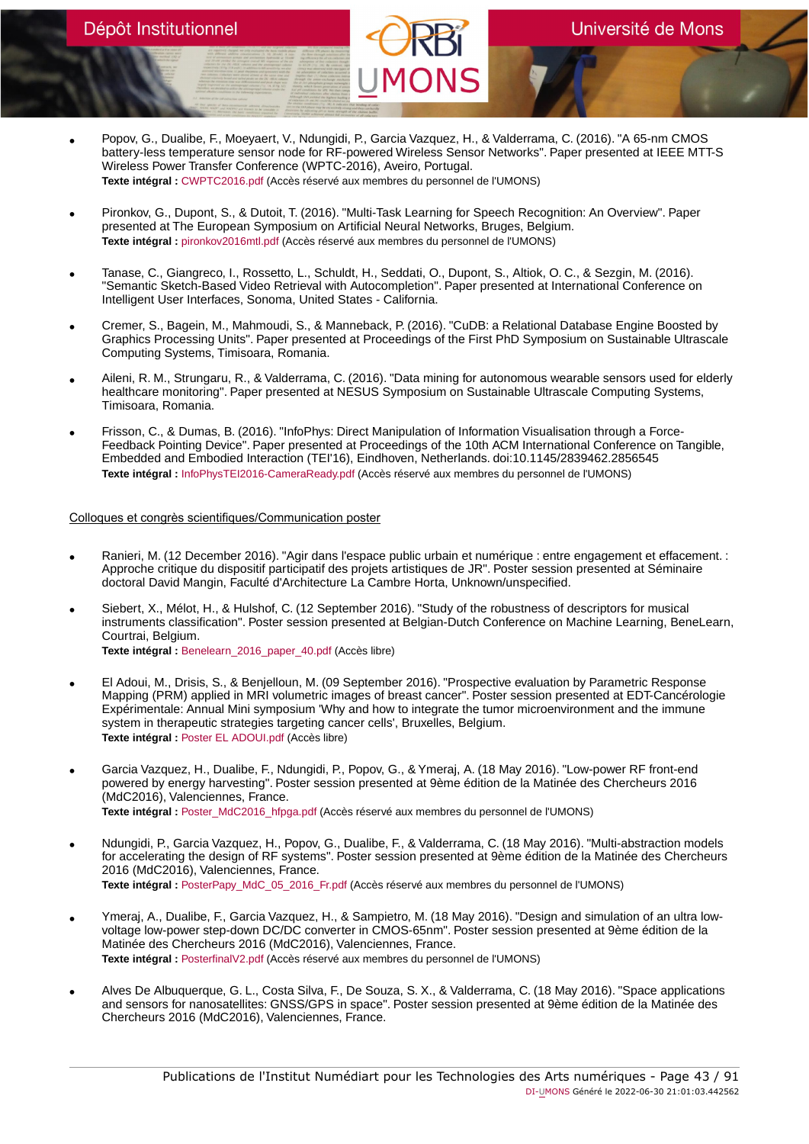- Popov, G., Dualibe, F., Moeyaert, V., Ndungidi, P., Garcia Vazquez, H., & Valderrama, C. (2016). "A 65-nm CMOS battery-less temperature sensor node for RF-powered Wireless Sensor Networks". Paper presented at IEEE MTT-S Wireless Power Transfer Conference (WPTC-2016), Aveiro, Portugal. **Texte intégral :** [CWPTC2016.pdf](https://orbi.umons.ac.be/bitstream/20.500.12907/41863/1/CWPTC2016.pdf) (Accès réservé aux membres du personnel de l'UMONS)
- Pironkov, G., Dupont, S., & Dutoit, T. (2016). "Multi-Task Learning for Speech Recognition: An Overview". Paper presented at The European Symposium on Artificial Neural Networks, Bruges, Belgium. **Texte intégral :** [pironkov2016mtl.pdf](https://orbi.umons.ac.be/bitstream/20.500.12907/41862/1/pironkov2016mtl.pdf) (Accès réservé aux membres du personnel de l'UMONS)
- Tanase, C., Giangreco, I., Rossetto, L., Schuldt, H., Seddati, O., Dupont, S., Altiok, O. C., & Sezgin, M. (2016). "Semantic Sketch-Based Video Retrieval with Autocompletion". Paper presented at International Conference on Intelligent User Interfaces, Sonoma, United States - California.
- Cremer, S., Bagein, M., Mahmoudi, S., & Manneback, P. (2016). "CuDB: a Relational Database Engine Boosted by Graphics Processing Units". Paper presented at Proceedings of the First PhD Symposium on Sustainable Ultrascale Computing Systems, Timisoara, Romania.
- Aileni, R. M., Strungaru, R., & Valderrama, C. (2016). "Data mining for autonomous wearable sensors used for elderly healthcare monitoring". Paper presented at NESUS Symposium on Sustainable Ultrascale Computing Systems, Timisoara, Romania.
- Frisson, C., & Dumas, B. (2016). "InfoPhys: Direct Manipulation of Information Visualisation through a Force-Feedback Pointing Device". Paper presented at Proceedings of the 10th ACM International Conference on Tangible, Embedded and Embodied Interaction (TEI'16), Eindhoven, Netherlands. doi:10.1145/2839462.2856545 **Texte intégral :** [InfoPhysTEI2016-CameraReady.pdf](https://orbi.umons.ac.be/bitstream/20.500.12907/41802/1/InfoPhysTEI2016-CameraReady.pdf) (Accès réservé aux membres du personnel de l'UMONS)

#### Colloques et congrès scientifiques/Communication poster

- Ranieri, M. (12 December 2016). "Agir dans l'espace public urbain et numérique : entre engagement et effacement. : Approche critique du dispositif participatif des projets artistiques de JR". Poster session presented at Séminaire doctoral David Mangin, Faculté d'Architecture La Cambre Horta, Unknown/unspecified.
- Siebert, X., Mélot, H., & Hulshof, C. (12 September 2016). "Study of the robustness of descriptors for musical instruments classification". Poster session presented at Belgian-Dutch Conference on Machine Learning, BeneLearn, Courtrai, Belgium.

**Texte intégral :** [Benelearn\\_2016\\_paper\\_40.pdf](https://orbi.umons.ac.be/bitstream/20.500.12907/41932/1/Benelearn_2016_paper_40.pdf) (Accès libre)

- El Adoui, M., Drisis, S., & Benjelloun, M. (09 September 2016). "Prospective evaluation by Parametric Response Mapping (PRM) applied in MRI volumetric images of breast cancer". Poster session presented at EDT-Cancérologie Expérimentale: Annual Mini symposium 'Why and how to integrate the tumor microenvironment and the immune system in therapeutic strategies targeting cancer cells', Bruxelles, Belgium. **Texte intégral :** [Poster EL ADOUI.pdf](https://orbi.umons.ac.be/bitstream/20.500.12907/41918/1/Poster EL ADOUI.pdf) (Accès libre)
- Garcia Vazquez, H., Dualibe, F., Ndungidi, P., Popov, G., & Ymeraj, A. (18 May 2016). "Low-power RF front-end powered by energy harvesting". Poster session presented at 9ème édition de la Matinée des Chercheurs 2016 (MdC2016), Valenciennes, France. **Texte intégral :** [Poster\\_MdC2016\\_hfpga.pdf](https://orbi.umons.ac.be/bitstream/20.500.12907/41867/1/Poster_MdC2016_hfpga.pdf) (Accès réservé aux membres du personnel de l'UMONS)
- Ndungidi, P., Garcia Vazquez, H., Popov, G., Dualibe, F., & Valderrama, C. (18 May 2016). "Multi-abstraction models for accelerating the design of RF systems". Poster session presented at 9ème édition de la Matinée des Chercheurs 2016 (MdC2016), Valenciennes, France. Texte intégral : [PosterPapy\\_MdC\\_05\\_2016\\_Fr.pdf](https://orbi.umons.ac.be/bitstream/20.500.12907/41868/1/PosterPapy_MdC_05_2016_Fr.pdf) (Accès réservé aux membres du personnel de l'UMONS)
- Ymeraj, A., Dualibe, F., Garcia Vazquez, H., & Sampietro, M. (18 May 2016). "Design and simulation of an ultra lowvoltage low-power step-down DC/DC converter in CMOS-65nm". Poster session presented at 9ème édition de la Matinée des Chercheurs 2016 (MdC2016), Valenciennes, France. **Texte intégral :** [PosterfinalV2.pdf](https://orbi.umons.ac.be/bitstream/20.500.12907/41869/1/PosterfinalV2.pdf) (Accès réservé aux membres du personnel de l'UMONS)
- Alves De Albuquerque, G. L., Costa Silva, F., De Souza, S. X., & Valderrama, C. (18 May 2016). "Space applications and sensors for nanosatellites: GNSS/GPS in space". Poster session presented at 9ème édition de la Matinée des Chercheurs 2016 (MdC2016), Valenciennes, France.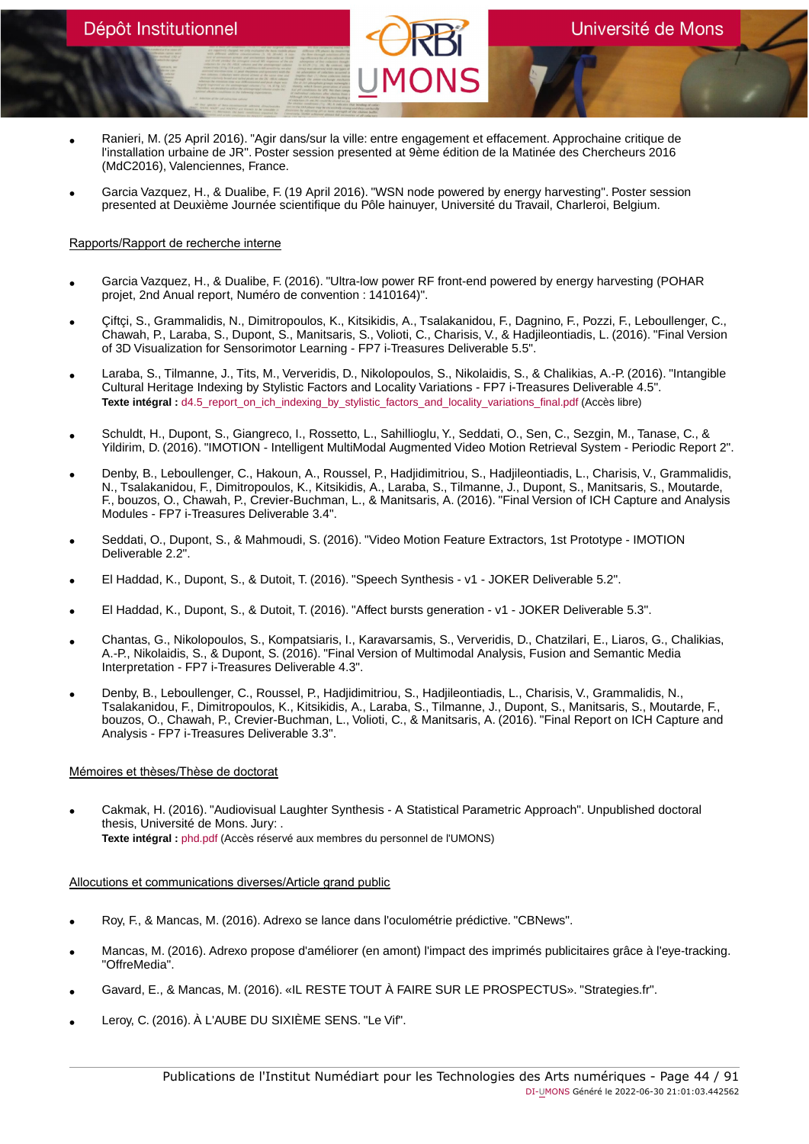- Ranieri, M. (25 April 2016). "Agir dans/sur la ville: entre engagement et effacement. Approchaine critique de l'installation urbaine de JR". Poster session presented at 9ème édition de la Matinée des Chercheurs 2016 (MdC2016), Valenciennes, France.
- Garcia Vazquez, H., & Dualibe, F. (19 April 2016). "WSN node powered by energy harvesting". Poster session presented at Deuxième Journée scientifique du Pôle hainuyer, Université du Travail, Charleroi, Belgium.

# Rapports/Rapport de recherche interne

- Garcia Vazquez, H., & Dualibe, F. (2016). "Ultra-low power RF front-end powered by energy harvesting (POHAR projet, 2nd Anual report, Numéro de convention : 1410164)".
- Çiftçi, S., Grammalidis, N., Dimitropoulos, K., Kitsikidis, A., Tsalakanidou, F., Dagnino, F., Pozzi, F., Leboullenger, C., Chawah, P., Laraba, S., Dupont, S., Manitsaris, S., Volioti, C., Charisis, V., & Hadjileontiadis, L. (2016). "Final Version of 3D Visualization for Sensorimotor Learning - FP7 i-Treasures Deliverable 5.5".
- Laraba, S., Tilmanne, J., Tits, M., Ververidis, D., Nikolopoulos, S., Nikolaidis, S., & Chalikias, A.-P. (2016). "Intangible Cultural Heritage Indexing by Stylistic Factors and Locality Variations - FP7 i-Treasures Deliverable 4.5". **Texte intégral :** [d4.5\\_report\\_on\\_ich\\_indexing\\_by\\_stylistic\\_factors\\_and\\_locality\\_variations\\_final.pdf](https://orbi.umons.ac.be/bitstream/20.500.12907/41928/1/d4.5_report_on_ich_indexing_by_stylistic_factors_and_locality_variations_final.pdf) (Accès libre)
- Schuldt, H., Dupont, S., Giangreco, I., Rossetto, L., Sahillioglu, Y., Seddati, O., Sen, C., Sezgin, M., Tanase, C., & Yildirim, D. (2016). "IMOTION - Intelligent MultiModal Augmented Video Motion Retrieval System - Periodic Report 2".
- Denby, B., Leboullenger, C., Hakoun, A., Roussel, P., Hadjidimitriou, S., Hadjileontiadis, L., Charisis, V., Grammalidis,<br>N., Tsalakanidou, F., Dimitropoulos, K., Kitsikidis, A., Laraba, S., Tilmanne, J., Dupont, S., Ma F., bouzos, O., Chawah, P., Crevier-Buchman, L., & Manitsaris, A. (2016). "Final Version of ICH Capture and Analysis Modules - FP7 i-Treasures Deliverable 3.4".
- Seddati, O., Dupont, S., & Mahmoudi, S. (2016). "Video Motion Feature Extractors, 1st Prototype IMOTION Deliverable 2.2".
- El Haddad, K., Dupont, S., & Dutoit, T. (2016). "Speech Synthesis v1 JOKER Deliverable 5.2".
- El Haddad, K., Dupont, S., & Dutoit, T. (2016). "Affect bursts generation v1 JOKER Deliverable 5.3".
- Chantas, G., Nikolopoulos, S., Kompatsiaris, I., Karavarsamis, S., Ververidis, D., Chatzilari, E., Liaros, G., Chalikias, A.-P., Nikolaidis, S., & Dupont, S. (2016). "Final Version of Multimodal Analysis, Fusion and Semantic Media Interpretation - FP7 i-Treasures Deliverable 4.3".
- Denby, B., Leboullenger, C., Roussel, P., Hadjidimitriou, S., Hadjileontiadis, L., Charisis, V., Grammalidis, N., Tsalakanidou, F., Dimitropoulos, K., Kitsikidis, A., Laraba, S., Tilmanne, J., Dupont, S., Manitsaris, S., Moutarde, F., bouzos, O., Chawah, P., Crevier-Buchman, L., Volioti, C., & Manitsaris, A. (2016). "Final Report on ICH Capture and Analysis - FP7 i-Treasures Deliverable 3.3".

# Mémoires et thèses/Thèse de doctorat

• Cakmak, H. (2016). "Audiovisual Laughter Synthesis - A Statistical Parametric Approach". Unpublished doctoral thesis, Université de Mons. Jury: . **Texte intégral :** [phd.pdf](https://orbi.umons.ac.be/bitstream/20.500.12907/41831/1/phd.pdf) (Accès réservé aux membres du personnel de l'UMONS)

# Allocutions et communications diverses/Article grand public

- Roy, F., & Mancas, M. (2016). Adrexo se lance dans l'oculométrie prédictive. "CBNews".
- Mancas, M. (2016). Adrexo propose d'améliorer (en amont) l'impact des imprimés publicitaires grâce à l'eye-tracking. "OffreMedia".
- Gavard, E., & Mancas, M. (2016). «IL RESTE TOUT À FAIRE SUR LE PROSPECTUS». "Strategies.fr".
- Leroy, C. (2016). À L'AUBE DU SIXIÈME SENS. "Le Vif".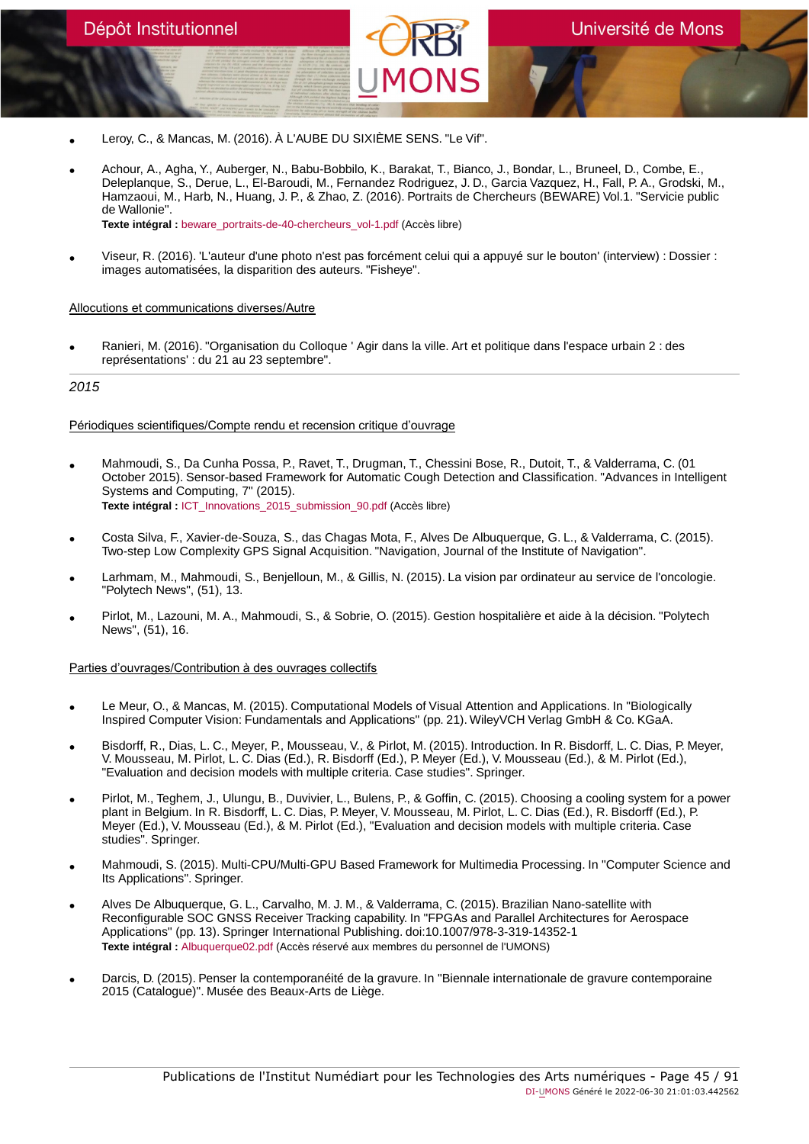- Leroy, C., & Mancas, M. (2016). À L'AUBE DU SIXIÈME SENS. "Le Vif".
- Achour, A., Agha, Y., Auberger, N., Babu-Bobbilo, K., Barakat, T., Bianco, J., Bondar, L., Bruneel, D., Combe, E., Deleplanque, S., Derue, L., El-Baroudi, M., Fernandez Rodriguez, J. D., Garcia Vazquez, H., Fall, P. A., Grodski, M., Hamzaoui, M., Harb, N., Huang, J. P., & Zhao, Z. (2016). Portraits de Chercheurs (BEWARE) Vol.1. "Servicie public de Wallonie".

**Texte intégral :** [beware\\_portraits-de-40-chercheurs\\_vol-1.pdf](https://orbi.umons.ac.be/bitstream/20.500.12907/41864/1/beware_portraits-de-40-chercheurs_vol-1.pdf) (Accès libre)

• Viseur, R. (2016). 'L'auteur d'une photo n'est pas forcément celui qui a appuyé sur le bouton' (interview) : Dossier : images automatisées, la disparition des auteurs. "Fisheye".

#### Allocutions et communications diverses/Autre

Dépôt Institutionnel

• Ranieri, M. (2016). "Organisation du Colloque ' Agir dans la ville. Art et politique dans l'espace urbain 2 : des représentations' : du 21 au 23 septembre".

# 2015

#### Périodiques scientifiques/Compte rendu et recension critique d'ouvrage

- Mahmoudi, S., Da Cunha Possa, P., Ravet, T., Drugman, T., Chessini Bose, R., Dutoit, T., & Valderrama, C. (01 October 2015). Sensor-based Framework for Automatic Cough Detection and Classification. "Advances in Intelligent Systems and Computing, 7" (2015). **Texte intégral :** [ICT\\_Innovations\\_2015\\_submission\\_90.pdf](https://orbi.umons.ac.be/bitstream/20.500.12907/41749/1/ICT_Innovations_2015_submission_90.pdf) (Accès libre)
- Costa Silva, F., Xavier-de-Souza, S., das Chagas Mota, F., Alves De Albuquerque, G. L., & Valderrama, C. (2015). Two-step Low Complexity GPS Signal Acquisition. "Navigation, Journal of the Institute of Navigation".
- Larhmam, M., Mahmoudi, S., Benjelloun, M., & Gillis, N. (2015). La vision par ordinateur au service de l'oncologie. "Polytech News", (51), 13.
- Pirlot, M., Lazouni, M. A., Mahmoudi, S., & Sobrie, O. (2015). Gestion hospitalière et aide à la décision. "Polytech News", (51), 16.

#### Parties d'ouvrages/Contribution à des ouvrages collectifs

- Le Meur, O., & Mancas, M. (2015). Computational Models of Visual Attention and Applications. In "Biologically Inspired Computer Vision: Fundamentals and Applications" (pp. 21). WileyVCH Verlag GmbH & Co. KGaA.
- Bisdorff, R., Dias, L. C., Meyer, P., Mousseau, V., & Pirlot, M. (2015). Introduction. In R. Bisdorff, L. C. Dias, P. Meyer, V. Mousseau, M. Pirlot, L. C. Dias (Ed.), R. Bisdorff (Ed.), P. Meyer (Ed.), V. Mousseau (Ed.), & M. Pirlot (Ed.), "Evaluation and decision models with multiple criteria. Case studies". Springer.
- Pirlot, M., Teghem, J., Ulungu, B., Duvivier, L., Bulens, P., & Goffin, C. (2015). Choosing a cooling system for a power plant in Belgium. In R. Bisdorff, L. C. Dias, P. Meyer, V. Mousseau, M. Pirlot, L. C. Dias (Ed.), R. Bisdorff (Ed.), P. Meyer (Ed.), V. Mousseau (Ed.), & M. Pirlot (Ed.), "Evaluation and decision models with multiple criteria. Case studies<sup>"</sup>. Springer.
- Mahmoudi, S. (2015). Multi-CPU/Multi-GPU Based Framework for Multimedia Processing. In "Computer Science and Its Applications". Springer.
- Alves De Albuquerque, G. L., Carvalho, M. J. M., & Valderrama, C. (2015). Brazilian Nano-satellite with Reconfigurable SOC GNSS Receiver Tracking capability. In "FPGAs and Parallel Architectures for Aerospace Applications" (pp. 13). Springer International Publishing. doi:10.1007/978-3-319-14352-1 **Texte intégral :** [Albuquerque02.pdf](https://orbi.umons.ac.be/bitstream/20.500.12907/41735/1/Albuquerque02.pdf) (Accès réservé aux membres du personnel de l'UMONS)
- Darcis, D. (2015). Penser la contemporanéité de la gravure. In "Biennale internationale de gravure contemporaine 2015 (Catalogue)". Musée des Beaux-Arts de Liège.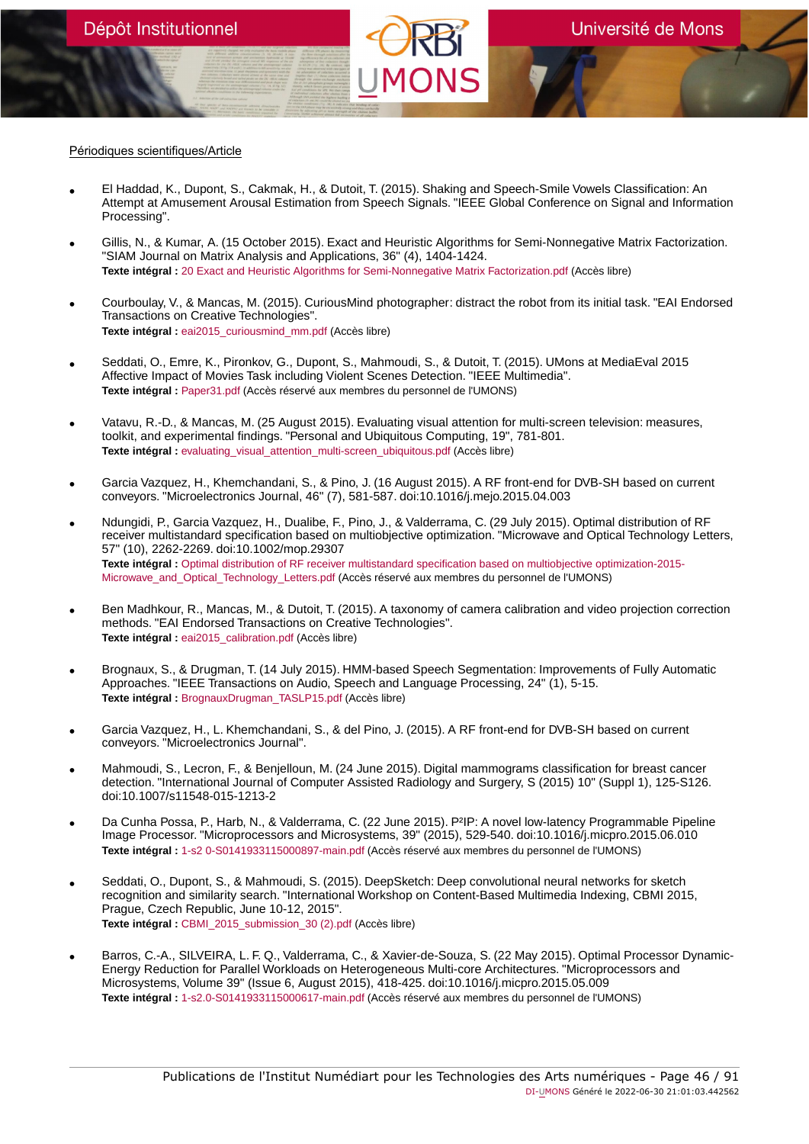#### Périodiques scientifiques/Article

- El Haddad, K., Dupont, S., Cakmak, H., & Dutoit, T. (2015). Shaking and Speech-Smile Vowels Classification: An Attempt at Amusement Arousal Estimation from Speech Signals. "IEEE Global Conference on Signal and Information Processing".
- Gillis, N., & Kumar, A. (15 October 2015). Exact and Heuristic Algorithms for Semi-Nonnegative Matrix Factorization. "SIAM Journal on Matrix Analysis and Applications, 36" (4), 1404-1424. **Texte intégral :** [20 Exact and Heuristic Algorithms for Semi-Nonnegative Matrix Factorization.pdf](https://orbi.umons.ac.be/bitstream/20.500.12907/41754/1/20 Exact and Heuristic Algorithms for Semi-Nonnegative Matrix Factorization.pdf) (Accès libre)
- Courboulay, V., & Mancas, M. (2015). CuriousMind photographer: distract the robot from its initial task. "EAI Endorsed Transactions on Creative Technologies". **Texte intégral :** [eai2015\\_curiousmind\\_mm.pdf](https://orbi.umons.ac.be/bitstream/20.500.12907/41818/1/eai2015_curiousmind_mm.pdf) (Accès libre)
- Seddati, O., Emre, K., Pironkov, G., Dupont, S., Mahmoudi, S., & Dutoit, T. (2015). UMons at MediaEval 2015 Affective Impact of Movies Task including Violent Scenes Detection. "IEEE Multimedia". **Texte intégral :** [Paper31.pdf](https://orbi.umons.ac.be/bitstream/20.500.12907/41769/1/Paper31.pdf) (Accès réservé aux membres du personnel de l'UMONS)
- Vatavu, R.-D., & Mancas, M. (25 August 2015). Evaluating visual attention for multi-screen television: measures, toolkit, and experimental findings. "Personal and Ubiquitous Computing, 19", 781-801. **Texte intégral :** [evaluating\\_visual\\_attention\\_multi-screen\\_ubiquitous.pdf](https://orbi.umons.ac.be/bitstream/20.500.12907/41814/1/evaluating_visual_attention_multi-screen_ubiquitous.pdf) (Accès libre)
- Garcia Vazquez, H., Khemchandani, S., & Pino, J. (16 August 2015). A RF front-end for DVB-SH based on current conveyors. "Microelectronics Journal, 46" (7), 581-587. doi:10.1016/j.mejo.2015.04.003
- Ndungidi, P., Garcia Vazquez, H., Dualibe, F., Pino, J., & Valderrama, C. (29 July 2015). Optimal distribution of RF receiver multistandard specification based on multiobjective optimization. "Microwave and Optical Technology Letters, 57" (10), 2262-2269. doi:10.1002/mop.29307 **Texte intégral :** [Optimal distribution of RF receiver multistandard specification based on multiobjective optimization-2015-](https://orbi.umons.ac.be/bitstream/20.500.12907/41755/1/Optimal distribution of RF receiver multistandard specification based on multiobjective optimization-2015-Microwave_and_Optical_Technology_Letters.pdf) [Microwave\\_and\\_Optical\\_Technology\\_Letters.pdf](https://orbi.umons.ac.be/bitstream/20.500.12907/41755/1/Optimal distribution of RF receiver multistandard specification based on multiobjective optimization-2015-Microwave_and_Optical_Technology_Letters.pdf) (Accès réservé aux membres du personnel de l'UMONS)
- Ben Madhkour, R., Mancas, M., & Dutoit, T. (2015). A taxonomy of camera calibration and video projection correction methods. "EAI Endorsed Transactions on Creative Technologies". **Texte intégral :** [eai2015\\_calibration.pdf](https://orbi.umons.ac.be/bitstream/20.500.12907/41817/1/eai2015_calibration.pdf) (Accès libre)
- Brognaux, S., & Drugman, T. (14 July 2015). HMM-based Speech Segmentation: Improvements of Fully Automatic Approaches. "IEEE Transactions on Audio, Speech and Language Processing, 24" (1), 5-15. **Texte intégral :** [BrognauxDrugman\\_TASLP15.pdf](https://orbi.umons.ac.be/bitstream/20.500.12907/42151/1/BrognauxDrugman_TASLP15.pdf) (Accès libre)
- Garcia Vazquez, H., L. Khemchandani, S., & del Pino, J. (2015). A RF front-end for DVB-SH based on current conveyors. "Microelectronics Journal".
- Mahmoudi, S., Lecron, F., & Benjelloun, M. (24 June 2015). Digital mammograms classification for breast cancer detection. "International Journal of Computer Assisted Radiology and Surgery, S (2015) 10" (Suppl 1), 125-S126. doi:10.1007/s11548-015-1213-2
- Da Cunha Possa, P., Harb, N., & Valderrama, C. (22 June 2015). P²IP: A novel low-latency Programmable Pipeline Image Processor. "Microprocessors and Microsystems, 39" (2015), 529-540. doi:10.1016/j.micpro.2015.06.010 **Texte intégral :** [1-s2 0-S0141933115000897-main.pdf](https://orbi.umons.ac.be/bitstream/20.500.12907/41741/1/1-s2 0-S0141933115000897-main.pdf) (Accès réservé aux membres du personnel de l'UMONS)
- Seddati, O., Dupont, S., & Mahmoudi, S. (2015). DeepSketch: Deep convolutional neural networks for sketch recognition and similarity search. "International Workshop on Content-Based Multimedia Indexing, CBMI 2015, Prague, Czech Republic, June 10-12, 2015". **Texte intégral :** [CBMI\\_2015\\_submission\\_30 \(2\).pdf](https://orbi.umons.ac.be/bitstream/20.500.12907/41752/1/CBMI_2015_submission_30 (2).pdf) (Accès libre)
- Barros, C.-A., SILVEIRA, L. F. Q., Valderrama, C., & Xavier-de-Souza, S. (22 May 2015). Optimal Processor Dynamic-Energy Reduction for Parallel Workloads on Heterogeneous Multi-core Architectures. "Microprocessors and Microsystems, Volume 39" (Issue 6, August 2015), 418-425. doi:10.1016/j.micpro.2015.05.009 **Texte intégral :** [1-s2.0-S0141933115000617-main.pdf](https://orbi.umons.ac.be/bitstream/20.500.12907/41748/1/1-s2.0-S0141933115000617-main.pdf) (Accès réservé aux membres du personnel de l'UMONS)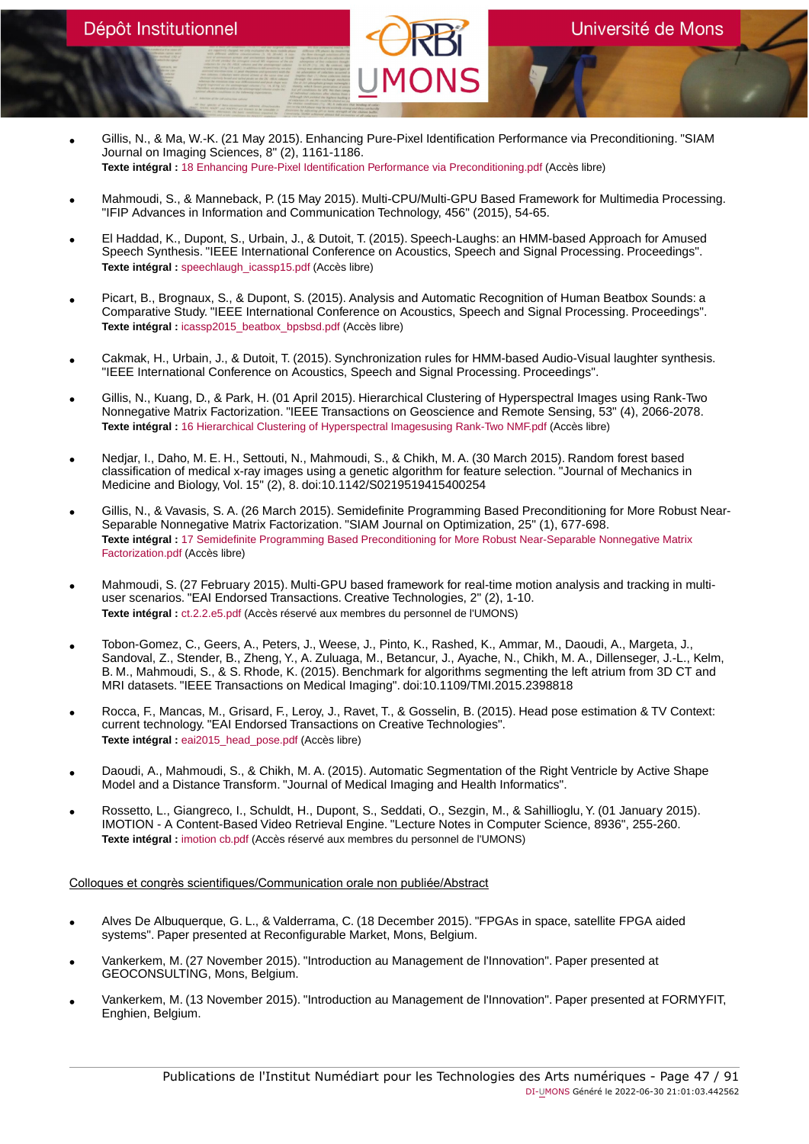Université de Mons

• Gillis, N., & Ma, W.-K. (21 May 2015). Enhancing Pure-Pixel Identification Performance via Preconditioning. "SIAM Journal on Imaging Sciences, 8" (2), 1161-1186. **Texte intégral :** [18 Enhancing Pure-Pixel Identification Performance via Preconditioning.pdf](https://orbi.umons.ac.be/bitstream/20.500.12907/41738/1/18 Enhancing Pure-Pixel Identification Performance via Preconditioning.pdf) (Accès libre)

Dépôt Institutionnel

- Mahmoudi, S., & Manneback, P. (15 May 2015). Multi-CPU/Multi-GPU Based Framework for Multimedia Processing. "IFIP Advances in Information and Communication Technology, 456" (2015), 54-65.
- El Haddad, K., Dupont, S., Urbain, J., & Dutoit, T. (2015). Speech-Laughs: an HMM-based Approach for Amused Speech Synthesis. "IEEE International Conference on Acoustics, Speech and Signal Processing. Proceedings". **Texte intégral :** [speechlaugh\\_icassp15.pdf](https://orbi.umons.ac.be/bitstream/20.500.12907/41723/1/speechlaugh_icassp15.pdf) (Accès libre)
- Picart, B., Brognaux, S., & Dupont, S. (2015). Analysis and Automatic Recognition of Human Beatbox Sounds: a Comparative Study. "IEEE International Conference on Acoustics, Speech and Signal Processing. Proceedings". **Texte intégral :** [icassp2015\\_beatbox\\_bpsbsd.pdf](https://orbi.umons.ac.be/bitstream/20.500.12907/41724/1/icassp2015_beatbox_bpsbsd.pdf) (Accès libre)
- Cakmak, H., Urbain, J., & Dutoit, T. (2015). Synchronization rules for HMM-based Audio-Visual laughter synthesis. "IEEE International Conference on Acoustics, Speech and Signal Processing. Proceedings".
- Gillis, N., Kuang, D., & Park, H. (01 April 2015). Hierarchical Clustering of Hyperspectral Images using Rank-Two Nonnegative Matrix Factorization. "IEEE Transactions on Geoscience and Remote Sensing, 53" (4), 2066-2078. **Texte intégral :** [16 Hierarchical Clustering of Hyperspectral Imagesusing Rank-Two NMF.pdf](https://orbi.umons.ac.be/bitstream/20.500.12907/41639/1/16 Hierarchical Clustering of Hyperspectral Imagesusing Rank-Two NMF.pdf) (Accès libre)
- Nedjar, I., Daho, M. E. H., Settouti, N., Mahmoudi, S., & Chikh, M. A. (30 March 2015). Random forest based classification of medical x-ray images using a genetic algorithm for feature selection. "Journal of Mechanics in Medicine and Biology, Vol. 15" (2), 8. doi:10.1142/S0219519415400254
- Gillis, N., & Vavasis, S. A. (26 March 2015). Semidefinite Programming Based Preconditioning for More Robust Near-Separable Nonnegative Matrix Factorization. "SIAM Journal on Optimization, 25" (1), 677-698. **Texte intégral :** [17 Semidefinite Programming Based Preconditioning for More Robust Near-Separable Nonnegative Matrix](https://orbi.umons.ac.be/bitstream/20.500.12907/41721/1/17 Semidefinite Programming Based Preconditioning for More Robust Near-Separable Nonnegative Matrix Factorization.pdf) [Factorization.pdf](https://orbi.umons.ac.be/bitstream/20.500.12907/41721/1/17 Semidefinite Programming Based Preconditioning for More Robust Near-Separable Nonnegative Matrix Factorization.pdf) (Accès libre)
- Mahmoudi, S. (27 February 2015). Multi-GPU based framework for real-time motion analysis and tracking in multiuser scenarios. "EAI Endorsed Transactions. Creative Technologies, 2" (2), 1-10. **Texte intégral :** [ct.2.2.e5.pdf](https://orbi.umons.ac.be/bitstream/20.500.12907/41637/1/ct.2.2.e5.pdf) (Accès réservé aux membres du personnel de l'UMONS)
- Tobon-Gomez, C., Geers, A., Peters, J., Weese, J., Pinto, K., Rashed, K., Ammar, M., Daoudi, A., Margeta, J., Sandoval, Z., Stender, B., Zheng, Y., A. Zuluaga, M., Betancur, J., Ayache, N., Chikh, M. A., Dillenseger, J.-L., Kelm, B. M., Mahmoudi, S., & S. Rhode, K. (2015). Benchmark for algorithms segmenting the left atrium from 3D CT and MRI datasets. "IEEE Transactions on Medical Imaging". doi:10.1109/TMI.2015.2398818
- Rocca, F., Mancas, M., Grisard, F., Leroy, J., Ravet, T., & Gosselin, B. (2015). Head pose estimation & TV Context: current technology. "EAI Endorsed Transactions on Creative Technologies". **Texte intégral :** [eai2015\\_head\\_pose.pdf](https://orbi.umons.ac.be/bitstream/20.500.12907/41819/1/eai2015_head_pose.pdf) (Accès libre)
- Daoudi, A., Mahmoudi, S., & Chikh, M. A. (2015). Automatic Segmentation of the Right Ventricle by Active Shape Model and a Distance Transform. "Journal of Medical Imaging and Health Informatics".
- Rossetto, L., Giangreco, I., Schuldt, H., Dupont, S., Seddati, O., Sezgin, M., & Sahillioglu, Y. (01 January 2015). IMOTION - A Content-Based Video Retrieval Engine. "Lecture Notes in Computer Science, 8936", 255-260. **Texte intégral :** [imotion cb.pdf](https://orbi.umons.ac.be/bitstream/20.500.12907/41657/1/imotion cb.pdf) (Accès réservé aux membres du personnel de l'UMONS)

Colloques et congrès scientifiques/Communication orale non publiée/Abstract

- Alves De Albuquerque, G. L., & Valderrama, C. (18 December 2015). "FPGAs in space, satellite FPGA aided systems". Paper presented at Reconfigurable Market, Mons, Belgium.
- Vankerkem, M. (27 November 2015). "Introduction au Management de l'Innovation". Paper presented at GEOCONSULTING, Mons, Belgium.
- Vankerkem, M. (13 November 2015). "Introduction au Management de l'Innovation". Paper presented at FORMYFIT, Enghien, Belgium.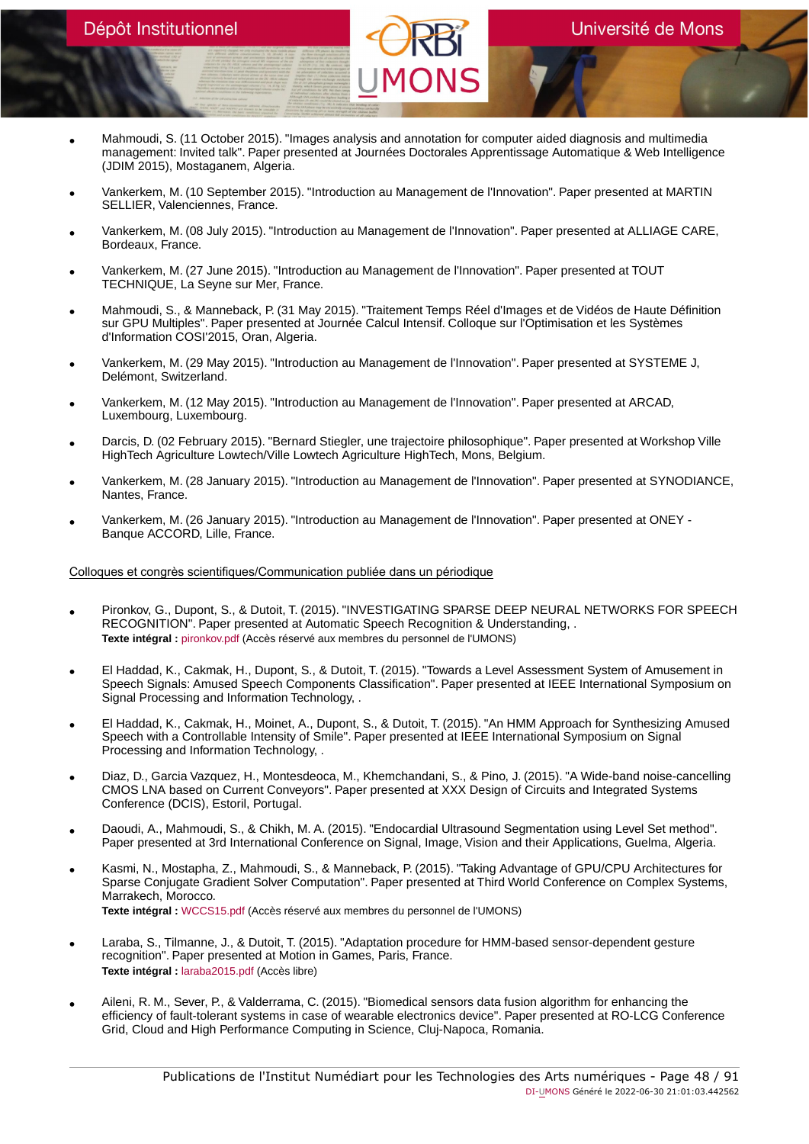- Mahmoudi, S. (11 October 2015). "Images analysis and annotation for computer aided diagnosis and multimedia management: Invited talk". Paper presented at Journées Doctorales Apprentissage Automatique & Web Intelligence (JDIM 2015), Mostaganem, Algeria.
- Vankerkem, M. (10 September 2015). "Introduction au Management de l'Innovation". Paper presented at MARTIN SELLIER, Valenciennes, France.
- Vankerkem, M. (08 July 2015). "Introduction au Management de l'Innovation". Paper presented at ALLIAGE CARE, Bordeaux, France.
- Vankerkem, M. (27 June 2015). "Introduction au Management de l'Innovation". Paper presented at TOUT TECHNIQUE, La Seyne sur Mer, France.
- Mahmoudi, S., & Manneback, P. (31 May 2015). "Traitement Temps Réel d'Images et de Vidéos de Haute Définition sur GPU Multiples". Paper presented at Journée Calcul Intensif. Colloque sur l'Optimisation et les Systèmes d'Information COSI'2015, Oran, Algeria.
- Vankerkem, M. (29 May 2015). "Introduction au Management de l'Innovation". Paper presented at SYSTEME J, Delémont, Switzerland.
- Vankerkem, M. (12 May 2015). "Introduction au Management de l'Innovation". Paper presented at ARCAD, Luxembourg, Luxembourg.
- Darcis, D. (02 February 2015). "Bernard Stiegler, une trajectoire philosophique". Paper presented at Workshop Ville HighTech Agriculture Lowtech/Ville Lowtech Agriculture HighTech, Mons, Belgium.
- Vankerkem, M. (28 January 2015). "Introduction au Management de l'Innovation". Paper presented at SYNODIANCE, Nantes, France.
- Vankerkem, M. (26 January 2015). "Introduction au Management de l'Innovation". Paper presented at ONEY Banque ACCORD, Lille, France.

# Colloques et congrès scientifiques/Communication publiée dans un périodique

- Pironkov, G., Dupont, S., & Dutoit, T. (2015). "INVESTIGATING SPARSE DEEP NEURAL NETWORKS FOR SPEECH RECOGNITION". Paper presented at Automatic Speech Recognition & Understanding, . **Texte intégral :** [pironkov.pdf](https://orbi.umons.ac.be/bitstream/20.500.12907/41765/1/pironkov.pdf) (Accès réservé aux membres du personnel de l'UMONS)
- El Haddad, K., Cakmak, H., Dupont, S., & Dutoit, T. (2015). "Towards a Level Assessment System of Amusement in Speech Signals: Amused Speech Components Classification". Paper presented at IEEE International Symposium on Signal Processing and Information Technology, .
- El Haddad, K., Cakmak, H., Moinet, A., Dupont, S., & Dutoit, T. (2015). "An HMM Approach for Synthesizing Amused Speech with a Controllable Intensity of Smile". Paper presented at IEEE International Symposium on Signal Processing and Information Technology, .
- Diaz, D., Garcia Vazquez, H., Montesdeoca, M., Khemchandani, S., & Pino, J. (2015). "A Wide-band noise-cancelling CMOS LNA based on Current Conveyors". Paper presented at XXX Design of Circuits and Integrated Systems Conference (DCIS), Estoril, Portugal.
- Daoudi, A., Mahmoudi, S., & Chikh, M. A. (2015). "Endocardial Ultrasound Segmentation using Level Set method". Paper presented at 3rd International Conference on Signal, Image, Vision and their Applications, Guelma, Algeria.
- Kasmi, N., Mostapha, Z., Mahmoudi, S., & Manneback, P. (2015). "Taking Advantage of GPU/CPU Architectures for Sparse Conjugate Gradient Solver Computation". Paper presented at Third World Conference on Complex Systems, Marrakech, Morocco. **Texte intégral :** [WCCS15.pdf](https://orbi.umons.ac.be/bitstream/20.500.12907/41778/1/WCCS15.pdf) (Accès réservé aux membres du personnel de l'UMONS)
- Laraba, S., Tilmanne, J., & Dutoit, T. (2015). "Adaptation procedure for HMM-based sensor-dependent gesture recognition". Paper presented at Motion in Games, Paris, France. **Texte intégral :** [laraba2015.pdf](https://orbi.umons.ac.be/bitstream/20.500.12907/42009/1/laraba2015.pdf) (Accès libre)
- Aileni, R. M., Sever, P., & Valderrama, C. (2015). "Biomedical sensors data fusion algorithm for enhancing the efficiency of fault-tolerant systems in case of wearable electronics device". Paper presented at RO-LCG Conference Grid, Cloud and High Performance Computing in Science, Cluj-Napoca, Romania.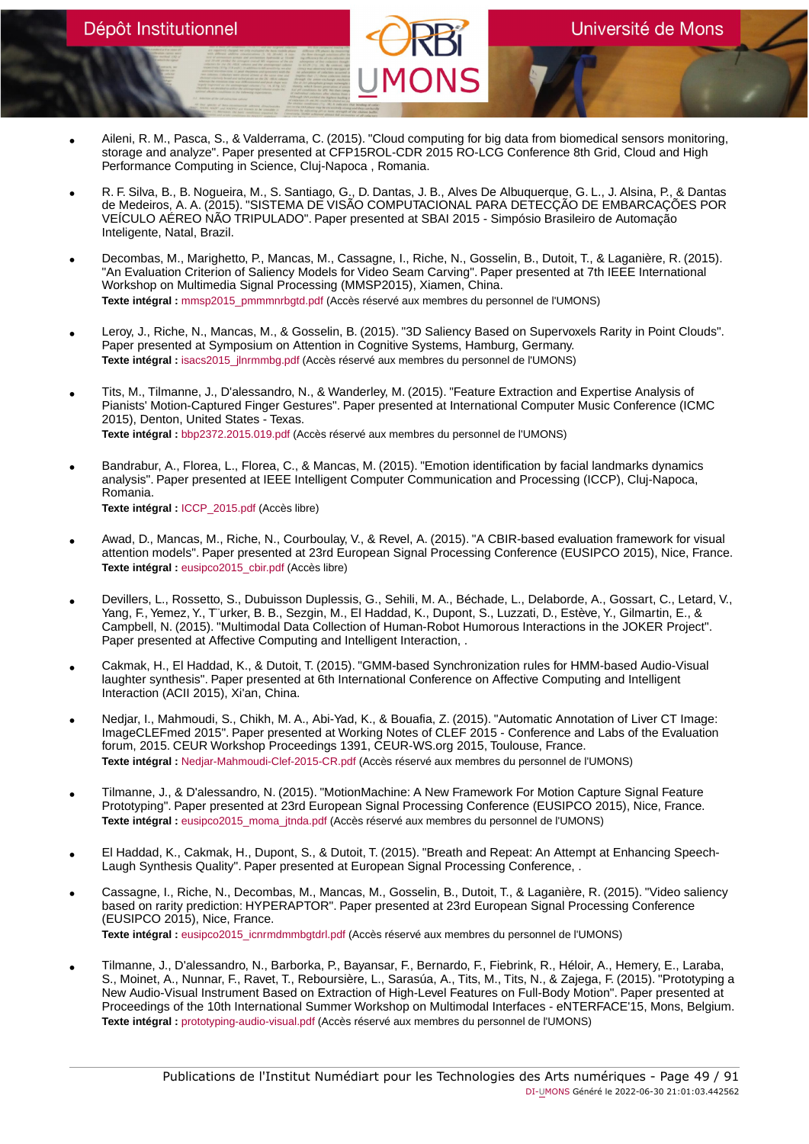- Aileni, R. M., Pasca, S., & Valderrama, C. (2015). "Cloud computing for big data from biomedical sensors monitoring, storage and analyze". Paper presented at CFP15ROL-CDR 2015 RO-LCG Conference 8th Grid, Cloud and High Performance Computing in Science, Cluj-Napoca , Romania.
- R. F. Silva, B., B. Nogueira, M., S. Santiago, G., D. Dantas, J. B., Alves De Albuquerque, G. L., J. Alsina, P., & Dantas de Medeiros, A. A. (2015). "SISTEMA DE VISÃO COMPUTACIONAL PARA DETECÇÃO DE EMBARCAÇÕES POR VEÍCULO AÉREO NÃO TRIPULADO". Paper presented at SBAI 2015 - Simpósio Brasileiro de Automação Inteligente, Natal, Brazil.
- Decombas, M., Marighetto, P., Mancas, M., Cassagne, I., Riche, N., Gosselin, B., Dutoit, T., & Laganière, R. (2015). "An Evaluation Criterion of Saliency Models for Video Seam Carving". Paper presented at 7th IEEE International Workshop on Multimedia Signal Processing (MMSP2015), Xiamen, China. Texte intégral : mmsp2015 pmmmnrbgtd.pdf (Accès réservé aux membres du personnel de l'UMONS)
- Leroy, J., Riche, N., Mancas, M., & Gosselin, B. (2015). "3D Saliency Based on Supervoxels Rarity in Point Clouds". Paper presented at Symposium on Attention in Cognitive Systems, Hamburg, Germany. **Texte intégral :** [isacs2015\\_jlnrmmbg.pdf](https://orbi.umons.ac.be/bitstream/20.500.12907/41781/1/isacs2015_jlnrmmbg.pdf) (Accès réservé aux membres du personnel de l'UMONS)
- Tits, M., Tilmanne, J., D'alessandro, N., & Wanderley, M. (2015). "Feature Extraction and Expertise Analysis of Pianists' Motion-Captured Finger Gestures". Paper presented at International Computer Music Conference (ICMC 2015), Denton, United States - Texas. **Texte intégral :** [bbp2372.2015.019.pdf](https://orbi.umons.ac.be/bitstream/20.500.12907/41775/1/bbp2372.2015.019.pdf) (Accès réservé aux membres du personnel de l'UMONS)
- Bandrabur, A., Florea, L., Florea, C., & Mancas, M. (2015). "Emotion identification by facial landmarks dynamics analysis". Paper presented at IEEE Intelligent Computer Communication and Processing (ICCP), Cluj-Napoca, Romania. **Texte intégral :** [ICCP\\_2015.pdf](https://orbi.umons.ac.be/bitstream/20.500.12907/41811/1/ICCP_2015.pdf) (Accès libre)
- Awad, D., Mancas, M., Riche, N., Courboulay, V., & Revel, A. (2015). "A CBIR-based evaluation framework for visual attention models". Paper presented at 23rd European Signal Processing Conference (EUSIPCO 2015), Nice, France. **Texte intégral :** [eusipco2015\\_cbir.pdf](https://orbi.umons.ac.be/bitstream/20.500.12907/41812/1/eusipco2015_cbir.pdf) (Accès libre)
- Devillers, L., Rossetto, S., Dubuisson Duplessis, G., Sehili, M. A., Béchade, L., Delaborde, A., Gossart, C., Letard, V., Yang, F., Yemez, Y., T¨urker, B. B., Sezgin, M., El Haddad, K., Dupont, S., Luzzati, D., Estève, Y., Gilmartin, E., & Campbell, N. (2015). "Multimodal Data Collection of Human-Robot Humorous Interactions in the JOKER Project". Paper presented at Affective Computing and Intelligent Interaction, .
- Cakmak, H., El Haddad, K., & Dutoit, T. (2015). "GMM-based Synchronization rules for HMM-based Audio-Visual laughter synthesis". Paper presented at 6th International Conference on Affective Computing and Intelligent Interaction (ACII 2015), Xi'an, China.
- Nedjar, I., Mahmoudi, S., Chikh, M. A., Abi-Yad, K., & Bouafia, Z. (2015). "Automatic Annotation of Liver CT Image: ImageCLEFmed 2015". Paper presented at Working Notes of CLEF 2015 - Conference and Labs of the Evaluation forum, 2015. CEUR Workshop Proceedings 1391, CEUR-WS.org 2015, Toulouse, France. **Texte intégral :** [Nedjar-Mahmoudi-Clef-2015-CR.pdf](https://orbi.umons.ac.be/bitstream/20.500.12907/41808/1/Nedjar-Mahmoudi-Clef-2015-CR.pdf) (Accès réservé aux membres du personnel de l'UMONS)
- Tilmanne, J., & D'alessandro, N. (2015). "MotionMachine: A New Framework For Motion Capture Signal Feature Prototyping". Paper presented at 23rd European Signal Processing Conference (EUSIPCO 2015), Nice, France. Texte intégral : [eusipco2015\\_moma\\_jtnda.pdf](https://orbi.umons.ac.be/bitstream/20.500.12907/41825/1/eusipco2015_moma_jtnda.pdf) (Accès réservé aux membres du personnel de l'UMONS)
- El Haddad, K., Cakmak, H., Dupont, S., & Dutoit, T. (2015). "Breath and Repeat: An Attempt at Enhancing Speech-Laugh Synthesis Quality". Paper presented at European Signal Processing Conference, .
- Cassagne, I., Riche, N., Decombas, M., Mancas, M., Gosselin, B., Dutoit, T., & Laganière, R. (2015). "Video saliency based on rarity prediction: HYPERAPTOR". Paper presented at 23rd European Signal Processing Conference (EUSIPCO 2015), Nice, France. **Texte intégral :** [eusipco2015\\_icnrmdmmbgtdrl.pdf](https://orbi.umons.ac.be/bitstream/20.500.12907/41784/1/eusipco2015_icnrmdmmbgtdrl.pdf) (Accès réservé aux membres du personnel de l'UMONS)
- Tilmanne, J., D'alessandro, N., Barborka, P., Bayansar, F., Bernardo, F., Fiebrink, R., Héloir, A., Hemery, E., Laraba, S., Moinet, A., Nunnar, F., Ravet, T., Reboursière, L., Sarasúa, A., Tits, M., Tits, N., & Zajega, F. (2015). "Prototyping a New Audio-Visual Instrument Based on Extraction of High-Level Features on Full-Body Motion". Paper presented at Proceedings of the 10th International Summer Workshop on Multimodal Interfaces - eNTERFACE'15, Mons, Belgium. **Texte intégral :** [prototyping-audio-visual.pdf](https://orbi.umons.ac.be/bitstream/20.500.12907/41827/1/prototyping-audio-visual.pdf) (Accès réservé aux membres du personnel de l'UMONS)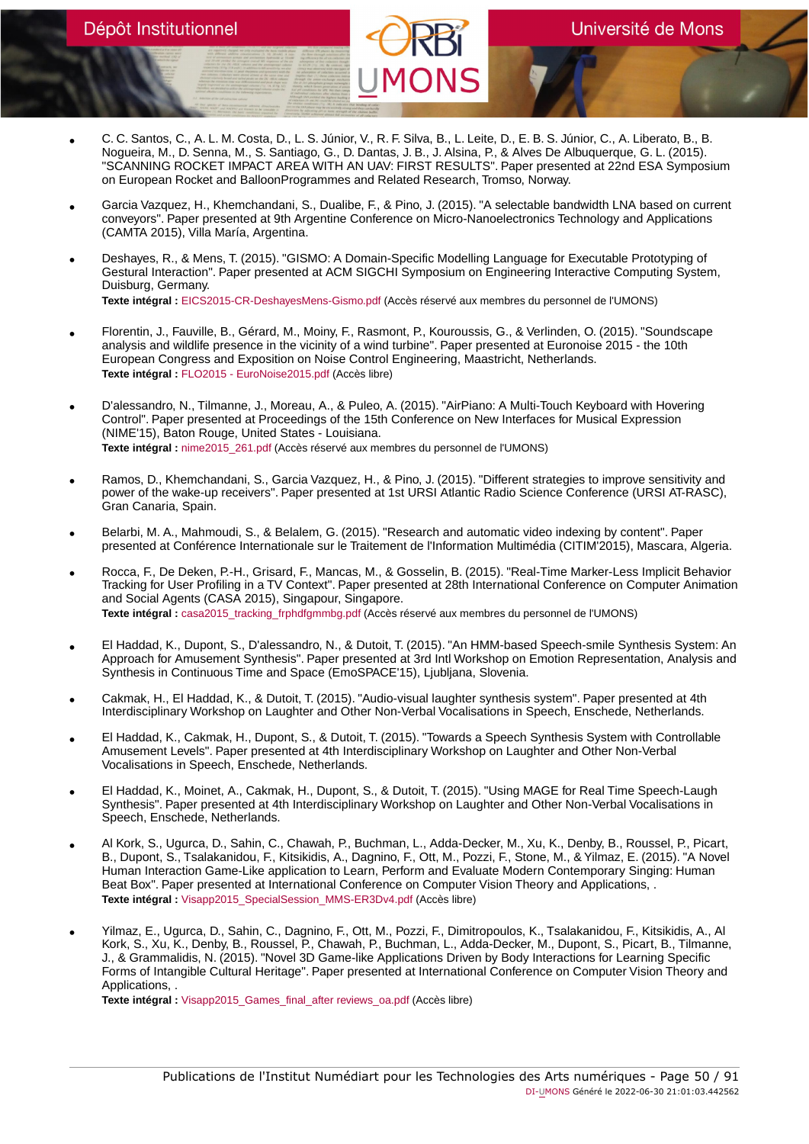- C. C. Santos, C., A. L. M. Costa, D., L. S. Júnior, V., R. F. Silva, B., L. Leite, D., E. B. S. Júnior, C., A. Liberato, B., B.<br>Nogueira, M., D. Senna, M., S. Santiago, G., D. Dantas, J. B., J. Alsina, P., & Alves De Al "SCANNING ROCKET IMPACT AREA WITH AN UAV: FIRST RESULTS". Paper presented at 22nd ESA Symposium on European Rocket and BalloonProgrammes and Related Research, Tromso, Norway.
- Garcia Vazquez, H., Khemchandani, S., Dualibe, F., & Pino, J. (2015). "A selectable bandwidth LNA based on current conveyors". Paper presented at 9th Argentine Conference on Micro-Nanoelectronics Technology and Applications (CAMTA 2015), Villa María, Argentina.
- Deshayes, R., & Mens, T. (2015). "GISMO: A Domain-Specific Modelling Language for Executable Prototyping of Gestural Interaction". Paper presented at ACM SIGCHI Symposium on Engineering Interactive Computing System, Duisburg, Germany. **Texte intégral :** [EICS2015-CR-DeshayesMens-Gismo.pdf](https://orbi.umons.ac.be/bitstream/20.500.12907/41701/1/EICS2015-CR-DeshayesMens-Gismo.pdf) (Accès réservé aux membres du personnel de l'UMONS)
- Florentin, J., Fauville, B., Gérard, M., Moiny, F., Rasmont, P., Kouroussis, G., & Verlinden, O. (2015). "Soundscape analysis and wildlife presence in the vicinity of a wind turbine". Paper presented at Euronoise 2015 - the 10th European Congress and Exposition on Noise Control Engineering, Maastricht, Netherlands. **Texte intégral :** [FLO2015 - EuroNoise2015.pdf](https://orbi.umons.ac.be/bitstream/20.500.12907/41740/1/FLO2015 - EuroNoise2015.pdf) (Accès libre)
- D'alessandro, N., Tilmanne, J., Moreau, A., & Puleo, A. (2015). "AirPiano: A Multi-Touch Keyboard with Hovering Control". Paper presented at Proceedings of the 15th Conference on New Interfaces for Musical Expression (NIME'15), Baton Rouge, United States - Louisiana. **Texte intégral :** [nime2015\\_261.pdf](https://orbi.umons.ac.be/bitstream/20.500.12907/41826/1/nime2015_261.pdf) (Accès réservé aux membres du personnel de l'UMONS)
- Ramos, D., Khemchandani, S., Garcia Vazquez, H., & Pino, J. (2015). "Different strategies to improve sensitivity and power of the wake-up receivers". Paper presented at 1st URSI Atlantic Radio Science Conference (URSI AT-RASC), Gran Canaria, Spain.
- Belarbi, M. A., Mahmoudi, S., & Belalem, G. (2015). "Research and automatic video indexing by content". Paper presented at Conférence Internationale sur le Traitement de l'Information Multimédia (CITIM'2015), Mascara, Algeria.
- Rocca, F., De Deken, P.-H., Grisard, F., Mancas, M., & Gosselin, B. (2015). "Real-Time Marker-Less Implicit Behavior Tracking for User Profiling in a TV Context". Paper presented at 28th International Conference on Computer Animation and Social Agents (CASA 2015), Singapour, Singapore. **Texte intégral :** [casa2015\\_tracking\\_frphdfgmmbg.pdf](https://orbi.umons.ac.be/bitstream/20.500.12907/41783/1/casa2015_tracking_frphdfgmmbg.pdf) (Accès réservé aux membres du personnel de l'UMONS)
- El Haddad, K., Dupont, S., D'alessandro, N., & Dutoit, T. (2015). "An HMM-based Speech-smile Synthesis System: An Approach for Amusement Synthesis". Paper presented at 3rd Intl Workshop on Emotion Representation, Analysis and Synthesis in Continuous Time and Space (EmoSPACE'15), Ljubljana, Slovenia.
- Cakmak, H., El Haddad, K., & Dutoit, T. (2015). "Audio-visual laughter synthesis system". Paper presented at 4th Interdisciplinary Workshop on Laughter and Other Non-Verbal Vocalisations in Speech, Enschede, Netherlands.
- El Haddad, K., Cakmak, H., Dupont, S., & Dutoit, T. (2015). "Towards a Speech Synthesis System with Controllable Amusement Levels". Paper presented at 4th Interdisciplinary Workshop on Laughter and Other Non-Verbal Vocalisations in Speech, Enschede, Netherlands.
- El Haddad, K., Moinet, A., Cakmak, H., Dupont, S., & Dutoit, T. (2015). "Using MAGE for Real Time Speech-Laugh Synthesis". Paper presented at 4th Interdisciplinary Workshop on Laughter and Other Non-Verbal Vocalisations in Speech, Enschede, Netherlands.
- Al Kork, S., Ugurca, D., Sahin, C., Chawah, P., Buchman, L., Adda-Decker, M., Xu, K., Denby, B., Roussel, P., Picart, B., Dupont, S., Tsalakanidou, F., Kitsikidis, A., Dagnino, F., Ott, M., Pozzi, F., Stone, M., & Yilmaz, E. (2015). "A Novel Human Interaction Game-Like application to Learn, Perform and Evaluate Modern Contemporary Singing: Human Beat Box". Paper presented at International Conference on Computer Vision Theory and Applications, . **Texte intégral :** [Visapp2015\\_SpecialSession\\_MMS-ER3Dv4.pdf](https://orbi.umons.ac.be/bitstream/20.500.12907/41725/1/Visapp2015_SpecialSession_MMS-ER3Dv4.pdf) (Accès libre)
- Yilmaz, E., Ugurca, D., Sahin, C., Dagnino, F., Ott, M., Pozzi, F., Dimitropoulos, K., Tsalakanidou, F., Kitsikidis, A., Al Kork, S., Xu, K., Denby, B., Roussel, P., Chawah, P., Buchman, L., Adda-Decker, M., Dupont, S., Picart, B., Tilmanne, J., & Grammalidis, N. (2015). "Novel 3D Game-like Applications Driven by Body Interactions for Learning Specific Forms of Intangible Cultural Heritage". Paper presented at International Conference on Computer Vision Theory and Applications, .

**Texte intégral :** [Visapp2015\\_Games\\_final\\_after reviews\\_oa.pdf](https://orbi.umons.ac.be/bitstream/20.500.12907/41726/1/Visapp2015_Games_final_after reviews_oa.pdf) (Accès libre)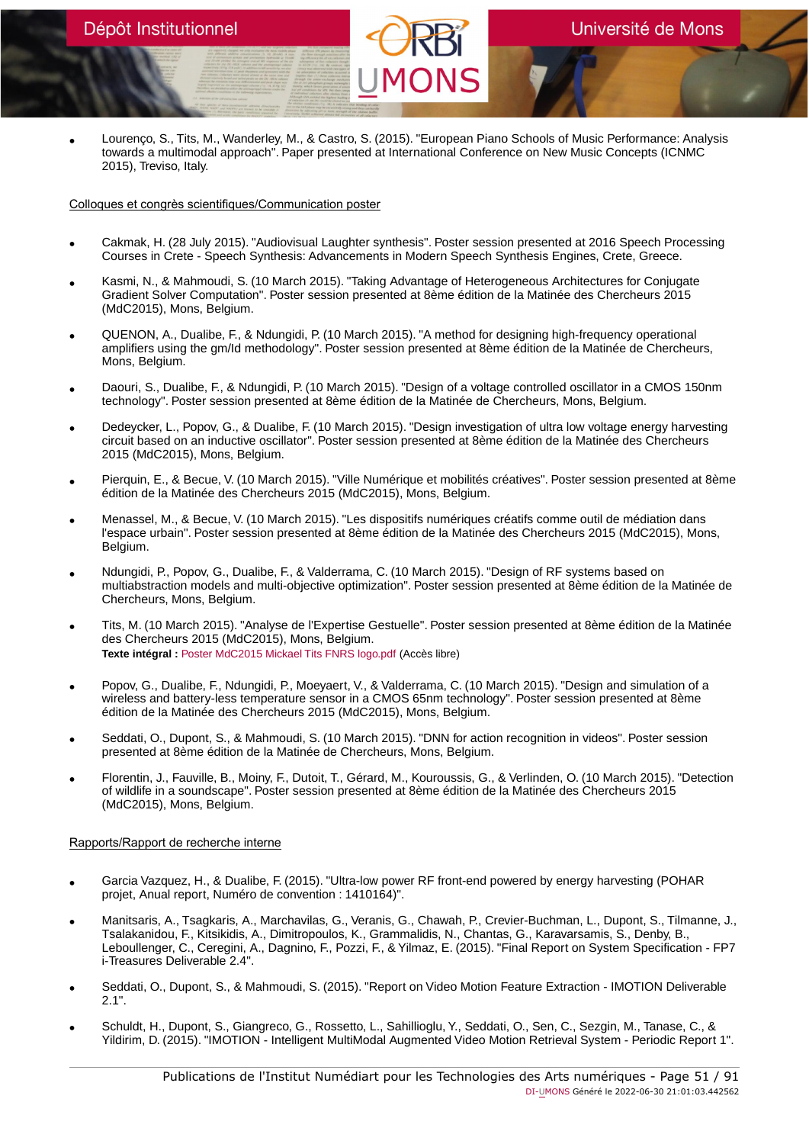• Lourenço, S., Tits, M., Wanderley, M., & Castro, S. (2015). "European Piano Schools of Music Performance: Analysis towards a multimodal approach". Paper presented at International Conference on New Music Concepts (ICNMC 2015), Treviso, Italy.

#### Colloques et congrès scientifiques/Communication poster

- Cakmak, H. (28 July 2015). "Audiovisual Laughter synthesis". Poster session presented at 2016 Speech Processing Courses in Crete - Speech Synthesis: Advancements in Modern Speech Synthesis Engines, Crete, Greece.
- Kasmi, N., & Mahmoudi, S. (10 March 2015). "Taking Advantage of Heterogeneous Architectures for Conjugate Gradient Solver Computation". Poster session presented at 8ème édition de la Matinée des Chercheurs 2015 (MdC2015), Mons, Belgium.
- QUENON, A., Dualibe, F., & Ndungidi, P. (10 March 2015). "A method for designing high-frequency operational amplifiers using the gm/Id methodology". Poster session presented at 8ème édition de la Matinée de Chercheurs, Mons, Belgium.
- Daouri, S., Dualibe, F., & Ndungidi, P. (10 March 2015). "Design of a voltage controlled oscillator in a CMOS 150nm technology". Poster session presented at 8ème édition de la Matinée de Chercheurs, Mons, Belgium.
- Dedeycker, L., Popov, G., & Dualibe, F. (10 March 2015). "Design investigation of ultra low voltage energy harvesting circuit based on an inductive oscillator". Poster session presented at 8ème édition de la Matinée des Chercheurs 2015 (MdC2015), Mons, Belgium.
- Pierquin, E., & Becue, V. (10 March 2015). "Ville Numérique et mobilités créatives". Poster session presented at 8ème édition de la Matinée des Chercheurs 2015 (MdC2015), Mons, Belgium.
- Menassel, M., & Becue, V. (10 March 2015). "Les dispositifs numériques créatifs comme outil de médiation dans l'espace urbain". Poster session presented at 8ème édition de la Matinée des Chercheurs 2015 (MdC2015), Mons, Belgium.
- Ndungidi, P., Popov, G., Dualibe, F., & Valderrama, C. (10 March 2015). "Design of RF systems based on multiabstraction models and multi-objective optimization". Poster session presented at 8ème édition de la Matinée de Chercheurs, Mons, Belgium.
- Tits, M. (10 March 2015). "Analyse de l'Expertise Gestuelle". Poster session presented at 8ème édition de la Matinée des Chercheurs 2015 (MdC2015), Mons, Belgium. **Texte intégral :** [Poster MdC2015 Mickael Tits FNRS logo.pdf](https://orbi.umons.ac.be/bitstream/20.500.12907/41776/1/Poster MdC2015 Mickael Tits FNRS logo.pdf) (Accès libre)
- Popov, G., Dualibe, F., Ndungidi, P., Moeyaert, V., & Valderrama, C. (10 March 2015). "Design and simulation of a wireless and battery-less temperature sensor in a CMOS 65nm technology". Poster session presented at 8ème édition de la Matinée des Chercheurs 2015 (MdC2015), Mons, Belgium.
- Seddati, O., Dupont, S., & Mahmoudi, S. (10 March 2015). "DNN for action recognition in videos". Poster session presented at 8ème édition de la Matinée de Chercheurs, Mons, Belgium.
- Florentin, J., Fauville, B., Moiny, F., Dutoit, T., Gérard, M., Kouroussis, G., & Verlinden, O. (10 March 2015). "Detection of wildlife in a soundscape". Poster session presented at 8ème édition de la Matinée des Chercheurs 2015 (MdC2015), Mons, Belgium.

# Rapports/Rapport de recherche interne

- Garcia Vazquez, H., & Dualibe, F. (2015). "Ultra-low power RF front-end powered by energy harvesting (POHAR projet, Anual report, Numéro de convention : 1410164)".
- Manitsaris, A., Tsagkaris, A., Marchavilas, G., Veranis, G., Chawah, P., Crevier-Buchman, L., Dupont, S., Tilmanne, J., Tsalakanidou, F., Kitsikidis, A., Dimitropoulos, K., Grammalidis, N., Chantas, G., Karavarsamis, S., Denby, B., Leboullenger, C., Ceregini, A., Dagnino, F., Pozzi, F., & Yilmaz, E. (2015). "Final Report on System Specification - FP7 i-Treasures Deliverable 2.4".
- Seddati, O., Dupont, S., & Mahmoudi, S. (2015). "Report on Video Motion Feature Extraction IMOTION Deliverable 2.1".
- Schuldt, H., Dupont, S., Giangreco, G., Rossetto, L., Sahillioglu, Y., Seddati, O., Sen, C., Sezgin, M., Tanase, C., & Yildirim, D. (2015). "IMOTION - Intelligent MultiModal Augmented Video Motion Retrieval System - Periodic Report 1".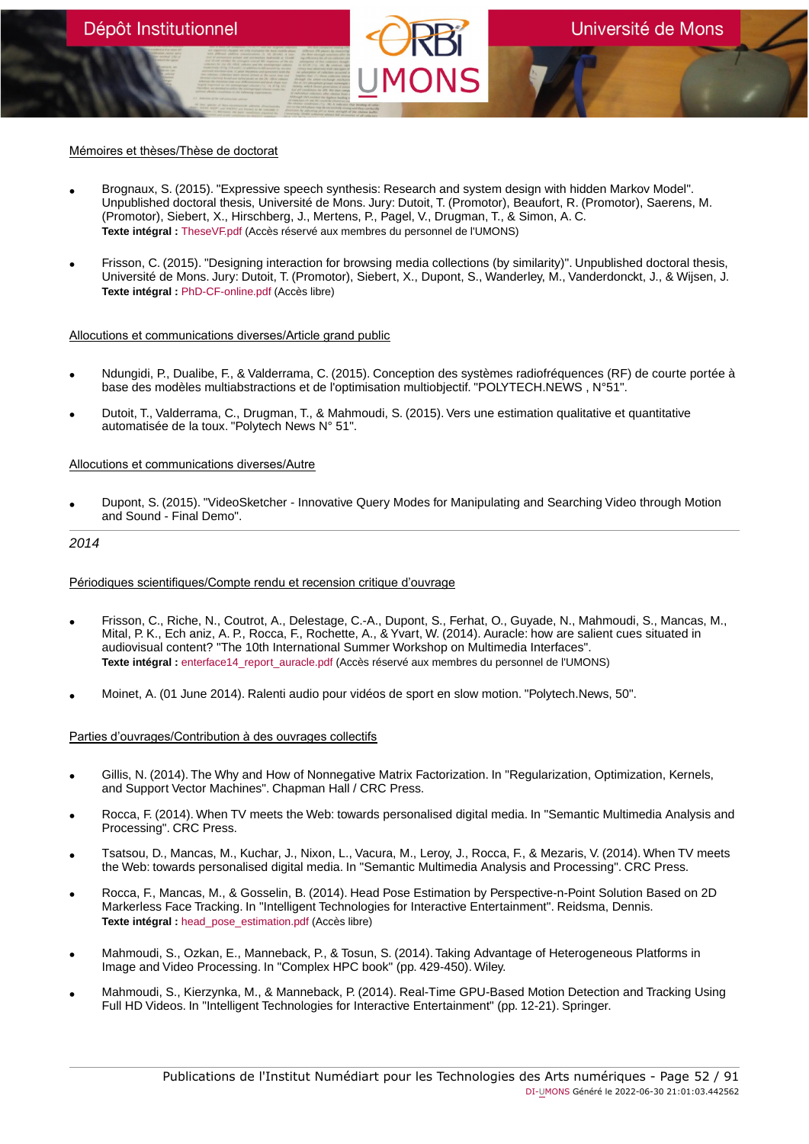# Mémoires et thèses/Thèse de doctorat

- Brognaux, S. (2015). "Expressive speech synthesis: Research and system design with hidden Markov Model". Unpublished doctoral thesis, Université de Mons. Jury: Dutoit, T. (Promotor), Beaufort, R. (Promotor), Saerens, M. (Promotor), Siebert, X., Hirschberg, J., Mertens, P., Pagel, V., Drugman, T., & Simon, A. C. **Texte intégral :** [TheseVF.pdf](https://orbi.umons.ac.be/bitstream/20.500.12907/42152/1/TheseVF.pdf) (Accès réservé aux membres du personnel de l'UMONS)
- Frisson, C. (2015). "Designing interaction for browsing media collections (by similarity)". Unpublished doctoral thesis, Université de Mons. Jury: Dutoit, T. (Promotor), Siebert, X., Dupont, S., Wanderley, M., Vanderdonckt, J., & Wijsen, J. **Texte intégral :** [PhD-CF-online.pdf](https://orbi.umons.ac.be/bitstream/20.500.12907/41801/1/PhD-CF-online.pdf) (Accès libre)

#### Allocutions et communications diverses/Article grand public

- Ndungidi, P., Dualibe, F., & Valderrama, C. (2015). Conception des systèmes radiofréquences (RF) de courte portée à base des modèles multiabstractions et de l'optimisation multiobjectif. "POLYTECH.NEWS , N°51".
- Dutoit, T., Valderrama, C., Drugman, T., & Mahmoudi, S. (2015). Vers une estimation qualitative et quantitative automatisée de la toux. "Polytech News N° 51".

#### Allocutions et communications diverses/Autre

• Dupont, S. (2015). "VideoSketcher - Innovative Query Modes for Manipulating and Searching Video through Motion and Sound - Final Demo".

# 2014

# Périodiques scientifiques/Compte rendu et recension critique d'ouvrage

- Frisson, C., Riche, N., Coutrot, A., Delestage, C.-A., Dupont, S., Ferhat, O., Guyade, N., Mahmoudi, S., Mancas, M., Mital, P. K., Ech aniz, A. P., Rocca, F., Rochette, A., & Yvart, W. (2014). Auracle: how are salient cues situated in audiovisual content? "The 10th International Summer Workshop on Multimedia Interfaces". **Texte intégral :** [enterface14\\_report\\_auracle.pdf](https://orbi.umons.ac.be/bitstream/20.500.12907/41730/1/enterface14_report_auracle.pdf) (Accès réservé aux membres du personnel de l'UMONS)
- Moinet, A. (01 June 2014). Ralenti audio pour vidéos de sport en slow motion. "Polytech.News, 50".

#### Parties d'ouvrages/Contribution à des ouvrages collectifs

- Gillis, N. (2014). The Why and How of Nonnegative Matrix Factorization. In "Regularization, Optimization, Kernels, and Support Vector Machines". Chapman Hall / CRC Press.
- Rocca, F. (2014). When TV meets the Web: towards personalised digital media. In "Semantic Multimedia Analysis and Processing". CRC Press.
- Tsatsou, D., Mancas, M., Kuchar, J., Nixon, L., Vacura, M., Leroy, J., Rocca, F., & Mezaris, V. (2014). When TV meets the Web: towards personalised digital media. In "Semantic Multimedia Analysis and Processing". CRC Press.
- Rocca, F., Mancas, M., & Gosselin, B. (2014). Head Pose Estimation by Perspective-n-Point Solution Based on 2D Markerless Face Tracking. In "Intelligent Technologies for Interactive Entertainment". Reidsma, Dennis. **Texte intégral :** [head\\_pose\\_estimation.pdf](https://orbi.umons.ac.be/bitstream/20.500.12907/41669/1/head_pose_estimation.pdf) (Accès libre)
- Mahmoudi, S., Ozkan, E., Manneback, P., & Tosun, S. (2014). Taking Advantage of Heterogeneous Platforms in Image and Video Processing. In "Complex HPC book" (pp. 429-450). Wiley.
- Mahmoudi, S., Kierzynka, M., & Manneback, P. (2014). Real-Time GPU-Based Motion Detection and Tracking Using Full HD Videos. In "Intelligent Technologies for Interactive Entertainment" (pp. 12-21). Springer.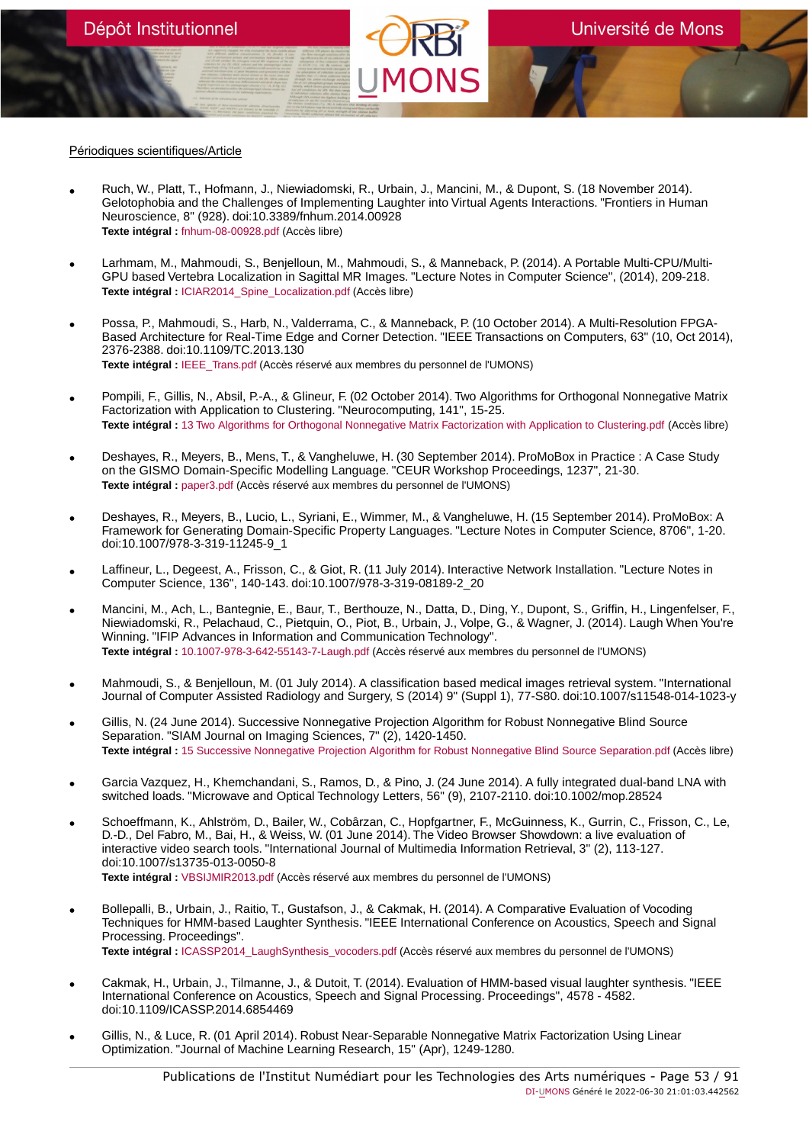#### Périodiques scientifiques/Article

- Ruch, W., Platt, T., Hofmann, J., Niewiadomski, R., Urbain, J., Mancini, M., & Dupont, S. (18 November 2014). Gelotophobia and the Challenges of Implementing Laughter into Virtual Agents Interactions. "Frontiers in Human Neuroscience, 8" (928). doi:10.3389/fnhum.2014.00928 **Texte intégral :** [fnhum-08-00928.pdf](https://orbi.umons.ac.be/bitstream/20.500.12907/41646/1/fnhum-08-00928.pdf) (Accès libre)
- Larhmam, M., Mahmoudi, S., Benjelloun, M., Mahmoudi, S., & Manneback, P. (2014). A Portable Multi-CPU/Multi-GPU based Vertebra Localization in Sagittal MR Images. "Lecture Notes in Computer Science", (2014), 209-218. **Texte intégral :** [ICIAR2014\\_Spine\\_Localization.pdf](https://orbi.umons.ac.be/bitstream/20.500.12907/41627/1/ICIAR2014_Spine_Localization.pdf) (Accès libre)
- Possa, P., Mahmoudi, S., Harb, N., Valderrama, C., & Manneback, P. (10 October 2014). A Multi-Resolution FPGA-Based Architecture for Real-Time Edge and Corner Detection. "IEEE Transactions on Computers, 63" (10, Oct 2014), 2376-2388. doi:10.1109/TC.2013.130 **Texte intégral :** [IEEE\\_Trans.pdf](https://orbi.umons.ac.be/bitstream/20.500.12907/41608/1/IEEE_Trans.pdf) (Accès réservé aux membres du personnel de l'UMONS)
- Pompili, F., Gillis, N., Absil, P.-A., & Glineur, F. (02 October 2014). Two Algorithms for Orthogonal Nonnegative Matrix Factorization with Application to Clustering. "Neurocomputing, 141", 15-25. **Texte intégral :** [13 Two Algorithms for Orthogonal Nonnegative Matrix Factorization with Application to Clustering.pdf](https://orbi.umons.ac.be/bitstream/20.500.12907/41614/1/13 Two Algorithms for Orthogonal Nonnegative Matrix Factorization with Application to Clustering.pdf) (Accès libre)
- Deshayes, R., Meyers, B., Mens, T., & Vangheluwe, H. (30 September 2014). ProMoBox in Practice : A Case Study on the GISMO Domain-Specific Modelling Language. "CEUR Workshop Proceedings, 1237", 21-30. **Texte intégral :** [paper3.pdf](https://orbi.umons.ac.be/bitstream/20.500.12907/41628/1/paper3.pdf) (Accès réservé aux membres du personnel de l'UMONS)
- Deshayes, R., Meyers, B., Lucio, L., Syriani, E., Wimmer, M., & Vangheluwe, H. (15 September 2014). ProMoBox: A Framework for Generating Domain-Specific Property Languages. "Lecture Notes in Computer Science, 8706", 1-20. doi:10.1007/978-3-319-11245-9\_1
- Laffineur, L., Degeest, A., Frisson, C., & Giot, R. (11 July 2014). Interactive Network Installation. "Lecture Notes in Computer Science, 136", 140-143. doi:10.1007/978-3-319-08189-2\_20
- Mancini, M., Ach, L., Bantegnie, E., Baur, T., Berthouze, N., Datta, D., Ding, Y., Dupont, S., Griffin, H., Lingenfelser, F., Niewiadomski, R., Pelachaud, C., Pietquin, O., Piot, B., Urbain, J., Volpe, G., & Wagner, J. (2014). Laugh When You're Winning. "IFIP Advances in Information and Communication Technology". **Texte intégral :** [10.1007-978-3-642-55143-7-Laugh.pdf](https://orbi.umons.ac.be/bitstream/20.500.12907/41620/1/10.1007-978-3-642-55143-7-Laugh.pdf) (Accès réservé aux membres du personnel de l'UMONS)
- Mahmoudi, S., & Benjelloun, M. (01 July 2014). A classification based medical images retrieval system. "International Journal of Computer Assisted Radiology and Surgery, S (2014) 9" (Suppl 1), 77-S80. doi:10.1007/s11548-014-1023-y
- Gillis, N. (24 June 2014). Successive Nonnegative Projection Algorithm for Robust Nonnegative Blind Source Separation. "SIAM Journal on Imaging Sciences, 7" (2), 1420-1450. **Texte intégral :** [15 Successive Nonnegative Projection Algorithm for Robust Nonnegative Blind Source Separation.pdf](https://orbi.umons.ac.be/bitstream/20.500.12907/41616/1/15 Successive Nonnegative Projection Algorithm for Robust Nonnegative Blind Source Separation.pdf) (Accès libre)
- Garcia Vazquez, H., Khemchandani, S., Ramos, D., & Pino, J. (24 June 2014). A fully integrated dual-band LNA with switched loads. "Microwave and Optical Technology Letters, 56" (9), 2107-2110. doi:10.1002/mop.28524
- Schoeffmann, K., Ahlström, D., Bailer, W., Cobârzan, C., Hopfgartner, F., McGuinness, K., Gurrin, C., Frisson, C., Le, D.-D., Del Fabro, M., Bai, H., & Weiss, W. (01 June 2014). The Video Browser Showdown: a live evaluation of interactive video search tools. "International Journal of Multimedia Information Retrieval, 3" (2), 113-127. doi:10.1007/s13735-013-0050-8 **Texte intégral :** [VBSIJMIR2013.pdf](https://orbi.umons.ac.be/bitstream/20.500.12907/41569/1/VBSIJMIR2013.pdf) (Accès réservé aux membres du personnel de l'UMONS)
- Bollepalli, B., Urbain, J., Raitio, T., Gustafson, J., & Cakmak, H. (2014). A Comparative Evaluation of Vocoding Techniques for HMM-based Laughter Synthesis. "IEEE International Conference on Acoustics, Speech and Signal Processing. Proceedings". Texte intégral : [ICASSP2014\\_LaughSynthesis\\_vocoders.pdf](https://orbi.umons.ac.be/bitstream/20.500.12907/41611/1/ICASSP2014_LaughSynthesis_vocoders.pdf) (Accès réservé aux membres du personnel de l'UMONS)
- Cakmak, H., Urbain, J., Tilmanne, J., & Dutoit, T. (2014). Evaluation of HMM-based visual laughter synthesis. "IEEE International Conference on Acoustics, Speech and Signal Processing. Proceedings", 4578 - 4582. doi:10.1109/ICASSP.2014.6854469
- Gillis, N., & Luce, R. (01 April 2014). Robust Near-Separable Nonnegative Matrix Factorization Using Linear Optimization. "Journal of Machine Learning Research, 15" (Apr), 1249-1280.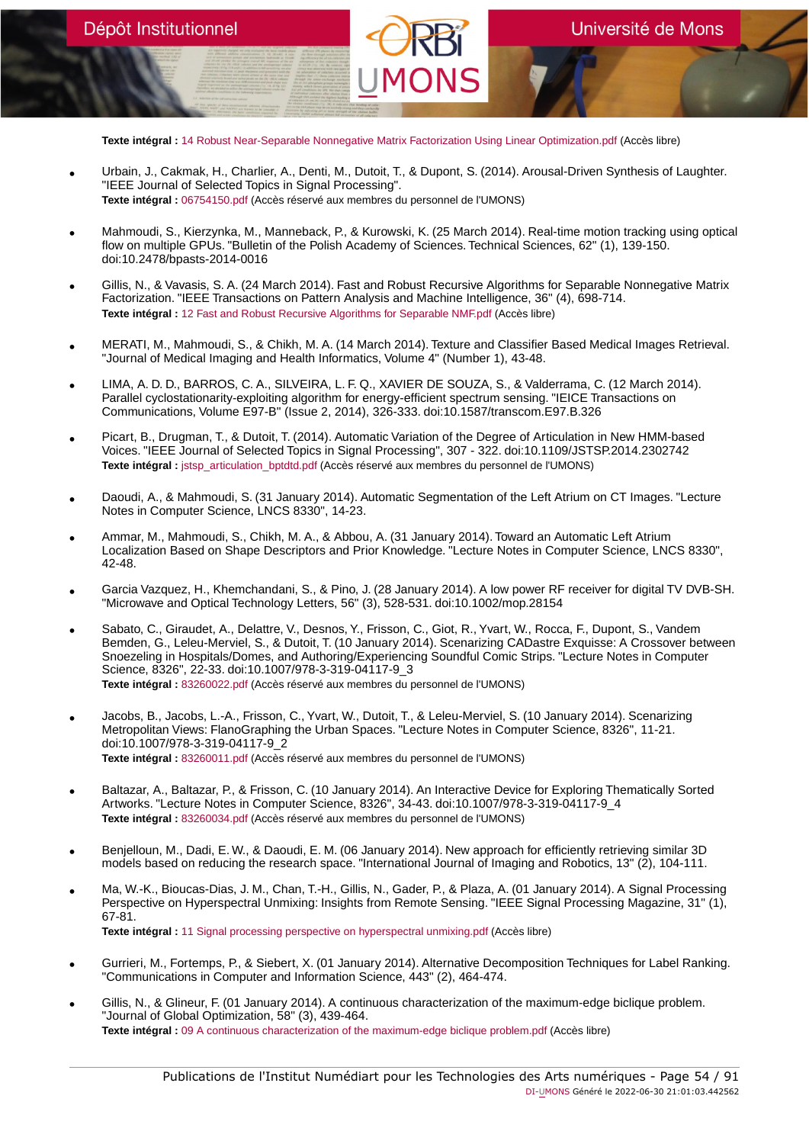**Texte intégral :** [14 Robust Near-Separable Nonnegative Matrix Factorization Using Linear Optimization.pdf](https://orbi.umons.ac.be/bitstream/20.500.12907/41613/1/14 Robust Near-Separable Nonnegative Matrix Factorization Using Linear Optimization.pdf) (Accès libre)

- Urbain, J., Cakmak, H., Charlier, A., Denti, M., Dutoit, T., & Dupont, S. (2014). Arousal-Driven Synthesis of Laughter. "IEEE Journal of Selected Topics in Signal Processing". **Texte intégral :** [06754150.pdf](https://orbi.umons.ac.be/bitstream/20.500.12907/41622/1/06754150.pdf) (Accès réservé aux membres du personnel de l'UMONS)
- Mahmoudi, S., Kierzynka, M., Manneback, P., & Kurowski, K. (25 March 2014). Real-time motion tracking using optical flow on multiple GPUs. "Bulletin of the Polish Academy of Sciences. Technical Sciences, 62" (1), 139-150. doi:10.2478/bpasts-2014-0016
- Gillis, N., & Vavasis, S. A. (24 March 2014). Fast and Robust Recursive Algorithms for Separable Nonnegative Matrix Factorization. "IEEE Transactions on Pattern Analysis and Machine Intelligence, 36" (4), 698-714. **Texte intégral :** [12 Fast and Robust Recursive Algorithms for Separable NMF.pdf](https://orbi.umons.ac.be/bitstream/20.500.12907/41574/1/12 Fast and Robust Recursive Algorithms for Separable NMF.pdf) (Accès libre)
- MERATI, M., Mahmoudi, S., & Chikh, M. A. (14 March 2014). Texture and Classifier Based Medical Images Retrieval. "Journal of Medical Imaging and Health Informatics, Volume 4" (Number 1), 43-48.
- LIMA, A. D. D., BARROS, C. A., SILVEIRA, L. F. Q., XAVIER DE SOUZA, S., & Valderrama, C. (12 March 2014). Parallel cyclostationarity-exploiting algorithm for energy-efficient spectrum sensing. "IEICE Transactions on Communications, Volume E97-B" (Issue 2, 2014), 326-333. doi:10.1587/transcom.E97.B.326
- Picart, B., Drugman, T., & Dutoit, T. (2014). Automatic Variation of the Degree of Articulation in New HMM-based Voices. "IEEE Journal of Selected Topics in Signal Processing", 307 - 322. doi:10.1109/JSTSP.2014.2302742 Texte intégral : [jstsp\\_articulation\\_bptdtd.pdf](https://orbi.umons.ac.be/bitstream/20.500.12907/41582/1/jstsp_articulation_bptdtd.pdf) (Accès réservé aux membres du personnel de l'UMONS)
- Daoudi, A., & Mahmoudi, S. (31 January 2014). Automatic Segmentation of the Left Atrium on CT Images. "Lecture Notes in Computer Science, LNCS 8330", 14-23.
- Ammar, M., Mahmoudi, S., Chikh, M. A., & Abbou, A. (31 January 2014). Toward an Automatic Left Atrium Localization Based on Shape Descriptors and Prior Knowledge. "Lecture Notes in Computer Science, LNCS 8330", 42-48.
- Garcia Vazquez, H., Khemchandani, S., & Pino, J. (28 January 2014). A low power RF receiver for digital TV DVB-SH. "Microwave and Optical Technology Letters, 56" (3), 528-531. doi:10.1002/mop.28154
- Sabato, C., Giraudet, A., Delattre, V., Desnos, Y., Frisson, C., Giot, R., Yvart, W., Rocca, F., Dupont, S., Vandem Bemden, G., Leleu-Merviel, S., & Dutoit, T. (10 January 2014). Scenarizing CADastre Exquisse: A Crossover between Snoezeling in Hospitals/Domes, and Authoring/Experiencing Soundful Comic Strips. "Lecture Notes in Computer Science, 8326", 22-33. doi:10.1007/978-3-319-04117-9\_3 **Texte intégral :** [83260022.pdf](https://orbi.umons.ac.be/bitstream/20.500.12907/41621/1/83260022.pdf) (Accès réservé aux membres du personnel de l'UMONS)
- Jacobs, B., Jacobs, L.-A., Frisson, C., Yvart, W., Dutoit, T., & Leleu-Merviel, S. (10 January 2014). Scenarizing Metropolitan Views: FlanoGraphing the Urban Spaces. "Lecture Notes in Computer Science, 8326", 11-21. doi:10.1007/978-3-319-04117-9\_2 **Texte intégral :** [83260011.pdf](https://orbi.umons.ac.be/bitstream/20.500.12907/41668/1/83260011.pdf) (Accès réservé aux membres du personnel de l'UMONS)
- Baltazar, A., Baltazar, P., & Frisson, C. (10 January 2014). An Interactive Device for Exploring Thematically Sorted Artworks. "Lecture Notes in Computer Science, 8326", 34-43. doi:10.1007/978-3-319-04117-9\_4 **Texte intégral :** [83260034.pdf](https://orbi.umons.ac.be/bitstream/20.500.12907/41667/1/83260034.pdf) (Accès réservé aux membres du personnel de l'UMONS)
- Benjelloun, M., Dadi, E. W., & Daoudi, E. M. (06 January 2014). New approach for efficiently retrieving similar 3D models based on reducing the research space. "International Journal of Imaging and Robotics, 13" (2), 104-111.
- Ma, W.-K., Bioucas-Dias, J. M., Chan, T.-H., Gillis, N., Gader, P., & Plaza, A. (01 January 2014). A Signal Processing Perspective on Hyperspectral Unmixing: Insights from Remote Sensing. "IEEE Signal Processing Magazine, 31" (1), 67-81. **Texte intégral :** [11 Signal processing perspective on hyperspectral unmixing.pdf](https://orbi.umons.ac.be/bitstream/20.500.12907/41560/1/11 Signal processing perspective on hyperspectral unmixing.pdf) (Accès libre)
- Gurrieri, M., Fortemps, P., & Siebert, X. (01 January 2014). Alternative Decomposition Techniques for Label Ranking. "Communications in Computer and Information Science, 443" (2), 464-474.
- Gillis, N., & Glineur, F. (01 January 2014). A continuous characterization of the maximum-edge biclique problem. "Journal of Global Optimization, 58" (3), 439-464. **Texte intégral :** [09 A continuous characterization of the maximum-edge biclique problem.pdf](https://orbi.umons.ac.be/bitstream/20.500.12907/41841/1/09 A continuous characterization of the maximum-edge biclique problem.pdf) (Accès libre)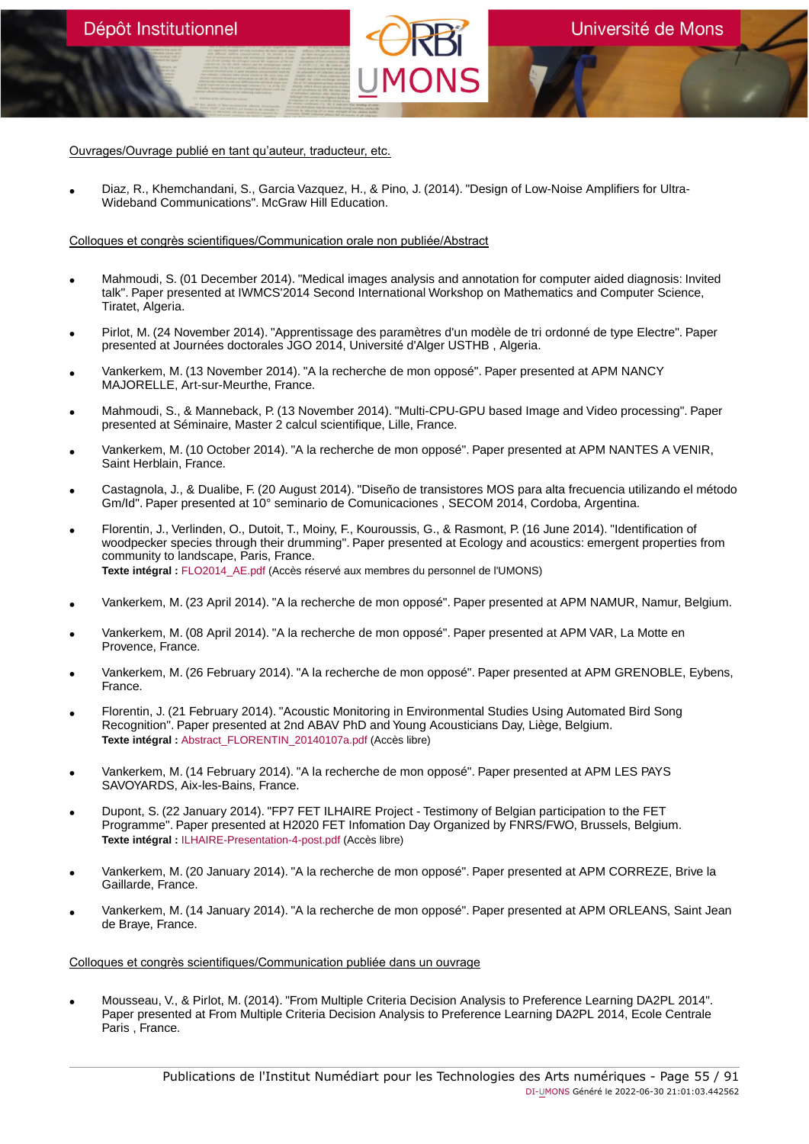Ouvrages/Ouvrage publié en tant qu'auteur, traducteur, etc.

• Diaz, R., Khemchandani, S., Garcia Vazquez, H., & Pino, J. (2014). "Design of Low-Noise Amplifiers for Ultra-Wideband Communications". McGraw Hill Education.

Colloques et congrès scientifiques/Communication orale non publiée/Abstract

- Mahmoudi, S. (01 December 2014). "Medical images analysis and annotation for computer aided diagnosis: Invited talk". Paper presented at IWMCS'2014 Second International Workshop on Mathematics and Computer Science, Tiratet, Algeria.
- Pirlot, M. (24 November 2014). "Apprentissage des paramètres d'un modèle de tri ordonné de type Electre". Paper presented at Journées doctorales JGO 2014, Université d'Alger USTHB , Algeria.
- Vankerkem, M. (13 November 2014). "A la recherche de mon opposé". Paper presented at APM NANCY MAJORELLE, Art-sur-Meurthe, France.
- Mahmoudi, S., & Manneback, P. (13 November 2014). "Multi-CPU-GPU based Image and Video processing". Paper presented at Séminaire, Master 2 calcul scientifique, Lille, France.
- Vankerkem, M. (10 October 2014). "A la recherche de mon opposé". Paper presented at APM NANTES A VENIR, Saint Herblain, France.
- Castagnola, J., & Dualibe, F. (20 August 2014). "Diseño de transistores MOS para alta frecuencia utilizando el método Gm/Id". Paper presented at 10° seminario de Comunicaciones , SECOM 2014, Cordoba, Argentina.
- Florentin, J., Verlinden, O., Dutoit, T., Moiny, F., Kouroussis, G., & Rasmont, P. (16 June 2014). "Identification of woodpecker species through their drumming". Paper presented at Ecology and acoustics: emergent properties from community to landscape, Paris, France. **Texte intégral :** [FLO2014\\_AE.pdf](https://orbi.umons.ac.be/bitstream/20.500.12907/41615/1/FLO2014_AE.pdf) (Accès réservé aux membres du personnel de l'UMONS)
- Vankerkem, M. (23 April 2014). "A la recherche de mon opposé". Paper presented at APM NAMUR, Namur, Belgium.
- Vankerkem, M. (08 April 2014). "A la recherche de mon opposé". Paper presented at APM VAR, La Motte en Provence, France.
- Vankerkem, M. (26 February 2014). "A la recherche de mon opposé". Paper presented at APM GRENOBLE, Eybens, France.
- Florentin, J. (21 February 2014). "Acoustic Monitoring in Environmental Studies Using Automated Bird Song Recognition". Paper presented at 2nd ABAV PhD and Young Acousticians Day, Liège, Belgium. **Texte intégral :** [Abstract\\_FLORENTIN\\_20140107a.pdf](https://orbi.umons.ac.be/bitstream/20.500.12907/41688/1/Abstract_FLORENTIN_20140107a.pdf) (Accès libre)
- Vankerkem, M. (14 February 2014). "A la recherche de mon opposé". Paper presented at APM LES PAYS SAVOYARDS, Aix-les-Bains, France.
- Dupont, S. (22 January 2014). "FP7 FET ILHAIRE Project Testimony of Belgian participation to the FET Programme". Paper presented at H2020 FET Infomation Day Organized by FNRS/FWO, Brussels, Belgium. **Texte intégral :** [ILHAIRE-Presentation-4-post.pdf](https://orbi.umons.ac.be/bitstream/20.500.12907/42073/1/ILHAIRE-Presentation-4-post.pdf) (Accès libre)
- Vankerkem, M. (20 January 2014). "A la recherche de mon opposé". Paper presented at APM CORREZE, Brive la Gaillarde, France.
- Vankerkem, M. (14 January 2014). "A la recherche de mon opposé". Paper presented at APM ORLEANS, Saint Jean de Braye, France.

#### Colloques et congrès scientifiques/Communication publiée dans un ouvrage

• Mousseau, V., & Pirlot, M. (2014). "From Multiple Criteria Decision Analysis to Preference Learning DA2PL 2014". Paper presented at From Multiple Criteria Decision Analysis to Preference Learning DA2PL 2014, Ecole Centrale Paris , France.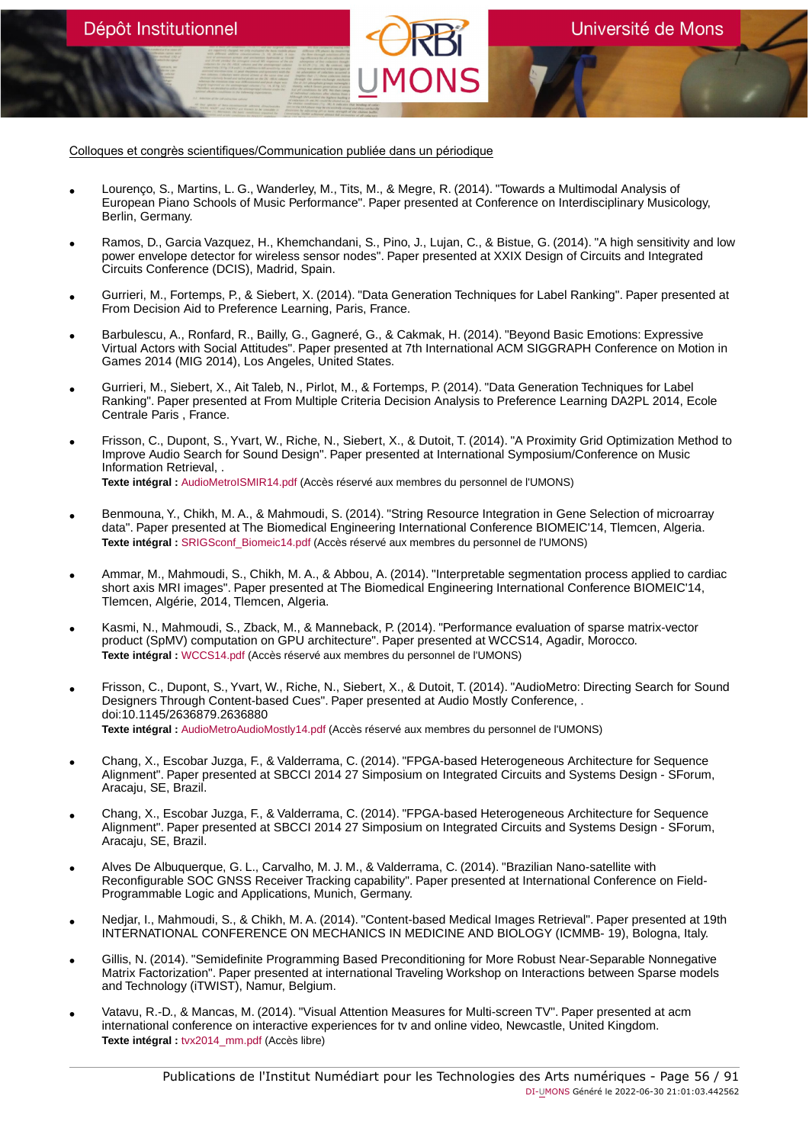Colloques et congrès scientifiques/Communication publiée dans un périodique

Dépôt Institutionnel

- Lourenço, S., Martins, L. G., Wanderley, M., Tits, M., & Megre, R. (2014). "Towards a Multimodal Analysis of European Piano Schools of Music Performance". Paper presented at Conference on Interdisciplinary Musicology, Berlin, Germany.
- Ramos, D., Garcia Vazquez, H., Khemchandani, S., Pino, J., Lujan, C., & Bistue, G. (2014). "A high sensitivity and low power envelope detector for wireless sensor nodes". Paper presented at XXIX Design of Circuits and Integrated Circuits Conference (DCIS), Madrid, Spain.
- Gurrieri, M., Fortemps, P., & Siebert, X. (2014). "Data Generation Techniques for Label Ranking". Paper presented at From Decision Aid to Preference Learning, Paris, France.
- Barbulescu, A., Ronfard, R., Bailly, G., Gagneré, G., & Cakmak, H. (2014). "Beyond Basic Emotions: Expressive Virtual Actors with Social Attitudes". Paper presented at 7th International ACM SIGGRAPH Conference on Motion in Games 2014 (MIG 2014), Los Angeles, United States.
- Gurrieri, M., Siebert, X., Ait Taleb, N., Pirlot, M., & Fortemps, P. (2014). "Data Generation Techniques for Label Ranking". Paper presented at From Multiple Criteria Decision Analysis to Preference Learning DA2PL 2014, Ecole Centrale Paris , France.
- Frisson, C., Dupont, S., Yvart, W., Riche, N., Siebert, X., & Dutoit, T. (2014). "A Proximity Grid Optimization Method to Improve Audio Search for Sound Design". Paper presented at International Symposium/Conference on Music Information Retrieval, . **Texte intégral :** [AudioMetroISMIR14.pdf](https://orbi.umons.ac.be/bitstream/20.500.12907/41649/1/AudioMetroISMIR14.pdf) (Accès réservé aux membres du personnel de l'UMONS)
- Benmouna, Y., Chikh, M. A., & Mahmoudi, S. (2014). "String Resource Integration in Gene Selection of microarray data". Paper presented at The Biomedical Engineering International Conference BIOMEIC'14, Tlemcen, Algeria. **Texte intégral :** [SRIGSconf\\_Biomeic14.pdf](https://orbi.umons.ac.be/bitstream/20.500.12907/41636/1/SRIGSconf_Biomeic14.pdf) (Accès réservé aux membres du personnel de l'UMONS)
- Ammar, M., Mahmoudi, S., Chikh, M. A., & Abbou, A. (2014). "Interpretable segmentation process applied to cardiac short axis MRI images". Paper presented at The Biomedical Engineering International Conference BIOMEIC'14, Tlemcen, Algérie, 2014, Tlemcen, Algeria.
- Kasmi, N., Mahmoudi, S., Zback, M., & Manneback, P. (2014). "Performance evaluation of sparse matrix-vector product (SpMV) computation on GPU architecture". Paper presented at WCCS14, Agadir, Morocco. **Texte intégral :** [WCCS14.pdf](https://orbi.umons.ac.be/bitstream/20.500.12907/41638/1/WCCS14.pdf) (Accès réservé aux membres du personnel de l'UMONS)
- Frisson, C., Dupont, S., Yvart, W., Riche, N., Siebert, X., & Dutoit, T. (2014). "AudioMetro: Directing Search for Sound Designers Through Content-based Cues". Paper presented at Audio Mostly Conference, . doi:10.1145/2636879.2636880 **Texte intégral :** [AudioMetroAudioMostly14.pdf](https://orbi.umons.ac.be/bitstream/20.500.12907/41648/1/AudioMetroAudioMostly14.pdf) (Accès réservé aux membres du personnel de l'UMONS)
- Chang, X., Escobar Juzga, F., & Valderrama, C. (2014). "FPGA-based Heterogeneous Architecture for Sequence Alignment". Paper presented at SBCCI 2014 27 Simposium on Integrated Circuits and Systems Design - SForum, Aracaju, SE, Brazil.
- Chang, X., Escobar Juzga, F., & Valderrama, C. (2014). "FPGA-based Heterogeneous Architecture for Sequence Alignment". Paper presented at SBCCI 2014 27 Simposium on Integrated Circuits and Systems Design - SForum, Aracaju, SE, Brazil.
- Alves De Albuquerque, G. L., Carvalho, M. J. M., & Valderrama, C. (2014). "Brazilian Nano-satellite with Reconfigurable SOC GNSS Receiver Tracking capability". Paper presented at International Conference on Field-Programmable Logic and Applications, Munich, Germany.
- Nedjar, I., Mahmoudi, S., & Chikh, M. A. (2014). "Content-based Medical Images Retrieval". Paper presented at 19th INTERNATIONAL CONFERENCE ON MECHANICS IN MEDICINE AND BIOLOGY (ICMMB- 19), Bologna, Italy.
- Gillis, N. (2014). "Semidefinite Programming Based Preconditioning for More Robust Near-Separable Nonnegative Matrix Factorization". Paper presented at international Traveling Workshop on Interactions between Sparse models and Technology (iTWIST), Namur, Belgium.
- Vatavu, R.-D., & Mancas, M. (2014). "Visual Attention Measures for Multi-screen TV". Paper presented at acm international conference on interactive experiences for tv and online video, Newcastle, United Kingdom. **Texte intégral :** [tvx2014\\_mm.pdf](https://orbi.umons.ac.be/bitstream/20.500.12907/41695/1/tvx2014_mm.pdf) (Accès libre)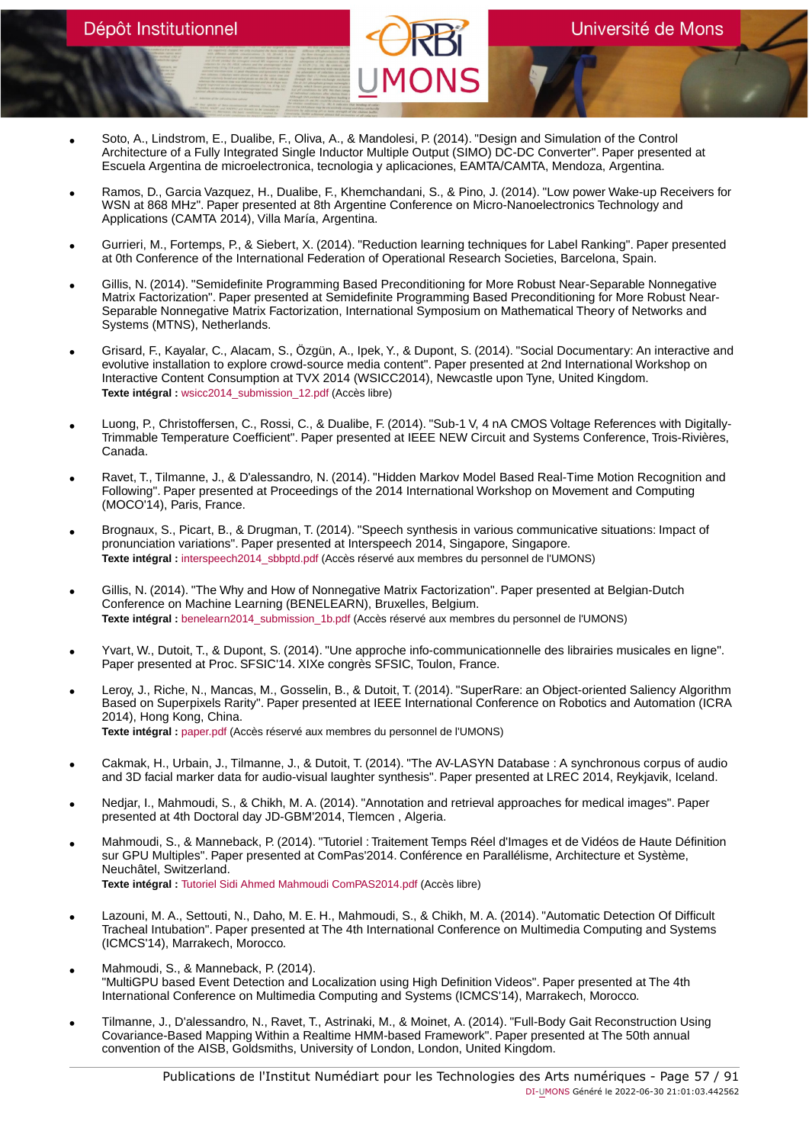- Soto, A., Lindstrom, E., Dualibe, F., Oliva, A., & Mandolesi, P. (2014). "Design and Simulation of the Control Architecture of a Fully Integrated Single Inductor Multiple Output (SIMO) DC-DC Converter". Paper presented at Escuela Argentina de microelectronica, tecnologia y aplicaciones, EAMTA/CAMTA, Mendoza, Argentina.
- Ramos, D., Garcia Vazquez, H., Dualibe, F., Khemchandani, S., & Pino, J. (2014). "Low power Wake-up Receivers for WSN at 868 MHz". Paper presented at 8th Argentine Conference on Micro-Nanoelectronics Technology and Applications (CAMTA 2014), Villa María, Argentina.
- Gurrieri, M., Fortemps, P., & Siebert, X. (2014). "Reduction learning techniques for Label Ranking". Paper presented at 0th Conference of the International Federation of Operational Research Societies, Barcelona, Spain.
- Gillis, N. (2014). "Semidefinite Programming Based Preconditioning for More Robust Near-Separable Nonnegative Matrix Factorization". Paper presented at Semidefinite Programming Based Preconditioning for More Robust Near-Separable Nonnegative Matrix Factorization, International Symposium on Mathematical Theory of Networks and Systems (MTNS), Netherlands.
- Grisard, F., Kayalar, C., Alacam, S., Özgün, A., Ipek, Y., & Dupont, S. (2014). "Social Documentary: An interactive and evolutive installation to explore crowd-source media content". Paper presented at 2nd International Workshop on Interactive Content Consumption at TVX 2014 (WSICC2014), Newcastle upon Tyne, United Kingdom. **Texte intégral :** [wsicc2014\\_submission\\_12.pdf](https://orbi.umons.ac.be/bitstream/20.500.12907/41647/1/wsicc2014_submission_12.pdf) (Accès libre)
- Luong, P., Christoffersen, C., Rossi, C., & Dualibe, F. (2014). "Sub-1 V, 4 nA CMOS Voltage References with Digitally-Trimmable Temperature Coefficient". Paper presented at IEEE NEW Circuit and Systems Conference, Trois-Rivières, Canada.
- Ravet, T., Tilmanne, J., & D'alessandro, N. (2014). "Hidden Markov Model Based Real-Time Motion Recognition and Following". Paper presented at Proceedings of the 2014 International Workshop on Movement and Computing (MOCO'14), Paris, France.
- Brognaux, S., Picart, B., & Drugman, T. (2014). "Speech synthesis in various communicative situations: Impact of pronunciation variations". Paper presented at Interspeech 2014, Singapore, Singapore. **Texte intégral :** [interspeech2014\\_sbbptd.pdf](https://orbi.umons.ac.be/bitstream/20.500.12907/41656/1/interspeech2014_sbbptd.pdf) (Accès réservé aux membres du personnel de l'UMONS)
- Gillis, N. (2014). "The Why and How of Nonnegative Matrix Factorization". Paper presented at Belgian-Dutch Conference on Machine Learning (BENELEARN), Bruxelles, Belgium. **Texte intégral :** [benelearn2014\\_submission\\_1b.pdf](https://orbi.umons.ac.be/bitstream/20.500.12907/41640/1/benelearn2014_submission_1b.pdf) (Accès réservé aux membres du personnel de l'UMONS)
- Yvart, W., Dutoit, T., & Dupont, S. (2014). "Une approche info-communicationnelle des librairies musicales en ligne". Paper presented at Proc. SFSIC'14. XIXe congrès SFSIC, Toulon, France.
- Leroy, J., Riche, N., Mancas, M., Gosselin, B., & Dutoit, T. (2014). "SuperRare: an Object-oriented Saliency Algorithm Based on Superpixels Rarity". Paper presented at IEEE International Conference on Robotics and Automation (ICRA 2014), Hong Kong, China. **Texte intégral :** [paper.pdf](https://orbi.umons.ac.be/bitstream/20.500.12907/41626/1/paper.pdf) (Accès réservé aux membres du personnel de l'UMONS)
- Cakmak, H., Urbain, J., Tilmanne, J., & Dutoit, T. (2014). "The AV-LASYN Database : A synchronous corpus of audio and 3D facial marker data for audio-visual laughter synthesis". Paper presented at LREC 2014, Reykjavik, Iceland.
- Nedjar, I., Mahmoudi, S., & Chikh, M. A. (2014). "Annotation and retrieval approaches for medical images". Paper presented at 4th Doctoral day JD-GBM'2014, Tlemcen , Algeria.
- Mahmoudi, S., & Manneback, P. (2014). "Tutoriel : Traitement Temps Réel d'Images et de Vidéos de Haute Définition sur GPU Multiples". Paper presented at ComPas'2014. Conférence en Parallélisme, Architecture et Système, Neuchâtel, Switzerland. **Texte intégral :** [Tutoriel Sidi Ahmed Mahmoudi ComPAS2014.pdf](https://orbi.umons.ac.be/bitstream/20.500.12907/41609/1/Tutoriel Sidi Ahmed Mahmoudi ComPAS2014.pdf) (Accès libre)
- Lazouni, M. A., Settouti, N., Daho, M. E. H., Mahmoudi, S., & Chikh, M. A. (2014). "Automatic Detection Of Difficult Tracheal Intubation". Paper presented at The 4th International Conference on Multimedia Computing and Systems (ICMCS'14), Marrakech, Morocco.
- Mahmoudi, S., & Manneback, P. (2014). "MultiGPU based Event Detection and Localization using High Definition Videos". Paper presented at The 4th International Conference on Multimedia Computing and Systems (ICMCS'14), Marrakech, Morocco.
- Tilmanne, J., D'alessandro, N., Ravet, T., Astrinaki, M., & Moinet, A. (2014). "Full-Body Gait Reconstruction Using Covariance-Based Mapping Within a Realtime HMM-based Framework". Paper presented at The 50th annual convention of the AISB, Goldsmiths, University of London, London, United Kingdom.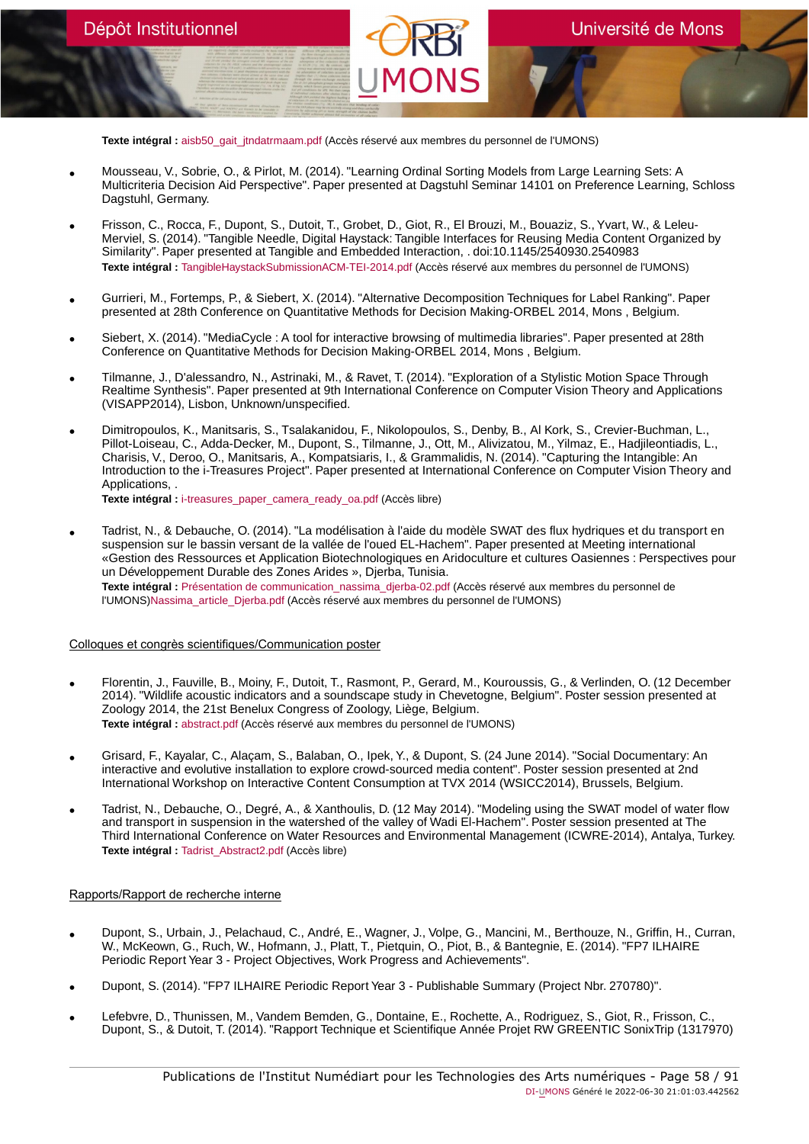**Texte intégral :** [aisb50\\_gait\\_jtndatrmaam.pdf](https://orbi.umons.ac.be/bitstream/20.500.12907/41645/1/aisb50_gait_jtndatrmaam.pdf) (Accès réservé aux membres du personnel de l'UMONS)

- Mousseau, V., Sobrie, O., & Pirlot, M. (2014). "Learning Ordinal Sorting Models from Large Learning Sets: A Multicriteria Decision Aid Perspective". Paper presented at Dagstuhl Seminar 14101 on Preference Learning, Schloss Dagstuhl, Germany.
- Frisson, C., Rocca, F., Dupont, S., Dutoit, T., Grobet, D., Giot, R., El Brouzi, M., Bouaziz, S., Yvart, W., & Leleu-Merviel, S. (2014). "Tangible Needle, Digital Haystack: Tangible Interfaces for Reusing Media Content Organized by Similarity". Paper presented at Tangible and Embedded Interaction, . doi:10.1145/2540930.2540983 **Texte intégral :** [TangibleHaystackSubmissionACM-TEI-2014.pdf](https://orbi.umons.ac.be/bitstream/20.500.12907/41623/1/TangibleHaystackSubmissionACM-TEI-2014.pdf) (Accès réservé aux membres du personnel de l'UMONS)
- Gurrieri, M., Fortemps, P., & Siebert, X. (2014). "Alternative Decomposition Techniques for Label Ranking". Paper presented at 28th Conference on Quantitative Methods for Decision Making-ORBEL 2014, Mons , Belgium.
- Siebert, X. (2014). "MediaCycle : A tool for interactive browsing of multimedia libraries". Paper presented at 28th Conference on Quantitative Methods for Decision Making-ORBEL 2014, Mons , Belgium.
- Tilmanne, J., D'alessandro, N., Astrinaki, M., & Ravet, T. (2014). "Exploration of a Stylistic Motion Space Through Realtime Synthesis". Paper presented at 9th International Conference on Computer Vision Theory and Applications (VISAPP2014), Lisbon, Unknown/unspecified.
- Dimitropoulos, K., Manitsaris, S., Tsalakanidou, F., Nikolopoulos, S., Denby, B., Al Kork, S., Crevier-Buchman, L., Pillot-Loiseau, C., Adda-Decker, M., Dupont, S., Tilmanne, J., Ott, M., Alivizatou, M., Yilmaz, E., Hadjileontiadis, L., Charisis, V., Deroo, O., Manitsaris, A., Kompatsiaris, I., & Grammalidis, N. (2014). "Capturing the Intangible: An Introduction to the i-Treasures Project". Paper presented at International Conference on Computer Vision Theory and Applications, .

**Texte intégral :** [i-treasures\\_paper\\_camera\\_ready\\_oa.pdf](https://orbi.umons.ac.be/bitstream/20.500.12907/41619/1/i-treasures_paper_camera_ready_oa.pdf) (Accès libre)

• Tadrist, N., & Debauche, O. (2014). "La modélisation à l'aide du modèle SWAT des flux hydriques et du transport en suspension sur le bassin versant de la vallée de l'oued EL-Hachem". Paper presented at Meeting international «Gestion des Ressources et Application Biotechnologiques en Aridoculture et cultures Oasiennes : Perspectives pour un Développement Durable des Zones Arides », Djerba, Tunisia. **Texte intégral :** [Présentation de communication\\_nassima\\_djerba-02.pdf](https://orbi.umons.ac.be/bitstream/20.500.12907/41902/2/Pr�sentation de communication_nassima_djerba-02.pdf) (Accès réservé aux membres du personnel de l'UMONS)[Nassima\\_article\\_Djerba.pdf](https://orbi.umons.ac.be/bitstream/20.500.12907/41902/3/Nassima_article_Djerba.pdf) (Accès réservé aux membres du personnel de l'UMONS)

#### Colloques et congrès scientifiques/Communication poster

- Florentin, J., Fauville, B., Moiny, F., Dutoit, T., Rasmont, P., Gerard, M., Kouroussis, G., & Verlinden, O. (12 December 2014). "Wildlife acoustic indicators and a soundscape study in Chevetogne, Belgium". Poster session presented at Zoology 2014, the 21st Benelux Congress of Zoology, Liège, Belgium. **Texte intégral :** [abstract.pdf](https://orbi.umons.ac.be/bitstream/20.500.12907/41679/1/abstract.pdf) (Accès réservé aux membres du personnel de l'UMONS)
- Grisard, F., Kayalar, C., Alaçam, S., Balaban, O., Ipek, Y., & Dupont, S. (24 June 2014). "Social Documentary: An interactive and evolutive installation to explore crowd-sourced media content". Poster session presented at 2nd International Workshop on Interactive Content Consumption at TVX 2014 (WSICC2014), Brussels, Belgium.
- Tadrist, N., Debauche, O., Degré, A., & Xanthoulis, D. (12 May 2014). "Modeling using the SWAT model of water flow and transport in suspension in the watershed of the valley of Wadi El-Hachem". Poster session presented at The Third International Conference on Water Resources and Environmental Management (ICWRE-2014), Antalya, Turkey. **Texte intégral :** [Tadrist\\_Abstract2.pdf](https://orbi.umons.ac.be/bitstream/20.500.12907/41903/1/Tadrist_Abstract2.pdf) (Accès libre)

# Rapports/Rapport de recherche interne

- Dupont, S., Urbain, J., Pelachaud, C., André, E., Wagner, J., Volpe, G., Mancini, M., Berthouze, N., Griffin, H., Curran, W., McKeown, G., Ruch, W., Hofmann, J., Platt, T., Pietquin, O., Piot, B., & Bantegnie, E. (2014). "FP7 ILHAIRE Periodic Report Year 3 - Project Objectives, Work Progress and Achievements".
- Dupont, S. (2014). "FP7 ILHAIRE Periodic Report Year 3 Publishable Summary (Project Nbr. 270780)".
- Lefebvre, D., Thunissen, M., Vandem Bemden, G., Dontaine, E., Rochette, A., Rodriguez, S., Giot, R., Frisson, C., Dupont, S., & Dutoit, T. (2014). "Rapport Technique et Scientifique Année Projet RW GREENTIC SonixTrip (1317970)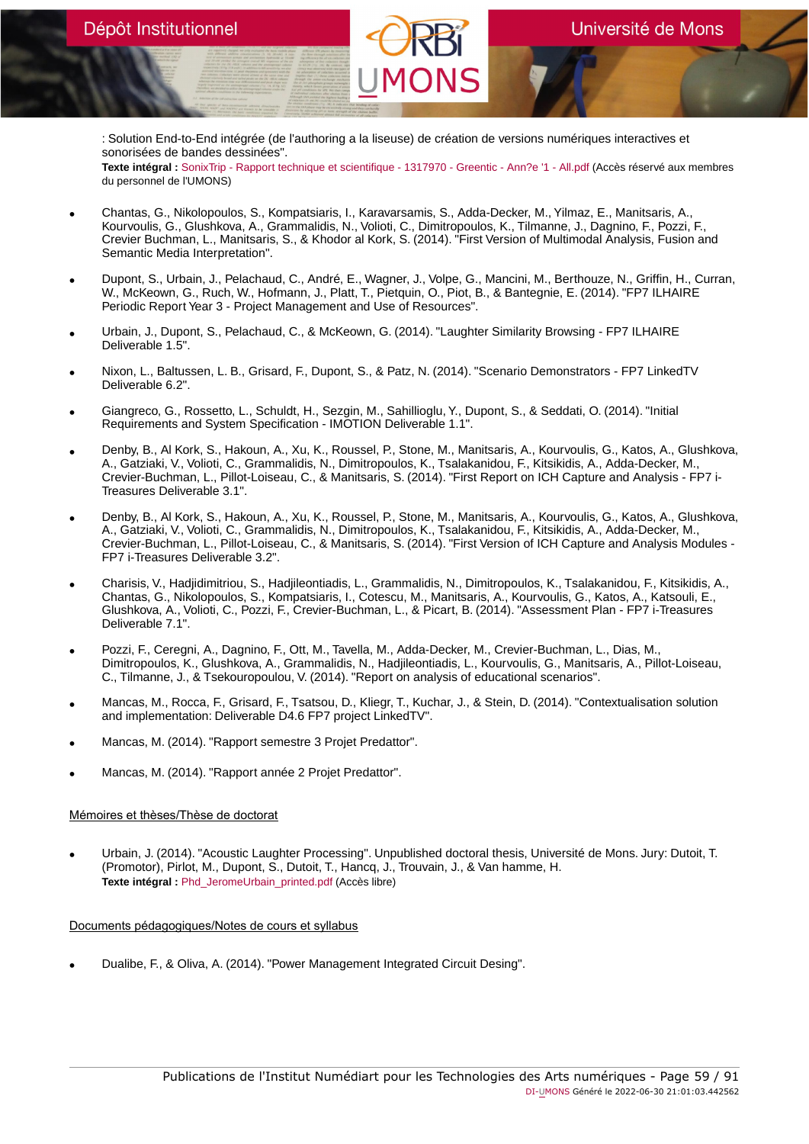: Solution End-to-End intégrée (de l'authoring a la liseuse) de création de versions numériques interactives et sonorisées de bandes dessinées".

**Texte intégral :** [SonixTrip - Rapport technique et scientifique - 1317970 - Greentic - Ann?e '1 - All.pdf](https://orbi.umons.ac.be/bitstream/20.500.12907/41671/1/SonixTrip - Rapport technique et scientifique - 1317970 - Greentic - Ann?e ) (Accès réservé aux membres du personnel de l'UMONS)

- Chantas, G., Nikolopoulos, S., Kompatsiaris, I., Karavarsamis, S., Adda-Decker, M., Yilmaz, E., Manitsaris, A., Kourvoulis, G., Glushkova, A., Grammalidis, N., Volioti, C., Dimitropoulos, K., Tilmanne, J., Dagnino, F., Pozzi, F., Crevier Buchman, L., Manitsaris, S., & Khodor al Kork, S. (2014). "First Version of Multimodal Analysis, Fusion and Semantic Media Interpretation".
- Dupont, S., Urbain, J., Pelachaud, C., André, E., Wagner, J., Volpe, G., Mancini, M., Berthouze, N., Griffin, H., Curran, W., McKeown, G., Ruch, W., Hofmann, J., Platt, T., Pietquin, O., Piot, B., & Bantegnie, E. (2014). "FP7 ILHAIRE Periodic Report Year 3 - Project Management and Use of Resources".
- Urbain, J., Dupont, S., Pelachaud, C., & McKeown, G. (2014). "Laughter Similarity Browsing FP7 ILHAIRE Deliverable 1.5".
- Nixon, L., Baltussen, L. B., Grisard, F., Dupont, S., & Patz, N. (2014). "Scenario Demonstrators FP7 LinkedTV Deliverable 6.2".
- Giangreco, G., Rossetto, L., Schuldt, H., Sezgin, M., Sahillioglu, Y., Dupont, S., & Seddati, O. (2014). "Initial Requirements and System Specification - IMOTION Deliverable 1.1".
- Denby, B., Al Kork, S., Hakoun, A., Xu, K., Roussel, P., Stone, M., Manitsaris, A., Kourvoulis, G., Katos, A., Glushkova,<br>A., Gatziaki, V., Volioti, C., Grammalidis, N., Dimitropoulos, K., Tsalakanidou, F., Kitsikidis, Crevier-Buchman, L., Pillot-Loiseau, C., & Manitsaris, S. (2014). "First Report on ICH Capture and Analysis - FP7 i-Treasures Deliverable 3.1".
- Denby, B., Al Kork, S., Hakoun, A., Xu, K., Roussel, P., Stone, M., Manitsaris, A., Kourvoulis, G., Katos, A., Glushkova, A., Gatziaki, V., Volioti, C., Grammalidis, N., Dimitropoulos, K., Tsalakanidou, F., Kitsikidis, A., Adda-Decker, M., Crevier-Buchman, L., Pillot-Loiseau, C., & Manitsaris, S. (2014). "First Version of ICH Capture and Analysis Modules - FP7 i-Treasures Deliverable 3.2".
- Charisis, V., Hadjidimitriou, S., Hadjileontiadis, L., Grammalidis, N., Dimitropoulos, K., Tsalakanidou, F., Kitsikidis, A., Chantas, G., Nikolopoulos, S., Kompatsiaris, I., Cotescu, M., Manitsaris, A., Kourvoulis, G., Katos, A., Katsouli, E., Glushkova, A., Volioti, C., Pozzi, F., Crevier-Buchman, L., & Picart, B. (2014). "Assessment Plan - FP7 i-Treasures Deliverable 7.1".
- Pozzi, F., Ceregni, A., Dagnino, F., Ott, M., Tavella, M., Adda-Decker, M., Crevier-Buchman, L., Dias, M., Dimitropoulos, K., Glushkova, A., Grammalidis, N., Hadjileontiadis, L., Kourvoulis, G., Manitsaris, A., Pillot-Loiseau, C., Tilmanne, J., & Tsekouropoulou, V. (2014). "Report on analysis of educational scenarios".
- Mancas, M., Rocca, F., Grisard, F., Tsatsou, D., Kliegr, T., Kuchar, J., & Stein, D. (2014). "Contextualisation solution and implementation: Deliverable D4.6 FP7 project LinkedTV".
- Mancas, M. (2014). "Rapport semestre 3 Projet Predattor".
- Mancas, M. (2014). "Rapport année 2 Projet Predattor".

# Mémoires et thèses/Thèse de doctorat

• Urbain, J. (2014). "Acoustic Laughter Processing". Unpublished doctoral thesis, Université de Mons. Jury: Dutoit, T. (Promotor), Pirlot, M., Dupont, S., Dutoit, T., Hancq, J., Trouvain, J., & Van hamme, H. **Texte intégral :** [Phd\\_JeromeUrbain\\_printed.pdf](https://orbi.umons.ac.be/bitstream/20.500.12907/41612/1/Phd_JeromeUrbain_printed.pdf) (Accès libre)

# Documents pédagogiques/Notes de cours et syllabus

• Dualibe, F., & Oliva, A. (2014). "Power Management Integrated Circuit Desing".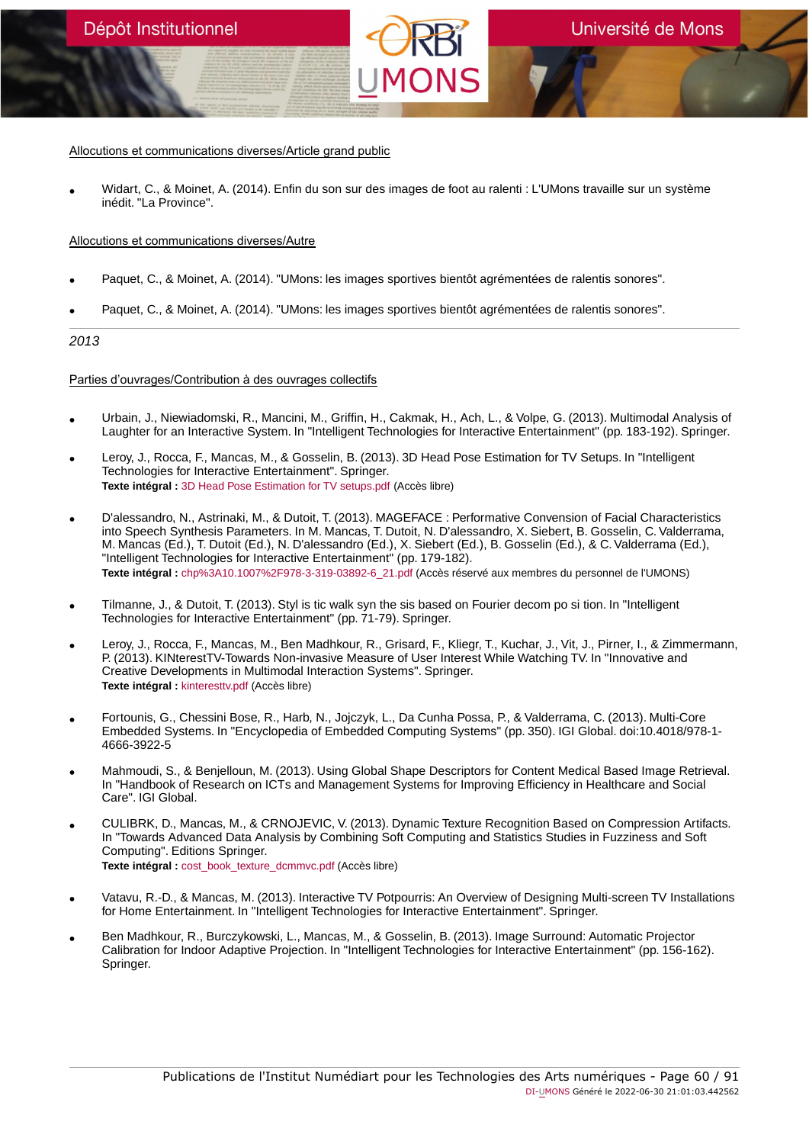Allocutions et communications diverses/Article grand public

• Widart, C., & Moinet, A. (2014). Enfin du son sur des images de foot au ralenti : L'UMons travaille sur un système inédit. "La Province".

# Allocutions et communications diverses/Autre

- Paquet, C., & Moinet, A. (2014). "UMons: les images sportives bientôt agrémentées de ralentis sonores".
- Paquet, C., & Moinet, A. (2014). "UMons: les images sportives bientôt agrémentées de ralentis sonores".

#### 2013

#### Parties d'ouvrages/Contribution à des ouvrages collectifs

- Urbain, J., Niewiadomski, R., Mancini, M., Griffin, H., Cakmak, H., Ach, L., & Volpe, G. (2013). Multimodal Analysis of Laughter for an Interactive System. In "Intelligent Technologies for Interactive Entertainment" (pp. 183-192). Springer.
- Leroy, J., Rocca, F., Mancas, M., & Gosselin, B. (2013). 3D Head Pose Estimation for TV Setups. In "Intelligent Technologies for Interactive Entertainment". Springer. **Texte intégral :** [3D Head Pose Estimation for TV setups.pdf](https://orbi.umons.ac.be/bitstream/20.500.12907/41535/1/3D Head Pose Estimation for TV setups.pdf) (Accès libre)
- D'alessandro, N., Astrinaki, M., & Dutoit, T. (2013). MAGEFACE : Performative Convension of Facial Characteristics into Speech Synthesis Parameters. In M. Mancas, T. Dutoit, N. D'alessandro, X. Siebert, B. Gosselin, C. Valderrama, M. Mancas (Ed.), T. Dutoit (Ed.), N. D'alessandro (Ed.), X. Siebert (Ed.), B. Gosselin (Ed.), & C. Valderrama (Ed.), "Intelligent Technologies for Interactive Entertainment" (pp. 179-182). **Texte intégral :** [chp%3A10.1007%2F978-3-319-03892-6\\_21.pdf](https://orbi.umons.ac.be/bitstream/20.500.12907/41577/1/chp%3A10.1007%2F978-3-319-03892-6_21.pdf) (Accès réservé aux membres du personnel de l'UMONS)
- Tilmanne, J., & Dutoit, T. (2013). Styl is tic walk syn the sis based on Fourier decom po si tion. In "Intelligent Technologies for Interactive Entertainment" (pp. 71-79). Springer.
- Leroy, J., Rocca, F., Mancas, M., Ben Madhkour, R., Grisard, F., Kliegr, T., Kuchar, J., Vit, J., Pirner, I., & Zimmermann, P. (2013). KINterestTV-Towards Non-invasive Measure of User Interest While Watching TV. In "Innovative and Creative Developments in Multimodal Interaction Systems". Springer. **Texte intégral :** [kinteresttv.pdf](https://orbi.umons.ac.be/bitstream/20.500.12907/41694/1/kinteresttv.pdf) (Accès libre)
- Fortounis, G., Chessini Bose, R., Harb, N., Jojczyk, L., Da Cunha Possa, P., & Valderrama, C. (2013). Multi-Core Embedded Systems. In "Encyclopedia of Embedded Computing Systems" (pp. 350). IGI Global. doi:10.4018/978-1- 4666-3922-5
- Mahmoudi, S., & Benjelloun, M. (2013). Using Global Shape Descriptors for Content Medical Based Image Retrieval. In "Handbook of Research on ICTs and Management Systems for Improving Efficiency in Healthcare and Social Care". IGI Global.
- CULIBRK, D., Mancas, M., & CRNOJEVIC, V. (2013). Dynamic Texture Recognition Based on Compression Artifacts. In "Towards Advanced Data Analysis by Combining Soft Computing and Statistics Studies in Fuzziness and Soft Computing". Editions Springer. **Texte intégral :** [cost\\_book\\_texture\\_dcmmvc.pdf](https://orbi.umons.ac.be/bitstream/20.500.12907/41482/1/cost_book_texture_dcmmvc.pdf) (Accès libre)
- Vatavu, R.-D., & Mancas, M. (2013). Interactive TV Potpourris: An Overview of Designing Multi-screen TV Installations for Home Entertainment. In "Intelligent Technologies for Interactive Entertainment". Springer.
- Ben Madhkour, R., Burczykowski, L., Mancas, M., & Gosselin, B. (2013). Image Surround: Automatic Projector Calibration for Indoor Adaptive Projection. In "Intelligent Technologies for Interactive Entertainment" (pp. 156-162). Springer.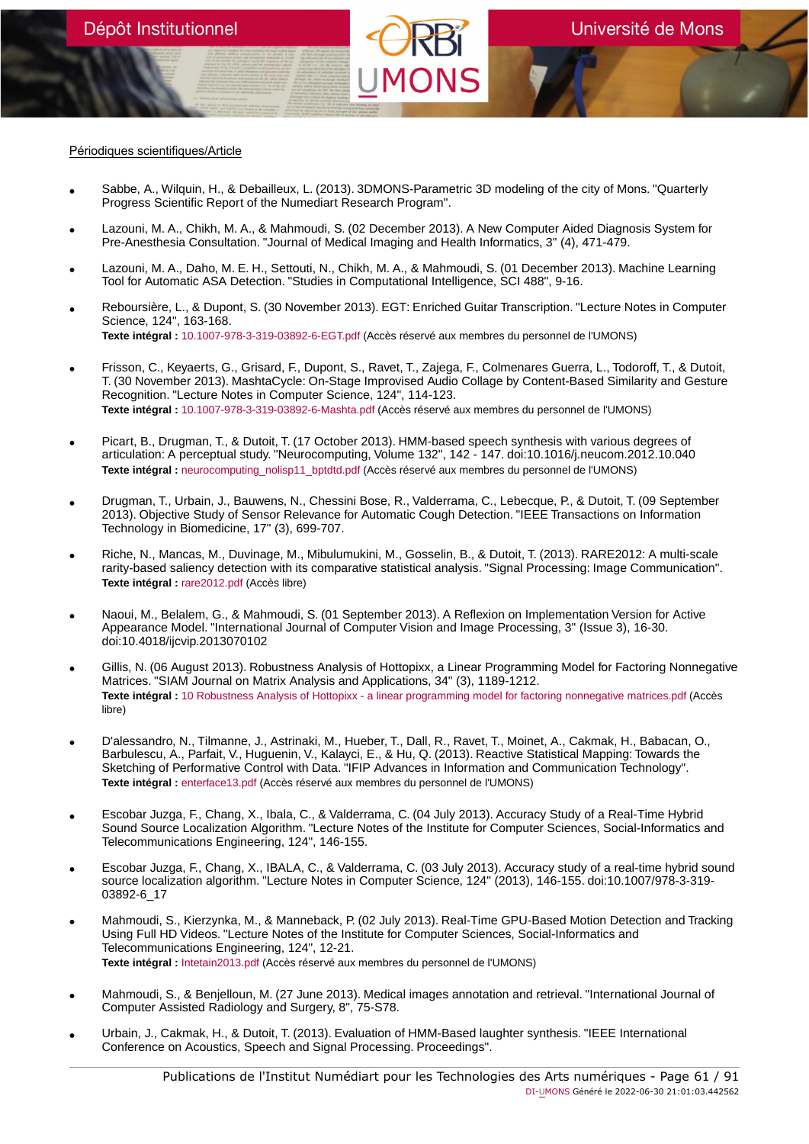#### Périodiques scientifiques/Article

- Sabbe, A., Wilquin, H., & Debailleux, L. (2013). 3DMONS-Parametric 3D modeling of the city of Mons. "Quarterly Progress Scientific Report of the Numediart Research Program".
- Lazouni, M. A., Chikh, M. A., & Mahmoudi, S. (02 December 2013). A New Computer Aided Diagnosis System for Pre-Anesthesia Consultation. "Journal of Medical Imaging and Health Informatics, 3" (4), 471-479.
- Lazouni, M. A., Daho, M. E. H., Settouti, N., Chikh, M. A., & Mahmoudi, S. (01 December 2013). Machine Learning Tool for Automatic ASA Detection. "Studies in Computational Intelligence, SCI 488", 9-16.
- Reboursière, L., & Dupont, S. (30 November 2013). EGT: Enriched Guitar Transcription. "Lecture Notes in Computer Science, 124", 163-168. **Texte intégral :** [10.1007-978-3-319-03892-6-EGT.pdf](https://orbi.umons.ac.be/bitstream/20.500.12907/41558/1/10.1007-978-3-319-03892-6-EGT.pdf) (Accès réservé aux membres du personnel de l'UMONS)
- Frisson, C., Keyaerts, G., Grisard, F., Dupont, S., Ravet, T., Zajega, F., Colmenares Guerra, L., Todoroff, T., & Dutoit, T. (30 November 2013). MashtaCycle: On-Stage Improvised Audio Collage by Content-Based Similarity and Gesture Recognition. "Lecture Notes in Computer Science, 124", 114-123. **Texte intégral :** [10.1007-978-3-319-03892-6-Mashta.pdf](https://orbi.umons.ac.be/bitstream/20.500.12907/41559/1/10.1007-978-3-319-03892-6-Mashta.pdf) (Accès réservé aux membres du personnel de l'UMONS)
- Picart, B., Drugman, T., & Dutoit, T. (17 October 2013). HMM-based speech synthesis with various degrees of articulation: A perceptual study. "Neurocomputing, Volume 132", 142 - 147. doi:10.1016/j.neucom.2012.10.040 **Texte intégral :** [neurocomputing\\_nolisp11\\_bptdtd.pdf](https://orbi.umons.ac.be/bitstream/20.500.12907/41578/1/neurocomputing_nolisp11_bptdtd.pdf) (Accès réservé aux membres du personnel de l'UMONS)
- Drugman, T., Urbain, J., Bauwens, N., Chessini Bose, R., Valderrama, C., Lebecque, P., & Dutoit, T. (09 September 2013). Objective Study of Sensor Relevance for Automatic Cough Detection. "IEEE Transactions on Information Technology in Biomedicine, 17" (3), 699-707.
- Riche, N., Mancas, M., Duvinage, M., Mibulumukini, M., Gosselin, B., & Dutoit, T. (2013). RARE2012: A multi-scale rarity-based saliency detection with its comparative statistical analysis. "Signal Processing: Image Communication". **Texte intégral :** [rare2012.pdf](https://orbi.umons.ac.be/bitstream/20.500.12907/41518/1/rare2012.pdf) (Accès libre)
- Naoui, M., Belalem, G., & Mahmoudi, S. (01 September 2013). A Reflexion on Implementation Version for Active Appearance Model. "International Journal of Computer Vision and Image Processing, 3" (Issue 3), 16-30. doi:10.4018/ijcvip.2013070102
- Gillis, N. (06 August 2013). Robustness Analysis of Hottopixx, a Linear Programming Model for Factoring Nonnegative Matrices. "SIAM Journal on Matrix Analysis and Applications, 34" (3), 1189-1212. **Texte intégral :** [10 Robustness Analysis of Hottopixx - a linear programming model for factoring nonnegative matrices.pdf](https://orbi.umons.ac.be/bitstream/20.500.12907/41842/1/10 Robustness Analysis of Hottopixx - a linear programming model for factoring nonnegative matrices.pdf) (Accès libre)
- D'alessandro, N., Tilmanne, J., Astrinaki, M., Hueber, T., Dall, R., Ravet, T., Moinet, A., Cakmak, H., Babacan, O., Barbulescu, A., Parfait, V., Huguenin, V., Kalayci, E., & Hu, Q. (2013). Reactive Statistical Mapping: Towards the Sketching of Performative Control with Data. "IFIP Advances in Information and Communication Technology". **Texte intégral :** [enterface13.pdf](https://orbi.umons.ac.be/bitstream/20.500.12907/41575/1/enterface13.pdf) (Accès réservé aux membres du personnel de l'UMONS)
- Escobar Juzga, F., Chang, X., Ibala, C., & Valderrama, C. (04 July 2013). Accuracy Study of a Real-Time Hybrid<br>Sound Source Localization Algorithm. "Lecture Notes of the Institute for Computer Sciences, Social-Informati Telecommunications Engineering, 124", 146-155.
- Escobar Juzga, F., Chang, X., IBALA, C., & Valderrama, C. (03 July 2013). Accuracy study of a real-time hybrid sound source localization algorithm. "Lecture Notes in Computer Science, 124" (2013), 146-155. doi:10.1007/978-3-319- 03892-6\_17
- Mahmoudi, S., Kierzynka, M., & Manneback, P. (02 July 2013). Real-Time GPU-Based Motion Detection and Tracking Using Full HD Videos. "Lecture Notes of the Institute for Computer Sciences, Social-Informatics and Telecommunications Engineering, 124", 12-21. **Texte intégral :** [Intetain2013.pdf](https://orbi.umons.ac.be/bitstream/20.500.12907/41498/1/Intetain2013.pdf) (Accès réservé aux membres du personnel de l'UMONS)
- Mahmoudi, S., & Benjelloun, M. (27 June 2013). Medical images annotation and retrieval. "International Journal of Computer Assisted Radiology and Surgery, 8", 75-S78.
- Urbain, J., Cakmak, H., & Dutoit, T. (2013). Evaluation of HMM-Based laughter synthesis. "IEEE International Conference on Acoustics, Speech and Signal Processing. Proceedings".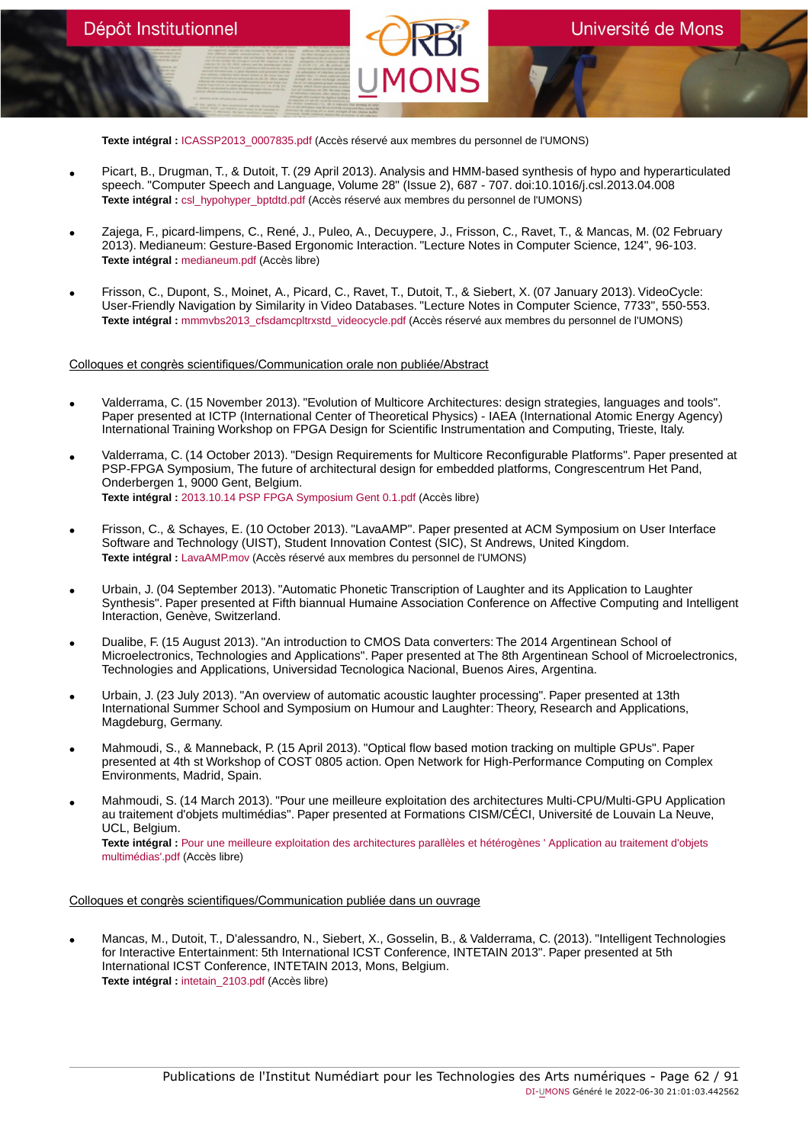**Texte intégral :** [ICASSP2013\\_0007835.pdf](https://orbi.umons.ac.be/bitstream/20.500.12907/41505/1/ICASSP2013_0007835.pdf) (Accès réservé aux membres du personnel de l'UMONS)

- Picart, B., Drugman, T., & Dutoit, T. (29 April 2013). Analysis and HMM-based synthesis of hypo and hyperarticulated speech. "Computer Speech and Language, Volume 28" (Issue 2), 687 - 707. doi:10.1016/j.csl.2013.04.008 **Texte intégral :** [csl\\_hypohyper\\_bptdtd.pdf](https://orbi.umons.ac.be/bitstream/20.500.12907/41579/1/csl_hypohyper_bptdtd.pdf) (Accès réservé aux membres du personnel de l'UMONS)
- Zajega, F., picard-limpens, C., René, J., Puleo, A., Decuypere, J., Frisson, C., Ravet, T., & Mancas, M. (02 February 2013). Medianeum: Gesture-Based Ergonomic Interaction. "Lecture Notes in Computer Science, 124", 96-103. **Texte intégral :** [medianeum.pdf](https://orbi.umons.ac.be/bitstream/20.500.12907/41601/1/medianeum.pdf) (Accès libre)
- Frisson, C., Dupont, S., Moinet, A., Picard, C., Ravet, T., Dutoit, T., & Siebert, X. (07 January 2013). VideoCycle: User-Friendly Navigation by Similarity in Video Databases. "Lecture Notes in Computer Science, 7733", 550-553. **Texte intégral :** [mmmvbs2013\\_cfsdamcpltrxstd\\_videocycle.pdf](https://orbi.umons.ac.be/bitstream/20.500.12907/41499/1/mmmvbs2013_cfsdamcpltrxstd_videocycle.pdf) (Accès réservé aux membres du personnel de l'UMONS)

Colloques et congrès scientifiques/Communication orale non publiée/Abstract

Dépôt Institutionnel

- Valderrama, C. (15 November 2013). "Evolution of Multicore Architectures: design strategies, languages and tools". Paper presented at ICTP (International Center of Theoretical Physics) - IAEA (International Atomic Energy Agency) International Training Workshop on FPGA Design for Scientific Instrumentation and Computing, Trieste, Italy.
- Valderrama, C. (14 October 2013). "Design Requirements for Multicore Reconfigurable Platforms". Paper presented at PSP-FPGA Symposium, The future of architectural design for embedded platforms, Congrescentrum Het Pand, Onderbergen 1, 9000 Gent, Belgium. **Texte intégral :** [2013.10.14 PSP FPGA Symposium Gent 0.1.pdf](https://orbi.umons.ac.be/bitstream/20.500.12907/41534/1/2013.10.14 PSP FPGA Symposium Gent 0.1.pdf) (Accès libre)
- Frisson, C., & Schayes, E. (10 October 2013). "LavaAMP". Paper presented at ACM Symposium on User Interface Software and Technology (UIST), Student Innovation Contest (SIC), St Andrews, United Kingdom. **Texte intégral :** [LavaAMP.mov](https://orbi.umons.ac.be/bitstream/20.500.12907/41587/1/LavaAMP.mov) (Accès réservé aux membres du personnel de l'UMONS)
- Urbain, J. (04 September 2013). "Automatic Phonetic Transcription of Laughter and its Application to Laughter Synthesis". Paper presented at Fifth biannual Humaine Association Conference on Affective Computing and Intelligent Interaction, Genève, Switzerland.
- Dualibe, F. (15 August 2013). "An introduction to CMOS Data converters: The 2014 Argentinean School of Microelectronics, Technologies and Applications". Paper presented at The 8th Argentinean School of Microelectronics, Technologies and Applications, Universidad Tecnologica Nacional, Buenos Aires, Argentina.
- Urbain, J. (23 July 2013). "An overview of automatic acoustic laughter processing". Paper presented at 13th International Summer School and Symposium on Humour and Laughter: Theory, Research and Applications, Magdeburg, Germany.
- Mahmoudi, S., & Manneback, P. (15 April 2013). "Optical flow based motion tracking on multiple GPUs". Paper presented at 4th st Workshop of COST 0805 action. Open Network for High-Performance Computing on Complex Environments, Madrid, Spain.
- Mahmoudi, S. (14 March 2013). "Pour une meilleure exploitation des architectures Multi-CPU/Multi-GPU Application au traitement d'objets multimédias". Paper presented at Formations CISM/CÉCI, Université de Louvain La Neuve, UCL, Belgium.

**Texte intégral :** [Pour une meilleure exploitation des architectures parallèles et hétérogènes ' Application au traitement d'objets](https://orbi.umons.ac.be/bitstream/20.500.12907/41494/1/Pour une meilleure exploitation des architectures parall�les et h�t�rog�nes ) [multimédias'.pdf](https://orbi.umons.ac.be/bitstream/20.500.12907/41494/1/Pour une meilleure exploitation des architectures parall�les et h�t�rog�nes ) (Accès libre)

Colloques et congrès scientifiques/Communication publiée dans un ouvrage

• Mancas, M., Dutoit, T., D'alessandro, N., Siebert, X., Gosselin, B., & Valderrama, C. (2013). "Intelligent Technologies for Interactive Entertainment: 5th International ICST Conference, INTETAIN 2013". Paper presented at 5th International ICST Conference, INTETAIN 2013, Mons, Belgium. **Texte intégral :** [intetain\\_2103.pdf](https://orbi.umons.ac.be/bitstream/20.500.12907/41588/1/intetain_2103.pdf) (Accès libre)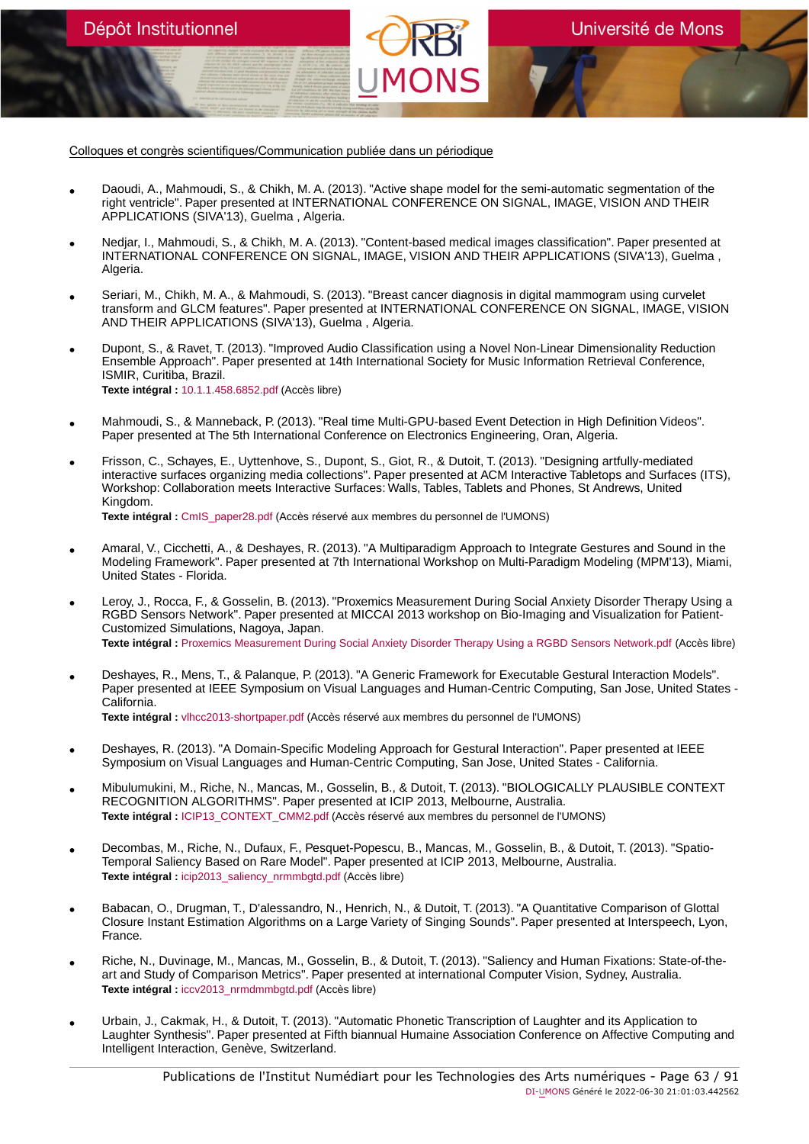Colloques et congrès scientifiques/Communication publiée dans un périodique

Dépôt Institutionnel

- Daoudi, A., Mahmoudi, S., & Chikh, M. A. (2013). "Active shape model for the semi-automatic segmentation of the right ventricle". Paper presented at INTERNATIONAL CONFERENCE ON SIGNAL, IMAGE, VISION AND THEIR APPLICATIONS (SIVA'13), Guelma , Algeria.
- Nedjar, I., Mahmoudi, S., & Chikh, M. A. (2013). "Content-based medical images classification". Paper presented at INTERNATIONAL CONFERENCE ON SIGNAL, IMAGE, VISION AND THEIR APPLICATIONS (SIVA'13), Guelma , Algeria.
- Seriari, M., Chikh, M. A., & Mahmoudi, S. (2013). "Breast cancer diagnosis in digital mammogram using curvelet transform and GLCM features". Paper presented at INTERNATIONAL CONFERENCE ON SIGNAL, IMAGE, VISION AND THEIR APPLICATIONS (SIVA'13), Guelma , Algeria.
- Dupont, S., & Ravet, T. (2013). "Improved Audio Classification using a Novel Non-Linear Dimensionality Reduction Ensemble Approach". Paper presented at 14th International Society for Music Information Retrieval Conference, ISMIR, Curitiba, Brazil. **Texte intégral :** [10.1.1.458.6852.pdf](https://orbi.umons.ac.be/bitstream/20.500.12907/41522/1/10.1.1.458.6852.pdf) (Accès libre)
- Mahmoudi, S., & Manneback, P. (2013). "Real time Multi-GPU-based Event Detection in High Definition Videos". Paper presented at The 5th International Conference on Electronics Engineering, Oran, Algeria.
- Frisson, C., Schayes, E., Uyttenhove, S., Dupont, S., Giot, R., & Dutoit, T. (2013). "Designing artfully-mediated interactive surfaces organizing media collections". Paper presented at ACM Interactive Tabletops and Surfaces (ITS), Workshop: Collaboration meets Interactive Surfaces: Walls, Tables, Tablets and Phones, St Andrews, United Kingdom.

**Texte intégral :** [CmIS\\_paper28.pdf](https://orbi.umons.ac.be/bitstream/20.500.12907/41586/1/CmIS_paper28.pdf) (Accès réservé aux membres du personnel de l'UMONS)

- Amaral, V., Cicchetti, A., & Deshayes, R. (2013). "A Multiparadigm Approach to Integrate Gestures and Sound in the Modeling Framework". Paper presented at 7th International Workshop on Multi-Paradigm Modeling (MPM'13), Miami, United States - Florida.
- Leroy, J., Rocca, F., & Gosselin, B. (2013). "Proxemics Measurement During Social Anxiety Disorder Therapy Using a RGBD Sensors Network". Paper presented at MICCAI 2013 workshop on Bio-Imaging and Visualization for Patient-Customized Simulations, Nagoya, Japan. **Texte intégral :** [Proxemics Measurement During Social Anxiety Disorder Therapy Using a RGBD Sensors Network.pdf](https://orbi.umons.ac.be/bitstream/20.500.12907/41536/1/Proxemics Measurement During Social Anxiety Disorder Therapy Using a RGBD Sensors Network.pdf) (Accès libre)
- Deshayes, R., Mens, T., & Palanque, P. (2013). "A Generic Framework for Executable Gestural Interaction Models". Paper presented at IEEE Symposium on Visual Languages and Human-Centric Computing, San Jose, United States - California. **Texte intégral :** [vlhcc2013-shortpaper.pdf](https://orbi.umons.ac.be/bitstream/20.500.12907/41502/1/vlhcc2013-shortpaper.pdf) (Accès réservé aux membres du personnel de l'UMONS)
- Deshayes, R. (2013). "A Domain-Specific Modeling Approach for Gestural Interaction". Paper presented at IEEE Symposium on Visual Languages and Human-Centric Computing, San Jose, United States - California.
- Mibulumukini, M., Riche, N., Mancas, M., Gosselin, B., & Dutoit, T. (2013). "BIOLOGICALLY PLAUSIBLE CONTEXT RECOGNITION ALGORITHMS". Paper presented at ICIP 2013, Melbourne, Australia. **Texte intégral :** [ICIP13\\_CONTEXT\\_CMM2.pdf](https://orbi.umons.ac.be/bitstream/20.500.12907/41591/1/ICIP13_CONTEXT_CMM2.pdf) (Accès réservé aux membres du personnel de l'UMONS)
- Decombas, M., Riche, N., Dufaux, F., Pesquet-Popescu, B., Mancas, M., Gosselin, B., & Dutoit, T. (2013). "Spatio-Temporal Saliency Based on Rare Model". Paper presented at ICIP 2013, Melbourne, Australia. **Texte intégral :** [icip2013\\_saliency\\_nrmmbgtd.pdf](https://orbi.umons.ac.be/bitstream/20.500.12907/41595/1/icip2013_saliency_nrmmbgtd.pdf) (Accès libre)
- Babacan, O., Drugman, T., D'alessandro, N., Henrich, N., & Dutoit, T. (2013). "A Quantitative Comparison of Glottal<br>Closure Instant Estimation Algorithms on a Large Variety of Singing Sounds". Paper presented at Intersp France.
- Riche, N., Duvinage, M., Mancas, M., Gosselin, B., & Dutoit, T. (2013). "Saliency and Human Fixations: State-of-the-<br>art and Study of Comparison Metrics". Paper presented at international Computer Vision, Sydney, Austra **Texte intégral :** [iccv2013\\_nrmdmmbgtd.pdf](https://orbi.umons.ac.be/bitstream/20.500.12907/41517/1/iccv2013_nrmdmmbgtd.pdf) (Accès libre)
- Urbain, J., Cakmak, H., & Dutoit, T. (2013). "Automatic Phonetic Transcription of Laughter and its Application to Laughter Synthesis". Paper presented at Fifth biannual Humaine Association Conference on Affective Computing and Intelligent Interaction, Genève, Switzerland.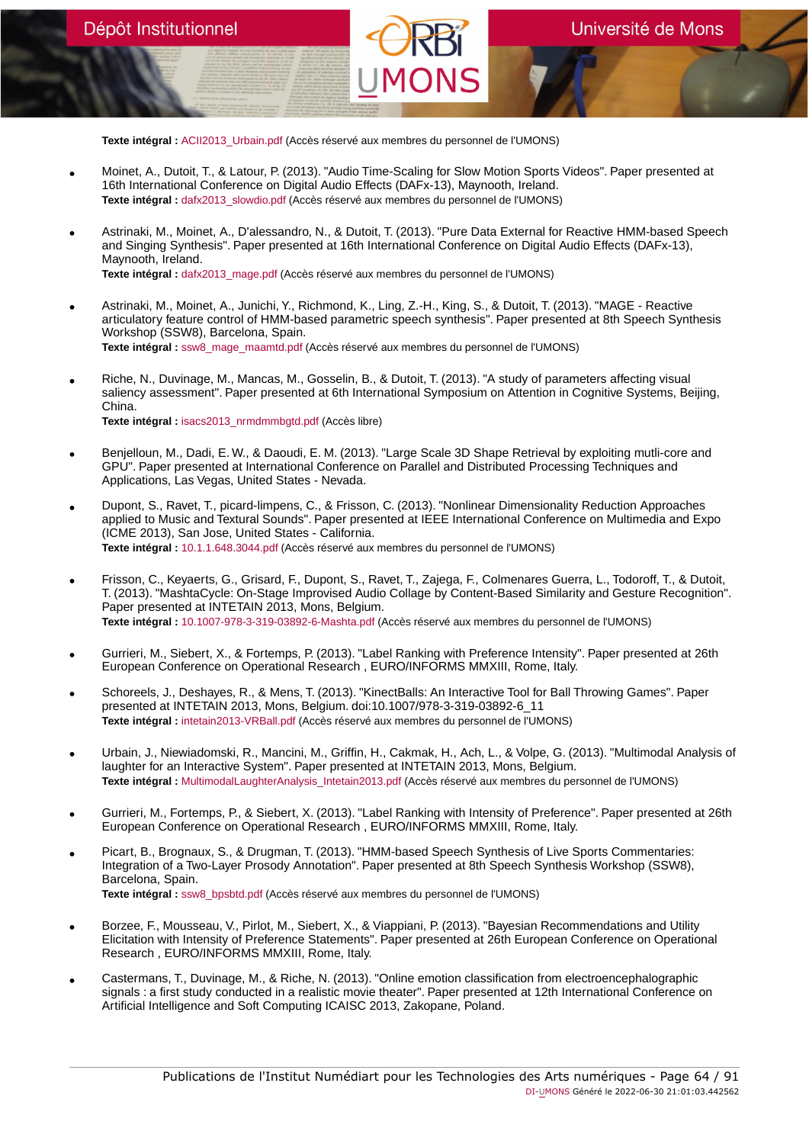**Texte intégral :** [ACII2013\\_Urbain.pdf](https://orbi.umons.ac.be/bitstream/20.500.12907/41519/1/ACII2013_Urbain.pdf) (Accès réservé aux membres du personnel de l'UMONS)

Dépôt Institutionnel

- Moinet, A., Dutoit, T., & Latour, P. (2013). "Audio Time-Scaling for Slow Motion Sports Videos". Paper presented at 16th International Conference on Digital Audio Effects (DAFx-13), Maynooth, Ireland. **Texte intégral :** [dafx2013\\_slowdio.pdf](https://orbi.umons.ac.be/bitstream/20.500.12907/41527/1/dafx2013_slowdio.pdf) (Accès réservé aux membres du personnel de l'UMONS)
- Astrinaki, M., Moinet, A., D'alessandro, N., & Dutoit, T. (2013). "Pure Data External for Reactive HMM-based Speech and Singing Synthesis". Paper presented at 16th International Conference on Digital Audio Effects (DAFx-13), Maynooth, Ireland. **Texte intégral :** [dafx2013\\_mage.pdf](https://orbi.umons.ac.be/bitstream/20.500.12907/41528/1/dafx2013_mage.pdf) (Accès réservé aux membres du personnel de l'UMONS)
- Astrinaki, M., Moinet, A., Junichi, Y., Richmond, K., Ling, Z.-H., King, S., & Dutoit, T. (2013). "MAGE Reactive articulatory feature control of HMM-based parametric speech synthesis". Paper presented at 8th Speech Synthesis Workshop (SSW8), Barcelona, Spain. **Texte intégral :** [ssw8\\_mage\\_maamtd.pdf](https://orbi.umons.ac.be/bitstream/20.500.12907/41570/1/ssw8_mage_maamtd.pdf) (Accès réservé aux membres du personnel de l'UMONS)
- Riche, N., Duvinage, M., Mancas, M., Gosselin, B., & Dutoit, T. (2013). "A study of parameters affecting visual saliency assessment". Paper presented at 6th International Symposium on Attention in Cognitive Systems, Beijing, China. **Texte intégral :** [isacs2013\\_nrmdmmbgtd.pdf](https://orbi.umons.ac.be/bitstream/20.500.12907/41594/1/isacs2013_nrmdmmbgtd.pdf) (Accès libre)
- Benjelloun, M., Dadi, E. W., & Daoudi, E. M. (2013). "Large Scale 3D Shape Retrieval by exploiting mutli-core and GPU". Paper presented at International Conference on Parallel and Distributed Processing Techniques and Applications, Las Vegas, United States - Nevada.
- Dupont, S., Ravet, T., picard-limpens, C., & Frisson, C. (2013). "Nonlinear Dimensionality Reduction Approaches applied to Music and Textural Sounds". Paper presented at IEEE International Conference on Multimedia and Expo (ICME 2013), San Jose, United States - California. **Texte intégral :** [10.1.1.648.3044.pdf](https://orbi.umons.ac.be/bitstream/20.500.12907/41501/1/10.1.1.648.3044.pdf) (Accès réservé aux membres du personnel de l'UMONS)
- Frisson, C., Keyaerts, G., Grisard, F., Dupont, S., Ravet, T., Zajega, F., Colmenares Guerra, L., Todoroff, T., & Dutoit, T. (2013). "MashtaCycle: On-Stage Improvised Audio Collage by Content-Based Similarity and Gesture Recognition". Paper presented at INTETAIN 2013, Mons, Belgium. **Texte intégral :** [10.1007-978-3-319-03892-6-Mashta.pdf](https://orbi.umons.ac.be/bitstream/20.500.12907/41546/1/10.1007-978-3-319-03892-6-Mashta.pdf) (Accès réservé aux membres du personnel de l'UMONS)
- Gurrieri, M., Siebert, X., & Fortemps, P. (2013). "Label Ranking with Preference Intensity". Paper presented at 26th European Conference on Operational Research , EURO/INFORMS MMXIII, Rome, Italy.
- Schoreels, J., Deshayes, R., & Mens, T. (2013). "KinectBalls: An Interactive Tool for Ball Throwing Games". Paper presented at INTETAIN 2013, Mons, Belgium. doi:10.1007/978-3-319-03892-6\_11 **Texte intégral :** [intetain2013-VRBall.pdf](https://orbi.umons.ac.be/bitstream/20.500.12907/41503/1/intetain2013-VRBall.pdf) (Accès réservé aux membres du personnel de l'UMONS)
- Urbain, J., Niewiadomski, R., Mancini, M., Griffin, H., Cakmak, H., Ach, L., & Volpe, G. (2013). "Multimodal Analysis of laughter for an Interactive System". Paper presented at INTETAIN 2013, Mons, Belgium. **Texte intégral :** [MultimodalLaughterAnalysis\\_Intetain2013.pdf](https://orbi.umons.ac.be/bitstream/20.500.12907/41514/1/MultimodalLaughterAnalysis_Intetain2013.pdf) (Accès réservé aux membres du personnel de l'UMONS)
- Gurrieri, M., Fortemps, P., & Siebert, X. (2013). "Label Ranking with Intensity of Preference". Paper presented at 26th European Conference on Operational Research , EURO/INFORMS MMXIII, Rome, Italy.
- Picart, B., Brognaux, S., & Drugman, T. (2013). "HMM-based Speech Synthesis of Live Sports Commentaries: Integration of a Two-Layer Prosody Annotation". Paper presented at 8th Speech Synthesis Workshop (SSW8), Barcelona, Spain. **Texte intégral :** [ssw8\\_bpsbtd.pdf](https://orbi.umons.ac.be/bitstream/20.500.12907/41580/1/ssw8_bpsbtd.pdf) (Accès réservé aux membres du personnel de l'UMONS)
- Borzee, F., Mousseau, V., Pirlot, M., Siebert, X., & Viappiani, P. (2013). "Bayesian Recommendations and Utility Elicitation with Intensity of Preference Statements". Paper presented at 26th European Conference on Operational Research , EURO/INFORMS MMXIII, Rome, Italy.
- Castermans, T., Duvinage, M., & Riche, N. (2013). "Online emotion classification from electroencephalographic signals : a first study conducted in a realistic movie theater". Paper presented at 12th International Conference on Artificial Intelligence and Soft Computing ICAISC 2013, Zakopane, Poland.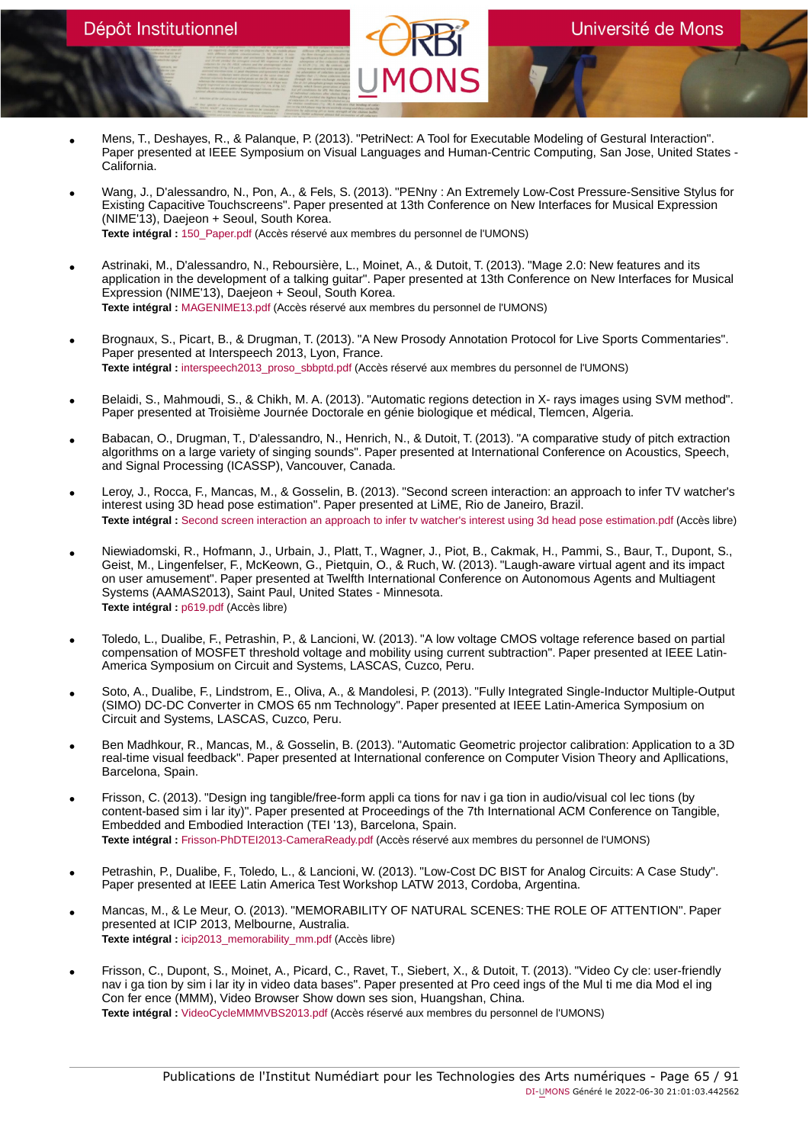- Mens, T., Deshayes, R., & Palanque, P. (2013). "PetriNect: A Tool for Executable Modeling of Gestural Interaction". Paper presented at IEEE Symposium on Visual Languages and Human-Centric Computing, San Jose, United States - California.
- Wang, J., D'alessandro, N., Pon, A., & Fels, S. (2013). "PENny : An Extremely Low-Cost Pressure-Sensitive Stylus for Existing Capacitive Touchscreens". Paper presented at 13th Conference on New Interfaces for Musical Expression (NIME'13), Daejeon + Seoul, South Korea. **Texte intégral :** [150\\_Paper.pdf](https://orbi.umons.ac.be/bitstream/20.500.12907/41604/1/150_Paper.pdf) (Accès réservé aux membres du personnel de l'UMONS)
- Astrinaki, M., D'alessandro, N., Reboursière, L., Moinet, A., & Dutoit, T. (2013). "Mage 2.0: New features and its application in the development of a talking guitar". Paper presented at 13th Conference on New Interfaces for Musical Expression (NIME'13), Daejeon + Seoul, South Korea. **Texte intégral :** [MAGENIME13.pdf](https://orbi.umons.ac.be/bitstream/20.500.12907/41504/1/MAGENIME13.pdf) (Accès réservé aux membres du personnel de l'UMONS)
- Brognaux, S., Picart, B., & Drugman, T. (2013). "A New Prosody Annotation Protocol for Live Sports Commentaries". Paper presented at Interspeech 2013, Lyon, France. **Texte intégral :** [interspeech2013\\_proso\\_sbbptd.pdf](https://orbi.umons.ac.be/bitstream/20.500.12907/41581/1/interspeech2013_proso_sbbptd.pdf) (Accès réservé aux membres du personnel de l'UMONS)
- Belaidi, S., Mahmoudi, S., & Chikh, M. A. (2013). "Automatic regions detection in X- rays images using SVM method". Paper presented at Troisième Journée Doctorale en génie biologique et médical, Tlemcen, Algeria.
- Babacan, O., Drugman, T., D'alessandro, N., Henrich, N., & Dutoit, T. (2013). "A comparative study of pitch extraction algorithms on a large variety of singing sounds". Paper presented at International Conference on Acoustics, Speech, and Signal Processing (ICASSP), Vancouver, Canada.
- Leroy, J., Rocca, F., Mancas, M., & Gosselin, B. (2013). "Second screen interaction: an approach to infer TV watcher's interest using 3D head pose estimation". Paper presented at LiME, Rio de Janeiro, Brazil. **Texte intégral :** [Second screen interaction an approach to infer tv watcher's interest using 3d head pose estimation.pdf](https://orbi.umons.ac.be/bitstream/20.500.12907/41533/1/Second screen interaction an approach to infer tv watcher) (Accès libre)
- Niewiadomski, R., Hofmann, J., Urbain, J., Platt, T., Wagner, J., Piot, B., Cakmak, H., Pammi, S., Baur, T., Dupont, S., Geist, M., Lingenfelser, F., McKeown, G., Pietquin, O., & Ruch, W. (2013). "Laugh-aware virtual agent and its impact on user amusement". Paper presented at Twelfth International Conference on Autonomous Agents and Multiagent Systems (AAMAS2013), Saint Paul, United States - Minnesota. **Texte intégral :** [p619.pdf](https://orbi.umons.ac.be/bitstream/20.500.12907/41500/1/p619.pdf) (Accès libre)
- Toledo, L., Dualibe, F., Petrashin, P., & Lancioni, W. (2013). "A low voltage CMOS voltage reference based on partial compensation of MOSFET threshold voltage and mobility using current subtraction". Paper presented at IEEE Latin-America Symposium on Circuit and Systems, LASCAS, Cuzco, Peru.
- Soto, A., Dualibe, F., Lindstrom, E., Oliva, A., & Mandolesi, P. (2013). "Fully Integrated Single-Inductor Multiple-Output (SIMO) DC-DC Converter in CMOS 65 nm Technology". Paper presented at IEEE Latin-America Symposium on Circuit and Systems, LASCAS, Cuzco, Peru.
- Ben Madhkour, R., Mancas, M., & Gosselin, B. (2013). "Automatic Geometric projector calibration: Application to a 3D real-time visual feedback". Paper presented at International conference on Computer Vision Theory and Apllications, Barcelona, Spain.
- Frisson, C. (2013). "Design ing tangible/free-form appli ca tions for nav i ga tion in audio/visual col lec tions (by content-based sim i lar ity)". Paper presented at Proceedings of the 7th International ACM Conference on Tangible, Embedded and Embodied Interaction (TEI '13), Barcelona, Spain. **Texte intégral :** [Frisson-PhDTEI2013-CameraReady.pdf](https://orbi.umons.ac.be/bitstream/20.500.12907/41541/1/Frisson-PhDTEI2013-CameraReady.pdf) (Accès réservé aux membres du personnel de l'UMONS)
- Petrashin, P., Dualibe, F., Toledo, L., & Lancioni, W. (2013). "Low-Cost DC BIST for Analog Circuits: A Case Study". Paper presented at IEEE Latin America Test Workshop LATW 2013, Cordoba, Argentina.
- Mancas, M., & Le Meur, O. (2013). "MEMORABILITY OF NATURAL SCENES: THE ROLE OF ATTENTION". Paper presented at ICIP 2013, Melbourne, Australia. **Texte intégral :** [icip2013\\_memorability\\_mm.pdf](https://orbi.umons.ac.be/bitstream/20.500.12907/41603/1/icip2013_memorability_mm.pdf) (Accès libre)
- Frisson, C., Dupont, S., Moinet, A., Picard, C., Ravet, T., Siebert, X., & Dutoit, T. (2013). "Video Cy cle: user-friendly nav i ga tion by sim i lar ity in video data bases". Paper presented at Pro ceed ings of the Mul ti me dia Mod el ing Con fer ence (MMM), Video Browser Show down ses sion, Huangshan, China. **Texte intégral :** [VideoCycleMMMVBS2013.pdf](https://orbi.umons.ac.be/bitstream/20.500.12907/41542/1/VideoCycleMMMVBS2013.pdf) (Accès réservé aux membres du personnel de l'UMONS)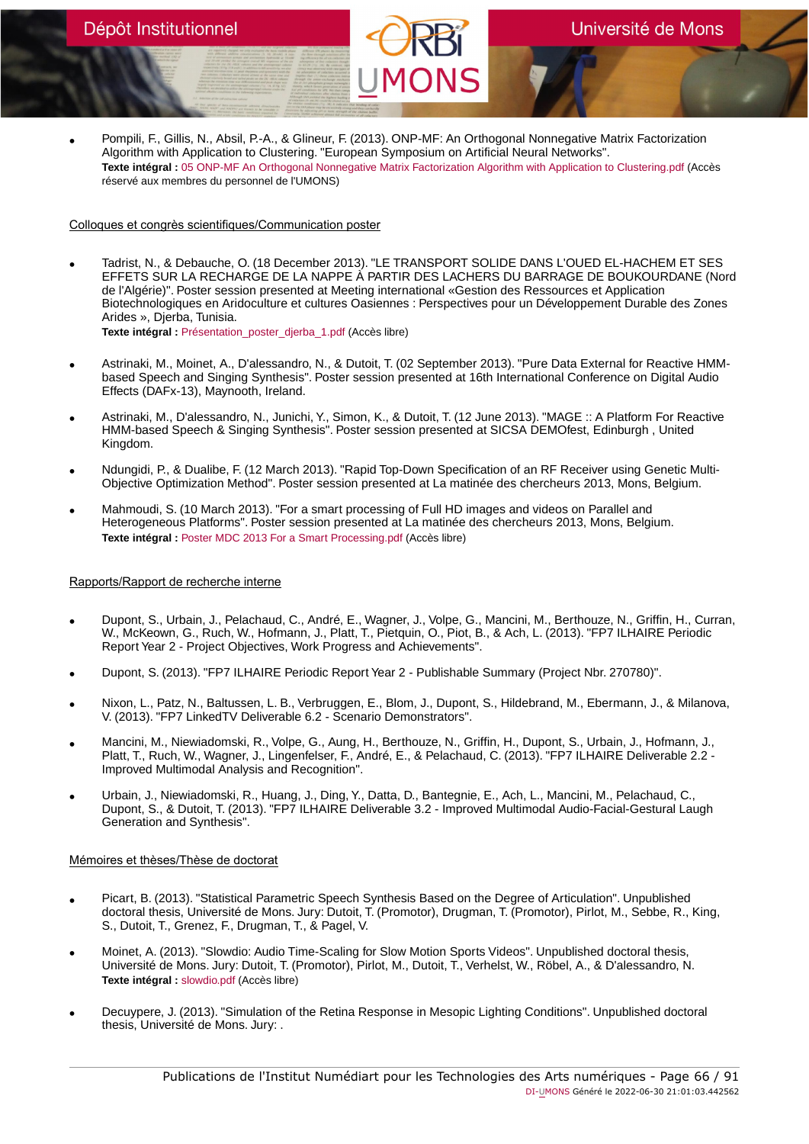• Pompili, F., Gillis, N., Absil, P.-A., & Glineur, F. (2013). ONP-MF: An Orthogonal Nonnegative Matrix Factorization Algorithm with Application to Clustering. "European Symposium on Artificial Neural Networks". **Texte intégral :** [05 ONP-MF An Orthogonal Nonnegative Matrix Factorization Algorithm with Application to Clustering.pdf](https://orbi.umons.ac.be/bitstream/20.500.12907/41847/1/05 ONP-MF An Orthogonal Nonnegative Matrix Factorization Algorithm with Application to Clustering.pdf) (Accès réservé aux membres du personnel de l'UMONS)

# Colloques et congrès scientifiques/Communication poster

- Tadrist, N., & Debauche, O. (18 December 2013). "LE TRANSPORT SOLIDE DANS L'OUED EL-HACHEM ET SES EFFETS SUR LA RECHARGE DE LA NAPPE À PARTIR DES LACHERS DU BARRAGE DE BOUKOURDANE (Nord de l'Algérie)". Poster session presented at Meeting international «Gestion des Ressources et Application Biotechnologiques en Aridoculture et cultures Oasiennes : Perspectives pour un Développement Durable des Zones Arides », Djerba, Tunisia. **Texte intégral :** [Présentation\\_poster\\_djerba\\_1.pdf](https://orbi.umons.ac.be/bitstream/20.500.12907/41901/1/Pr�sentation_poster_djerba_1.pdf) (Accès libre)
- Astrinaki, M., Moinet, A., D'alessandro, N., & Dutoit, T. (02 September 2013). "Pure Data External for Reactive HMMbased Speech and Singing Synthesis". Poster session presented at 16th International Conference on Digital Audio Effects (DAFx-13), Maynooth, Ireland.
- Astrinaki, M., D'alessandro, N., Junichi, Y., Simon, K., & Dutoit, T. (12 June 2013). "MAGE :: A Platform For Reactive HMM-based Speech & Singing Synthesis". Poster session presented at SICSA DEMOfest, Edinburgh , United Kingdom.
- Ndungidi, P., & Dualibe, F. (12 March 2013). "Rapid Top-Down Specification of an RF Receiver using Genetic Multi-Objective Optimization Method". Poster session presented at La matinée des chercheurs 2013, Mons, Belgium.
- Mahmoudi, S. (10 March 2013). "For a smart processing of Full HD images and videos on Parallel and Heterogeneous Platforms". Poster session presented at La matinée des chercheurs 2013, Mons, Belgium. **Texte intégral :** [Poster MDC 2013 For a Smart Processing.pdf](https://orbi.umons.ac.be/bitstream/20.500.12907/41914/1/Poster MDC 2013 For a Smart Processing.pdf) (Accès libre)

# Rapports/Rapport de recherche interne

- Dupont, S., Urbain, J., Pelachaud, C., André, E., Wagner, J., Volpe, G., Mancini, M., Berthouze, N., Griffin, H., Curran, W., McKeown, G., Ruch, W., Hofmann, J., Platt, T., Pietquin, O., Piot, B., & Ach, L. (2013). "FP7 ILHAIRE Periodic Report Year 2 - Project Objectives, Work Progress and Achievements".
- Dupont, S. (2013). "FP7 ILHAIRE Periodic Report Year 2 Publishable Summary (Project Nbr. 270780)".
- Nixon, L., Patz, N., Baltussen, L. B., Verbruggen, E., Blom, J., Dupont, S., Hildebrand, M., Ebermann, J., & Milanova, V. (2013). "FP7 LinkedTV Deliverable 6.2 - Scenario Demonstrators".
- Mancini, M., Niewiadomski, R., Volpe, G., Aung, H., Berthouze, N., Griffin, H., Dupont, S., Urbain, J., Hofmann, J., Platt, T., Ruch, W., Wagner, J., Lingenfelser, F., André, E., & Pelachaud, C. (2013). "FP7 ILHAIRE Deliverable 2.2 - Improved Multimodal Analysis and Recognition".
- Urbain, J., Niewiadomski, R., Huang, J., Ding, Y., Datta, D., Bantegnie, E., Ach, L., Mancini, M., Pelachaud, C., Dupont, S., & Dutoit, T. (2013). "FP7 ILHAIRE Deliverable 3.2 - Improved Multimodal Audio-Facial-Gestural Laugh Generation and Synthesis".

# Mémoires et thèses/Thèse de doctorat

- Picart, B. (2013). "Statistical Parametric Speech Synthesis Based on the Degree of Articulation". Unpublished doctoral thesis, Université de Mons. Jury: Dutoit, T. (Promotor), Drugman, T. (Promotor), Pirlot, M., Sebbe, R., King, S., Dutoit, T., Grenez, F., Drugman, T., & Pagel, V.
- Moinet, A. (2013). "Slowdio: Audio Time-Scaling for Slow Motion Sports Videos". Unpublished doctoral thesis, Université de Mons. Jury: Dutoit, T. (Promotor), Pirlot, M., Dutoit, T., Verhelst, W., Röbel, A., & D'alessandro, N. **Texte intégral :** [slowdio.pdf](https://orbi.umons.ac.be/bitstream/20.500.12907/41530/1/slowdio.pdf) (Accès libre)
- Decuypere, J. (2013). "Simulation of the Retina Response in Mesopic Lighting Conditions". Unpublished doctoral thesis, Université de Mons. Jury: .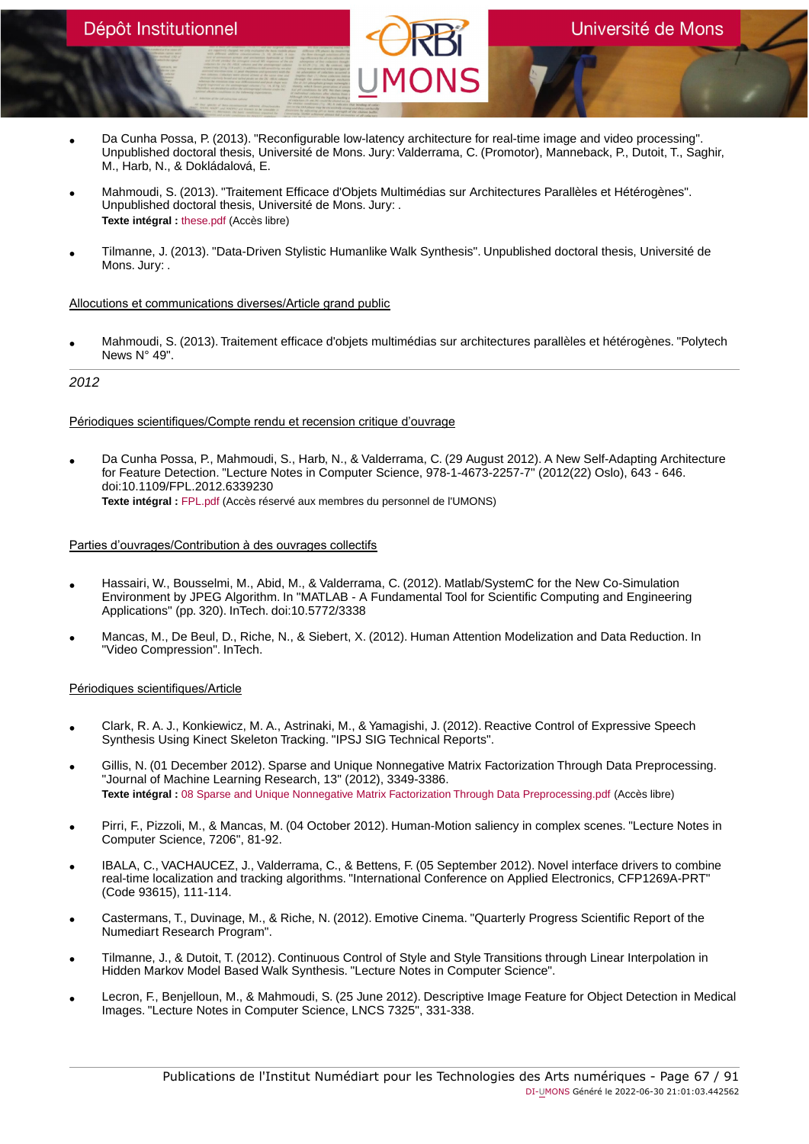- Da Cunha Possa, P. (2013). "Reconfigurable low-latency architecture for real-time image and video processing". Unpublished doctoral thesis, Université de Mons. Jury: Valderrama, C. (Promotor), Manneback, P., Dutoit, T., Saghir, M., Harb, N., & Dokládalová, E.
- Mahmoudi, S. (2013). "Traitement Efficace d'Objets Multimédias sur Architectures Parallèles et Hétérogènes". Unpublished doctoral thesis, Université de Mons. Jury: . **Texte intégral :** [these.pdf](https://orbi.umons.ac.be/bitstream/20.500.12907/41496/1/these.pdf) (Accès libre)
- Tilmanne, J. (2013). "Data-Driven Stylistic Humanlike Walk Synthesis". Unpublished doctoral thesis, Université de Mons. Jury: .

# Allocutions et communications diverses/Article grand public

• Mahmoudi, S. (2013). Traitement efficace d'objets multimédias sur architectures parallèles et hétérogènes. "Polytech News N° 49".

# 2012

# Périodiques scientifiques/Compte rendu et recension critique d'ouvrage

• Da Cunha Possa, P., Mahmoudi, S., Harb, N., & Valderrama, C. (29 August 2012). A New Self-Adapting Architecture for Feature Detection. "Lecture Notes in Computer Science, 978-1-4673-2257-7" (2012(22) Oslo), 643 - 646. doi:10.1109/FPL.2012.6339230 **Texte intégral :** [FPL.pdf](https://orbi.umons.ac.be/bitstream/20.500.12907/41384/1/FPL.pdf) (Accès réservé aux membres du personnel de l'UMONS)

# Parties d'ouvrages/Contribution à des ouvrages collectifs

- Hassairi, W., Bousselmi, M., Abid, M., & Valderrama, C. (2012). Matlab/SystemC for the New Co-Simulation Environment by JPEG Algorithm. In "MATLAB - A Fundamental Tool for Scientific Computing and Engineering Applications" (pp. 320). InTech. doi:10.5772/3338
- Mancas, M., De Beul, D., Riche, N., & Siebert, X. (2012). Human Attention Modelization and Data Reduction. In "Video Compression". InTech.

# Périodiques scientifiques/Article

- Clark, R. A. J., Konkiewicz, M. A., Astrinaki, M., & Yamagishi, J. (2012). Reactive Control of Expressive Speech Synthesis Using Kinect Skeleton Tracking. "IPSJ SIG Technical Reports".
- Gillis, N. (01 December 2012). Sparse and Unique Nonnegative Matrix Factorization Through Data Preprocessing. "Journal of Machine Learning Research, 13" (2012), 3349-3386. **Texte intégral :** [08 Sparse and Unique Nonnegative Matrix Factorization Through Data Preprocessing.pdf](https://orbi.umons.ac.be/bitstream/20.500.12907/41840/1/08 Sparse and Unique Nonnegative Matrix Factorization Through Data Preprocessing.pdf) (Accès libre)
- Pirri, F., Pizzoli, M., & Mancas, M. (04 October 2012). Human-Motion saliency in complex scenes. "Lecture Notes in Computer Science, 7206", 81-92.
- IBALA, C., VACHAUCEZ, J., Valderrama, C., & Bettens, F. (05 September 2012). Novel interface drivers to combine real-time localization and tracking algorithms. "International Conference on Applied Electronics, CFP1269A-PRT" (Code 93615), 111-114.
- Castermans, T., Duvinage, M., & Riche, N. (2012). Emotive Cinema. "Quarterly Progress Scientific Report of the Numediart Research Program".
- Tilmanne, J., & Dutoit, T. (2012). Continuous Control of Style and Style Transitions through Linear Interpolation in Hidden Markov Model Based Walk Synthesis. "Lecture Notes in Computer Science".
- Lecron, F., Benjelloun, M., & Mahmoudi, S. (25 June 2012). Descriptive Image Feature for Object Detection in Medical Images. "Lecture Notes in Computer Science, LNCS 7325", 331-338.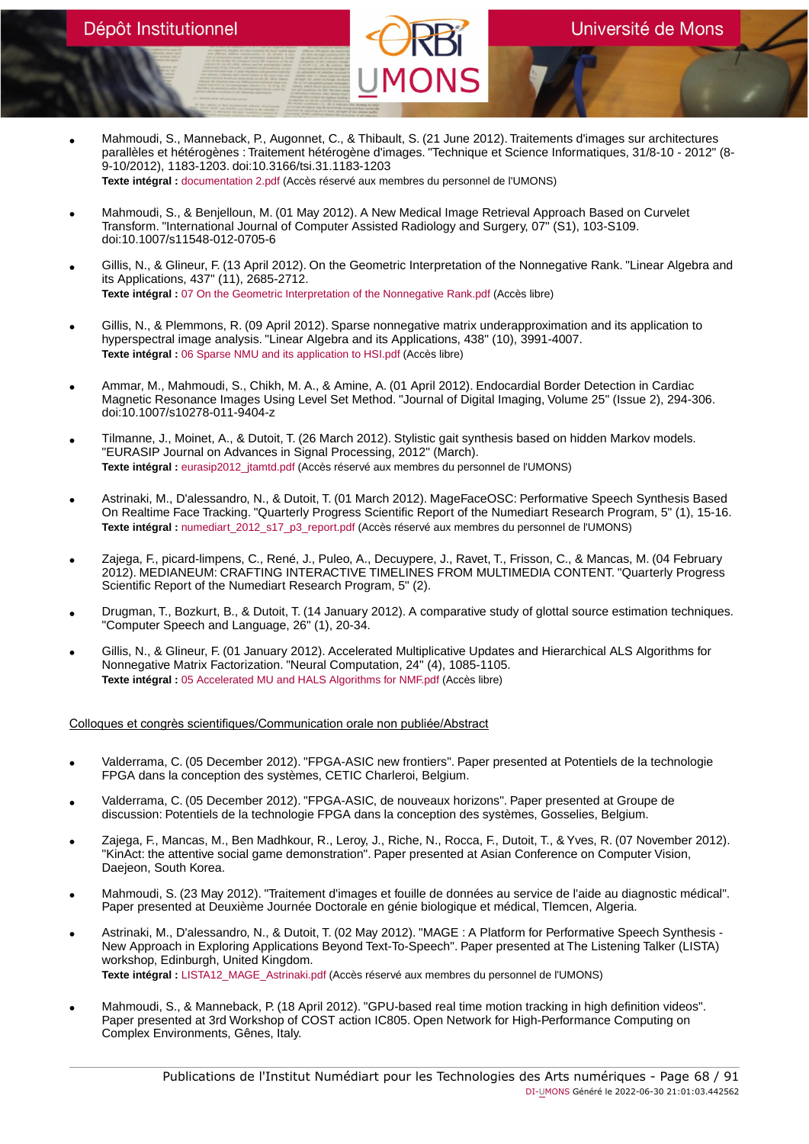- Mahmoudi, S., Manneback, P., Augonnet, C., & Thibault, S. (21 June 2012). Traitements d'images sur architectures parallèles et hétérogènes : Traitement hétérogène d'images. "Technique et Science Informatiques, 31/8-10 - 2012" (8- 9-10/2012), 1183-1203. doi:10.3166/tsi.31.1183-1203 **Texte intégral :** [documentation 2.pdf](https://orbi.umons.ac.be/bitstream/20.500.12907/41428/1/documentation 2.pdf) (Accès réservé aux membres du personnel de l'UMONS)
- Mahmoudi, S., & Benjelloun, M. (01 May 2012). A New Medical Image Retrieval Approach Based on Curvelet Transform. "International Journal of Computer Assisted Radiology and Surgery, 07" (S1), 103-S109. doi:10.1007/s11548-012-0705-6
- Gillis, N., & Glineur, F. (13 April 2012). On the Geometric Interpretation of the Nonnegative Rank. "Linear Algebra and its Applications, 437" (11), 2685-2712. **Texte intégral :** [07 On the Geometric Interpretation of the Nonnegative Rank.pdf](https://orbi.umons.ac.be/bitstream/20.500.12907/41838/1/07 On the Geometric Interpretation of the Nonnegative Rank.pdf) (Accès libre)
- Gillis, N., & Plemmons, R. (09 April 2012). Sparse nonnegative matrix underapproximation and its application to hyperspectral image analysis. "Linear Algebra and its Applications, 438" (10), 3991-4007. **Texte intégral :** [06 Sparse NMU and its application to HSI.pdf](https://orbi.umons.ac.be/bitstream/20.500.12907/41839/1/06 Sparse NMU and its application to HSI.pdf) (Accès libre)
- Ammar, M., Mahmoudi, S., Chikh, M. A., & Amine, A. (01 April 2012). Endocardial Border Detection in Cardiac Magnetic Resonance Images Using Level Set Method. "Journal of Digital Imaging, Volume 25" (Issue 2), 294-306. doi:10.1007/s10278-011-9404-z
- Tilmanne, J., Moinet, A., & Dutoit, T. (26 March 2012). Stylistic gait synthesis based on hidden Markov models. "EURASIP Journal on Advances in Signal Processing, 2012" (March). **Texte intégral :** [eurasip2012\\_jtamtd.pdf](https://orbi.umons.ac.be/bitstream/20.500.12907/41385/1/eurasip2012_jtamtd.pdf) (Accès réservé aux membres du personnel de l'UMONS)
- Astrinaki, M., D'alessandro, N., & Dutoit, T. (01 March 2012). MageFaceOSC: Performative Speech Synthesis Based On Realtime Face Tracking. "Quarterly Progress Scientific Report of the Numediart Research Program, 5" (1), 15-16. Texte intégral : numediart 2012 s17 p3 report.pdf (Accès réservé aux membres du personnel de l'UMONS)
- Zajega, F., picard-limpens, C., René, J., Puleo, A., Decuypere, J., Ravet, T., Frisson, C., & Mancas, M. (04 February 2012). MEDIANEUM: CRAFTING INTERACTIVE TIMELINES FROM MULTIMEDIA CONTENT. "Quarterly Progress Scientific Report of the Numediart Research Program, 5" (2).
- Drugman, T., Bozkurt, B., & Dutoit, T. (14 January 2012). A comparative study of glottal source estimation techniques. "Computer Speech and Language, 26" (1), 20-34.
- Gillis, N., & Glineur, F. (01 January 2012). Accelerated Multiplicative Updates and Hierarchical ALS Algorithms for Nonnegative Matrix Factorization. "Neural Computation, 24" (4), 1085-1105. **Texte intégral :** [05 Accelerated MU and HALS Algorithms for NMF.pdf](https://orbi.umons.ac.be/bitstream/20.500.12907/41837/1/05 Accelerated MU and HALS Algorithms for NMF.pdf) (Accès libre)

Colloques et congrès scientifiques/Communication orale non publiée/Abstract

- Valderrama, C. (05 December 2012). "FPGA-ASIC new frontiers". Paper presented at Potentiels de la technologie FPGA dans la conception des systèmes, CETIC Charleroi, Belgium.
- Valderrama, C. (05 December 2012). "FPGA-ASIC, de nouveaux horizons". Paper presented at Groupe de discussion: Potentiels de la technologie FPGA dans la conception des systèmes, Gosselies, Belgium.
- Zajega, F., Mancas, M., Ben Madhkour, R., Leroy, J., Riche, N., Rocca, F., Dutoit, T., & Yves, R. (07 November 2012). "KinAct: the attentive social game demonstration". Paper presented at Asian Conference on Computer Vision, Daejeon, South Korea.
- Mahmoudi, S. (23 May 2012). "Traitement d'images et fouille de données au service de l'aide au diagnostic médical". Paper presented at Deuxième Journée Doctorale en génie biologique et médical, Tlemcen, Algeria.
- Astrinaki, M., D'alessandro, N., & Dutoit, T. (02 May 2012). "MAGE : A Platform for Performative Speech Synthesis New Approach in Exploring Applications Beyond Text-To-Speech". Paper presented at The Listening Talker (LISTA) workshop, Edinburgh, United Kingdom. **Texte intégral :** [LISTA12\\_MAGE\\_Astrinaki.pdf](https://orbi.umons.ac.be/bitstream/20.500.12907/41510/1/LISTA12_MAGE_Astrinaki.pdf) (Accès réservé aux membres du personnel de l'UMONS)
- Mahmoudi, S., & Manneback, P. (18 April 2012). "GPU-based real time motion tracking in high definition videos". Paper presented at 3rd Workshop of COST action IC805. Open Network for High-Performance Computing on Complex Environments, Gênes, Italy.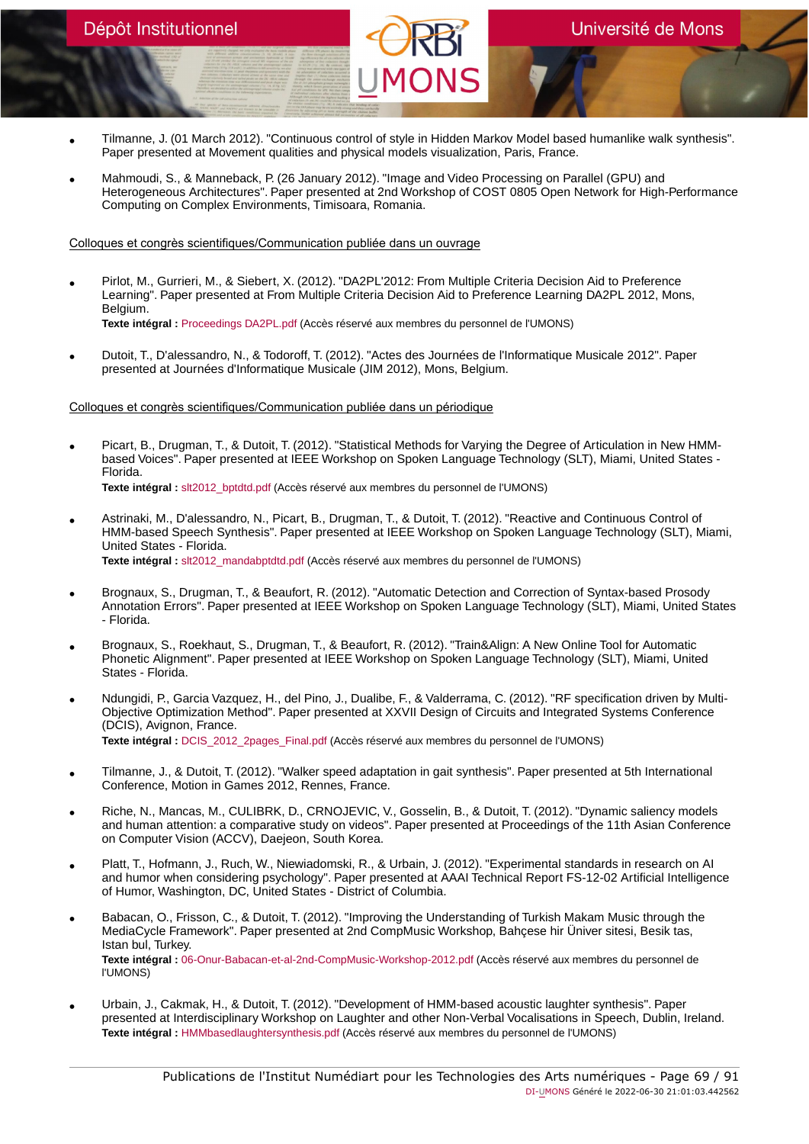- Tilmanne, J. (01 March 2012). "Continuous control of style in Hidden Markov Model based humanlike walk synthesis". Paper presented at Movement qualities and physical models visualization, Paris, France.
- Mahmoudi, S., & Manneback, P. (26 January 2012). "Image and Video Processing on Parallel (GPU) and Heterogeneous Architectures". Paper presented at 2nd Workshop of COST 0805 Open Network for High-Performance Computing on Complex Environments, Timisoara, Romania.

Colloques et congrès scientifiques/Communication publiée dans un ouvrage

- Pirlot, M., Gurrieri, M., & Siebert, X. (2012). "DA2PL'2012: From Multiple Criteria Decision Aid to Preference Learning". Paper presented at From Multiple Criteria Decision Aid to Preference Learning DA2PL 2012, Mons, Belgium. **Texte intégral :** [Proceedings DA2PL.pdf](https://orbi.umons.ac.be/bitstream/20.500.12907/41484/1/Proceedings DA2PL.pdf) (Accès réservé aux membres du personnel de l'UMONS)
- Dutoit, T., D'alessandro, N., & Todoroff, T. (2012). "Actes des Journées de l'Informatique Musicale 2012". Paper presented at Journées d'Informatique Musicale (JIM 2012), Mons, Belgium.

#### Colloques et congrès scientifiques/Communication publiée dans un périodique

- Picart, B., Drugman, T., & Dutoit, T. (2012). "Statistical Methods for Varying the Degree of Articulation in New HMMbased Voices". Paper presented at IEEE Workshop on Spoken Language Technology (SLT), Miami, United States - Florida. **Texte intégral :** [slt2012\\_bptdtd.pdf](https://orbi.umons.ac.be/bitstream/20.500.12907/41446/1/slt2012_bptdtd.pdf) (Accès réservé aux membres du personnel de l'UMONS)
- Astrinaki, M., D'alessandro, N., Picart, B., Drugman, T., & Dutoit, T. (2012). "Reactive and Continuous Control of HMM-based Speech Synthesis". Paper presented at IEEE Workshop on Spoken Language Technology (SLT), Miami, United States - Florida. Texte intégral : slt2012 mandabptdtd.pdf (Accès réservé aux membres du personnel de l'UMONS)
- Brognaux, S., Drugman, T., & Beaufort, R. (2012). "Automatic Detection and Correction of Syntax-based Prosody Annotation Errors". Paper presented at IEEE Workshop on Spoken Language Technology (SLT), Miami, United States - Florida.
- Brognaux, S., Roekhaut, S., Drugman, T., & Beaufort, R. (2012). "Train&Align: A New Online Tool for Automatic Phonetic Alignment". Paper presented at IEEE Workshop on Spoken Language Technology (SLT), Miami, United States - Florida.
- Ndungidi, P., Garcia Vazquez, H., del Pino, J., Dualibe, F., & Valderrama, C. (2012). "RF specification driven by Multi-Objective Optimization Method". Paper presented at XXVII Design of Circuits and Integrated Systems Conference (DCIS), Avignon, France. Texte intégral : DCIS 2012 2pages Final.pdf (Accès réservé aux membres du personnel de l'UMONS)
- Tilmanne, J., & Dutoit, T. (2012). "Walker speed adaptation in gait synthesis". Paper presented at 5th International Conference, Motion in Games 2012, Rennes, France.
- Riche, N., Mancas, M., CULIBRK, D., CRNOJEVIC, V., Gosselin, B., & Dutoit, T. (2012). "Dynamic saliency models and human attention: a comparative study on videos". Paper presented at Proceedings of the 11th Asian Conference on Computer Vision (ACCV), Daejeon, South Korea.
- Platt, T., Hofmann, J., Ruch, W., Niewiadomski, R., & Urbain, J. (2012). "Experimental standards in research on AI and humor when considering psychology". Paper presented at AAAI Technical Report FS-12-02 Artificial Intelligence of Humor, Washington, DC, United States - District of Columbia.
- Babacan, O., Frisson, C., & Dutoit, T. (2012). "Improving the Understanding of Turkish Makam Music through the MediaCycle Framework". Paper presented at 2nd CompMusic Workshop, Bahçese hir Üniver sitesi, Besik tas, Istan bul, Turkey. **Texte intégral :** [06-Onur-Babacan-et-al-2nd-CompMusic-Workshop-2012.pdf](https://orbi.umons.ac.be/bitstream/20.500.12907/41387/1/06-Onur-Babacan-et-al-2nd-CompMusic-Workshop-2012.pdf) (Accès réservé aux membres du personnel de l'UMONS)
- Urbain, J., Cakmak, H., & Dutoit, T. (2012). "Development of HMM-based acoustic laughter synthesis". Paper presented at Interdisciplinary Workshop on Laughter and other Non-Verbal Vocalisations in Speech, Dublin, Ireland. **Texte intégral :** [HMMbasedlaughtersynthesis.pdf](https://orbi.umons.ac.be/bitstream/20.500.12907/41393/1/HMMbasedlaughtersynthesis.pdf) (Accès réservé aux membres du personnel de l'UMONS)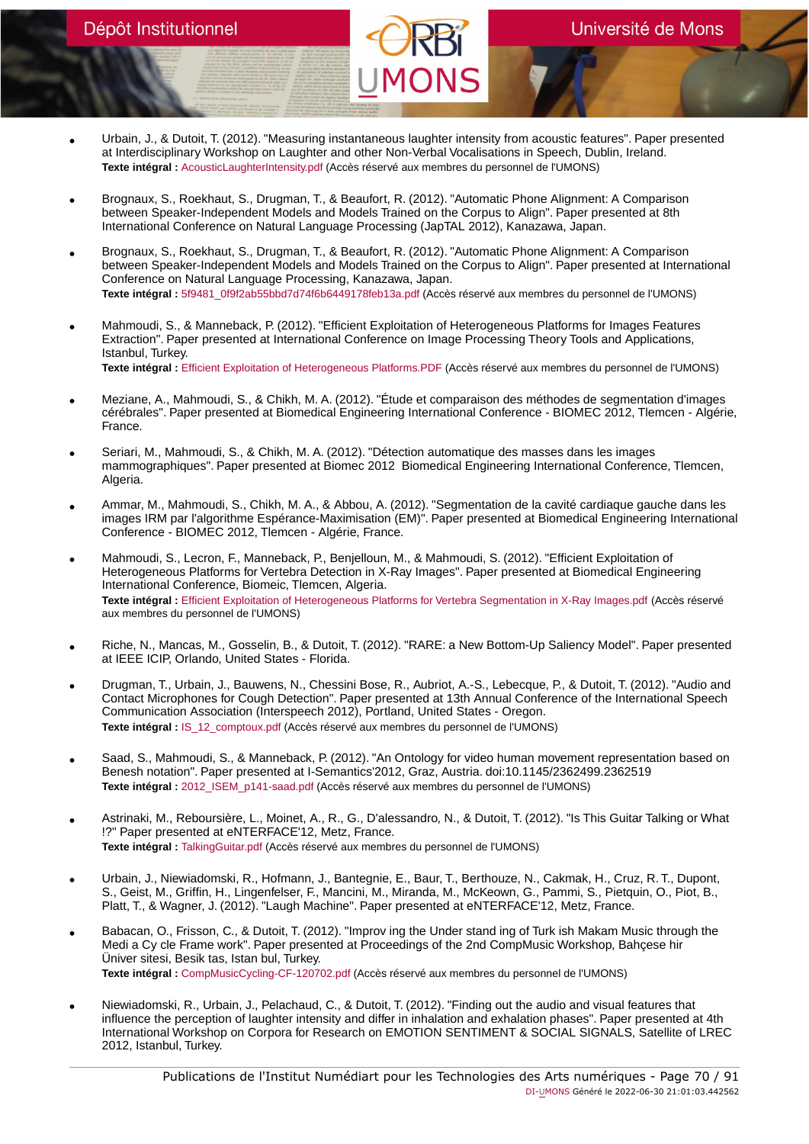# Université de Mons

- Urbain, J., & Dutoit, T. (2012). "Measuring instantaneous laughter intensity from acoustic features". Paper presented at Interdisciplinary Workshop on Laughter and other Non-Verbal Vocalisations in Speech, Dublin, Ireland. **Texte intégral :** [AcousticLaughterIntensity.pdf](https://orbi.umons.ac.be/bitstream/20.500.12907/41394/1/AcousticLaughterIntensity.pdf) (Accès réservé aux membres du personnel de l'UMONS)
- Brognaux, S., Roekhaut, S., Drugman, T., & Beaufort, R. (2012). "Automatic Phone Alignment: A Comparison between Speaker-Independent Models and Models Trained on the Corpus to Align". Paper presented at 8th International Conference on Natural Language Processing (JapTAL 2012), Kanazawa, Japan.
- Brognaux, S., Roekhaut, S., Drugman, T., & Beaufort, R. (2012). "Automatic Phone Alignment: A Comparison between Speaker-Independent Models and Models Trained on the Corpus to Align". Paper presented at International Conference on Natural Language Processing, Kanazawa, Japan. **Texte intégral :** [5f9481\\_0f9f2ab55bbd7d74f6b6449178feb13a.pdf](https://orbi.umons.ac.be/bitstream/20.500.12907/42150/1/5f9481_0f9f2ab55bbd7d74f6b6449178feb13a.pdf) (Accès réservé aux membres du personnel de l'UMONS)
- Mahmoudi, S., & Manneback, P. (2012). "Efficient Exploitation of Heterogeneous Platforms for Images Features Extraction". Paper presented at International Conference on Image Processing Theory Tools and Applications, Istanbul, Turkey. **Texte intégral :** [Efficient Exploitation of Heterogeneous Platforms.PDF](https://orbi.umons.ac.be/bitstream/20.500.12907/41389/1/Efficient Exploitation of Heterogeneous Platforms.PDF) (Accès réservé aux membres du personnel de l'UMONS)
- Meziane, A., Mahmoudi, S., & Chikh, M. A. (2012). "Étude et comparaison des méthodes de segmentation d'images cérébrales". Paper presented at Biomedical Engineering International Conference - BIOMEC 2012, Tlemcen - Algérie, France.
- Seriari, M., Mahmoudi, S., & Chikh, M. A. (2012). "Détection automatique des masses dans les images mammographiques". Paper presented at Biomec 2012 Biomedical Engineering International Conference, Tlemcen, Algeria.
- Ammar, M., Mahmoudi, S., Chikh, M. A., & Abbou, A. (2012). "Segmentation de la cavité cardiaque gauche dans les<br>images IRM par l'algorithme Espérance-Maximisation (EM)". Paper presented at Biomedical Engineering Interna Conference - BIOMEC 2012, Tlemcen - Algérie, France.
- Mahmoudi, S., Lecron, F., Manneback, P., Benjelloun, M., & Mahmoudi, S. (2012). "Efficient Exploitation of Heterogeneous Platforms for Vertebra Detection in X-Ray Images". Paper presented at Biomedical Engineering International Conference, Biomeic, Tlemcen, Algeria. **Texte intégral :** [Efficient Exploitation of Heterogeneous Platforms for Vertebra Segmentation in X-Ray Images.pdf](https://orbi.umons.ac.be/bitstream/20.500.12907/41388/1/Efficient Exploitation of Heterogeneous Platforms for Vertebra Segmentation in X-Ray Images.pdf) (Accès réservé aux membres du personnel de l'UMONS)
- Riche, N., Mancas, M., Gosselin, B., & Dutoit, T. (2012). "RARE: a New Bottom-Up Saliency Model". Paper presented at IEEE ICIP, Orlando, United States - Florida.
- Drugman, T., Urbain, J., Bauwens, N., Chessini Bose, R., Aubriot, A.-S., Lebecque, P., & Dutoit, T. (2012). "Audio and Contact Microphones for Cough Detection". Paper presented at 13th Annual Conference of the International Speech Communication Association (Interspeech 2012), Portland, United States - Oregon. **Texte intégral :** [IS\\_12\\_comptoux.pdf](https://orbi.umons.ac.be/bitstream/20.500.12907/41451/1/IS_12_comptoux.pdf) (Accès réservé aux membres du personnel de l'UMONS)
- Saad, S., Mahmoudi, S., & Manneback, P. (2012). "An Ontology for video human movement representation based on Benesh notation". Paper presented at I-Semantics'2012, Graz, Austria. doi:10.1145/2362499.2362519 Texte intégral : 2012 ISEM p141-saad.pdf (Accès réservé aux membres du personnel de l'UMONS)
- Astrinaki, M., Reboursière, L., Moinet, A., R., G., D'alessandro, N., & Dutoit, T. (2012). "Is This Guitar Talking or What !?" Paper presented at eNTERFACE'12, Metz, France. **Texte intégral :** [TalkingGuitar.pdf](https://orbi.umons.ac.be/bitstream/20.500.12907/41509/1/TalkingGuitar.pdf) (Accès réservé aux membres du personnel de l'UMONS)
- Urbain, J., Niewiadomski, R., Hofmann, J., Bantegnie, E., Baur, T., Berthouze, N., Cakmak, H., Cruz, R. T., Dupont,<br>S., Geist, M., Griffin, H., Lingenfelser, F., Mancini, M., Miranda, M., McKeown, G., Pammi, S., Pietqui Platt, T., & Wagner, J. (2012). "Laugh Machine". Paper presented at eNTERFACE'12, Metz, France.
- Babacan, O., Frisson, C., & Dutoit, T. (2012). "Improv ing the Under stand ing of Turk ish Makam Music through the Medi a Cy cle Frame work". Paper presented at Proceedings of the 2nd CompMusic Workshop, Bahçese hir Üniver sitesi, Besik tas, Istan bul, Turkey. **Texte intégral :** [CompMusicCycling-CF-120702.pdf](https://orbi.umons.ac.be/bitstream/20.500.12907/41545/1/CompMusicCycling-CF-120702.pdf) (Accès réservé aux membres du personnel de l'UMONS)
- Niewiadomski, R., Urbain, J., Pelachaud, C., & Dutoit, T. (2012). "Finding out the audio and visual features that influence the perception of laughter intensity and differ in inhalation and exhalation phases". Paper presented at 4th International Workshop on Corpora for Research on EMOTION SENTIMENT & SOCIAL SIGNALS, Satellite of LREC 2012, Istanbul, Turkey.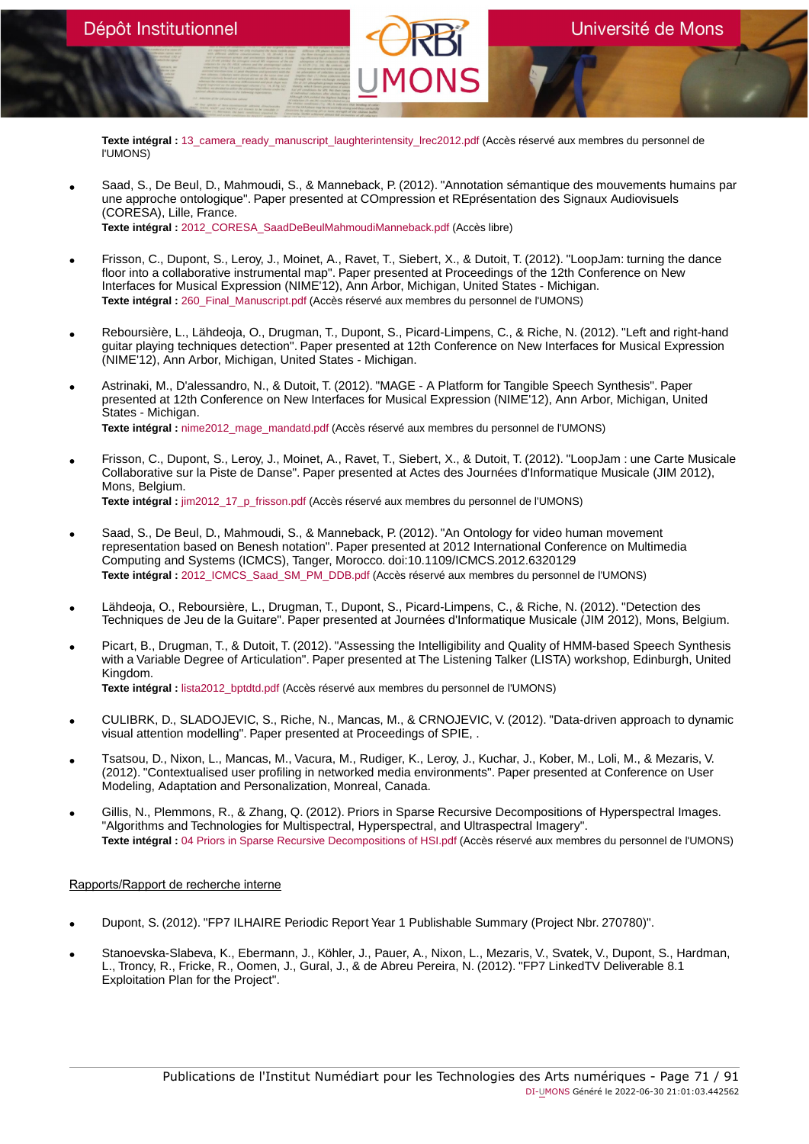**Texte intégral :** [13\\_camera\\_ready\\_manuscript\\_laughterintensity\\_lrec2012.pdf](https://orbi.umons.ac.be/bitstream/20.500.12907/41488/1/13_camera_ready_manuscript_laughterintensity_lrec2012.pdf) (Accès réservé aux membres du personnel de l'UMONS)

- Saad, S., De Beul, D., Mahmoudi, S., & Manneback, P. (2012). "Annotation sémantique des mouvements humains par une approche ontologique". Paper presented at COmpression et REprésentation des Signaux Audiovisuels (CORESA), Lille, France. **Texte intégral :** [2012\\_CORESA\\_SaadDeBeulMahmoudiManneback.pdf](https://orbi.umons.ac.be/bitstream/20.500.12907/41459/1/2012_CORESA_SaadDeBeulMahmoudiManneback.pdf) (Accès libre)
- Frisson, C., Dupont, S., Leroy, J., Moinet, A., Ravet, T., Siebert, X., & Dutoit, T. (2012). "LoopJam: turning the dance floor into a collaborative instrumental map". Paper presented at Proceedings of the 12th Conference on New Interfaces for Musical Expression (NIME'12), Ann Arbor, Michigan, United States - Michigan. **Texte intégral :** [260\\_Final\\_Manuscript.pdf](https://orbi.umons.ac.be/bitstream/20.500.12907/41544/1/260_Final_Manuscript.pdf) (Accès réservé aux membres du personnel de l'UMONS)
- Reboursière, L., Lähdeoja, O., Drugman, T., Dupont, S., Picard-Limpens, C., & Riche, N. (2012). "Left and right-hand guitar playing techniques detection". Paper presented at 12th Conference on New Interfaces for Musical Expression (NIME'12), Ann Arbor, Michigan, United States - Michigan.
- Astrinaki, M., D'alessandro, N., & Dutoit, T. (2012). "MAGE A Platform for Tangible Speech Synthesis". Paper presented at 12th Conference on New Interfaces for Musical Expression (NIME'12), Ann Arbor, Michigan, United States - Michigan. **Texte intégral :** [nime2012\\_mage\\_mandatd.pdf](https://orbi.umons.ac.be/bitstream/20.500.12907/41475/1/nime2012_mage_mandatd.pdf) (Accès réservé aux membres du personnel de l'UMONS)
- Frisson, C., Dupont, S., Leroy, J., Moinet, A., Ravet, T., Siebert, X., & Dutoit, T. (2012). "LoopJam : une Carte Musicale Collaborative sur la Piste de Danse". Paper presented at Actes des Journées d'Informatique Musicale (JIM 2012), Mons, Belgium. **Texte intégral :** [jim2012\\_17\\_p\\_frisson.pdf](https://orbi.umons.ac.be/bitstream/20.500.12907/41543/1/jim2012_17_p_frisson.pdf) (Accès réservé aux membres du personnel de l'UMONS)
- Saad, S., De Beul, D., Mahmoudi, S., & Manneback, P. (2012). "An Ontology for video human movement representation based on Benesh notation". Paper presented at 2012 International Conference on Multimedia Computing and Systems (ICMCS), Tanger, Morocco. doi:10.1109/ICMCS.2012.6320129 Texte intégral : 2012 ICMCS Saad SM\_PM\_DDB.pdf (Accès réservé aux membres du personnel de l'UMONS)
- Lähdeoja, O., Reboursière, L., Drugman, T., Dupont, S., Picard-Limpens, C., & Riche, N. (2012). "Detection des Techniques de Jeu de la Guitare". Paper presented at Journées d'Informatique Musicale (JIM 2012), Mons, Belgium.
- Picart, B., Drugman, T., & Dutoit, T. (2012). "Assessing the Intelligibility and Quality of HMM-based Speech Synthesis with a Variable Degree of Articulation". Paper presented at The Listening Talker (LISTA) workshop, Edinburgh, United Kingdom. **Texte intégral :** [lista2012\\_bptdtd.pdf](https://orbi.umons.ac.be/bitstream/20.500.12907/41448/1/lista2012_bptdtd.pdf) (Accès réservé aux membres du personnel de l'UMONS)
- CULIBRK, D., SLADOJEVIC, S., Riche, N., Mancas, M., & CRNOJEVIC, V. (2012). "Data-driven approach to dynamic visual attention modelling". Paper presented at Proceedings of SPIE, .
- Tsatsou, D., Nixon, L., Mancas, M., Vacura, M., Rudiger, K., Leroy, J., Kuchar, J., Kober, M., Loli, M., & Mezaris, V. (2012). "Contextualised user profiling in networked media environments". Paper presented at Conference on User Modeling, Adaptation and Personalization, Monreal, Canada.
- Gillis, N., Plemmons, R., & Zhang, Q. (2012). Priors in Sparse Recursive Decompositions of Hyperspectral Images. "Algorithms and Technologies for Multispectral, Hyperspectral, and Ultraspectral Imagery". **Texte intégral :** [04 Priors in Sparse Recursive Decompositions of HSI.pdf](https://orbi.umons.ac.be/bitstream/20.500.12907/41846/1/04 Priors in Sparse Recursive Decompositions of HSI.pdf) (Accès réservé aux membres du personnel de l'UMONS)

# Rapports/Rapport de recherche interne

- Dupont, S. (2012). "FP7 ILHAIRE Periodic Report Year 1 Publishable Summary (Project Nbr. 270780)".
- Stanoevska-Slabeva, K., Ebermann, J., Köhler, J., Pauer, A., Nixon, L., Mezaris, V., Svatek, V., Dupont, S., Hardman, L., Troncy, R., Fricke, R., Oomen, J., Gural, J., & de Abreu Pereira, N. (2012). "FP7 LinkedTV Deliverable 8.1 Exploitation Plan for the Project".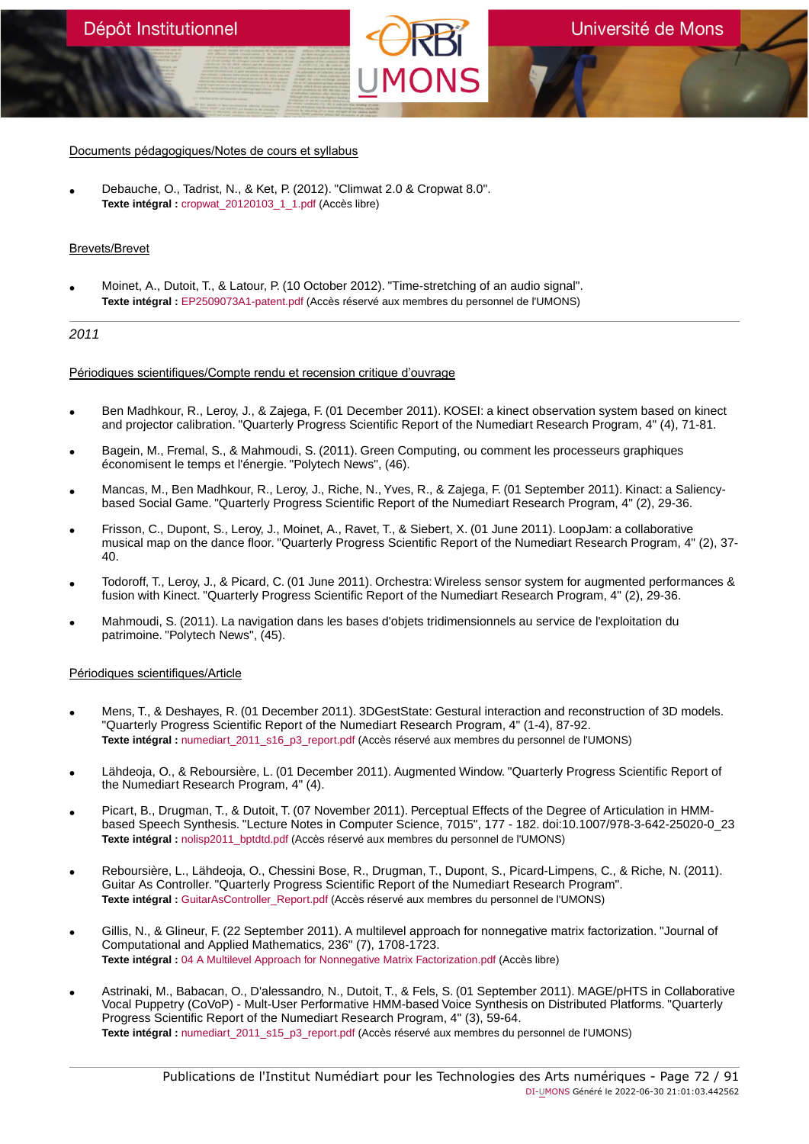#### Documents pédagogiques/Notes de cours et syllabus

• Debauche, O., Tadrist, N., & Ket, P. (2012). "Climwat 2.0 & Cropwat 8.0". **Texte intégral :** cropwat 20120103\_1\_1.pdf (Accès libre)

# Brevets/Brevet

• Moinet, A., Dutoit, T., & Latour, P. (10 October 2012). "Time-stretching of an audio signal". **Texte intégral :** [EP2509073A1-patent.pdf](https://orbi.umons.ac.be/bitstream/20.500.12907/41392/1/EP2509073A1-patent.pdf) (Accès réservé aux membres du personnel de l'UMONS)

# 2011

# Périodiques scientifiques/Compte rendu et recension critique d'ouvrage

- Ben Madhkour, R., Leroy, J., & Zajega, F. (01 December 2011). KOSEI: a kinect observation system based on kinect and projector calibration. "Quarterly Progress Scientific Report of the Numediart Research Program, 4" (4), 71-81.
- Bagein, M., Fremal, S., & Mahmoudi, S. (2011). Green Computing, ou comment les processeurs graphiques économisent le temps et l'énergie. "Polytech News", (46).
- Mancas, M., Ben Madhkour, R., Leroy, J., Riche, N., Yves, R., & Zajega, F. (01 September 2011). Kinact: a Saliencybased Social Game. "Quarterly Progress Scientific Report of the Numediart Research Program, 4" (2), 29-36.
- Frisson, C., Dupont, S., Leroy, J., Moinet, A., Ravet, T., & Siebert, X. (01 June 2011). LoopJam: a collaborative musical map on the dance floor. "Quarterly Progress Scientific Report of the Numediart Research Program, 4" (2), 37- 40.
- Todoroff, T., Leroy, J., & Picard, C. (01 June 2011). Orchestra: Wireless sensor system for augmented performances & fusion with Kinect. "Quarterly Progress Scientific Report of the Numediart Research Program, 4" (2), 29-36.
- Mahmoudi, S. (2011). La navigation dans les bases d'objets tridimensionnels au service de l'exploitation du patrimoine. "Polytech News", (45).

#### Périodiques scientifiques/Article

- Mens, T., & Deshayes, R. (01 December 2011). 3DGestState: Gestural interaction and reconstruction of 3D models. "Quarterly Progress Scientific Report of the Numediart Research Program, 4" (1-4), 87-92. Texte intégral : numediart 2011 s16 p3 report.pdf (Accès réservé aux membres du personnel de l'UMONS)
- Lähdeoja, O., & Reboursière, L. (01 December 2011). Augmented Window. "Quarterly Progress Scientific Report of the Numediart Research Program, 4" (4).
- Picart, B., Drugman, T., & Dutoit, T. (07 November 2011). Perceptual Effects of the Degree of Articulation in HMMbased Speech Synthesis. "Lecture Notes in Computer Science, 7015", 177 - 182. doi:10.1007/978-3-642-25020-0\_23 Texte intégral : nolisp2011 bptdtd.pdf (Accès réservé aux membres du personnel de l'UMONS)
- Reboursière, L., Lähdeoja, O., Chessini Bose, R., Drugman, T., Dupont, S., Picard-Limpens, C., & Riche, N. (2011). Guitar As Controller. "Quarterly Progress Scientific Report of the Numediart Research Program". **Texte intégral :** [GuitarAsController\\_Report.pdf](https://orbi.umons.ac.be/bitstream/20.500.12907/41382/1/GuitarAsController_Report.pdf) (Accès réservé aux membres du personnel de l'UMONS)
- Gillis, N., & Glineur, F. (22 September 2011). A multilevel approach for nonnegative matrix factorization. "Journal of Computational and Applied Mathematics, 236" (7), 1708-1723. **Texte intégral :** [04 A Multilevel Approach for Nonnegative Matrix Factorization.pdf](https://orbi.umons.ac.be/bitstream/20.500.12907/41836/1/04 A Multilevel Approach for Nonnegative Matrix Factorization.pdf) (Accès libre)
- Astrinaki, M., Babacan, O., D'alessandro, N., Dutoit, T., & Fels, S. (01 September 2011). MAGE/pHTS in Collaborative Vocal Puppetry (CoVoP) - Mult-User Performative HMM-based Voice Synthesis on Distributed Platforms. "Quarterly Progress Scientific Report of the Numediart Research Program, 4" (3), 59-64. **Texte intégral :** [numediart\\_2011\\_s15\\_p3\\_report.pdf](https://orbi.umons.ac.be/bitstream/20.500.12907/41477/1/numediart_2011_s15_p3_report.pdf) (Accès réservé aux membres du personnel de l'UMONS)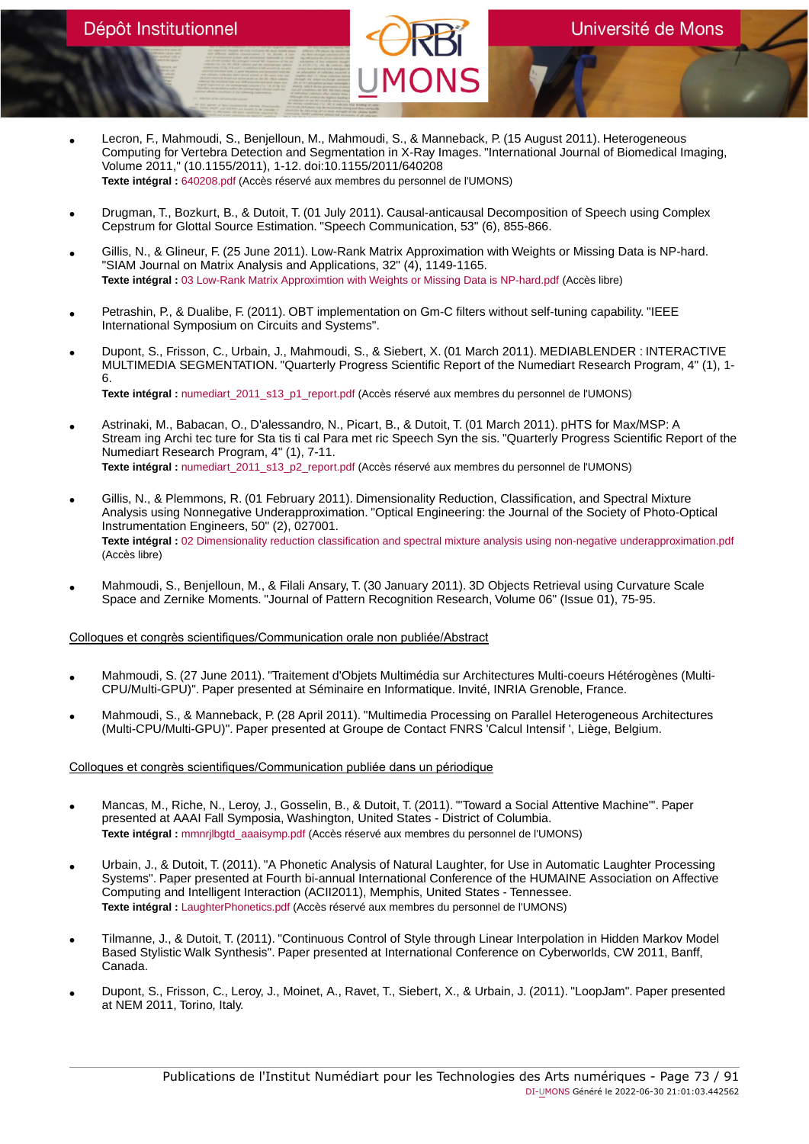- Lecron, F., Mahmoudi, S., Benjelloun, M., Mahmoudi, S., & Manneback, P. (15 August 2011). Heterogeneous Computing for Vertebra Detection and Segmentation in X-Ray Images. "International Journal of Biomedical Imaging, Volume 2011," (10.1155/2011), 1-12. doi:10.1155/2011/640208 **Texte intégral :** [640208.pdf](https://orbi.umons.ac.be/bitstream/20.500.12907/41358/1/640208.pdf) (Accès réservé aux membres du personnel de l'UMONS)
- Drugman, T., Bozkurt, B., & Dutoit, T. (01 July 2011). Causal-anticausal Decomposition of Speech using Complex Cepstrum for Glottal Source Estimation. "Speech Communication, 53" (6), 855-866.
- Gillis, N., & Glineur, F. (25 June 2011). Low-Rank Matrix Approximation with Weights or Missing Data is NP-hard. "SIAM Journal on Matrix Analysis and Applications, 32" (4), 1149-1165. **Texte intégral :** [03 Low-Rank Matrix Approximtion with Weights or Missing Data is NP-hard.pdf](https://orbi.umons.ac.be/bitstream/20.500.12907/41835/1/03 Low-Rank Matrix Approximtion with Weights or Missing Data is NP-hard.pdf) (Accès libre)
- Petrashin, P., & Dualibe, F. (2011). OBT implementation on Gm-C filters without self-tuning capability. "IEEE International Symposium on Circuits and Systems".
- Dupont, S., Frisson, C., Urbain, J., Mahmoudi, S., & Siebert, X. (01 March 2011). MEDIABLENDER : INTERACTIVE MULTIMEDIA SEGMENTATION. "Quarterly Progress Scientific Report of the Numediart Research Program, 4" (1), 1- 6. **Texte intégral :** [numediart\\_2011\\_s13\\_p1\\_report.pdf](https://orbi.umons.ac.be/bitstream/20.500.12907/41367/1/numediart_2011_s13_p1_report.pdf) (Accès réservé aux membres du personnel de l'UMONS)
- Astrinaki, M., Babacan, O., D'alessandro, N., Picart, B., & Dutoit, T. (01 March 2011). pHTS for Max/MSP: A Stream ing Archi tec ture for Sta tis ti cal Para met ric Speech Syn the sis. "Quarterly Progress Scientific Report of the Numediart Research Program, 4" (1), 7-11. **Texte intégral :** [numediart\\_2011\\_s13\\_p2\\_report.pdf](https://orbi.umons.ac.be/bitstream/20.500.12907/41445/1/numediart_2011_s13_p2_report.pdf) (Accès réservé aux membres du personnel de l'UMONS)
- Gillis, N., & Plemmons, R. (01 February 2011). Dimensionality Reduction, Classification, and Spectral Mixture Analysis using Nonnegative Underapproximation. "Optical Engineering: the Journal of the Society of Photo-Optical Instrumentation Engineers, 50" (2), 027001. **Texte intégral :** [02 Dimensionality reduction classification and spectral mixture analysis using non-negative underapproximation.pdf](https://orbi.umons.ac.be/bitstream/20.500.12907/41834/1/02 Dimensionality reduction classification and spectral mixture analysis using non-negative underapproximation.pdf) (Accès libre)
- Mahmoudi, S., Benjelloun, M., & Filali Ansary, T. (30 January 2011). 3D Objects Retrieval using Curvature Scale Space and Zernike Moments. "Journal of Pattern Recognition Research, Volume 06" (Issue 01), 75-95.

- Mahmoudi, S. (27 June 2011). "Traitement d'Objets Multimédia sur Architectures Multi-coeurs Hétérogènes (Multi-CPU/Multi-GPU)". Paper presented at Séminaire en Informatique. Invité, INRIA Grenoble, France.
- Mahmoudi, S., & Manneback, P. (28 April 2011). "Multimedia Processing on Parallel Heterogeneous Architectures (Multi-CPU/Multi-GPU)". Paper presented at Groupe de Contact FNRS 'Calcul Intensif ', Liège, Belgium.

# Colloques et congrès scientifiques/Communication publiée dans un périodique

- Mancas, M., Riche, N., Leroy, J., Gosselin, B., & Dutoit, T. (2011). "'Toward a Social Attentive Machine'". Paper presented at AAAI Fall Symposia, Washington, United States - District of Columbia. **Texte intégral :** [mmnrjlbgtd\\_aaaisymp.pdf](https://orbi.umons.ac.be/bitstream/20.500.12907/41361/1/mmnrjlbgtd_aaaisymp.pdf) (Accès réservé aux membres du personnel de l'UMONS)
- Urbain, J., & Dutoit, T. (2011). "A Phonetic Analysis of Natural Laughter, for Use in Automatic Laughter Processing Systems". Paper presented at Fourth bi-annual International Conference of the HUMAINE Association on Affective Computing and Intelligent Interaction (ACII2011), Memphis, United States - Tennessee. **Texte intégral :** [LaughterPhonetics.pdf](https://orbi.umons.ac.be/bitstream/20.500.12907/41377/1/LaughterPhonetics.pdf) (Accès réservé aux membres du personnel de l'UMONS)
- Tilmanne, J., & Dutoit, T. (2011). "Continuous Control of Style through Linear Interpolation in Hidden Markov Model Based Stylistic Walk Synthesis". Paper presented at International Conference on Cyberworlds, CW 2011, Banff, Canada.
- Dupont, S., Frisson, C., Leroy, J., Moinet, A., Ravet, T., Siebert, X., & Urbain, J. (2011). "LoopJam". Paper presented at NEM 2011, Torino, Italy.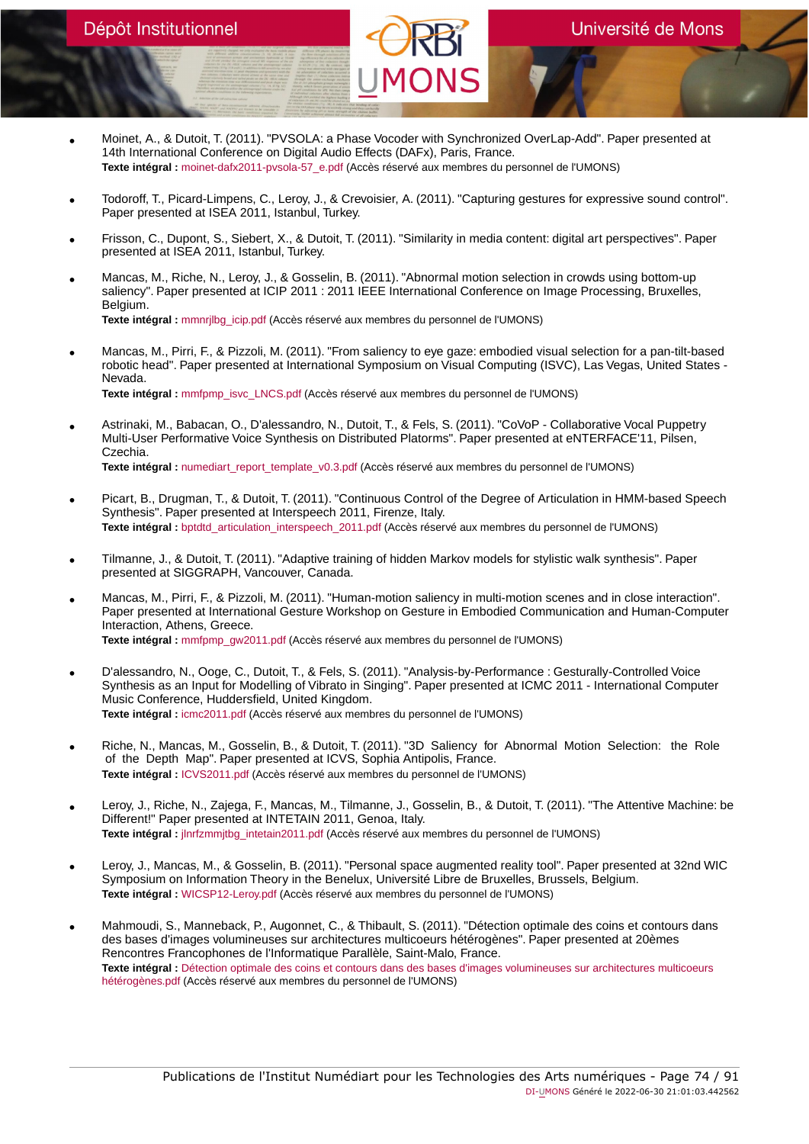- Moinet, A., & Dutoit, T. (2011). "PVSOLA: a Phase Vocoder with Synchronized OverLap-Add". Paper presented at 14th International Conference on Digital Audio Effects (DAFx), Paris, France. **Texte intégral :** [moinet-dafx2011-pvsola-57\\_e.pdf](https://orbi.umons.ac.be/bitstream/20.500.12907/41357/1/moinet-dafx2011-pvsola-57_e.pdf) (Accès réservé aux membres du personnel de l'UMONS)
- Todoroff, T., Picard-Limpens, C., Leroy, J., & Crevoisier, A. (2011). "Capturing gestures for expressive sound control". Paper presented at ISEA 2011, Istanbul, Turkey.
- Frisson, C., Dupont, S., Siebert, X., & Dutoit, T. (2011). "Similarity in media content: digital art perspectives". Paper presented at ISEA 2011, Istanbul, Turkey.
- Mancas, M., Riche, N., Leroy, J., & Gosselin, B. (2011). "Abnormal motion selection in crowds using bottom-up saliency". Paper presented at ICIP 2011 : 2011 IEEE International Conference on Image Processing, Bruxelles, Belgium. **Texte intégral :** [mmnrjlbg\\_icip.pdf](https://orbi.umons.ac.be/bitstream/20.500.12907/41359/1/mmnrjlbg_icip.pdf) (Accès réservé aux membres du personnel de l'UMONS)
- Mancas, M., Pirri, F., & Pizzoli, M. (2011). "From saliency to eye gaze: embodied visual selection for a pan-tilt-based robotic head". Paper presented at International Symposium on Visual Computing (ISVC), Las Vegas, United States - Nevada. **Texte intégral :** [mmfpmp\\_isvc\\_LNCS.pdf](https://orbi.umons.ac.be/bitstream/20.500.12907/41373/1/mmfpmp_isvc_LNCS.pdf) (Accès réservé aux membres du personnel de l'UMONS)
- Astrinaki, M., Babacan, O., D'alessandro, N., Dutoit, T., & Fels, S. (2011). "CoVoP Collaborative Vocal Puppetry Multi-User Performative Voice Synthesis on Distributed Platorms". Paper presented at eNTERFACE'11, Pilsen, Czechia. **Texte intégral :** [numediart\\_report\\_template\\_v0.3.pdf](https://orbi.umons.ac.be/bitstream/20.500.12907/41507/1/numediart_report_template_v0.3.pdf) (Accès réservé aux membres du personnel de l'UMONS)
- Picart, B., Drugman, T., & Dutoit, T. (2011). "Continuous Control of the Degree of Articulation in HMM-based Speech Synthesis". Paper presented at Interspeech 2011, Firenze, Italy. **Texte intégral :** [bptdtd\\_articulation\\_interspeech\\_2011.pdf](https://orbi.umons.ac.be/bitstream/20.500.12907/41364/1/bptdtd_articulation_interspeech_2011.pdf) (Accès réservé aux membres du personnel de l'UMONS)
- Tilmanne, J., & Dutoit, T. (2011). "Adaptive training of hidden Markov models for stylistic walk synthesis". Paper presented at SIGGRAPH, Vancouver, Canada.
- Mancas, M., Pirri, F., & Pizzoli, M. (2011). "Human-motion saliency in multi-motion scenes and in close interaction". Paper presented at International Gesture Workshop on Gesture in Embodied Communication and Human-Computer Interaction, Athens, Greece. **Texte intégral :** [mmfpmp\\_gw2011.pdf](https://orbi.umons.ac.be/bitstream/20.500.12907/41375/1/mmfpmp_gw2011.pdf) (Accès réservé aux membres du personnel de l'UMONS)
- D'alessandro, N., Ooge, C., Dutoit, T., & Fels, S. (2011). "Analysis-by-Performance : Gesturally-Controlled Voice Synthesis as an Input for Modelling of Vibrato in Singing". Paper presented at ICMC 2011 - International Computer Music Conference, Huddersfield, United Kingdom. **Texte intégral :** [icmc2011.pdf](https://orbi.umons.ac.be/bitstream/20.500.12907/41478/1/icmc2011.pdf) (Accès réservé aux membres du personnel de l'UMONS)
- Riche, N., Mancas, M., Gosselin, B., & Dutoit, T. (2011). "3D Saliency for Abnormal Motion Selection: the Role of the Depth Map". Paper presented at ICVS, Sophia Antipolis, France. **Texte intégral :** [ICVS2011.pdf](https://orbi.umons.ac.be/bitstream/20.500.12907/41372/1/ICVS2011.pdf) (Accès réservé aux membres du personnel de l'UMONS)
- Leroy, J., Riche, N., Zajega, F., Mancas, M., Tilmanne, J., Gosselin, B., & Dutoit, T. (2011). "The Attentive Machine: be Different!" Paper presented at INTETAIN 2011, Genoa, Italy. **Texte intégral :** [jlnrfzmmjtbg\\_intetain2011.pdf](https://orbi.umons.ac.be/bitstream/20.500.12907/41360/1/jlnrfzmmjtbg_intetain2011.pdf) (Accès réservé aux membres du personnel de l'UMONS)
- Leroy, J., Mancas, M., & Gosselin, B. (2011). "Personal space augmented reality tool". Paper presented at 32nd WIC Symposium on Information Theory in the Benelux, Université Libre de Bruxelles, Brussels, Belgium. **Texte intégral :** [WICSP12-Leroy.pdf](https://orbi.umons.ac.be/bitstream/20.500.12907/41355/1/WICSP12-Leroy.pdf) (Accès réservé aux membres du personnel de l'UMONS)
- Mahmoudi, S., Manneback, P., Augonnet, C., & Thibault, S. (2011). "Détection optimale des coins et contours dans des bases d'images volumineuses sur architectures multicoeurs hétérogènes". Paper presented at 20èmes Rencontres Francophones de l'Informatique Parallèle, Saint-Malo, France. **Texte intégral :** [Détection optimale des coins et contours dans des bases d'images volumineuses sur architectures multicoeurs](https://orbi.umons.ac.be/bitstream/20.500.12907/41356/1/D�tection optimale des coins et contours dans des bases d) [hétérogènes.pdf](https://orbi.umons.ac.be/bitstream/20.500.12907/41356/1/D�tection optimale des coins et contours dans des bases d) (Accès réservé aux membres du personnel de l'UMONS)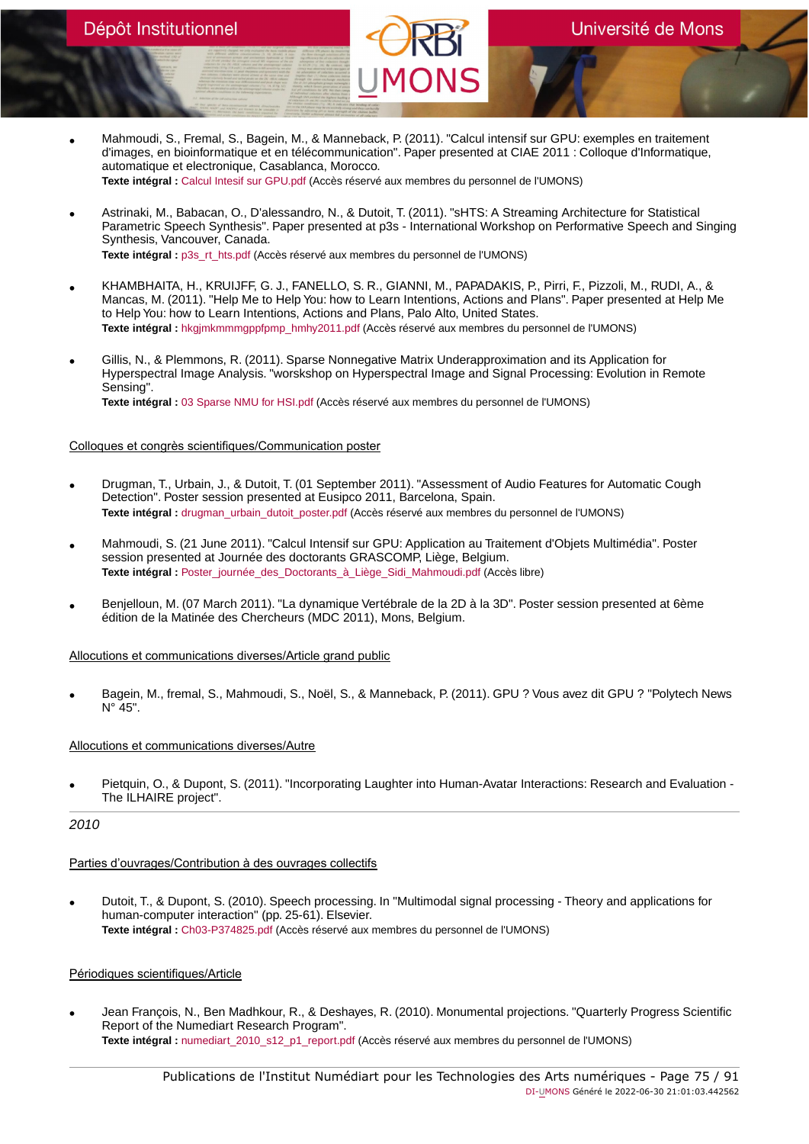- Mahmoudi, S., Fremal, S., Bagein, M., & Manneback, P. (2011). "Calcul intensif sur GPU: exemples en traitement d'images, en bioinformatique et en télécommunication". Paper presented at CIAE 2011 : Colloque d'Informatique, automatique et electronique, Casablanca, Morocco. **Texte intégral :** [Calcul Intesif sur GPU.pdf](https://orbi.umons.ac.be/bitstream/20.500.12907/41354/1/Calcul Intesif sur GPU.pdf) (Accès réservé aux membres du personnel de l'UMONS)
- Astrinaki, M., Babacan, O., D'alessandro, N., & Dutoit, T. (2011). "sHTS: A Streaming Architecture for Statistical Parametric Speech Synthesis". Paper presented at p3s - International Workshop on Performative Speech and Singing Synthesis, Vancouver, Canada. **Texte intégral :** [p3s\\_rt\\_hts.pdf](https://orbi.umons.ac.be/bitstream/20.500.12907/41508/1/p3s_rt_hts.pdf) (Accès réservé aux membres du personnel de l'UMONS)
- KHAMBHAITA, H., KRUIJFF, G. J., FANELLO, S. R., GIANNI, M., PAPADAKIS, P., Pirri, F., Pizzoli, M., RUDI, A., & Mancas, M. (2011). "Help Me to Help You: how to Learn Intentions, Actions and Plans". Paper presented at Help Me to Help You: how to Learn Intentions, Actions and Plans, Palo Alto, United States. **Texte intégral :** [hkgjmkmmmgppfpmp\\_hmhy2011.pdf](https://orbi.umons.ac.be/bitstream/20.500.12907/41374/1/hkgjmkmmmgppfpmp_hmhy2011.pdf) (Accès réservé aux membres du personnel de l'UMONS)
- Gillis, N., & Plemmons, R. (2011). Sparse Nonnegative Matrix Underapproximation and its Application for Hyperspectral Image Analysis. "worskshop on Hyperspectral Image and Signal Processing: Evolution in Remote Sensing". **Texte intégral :** [03 Sparse NMU for HSI.pdf](https://orbi.umons.ac.be/bitstream/20.500.12907/41845/1/03 Sparse NMU for HSI.pdf) (Accès réservé aux membres du personnel de l'UMONS)

## Colloques et congrès scientifiques/Communication poster

- Drugman, T., Urbain, J., & Dutoit, T. (01 September 2011). "Assessment of Audio Features for Automatic Cough Detection". Poster session presented at Eusipco 2011, Barcelona, Spain. **Texte intégral :** [drugman\\_urbain\\_dutoit\\_poster.pdf](https://orbi.umons.ac.be/bitstream/20.500.12907/41378/1/drugman_urbain_dutoit_poster.pdf) (Accès réservé aux membres du personnel de l'UMONS)
- Mahmoudi, S. (21 June 2011). "Calcul Intensif sur GPU: Application au Traitement d'Objets Multimédia". Poster session presented at Journée des doctorants GRASCOMP, Liège, Belgium. **Texte intégral :** [Poster\\_journée\\_des\\_Doctorants\\_à\\_Liège\\_Sidi\\_Mahmoudi.pdf](https://orbi.umons.ac.be/bitstream/20.500.12907/41915/1/Poster_journ�e_des_Doctorants_�_Li�ge_Sidi_Mahmoudi.pdf) (Accès libre)
- Benjelloun, M. (07 March 2011). "La dynamique Vertébrale de la 2D à la 3D". Poster session presented at 6ème édition de la Matinée des Chercheurs (MDC 2011), Mons, Belgium.

## Allocutions et communications diverses/Article grand public

• Bagein, M., fremal, S., Mahmoudi, S., Noël, S., & Manneback, P. (2011). GPU ? Vous avez dit GPU ? "Polytech News  $N^{\circ}$  45".

## Allocutions et communications diverses/Autre

• Pietquin, O., & Dupont, S. (2011). "Incorporating Laughter into Human-Avatar Interactions: Research and Evaluation - The ILHAIRE project".

# 2010

## Parties d'ouvrages/Contribution à des ouvrages collectifs

• Dutoit, T., & Dupont, S. (2010). Speech processing. In "Multimodal signal processing - Theory and applications for human-computer interaction" (pp. 25-61). Elsevier. **Texte intégral :** [Ch03-P374825.pdf](https://orbi.umons.ac.be/bitstream/20.500.12907/41239/1/Ch03-P374825.pdf) (Accès réservé aux membres du personnel de l'UMONS)

## Périodiques scientifiques/Article

• Jean François, N., Ben Madhkour, R., & Deshayes, R. (2010). Monumental projections. "Quarterly Progress Scientific Report of the Numediart Research Program". **Texte intégral :** [numediart\\_2010\\_s12\\_p1\\_report.pdf](https://orbi.umons.ac.be/bitstream/20.500.12907/41391/1/numediart_2010_s12_p1_report.pdf) (Accès réservé aux membres du personnel de l'UMONS)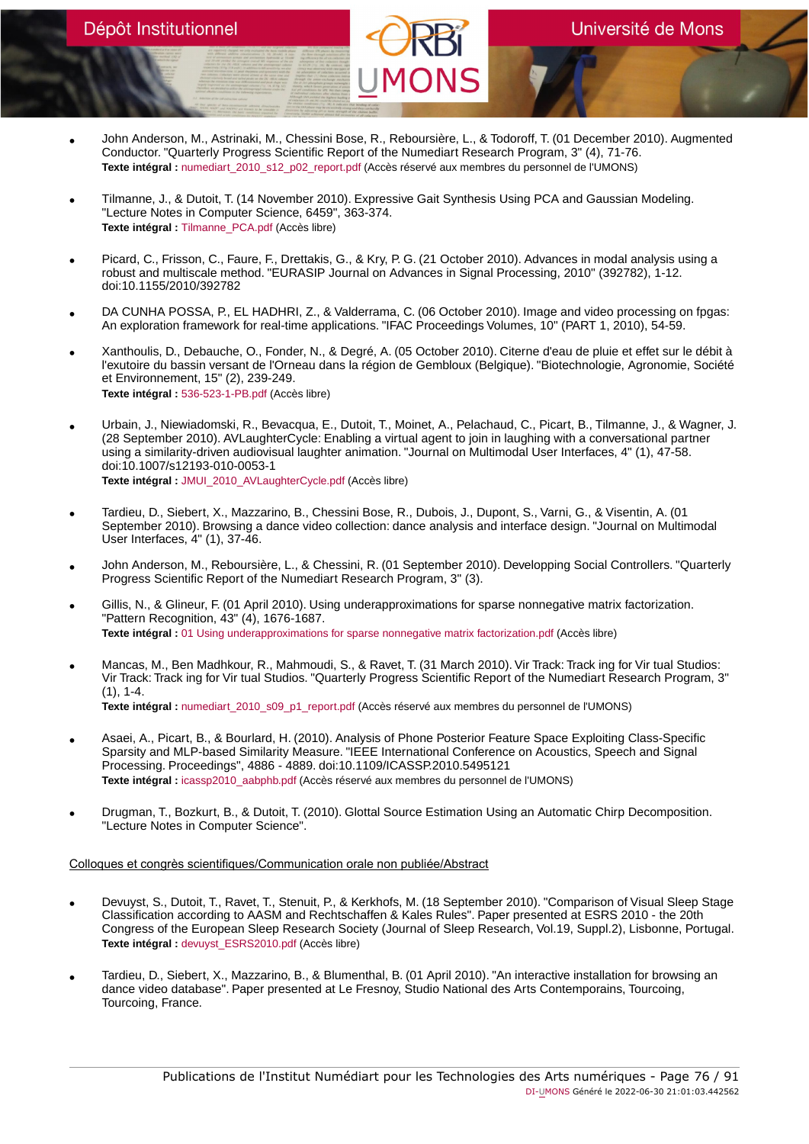- John Anderson, M., Astrinaki, M., Chessini Bose, R., Reboursière, L., & Todoroff, T. (01 December 2010). Augmented Conductor. "Quarterly Progress Scientific Report of the Numediart Research Program, 3" (4), 71-76. **Texte intégral :** [numediart\\_2010\\_s12\\_p02\\_report.pdf](https://orbi.umons.ac.be/bitstream/20.500.12907/41506/1/numediart_2010_s12_p02_report.pdf) (Accès réservé aux membres du personnel de l'UMONS)
- Tilmanne, J., & Dutoit, T. (14 November 2010). Expressive Gait Synthesis Using PCA and Gaussian Modeling. "Lecture Notes in Computer Science, 6459", 363-374. **Texte intégral :** [Tilmanne\\_PCA.pdf](https://orbi.umons.ac.be/bitstream/20.500.12907/41352/1/Tilmanne_PCA.pdf) (Accès libre)
- Picard, C., Frisson, C., Faure, F., Drettakis, G., & Kry, P. G. (21 October 2010). Advances in modal analysis using a robust and multiscale method. "EURASIP Journal on Advances in Signal Processing, 2010" (392782), 1-12. doi:10.1155/2010/392782
- DA CUNHA POSSA, P., EL HADHRI, Z., & Valderrama, C. (06 October 2010). Image and video processing on fpgas: An exploration framework for real-time applications. "IFAC Proceedings Volumes, 10" (PART 1, 2010), 54-59.
- Xanthoulis, D., Debauche, O., Fonder, N., & Degré, A. (05 October 2010). Citerne d'eau de pluie et effet sur le débit à l'exutoire du bassin versant de l'Orneau dans la région de Gembloux (Belgique). "Biotechnologie, Agronomie, Société et Environnement, 15" (2), 239-249. **Texte intégral :** [536-523-1-PB.pdf](https://orbi.umons.ac.be/bitstream/20.500.12907/41899/1/536-523-1-PB.pdf) (Accès libre)
- Urbain, J., Niewiadomski, R., Bevacqua, E., Dutoit, T., Moinet, A., Pelachaud, C., Picart, B., Tilmanne, J., & Wagner, J. (28 September 2010). AVLaughterCycle: Enabling a virtual agent to join in laughing with a conversational partner using a similarity-driven audiovisual laughter animation. "Journal on Multimodal User Interfaces, 4" (1), 47-58. doi:10.1007/s12193-010-0053-1 **Texte intégral :** [JMUI\\_2010\\_AVLaughterCycle.pdf](https://orbi.umons.ac.be/bitstream/20.500.12907/41340/1/JMUI_2010_AVLaughterCycle.pdf) (Accès libre)
- Tardieu, D., Siebert, X., Mazzarino, B., Chessini Bose, R., Dubois, J., Dupont, S., Varni, G., & Visentin, A. (01 September 2010). Browsing a dance video collection: dance analysis and interface design. "Journal on Multimodal User Interfaces, 4" (1), 37-46.
- John Anderson, M., Reboursière, L., & Chessini, R. (01 September 2010). Developping Social Controllers. "Quarterly Progress Scientific Report of the Numediart Research Program, 3" (3).
- Gillis, N., & Glineur, F. (01 April 2010). Using underapproximations for sparse nonnegative matrix factorization. "Pattern Recognition, 43" (4), 1676-1687. **Texte intégral :** [01 Using underapproximations for sparse nonnegative matrix factorization.pdf](https://orbi.umons.ac.be/bitstream/20.500.12907/41833/1/01 Using underapproximations for sparse nonnegative matrix factorization.pdf) (Accès libre)
- Mancas, M., Ben Madhkour, R., Mahmoudi, S., & Ravet, T. (31 March 2010). Vir Track: Track ing for Vir tual Studios: Vir Track: Track ing for Vir tual Studios. "Quarterly Progress Scientific Report of the Numediart Research Program, 3" (1), 1-4. **Texte intégral :** [numediart\\_2010\\_s09\\_p1\\_report.pdf](https://orbi.umons.ac.be/bitstream/20.500.12907/41334/1/numediart_2010_s09_p1_report.pdf) (Accès réservé aux membres du personnel de l'UMONS)
- Asaei, A., Picart, B., & Bourlard, H. (2010). Analysis of Phone Posterior Feature Space Exploiting Class-Specific Sparsity and MLP-based Similarity Measure. "IEEE International Conference on Acoustics, Speech and Signal Processing. Proceedings", 4886 - 4889. doi:10.1109/ICASSP.2010.5495121 **Texte intégral :** [icassp2010\\_aabphb.pdf](https://orbi.umons.ac.be/bitstream/20.500.12907/41339/1/icassp2010_aabphb.pdf) (Accès réservé aux membres du personnel de l'UMONS)
- Drugman, T., Bozkurt, B., & Dutoit, T. (2010). Glottal Source Estimation Using an Automatic Chirp Decomposition. "Lecture Notes in Computer Science".

- Devuyst, S., Dutoit, T., Ravet, T., Stenuit, P., & Kerkhofs, M. (18 September 2010). "Comparison of Visual Sleep Stage Classification according to AASM and Rechtschaffen & Kales Rules". Paper presented at ESRS 2010 - the 20th Congress of the European Sleep Research Society (Journal of Sleep Research, Vol.19, Suppl.2), Lisbonne, Portugal. **Texte intégral :** [devuyst\\_ESRS2010.pdf](https://orbi.umons.ac.be/bitstream/20.500.12907/41332/1/devuyst_ESRS2010.pdf) (Accès libre)
- Tardieu, D., Siebert, X., Mazzarino, B., & Blumenthal, B. (01 April 2010). "An interactive installation for browsing an dance video database". Paper presented at Le Fresnoy, Studio National des Arts Contemporains, Tourcoing, Tourcoing, France.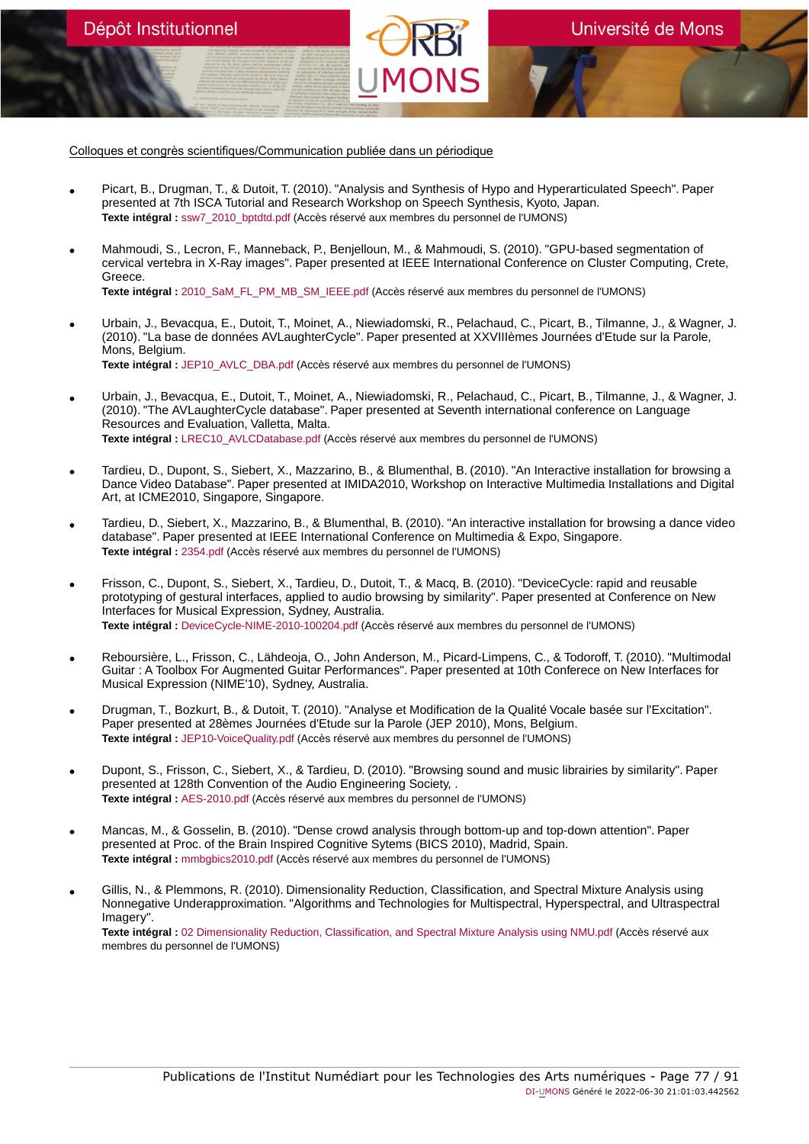Dépôt Institutionnel

- Picart, B., Drugman, T., & Dutoit, T. (2010). "Analysis and Synthesis of Hypo and Hyperarticulated Speech". Paper presented at 7th ISCA Tutorial and Research Workshop on Speech Synthesis, Kyoto, Japan. **Texte intégral :** [ssw7\\_2010\\_bptdtd.pdf](https://orbi.umons.ac.be/bitstream/20.500.12907/41338/1/ssw7_2010_bptdtd.pdf) (Accès réservé aux membres du personnel de l'UMONS)
- Mahmoudi, S., Lecron, F., Manneback, P., Benjelloun, M., & Mahmoudi, S. (2010). "GPU-based segmentation of cervical vertebra in X-Ray images". Paper presented at IEEE International Conference on Cluster Computing, Crete, Greece. **Texte intégral :** [2010\\_SaM\\_FL\\_PM\\_MB\\_SM\\_IEEE.pdf](https://orbi.umons.ac.be/bitstream/20.500.12907/41335/1/2010_SaM_FL_PM_MB_SM_IEEE.pdf) (Accès réservé aux membres du personnel de l'UMONS)
- Urbain, J., Bevacqua, E., Dutoit, T., Moinet, A., Niewiadomski, R., Pelachaud, C., Picart, B., Tilmanne, J., & Wagner, J. (2010). "La base de données AVLaughterCycle". Paper presented at XXVIIIèmes Journées d'Etude sur la Parole, Mons, Belgium. **Texte intégral :** [JEP10\\_AVLC\\_DBA.pdf](https://orbi.umons.ac.be/bitstream/20.500.12907/41341/1/JEP10_AVLC_DBA.pdf) (Accès réservé aux membres du personnel de l'UMONS)
- Urbain, J., Bevacqua, E., Dutoit, T., Moinet, A., Niewiadomski, R., Pelachaud, C., Picart, B., Tilmanne, J., & Wagner, J. (2010). "The AVLaughterCycle database". Paper presented at Seventh international conference on Language Resources and Evaluation, Valletta, Malta. **Texte intégral :** [LREC10\\_AVLCDatabase.pdf](https://orbi.umons.ac.be/bitstream/20.500.12907/41342/1/LREC10_AVLCDatabase.pdf) (Accès réservé aux membres du personnel de l'UMONS)
- Tardieu, D., Dupont, S., Siebert, X., Mazzarino, B., & Blumenthal, B. (2010). "An Interactive installation for browsing a Dance Video Database". Paper presented at IMIDA2010, Workshop on Interactive Multimedia Installations and Digital Art, at ICME2010, Singapore, Singapore.
- Tardieu, D., Siebert, X., Mazzarino, B., & Blumenthal, B. (2010). "An interactive installation for browsing a dance video database". Paper presented at IEEE International Conference on Multimedia & Expo, Singapore. **Texte intégral :** [2354.pdf](https://orbi.umons.ac.be/bitstream/20.500.12907/41293/1/2354.pdf) (Accès réservé aux membres du personnel de l'UMONS)
- Frisson, C., Dupont, S., Siebert, X., Tardieu, D., Dutoit, T., & Macq, B. (2010). "DeviceCycle: rapid and reusable prototyping of gestural interfaces, applied to audio browsing by similarity". Paper presented at Conference on New Interfaces for Musical Expression, Sydney, Australia. **Texte intégral :** [DeviceCycle-NIME-2010-100204.pdf](https://orbi.umons.ac.be/bitstream/20.500.12907/41274/1/DeviceCycle-NIME-2010-100204.pdf) (Accès réservé aux membres du personnel de l'UMONS)
- Reboursière, L., Frisson, C., Lähdeoja, O., John Anderson, M., Picard-Limpens, C., & Todoroff, T. (2010). "Multimodal Guitar : A Toolbox For Augmented Guitar Performances". Paper presented at 10th Conferece on New Interfaces for Musical Expression (NIME'10), Sydney, Australia.
- Drugman, T., Bozkurt, B., & Dutoit, T. (2010). "Analyse et Modification de la Qualité Vocale basée sur l'Excitation". Paper presented at 28èmes Journées d'Etude sur la Parole (JEP 2010), Mons, Belgium. **Texte intégral :** [JEP10-VoiceQuality.pdf](https://orbi.umons.ac.be/bitstream/20.500.12907/41346/1/JEP10-VoiceQuality.pdf) (Accès réservé aux membres du personnel de l'UMONS)
- Dupont, S., Frisson, C., Siebert, X., & Tardieu, D. (2010). "Browsing sound and music librairies by similarity". Paper presented at 128th Convention of the Audio Engineering Society, . **Texte intégral :** [AES-2010.pdf](https://orbi.umons.ac.be/bitstream/20.500.12907/41268/1/AES-2010.pdf) (Accès réservé aux membres du personnel de l'UMONS)
- Mancas, M., & Gosselin, B. (2010). "Dense crowd analysis through bottom-up and top-down attention". Paper presented at Proc. of the Brain Inspired Cognitive Sytems (BICS 2010), Madrid, Spain. **Texte intégral :** [mmbgbics2010.pdf](https://orbi.umons.ac.be/bitstream/20.500.12907/41348/1/mmbgbics2010.pdf) (Accès réservé aux membres du personnel de l'UMONS)
- Gillis, N., & Plemmons, R. (2010). Dimensionality Reduction, Classification, and Spectral Mixture Analysis using Nonnegative Underapproximation. "Algorithms and Technologies for Multispectral, Hyperspectral, and Ultraspectral Imagery". **Texte intégral :** [02 Dimensionality Reduction, Classification, and Spectral Mixture Analysis using NMU.pdf](https://orbi.umons.ac.be/bitstream/20.500.12907/41844/1/02 Dimensionality Reduction, Classification, and Spectral Mixture Analysis using NMU.pdf) (Accès réservé aux membres du personnel de l'UMONS)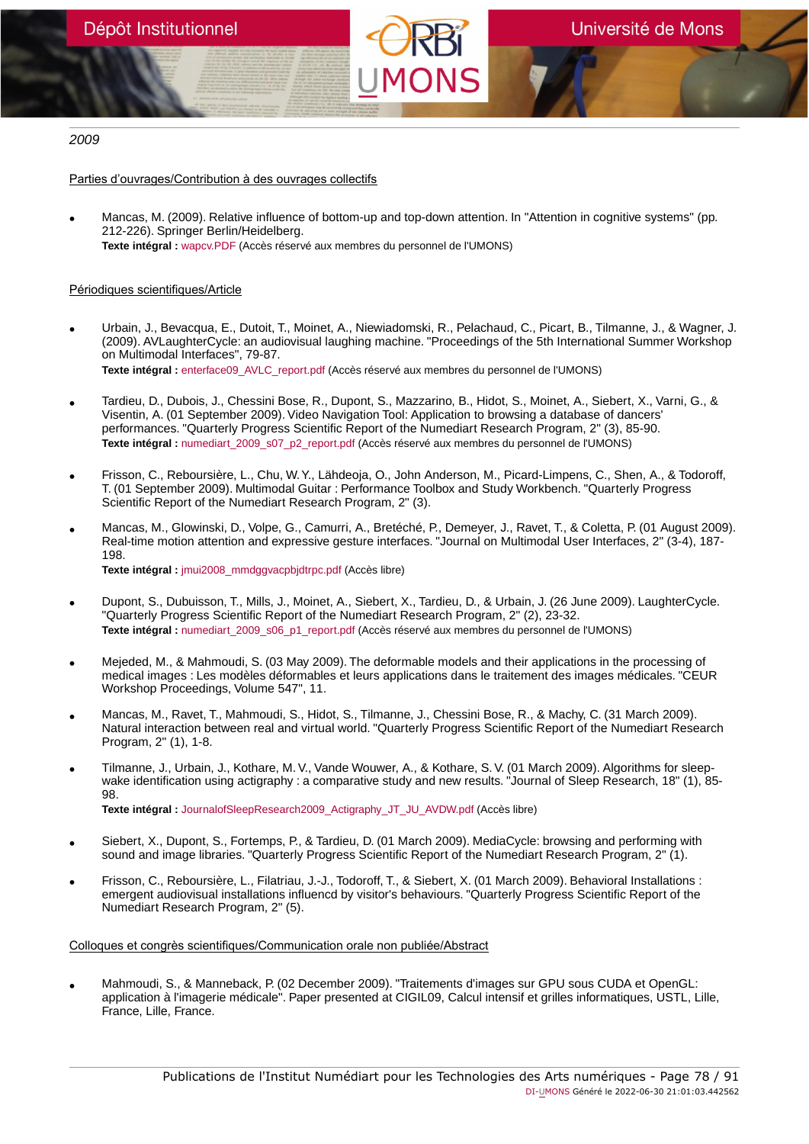# 2009

Parties d'ouvrages/Contribution à des ouvrages collectifs

• Mancas, M. (2009). Relative influence of bottom-up and top-down attention. In "Attention in cognitive systems" (pp. 212-226). Springer Berlin/Heidelberg. **Texte intégral :** [wapcv.PDF](https://orbi.umons.ac.be/bitstream/20.500.12907/41238/1/wapcv.PDF) (Accès réservé aux membres du personnel de l'UMONS)

# Périodiques scientifiques/Article

- Urbain, J., Bevacqua, E., Dutoit, T., Moinet, A., Niewiadomski, R., Pelachaud, C., Picart, B., Tilmanne, J., & Wagner, J. (2009). AVLaughterCycle: an audiovisual laughing machine. "Proceedings of the 5th International Summer Workshop on Multimodal Interfaces", 79-87. Texte intégral : [enterface09\\_AVLC\\_report.pdf](https://orbi.umons.ac.be/bitstream/20.500.12907/41343/1/enterface09_AVLC_report.pdf) (Accès réservé aux membres du personnel de l'UMONS)
- Tardieu, D., Dubois, J., Chessini Bose, R., Dupont, S., Mazzarino, B., Hidot, S., Moinet, A., Siebert, X., Varni, G., & Visentin, A. (01 September 2009). Video Navigation Tool: Application to browsing a database of dancers' performances. "Quarterly Progress Scientific Report of the Numediart Research Program, 2" (3), 85-90. **Texte intégral :** [numediart\\_2009\\_s07\\_p2\\_report.pdf](https://orbi.umons.ac.be/bitstream/20.500.12907/41337/1/numediart_2009_s07_p2_report.pdf) (Accès réservé aux membres du personnel de l'UMONS)
- Frisson, C., Reboursière, L., Chu, W. Y., Lähdeoja, O., John Anderson, M., Picard-Limpens, C., Shen, A., & Todoroff, T. (01 September 2009). Multimodal Guitar : Performance Toolbox and Study Workbench. "Quarterly Progress Scientific Report of the Numediart Research Program, 2" (3).
- Mancas, M., Glowinski, D., Volpe, G., Camurri, A., Bretéché, P., Demeyer, J., Ravet, T., & Coletta, P. (01 August 2009). Real-time motion attention and expressive gesture interfaces. "Journal on Multimodal User Interfaces, 2" (3-4), 187- 198. **Texte intégral :** [jmui2008\\_mmdggvacpbjdtrpc.pdf](https://orbi.umons.ac.be/bitstream/20.500.12907/41257/1/jmui2008_mmdggvacpbjdtrpc.pdf) (Accès libre)
- Dupont, S., Dubuisson, T., Mills, J., Moinet, A., Siebert, X., Tardieu, D., & Urbain, J. (26 June 2009). LaughterCycle. "Quarterly Progress Scientific Report of the Numediart Research Program, 2" (2), 23-32. **Texte intégral :** [numediart\\_2009\\_s06\\_p1\\_report.pdf](https://orbi.umons.ac.be/bitstream/20.500.12907/41349/1/numediart_2009_s06_p1_report.pdf) (Accès réservé aux membres du personnel de l'UMONS)
- Mejeded, M., & Mahmoudi, S. (03 May 2009). The deformable models and their applications in the processing of medical images : Les modèles déformables et leurs applications dans le traitement des images médicales. "CEUR Workshop Proceedings, Volume 547", 11.
- Mancas, M., Ravet, T., Mahmoudi, S., Hidot, S., Tilmanne, J., Chessini Bose, R., & Machy, C. (31 March 2009). Natural interaction between real and virtual world. "Quarterly Progress Scientific Report of the Numediart Research Program, 2" (1), 1-8.
- Tilmanne, J., Urbain, J., Kothare, M. V., Vande Wouwer, A., & Kothare, S. V. (01 March 2009). Algorithms for sleepwake identification using actigraphy : a comparative study and new results. "Journal of Sleep Research, 18" (1), 85-**98**

**Texte intégral :** [JournalofSleepResearch2009\\_Actigraphy\\_JT\\_JU\\_AVDW.pdf](https://orbi.umons.ac.be/bitstream/20.500.12907/41247/1/JournalofSleepResearch2009_Actigraphy_JT_JU_AVDW.pdf) (Accès libre)

- Siebert, X., Dupont, S., Fortemps, P., & Tardieu, D. (01 March 2009). MediaCycle: browsing and performing with sound and image libraries. "Quarterly Progress Scientific Report of the Numediart Research Program, 2" (1).
- Frisson, C., Reboursière, L., Filatriau, J.-J., Todoroff, T., & Siebert, X. (01 March 2009). Behavioral Installations : emergent audiovisual installations influencd by visitor's behaviours. "Quarterly Progress Scientific Report of the Numediart Research Program, 2" (5).

Colloques et congrès scientifiques/Communication orale non publiée/Abstract

• Mahmoudi, S., & Manneback, P. (02 December 2009). "Traitements d'images sur GPU sous CUDA et OpenGL: application à l'imagerie médicale". Paper presented at CIGIL09, Calcul intensif et grilles informatiques, USTL, Lille, France, Lille, France.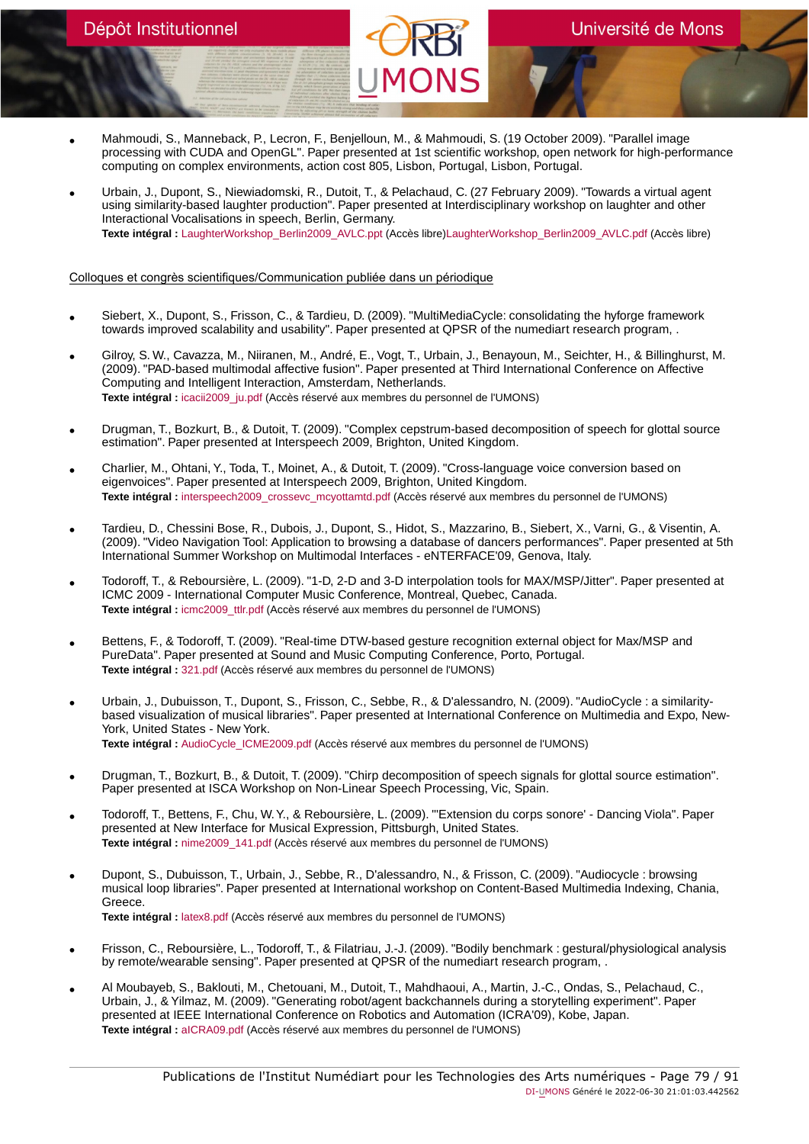- Mahmoudi, S., Manneback, P., Lecron, F., Benjelloun, M., & Mahmoudi, S. (19 October 2009). "Parallel image processing with CUDA and OpenGL". Paper presented at 1st scientific workshop, open network for high-performance computing on complex environments, action cost 805, Lisbon, Portugal, Lisbon, Portugal.
- Urbain, J., Dupont, S., Niewiadomski, R., Dutoit, T., & Pelachaud, C. (27 February 2009). "Towards a virtual agent using similarity-based laughter production". Paper presented at Interdisciplinary workshop on laughter and other Interactional Vocalisations in speech, Berlin, Germany. **Texte intégral :** [LaughterWorkshop\\_Berlin2009\\_AVLC.ppt](https://orbi.umons.ac.be/bitstream/20.500.12907/41312/2/LaughterWorkshop_Berlin2009_AVLC.ppt) (Accès libre[\)LaughterWorkshop\\_Berlin2009\\_AVLC.pdf](https://orbi.umons.ac.be/bitstream/20.500.12907/41312/4/LaughterWorkshop_Berlin2009_AVLC.pdf) (Accès libre)

- Siebert, X., Dupont, S., Frisson, C., & Tardieu, D. (2009). "MultiMediaCycle: consolidating the hyforge framework towards improved scalability and usability". Paper presented at QPSR of the numediart research program, .
- Gilroy, S. W., Cavazza, M., Niiranen, M., André, E., Vogt, T., Urbain, J., Benayoun, M., Seichter, H., & Billinghurst, M. (2009). "PAD-based multimodal affective fusion". Paper presented at Third International Conference on Affective Computing and Intelligent Interaction, Amsterdam, Netherlands. Texte intégral : [icacii2009\\_ju.pdf](https://orbi.umons.ac.be/bitstream/20.500.12907/41344/1/icacii2009_ju.pdf) (Accès réservé aux membres du personnel de l'UMONS)
- Drugman, T., Bozkurt, B., & Dutoit, T. (2009). "Complex cepstrum-based decomposition of speech for glottal source estimation". Paper presented at Interspeech 2009, Brighton, United Kingdom.
- Charlier, M., Ohtani, Y., Toda, T., Moinet, A., & Dutoit, T. (2009). "Cross-language voice conversion based on eigenvoices". Paper presented at Interspeech 2009, Brighton, United Kingdom. **Texte intégral :** [interspeech2009\\_crossevc\\_mcyottamtd.pdf](https://orbi.umons.ac.be/bitstream/20.500.12907/41292/1/interspeech2009_crossevc_mcyottamtd.pdf) (Accès réservé aux membres du personnel de l'UMONS)
- Tardieu, D., Chessini Bose, R., Dubois, J., Dupont, S., Hidot, S., Mazzarino, B., Siebert, X., Varni, G., & Visentin, A. (2009). "Video Navigation Tool: Application to browsing a database of dancers performances". Paper presented at 5th International Summer Workshop on Multimodal Interfaces - eNTERFACE'09, Genova, Italy.
- Todoroff, T., & Reboursière, L. (2009). "1-D, 2-D and 3-D interpolation tools for MAX/MSP/Jitter". Paper presented at ICMC 2009 - International Computer Music Conference, Montreal, Quebec, Canada. **Texte intégral :** [icmc2009\\_ttlr.pdf](https://orbi.umons.ac.be/bitstream/20.500.12907/41263/1/icmc2009_ttlr.pdf) (Accès réservé aux membres du personnel de l'UMONS)
- Bettens, F., & Todoroff, T. (2009). "Real-time DTW-based gesture recognition external object for Max/MSP and PureData". Paper presented at Sound and Music Computing Conference, Porto, Portugal. **Texte intégral :** [321.pdf](https://orbi.umons.ac.be/bitstream/20.500.12907/41302/1/321.pdf) (Accès réservé aux membres du personnel de l'UMONS)
- Urbain, J., Dubuisson, T., Dupont, S., Frisson, C., Sebbe, R., & D'alessandro, N. (2009). "AudioCycle : a similaritybased visualization of musical libraries". Paper presented at International Conference on Multimedia and Expo, New-York, United States - New York. Texte intégral : AudioCycle ICME2009.pdf (Accès réservé aux membres du personnel de l'UMONS)
- Drugman, T., Bozkurt, B., & Dutoit, T. (2009). "Chirp decomposition of speech signals for glottal source estimation". Paper presented at ISCA Workshop on Non-Linear Speech Processing, Vic, Spain.
- Todoroff, T., Bettens, F., Chu, W. Y., & Reboursière, L. (2009). "'Extension du corps sonore' Dancing Viola". Paper presented at New Interface for Musical Expression, Pittsburgh, United States. **Texte intégral :** [nime2009\\_141.pdf](https://orbi.umons.ac.be/bitstream/20.500.12907/41290/1/nime2009_141.pdf) (Accès réservé aux membres du personnel de l'UMONS)
- Dupont, S., Dubuisson, T., Urbain, J., Sebbe, R., D'alessandro, N., & Frisson, C. (2009). "Audiocycle : browsing musical loop libraries". Paper presented at International workshop on Content-Based Multimedia Indexing, Chania, Greece. **Texte intégral :** [latex8.pdf](https://orbi.umons.ac.be/bitstream/20.500.12907/41315/1/latex8.pdf) (Accès réservé aux membres du personnel de l'UMONS)
- Frisson, C., Reboursière, L., Todoroff, T., & Filatriau, J.-J. (2009). "Bodily benchmark : gestural/physiological analysis by remote/wearable sensing". Paper presented at QPSR of the numediart research program, .
- Al Moubayeb, S., Baklouti, M., Chetouani, M., Dutoit, T., Mahdhaoui, A., Martin, J.-C., Ondas, S., Pelachaud, C., Urbain, J., & Yilmaz, M. (2009). "Generating robot/agent backchannels during a storytelling experiment". Paper presented at IEEE International Conference on Robotics and Automation (ICRA'09), Kobe, Japan. **Texte intégral :** [aICRA09.pdf](https://orbi.umons.ac.be/bitstream/20.500.12907/41289/1/aICRA09.pdf) (Accès réservé aux membres du personnel de l'UMONS)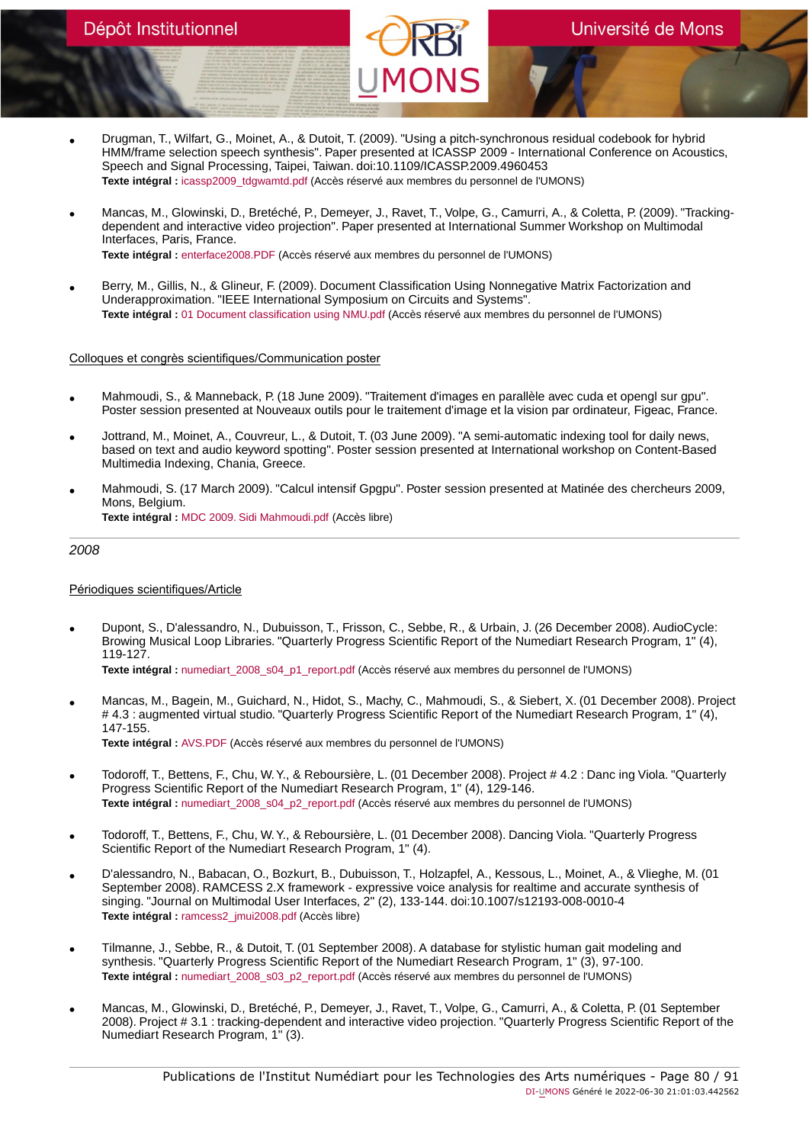- Drugman, T., Wilfart, G., Moinet, A., & Dutoit, T. (2009). "Using a pitch-synchronous residual codebook for hybrid HMM/frame selection speech synthesis". Paper presented at ICASSP 2009 - International Conference on Acoustics, Speech and Signal Processing, Taipei, Taiwan. doi:10.1109/ICASSP.2009.4960453 **Texte intégral :** [icassp2009\\_tdgwamtd.pdf](https://orbi.umons.ac.be/bitstream/20.500.12907/41279/1/icassp2009_tdgwamtd.pdf) (Accès réservé aux membres du personnel de l'UMONS)
- Mancas, M., Glowinski, D., Bretéché, P., Demeyer, J., Ravet, T., Volpe, G., Camurri, A., & Coletta, P. (2009). "Trackingdependent and interactive video projection". Paper presented at International Summer Workshop on Multimodal Interfaces, Paris, France. **Texte intégral :** [enterface2008.PDF](https://orbi.umons.ac.be/bitstream/20.500.12907/41294/1/enterface2008.PDF) (Accès réservé aux membres du personnel de l'UMONS)
- Berry, M., Gillis, N., & Glineur, F. (2009). Document Classification Using Nonnegative Matrix Factorization and Underapproximation. "IEEE International Symposium on Circuits and Systems". **Texte intégral :** [01 Document classification using NMU.pdf](https://orbi.umons.ac.be/bitstream/20.500.12907/41843/1/01 Document classification using NMU.pdf) (Accès réservé aux membres du personnel de l'UMONS)

## Colloques et congrès scientifiques/Communication poster

- Mahmoudi, S., & Manneback, P. (18 June 2009). "Traitement d'images en parallèle avec cuda et opengl sur gpu". Poster session presented at Nouveaux outils pour le traitement d'image et la vision par ordinateur, Figeac, France.
- Jottrand, M., Moinet, A., Couvreur, L., & Dutoit, T. (03 June 2009). "A semi-automatic indexing tool for daily news, based on text and audio keyword spotting". Poster session presented at International workshop on Content-Based Multimedia Indexing, Chania, Greece.
- Mahmoudi, S. (17 March 2009). "Calcul intensif Gpgpu". Poster session presented at Matinée des chercheurs 2009, Mons, Belgium. **Texte intégral :** [MDC 2009. Sidi Mahmoudi.pdf](https://orbi.umons.ac.be/bitstream/20.500.12907/41329/1/MDC 2009. Sidi Mahmoudi.pdf) (Accès libre)

# 2008

## Périodiques scientifiques/Article

• Dupont, S., D'alessandro, N., Dubuisson, T., Frisson, C., Sebbe, R., & Urbain, J. (26 December 2008). AudioCycle: Browing Musical Loop Libraries. "Quarterly Progress Scientific Report of the Numediart Research Program, 1" (4), 119-127.

**Texte intégral :** [numediart\\_2008\\_s04\\_p1\\_report.pdf](https://orbi.umons.ac.be/bitstream/20.500.12907/41350/1/numediart_2008_s04_p1_report.pdf) (Accès réservé aux membres du personnel de l'UMONS)

- Mancas, M., Bagein, M., Guichard, N., Hidot, S., Machy, C., Mahmoudi, S., & Siebert, X. (01 December 2008). Project # 4.3 : augmented virtual studio. "Quarterly Progress Scientific Report of the Numediart Research Program, 1" (4), 147-155. **Texte intégral :** [AVS.PDF](https://orbi.umons.ac.be/bitstream/20.500.12907/41242/1/AVS.PDF) (Accès réservé aux membres du personnel de l'UMONS)
- Todoroff, T., Bettens, F., Chu, W. Y., & Reboursière, L. (01 December 2008). Project # 4.2 : Danc ing Viola. "Quarterly Progress Scientific Report of the Numediart Research Program, 1" (4), 129-146.
- **Texte intégral :** [numediart\\_2008\\_s04\\_p2\\_report.pdf](https://orbi.umons.ac.be/bitstream/20.500.12907/41453/1/numediart_2008_s04_p2_report.pdf) (Accès réservé aux membres du personnel de l'UMONS)
- Todoroff, T., Bettens, F., Chu, W. Y., & Reboursière, L. (01 December 2008). Dancing Viola. "Quarterly Progress Scientific Report of the Numediart Research Program, 1" (4).
- D'alessandro, N., Babacan, O., Bozkurt, B., Dubuisson, T., Holzapfel, A., Kessous, L., Moinet, A., & Vlieghe, M. (01 September 2008). RAMCESS 2.X framework - expressive voice analysis for realtime and accurate synthesis of singing. "Journal on Multimodal User Interfaces, 2" (2), 133-144. doi:10.1007/s12193-008-0010-4 **Texte intégral :** [ramcess2\\_jmui2008.pdf](https://orbi.umons.ac.be/bitstream/20.500.12907/41243/1/ramcess2_jmui2008.pdf) (Accès libre)
- Tilmanne, J., Sebbe, R., & Dutoit, T. (01 September 2008). A database for stylistic human gait modeling and synthesis. "Quarterly Progress Scientific Report of the Numediart Research Program, 1" (3), 97-100. Texte intégral : numediart 2008 s03 p2 report.pdf (Accès réservé aux membres du personnel de l'UMONS)
- Mancas, M., Glowinski, D., Bretéché, P., Demeyer, J., Ravet, T., Volpe, G., Camurri, A., & Coletta, P. (01 September 2008). Project # 3.1 : tracking-dependent and interactive video projection. "Quarterly Progress Scientific Report of the Numediart Research Program, 1" (3).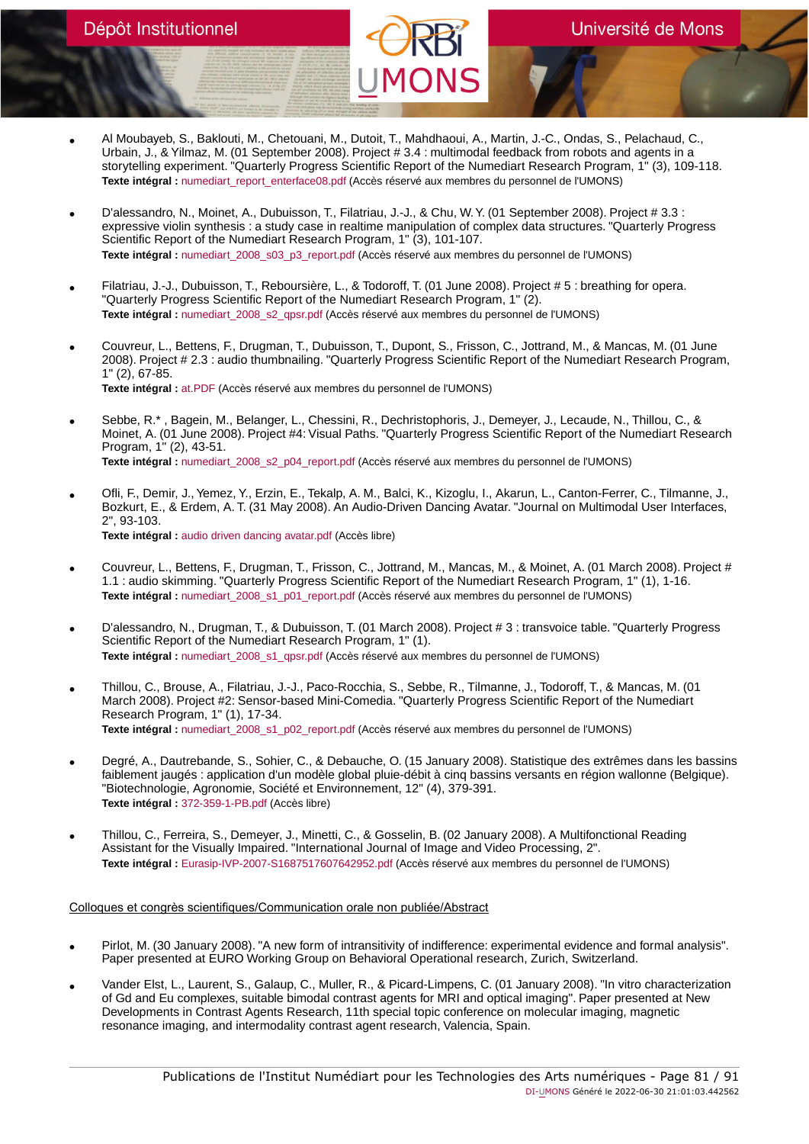- Al Moubayeb, S., Baklouti, M., Chetouani, M., Dutoit, T., Mahdhaoui, A., Martin, J.-C., Ondas, S., Pelachaud, C., Urbain, J., & Yilmaz, M. (01 September 2008). Project # 3.4 : multimodal feedback from robots and agents in a storytelling experiment. "Quarterly Progress Scientific Report of the Numediart Research Program, 1" (3), 109-118. Texte intégral : numediart report enterface08.pdf (Accès réservé aux membres du personnel de l'UMONS)
- D'alessandro, N., Moinet, A., Dubuisson, T., Filatriau, J.-J., & Chu, W. Y. (01 September 2008). Project # 3.3 : expressive violin synthesis : a study case in realtime manipulation of complex data structures. "Quarterly Progress Scientific Report of the Numediart Research Program, 1" (3), 101-107. **Texte intégral :** [numediart\\_2008\\_s03\\_p3\\_report.pdf](https://orbi.umons.ac.be/bitstream/20.500.12907/41255/1/numediart_2008_s03_p3_report.pdf) (Accès réservé aux membres du personnel de l'UMONS)
- Filatriau, J.-J., Dubuisson, T., Reboursière, L., & Todoroff, T. (01 June 2008). Project # 5 : breathing for opera. "Quarterly Progress Scientific Report of the Numediart Research Program, 1" (2). **Texte intégral :** [numediart\\_2008\\_s2\\_qpsr.pdf](https://orbi.umons.ac.be/bitstream/20.500.12907/41256/1/numediart_2008_s2_qpsr.pdf) (Accès réservé aux membres du personnel de l'UMONS)
- Couvreur, L., Bettens, F., Drugman, T., Dubuisson, T., Dupont, S., Frisson, C., Jottrand, M., & Mancas, M. (01 June 2008). Project # 2.3 : audio thumbnailing. "Quarterly Progress Scientific Report of the Numediart Research Program, 1" (2), 67-85. **Texte intégral :** [at.PDF](https://orbi.umons.ac.be/bitstream/20.500.12907/41260/1/at.PDF) (Accès réservé aux membres du personnel de l'UMONS)
- Sebbe, R.\* , Bagein, M., Belanger, L., Chessini, R., Dechristophoris, J., Demeyer, J., Lecaude, N., Thillou, C., & Moinet, A. (01 June 2008). Project #4: Visual Paths. "Quarterly Progress Scientific Report of the Numediart Research Program, 1" (2), 43-51. Texte intégral : numediart 2008 s2 p04 report.pdf (Accès réservé aux membres du personnel de l'UMONS)
- Ofli, F., Demir, J., Yemez, Y., Erzin, E., Tekalp, A. M., Balci, K., Kizoglu, I., Akarun, L., Canton-Ferrer, C., Tilmanne, J., Bozkurt, E., & Erdem, A. T. (31 May 2008). An Audio-Driven Dancing Avatar. "Journal on Multimodal User Interfaces, 2", 93-103. **Texte intégral :** [audio driven dancing avatar.pdf](https://orbi.umons.ac.be/bitstream/20.500.12907/41252/1/audio driven dancing avatar.pdf) (Accès libre)
- Couvreur, L., Bettens, F., Drugman, T., Frisson, C., Jottrand, M., Mancas, M., & Moinet, A. (01 March 2008). Project # 1.1 : audio skimming. "Quarterly Progress Scientific Report of the Numediart Research Program, 1" (1), 1-16. Texte intégral : [numediart\\_2008\\_s1\\_p01\\_report.pdf](https://orbi.umons.ac.be/bitstream/20.500.12907/41244/1/numediart_2008_s1_p01_report.pdf) (Accès réservé aux membres du personnel de l'UMONS)
- D'alessandro, N., Drugman, T., & Dubuisson, T. (01 March 2008). Project # 3 : transvoice table. "Quarterly Progress Scientific Report of the Numediart Research Program, 1" (1). **Texte intégral :** [numediart\\_2008\\_s1\\_qpsr.pdf](https://orbi.umons.ac.be/bitstream/20.500.12907/41251/1/numediart_2008_s1_qpsr.pdf) (Accès réservé aux membres du personnel de l'UMONS)
- Thillou, C., Brouse, A., Filatriau, J.-J., Paco-Rocchia, S., Sebbe, R., Tilmanne, J., Todoroff, T., & Mancas, M. (01<br>March 2008). Project #2: Sensor-based Mini-Comedia. "Quarterly Progress Scientific Report of the Numed Research Program, 1" (1), 17-34. **Texte intégral :** [numediart\\_2008\\_s1\\_p02\\_report.pdf](https://orbi.umons.ac.be/bitstream/20.500.12907/41261/1/numediart_2008_s1_p02_report.pdf) (Accès réservé aux membres du personnel de l'UMONS)
- Degré, A., Dautrebande, S., Sohier, C., & Debauche, O. (15 January 2008). Statistique des extrêmes dans les bassins faiblement jaugés : application d'un modèle global pluie-débit à cinq bassins versants en région wallonne (Belgique). "Biotechnologie, Agronomie, Société et Environnement, 12" (4), 379-391. **Texte intégral :** [372-359-1-PB.pdf](https://orbi.umons.ac.be/bitstream/20.500.12907/41898/1/372-359-1-PB.pdf) (Accès libre)
- Thillou, C., Ferreira, S., Demeyer, J., Minetti, C., & Gosselin, B. (02 January 2008). A Multifonctional Reading Assistant for the Visually Impaired. "International Journal of Image and Video Processing, 2". **Texte intégral :** [Eurasip-IVP-2007-S1687517607642952.pdf](https://orbi.umons.ac.be/bitstream/20.500.12907/41254/1/Eurasip-IVP-2007-S1687517607642952.pdf) (Accès réservé aux membres du personnel de l'UMONS)

- Pirlot, M. (30 January 2008). "A new form of intransitivity of indifference: experimental evidence and formal analysis". Paper presented at EURO Working Group on Behavioral Operational research, Zurich, Switzerland.
- Vander Elst, L., Laurent, S., Galaup, C., Muller, R., & Picard-Limpens, C. (01 January 2008). "In vitro characterization of Gd and Eu complexes, suitable bimodal contrast agents for MRI and optical imaging". Paper presented at New Developments in Contrast Agents Research, 11th special topic conference on molecular imaging, magnetic resonance imaging, and intermodality contrast agent research, Valencia, Spain.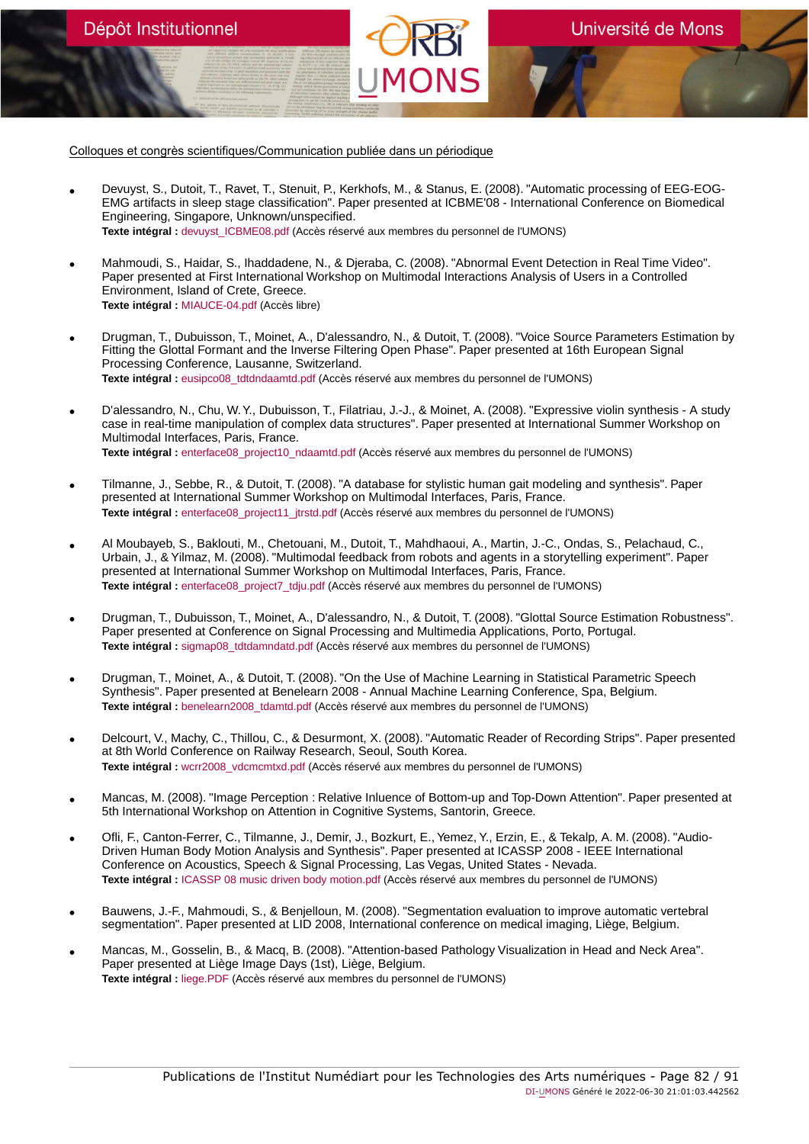Dépôt Institutionnel

- Devuyst, S., Dutoit, T., Ravet, T., Stenuit, P., Kerkhofs, M., & Stanus, E. (2008). "Automatic processing of EEG-EOG-<br>EMG artifacts in sleep stage classification". Paper presented at ICBME'08 International Conference Engineering, Singapore, Unknown/unspecified. **Texte intégral :** [devuyst\\_ICBME08.pdf](https://orbi.umons.ac.be/bitstream/20.500.12907/41262/1/devuyst_ICBME08.pdf) (Accès réservé aux membres du personnel de l'UMONS)
- Mahmoudi, S., Haidar, S., Ihaddadene, N., & Djeraba, C. (2008). "Abnormal Event Detection in Real Time Video". Paper presented at First International Workshop on Multimodal Interactions Analysis of Users in a Controlled Environment, Island of Crete, Greece. **Texte intégral :** [MIAUCE-04.pdf](https://orbi.umons.ac.be/bitstream/20.500.12907/41336/1/MIAUCE-04.pdf) (Accès libre)
- Drugman, T., Dubuisson, T., Moinet, A., D'alessandro, N., & Dutoit, T. (2008). "Voice Source Parameters Estimation by Fitting the Glottal Formant and the Inverse Filtering Open Phase". Paper presented at 16th European Signal Processing Conference, Lausanne, Switzerland. **Texte intégral :** [eusipco08\\_tdtdndaamtd.pdf](https://orbi.umons.ac.be/bitstream/20.500.12907/41265/1/eusipco08_tdtdndaamtd.pdf) (Accès réservé aux membres du personnel de l'UMONS)
- D'alessandro, N., Chu, W. Y., Dubuisson, T., Filatriau, J.-J., & Moinet, A. (2008). "Expressive violin synthesis A study case in real-time manipulation of complex data structures". Paper presented at International Summer Workshop on Multimodal Interfaces, Paris, France. **Texte intégral :** [enterface08\\_project10\\_ndaamtd.pdf](https://orbi.umons.ac.be/bitstream/20.500.12907/41298/1/enterface08_project10_ndaamtd.pdf) (Accès réservé aux membres du personnel de l'UMONS)
- Tilmanne, J., Sebbe, R., & Dutoit, T. (2008). "A database for stylistic human gait modeling and synthesis". Paper presented at International Summer Workshop on Multimodal Interfaces, Paris, France. **Texte intégral :** [enterface08\\_project11\\_jtrstd.pdf](https://orbi.umons.ac.be/bitstream/20.500.12907/41269/1/enterface08_project11_jtrstd.pdf) (Accès réservé aux membres du personnel de l'UMONS)
- Al Moubayeb, S., Baklouti, M., Chetouani, M., Dutoit, T., Mahdhaoui, A., Martin, J.-C., Ondas, S., Pelachaud, C., Urbain, J., & Yilmaz, M. (2008). "Multimodal feedback from robots and agents in a storytelling experiment". Paper presented at International Summer Workshop on Multimodal Interfaces, Paris, France. **Texte intégral :** [enterface08\\_project7\\_tdju.pdf](https://orbi.umons.ac.be/bitstream/20.500.12907/41306/1/enterface08_project7_tdju.pdf) (Accès réservé aux membres du personnel de l'UMONS)
- Drugman, T., Dubuisson, T., Moinet, A., D'alessandro, N., & Dutoit, T. (2008). "Glottal Source Estimation Robustness". Paper presented at Conference on Signal Processing and Multimedia Applications, Porto, Portugal. **Texte intégral :** [sigmap08\\_tdtdamndatd.pdf](https://orbi.umons.ac.be/bitstream/20.500.12907/41270/1/sigmap08_tdtdamndatd.pdf) (Accès réservé aux membres du personnel de l'UMONS)
- Drugman, T., Moinet, A., & Dutoit, T. (2008). "On the Use of Machine Learning in Statistical Parametric Speech Synthesis". Paper presented at Benelearn 2008 - Annual Machine Learning Conference, Spa, Belgium. Texte intégral : benelearn2008 tdamtd.pdf (Accès réservé aux membres du personnel de l'UMONS)
- Delcourt, V., Machy, C., Thillou, C., & Desurmont, X. (2008). "Automatic Reader of Recording Strips". Paper presented at 8th World Conference on Railway Research, Seoul, South Korea. **Texte intégral :** [wcrr2008\\_vdcmcmtxd.pdf](https://orbi.umons.ac.be/bitstream/20.500.12907/41300/1/wcrr2008_vdcmcmtxd.pdf) (Accès réservé aux membres du personnel de l'UMONS)
- Mancas, M. (2008). "Image Perception : Relative Inluence of Bottom-up and Top-Down Attention". Paper presented at 5th International Workshop on Attention in Cognitive Systems, Santorin, Greece.
- Ofli, F., Canton-Ferrer, C., Tilmanne, J., Demir, J., Bozkurt, E., Yemez, Y., Erzin, E., & Tekalp, A. M. (2008). "Audio-Driven Human Body Motion Analysis and Synthesis". Paper presented at ICASSP 2008 - IEEE International Conference on Acoustics, Speech & Signal Processing, Las Vegas, United States - Nevada. **Texte intégral :** [ICASSP 08 music driven body motion.pdf](https://orbi.umons.ac.be/bitstream/20.500.12907/41301/1/ICASSP 08 music driven body motion.pdf) (Accès réservé aux membres du personnel de l'UMONS)
- Bauwens, J.-F., Mahmoudi, S., & Benjelloun, M. (2008). "Segmentation evaluation to improve automatic vertebral segmentation". Paper presented at LID 2008, International conference on medical imaging, Liège, Belgium.
- Mancas, M., Gosselin, B., & Macq, B. (2008). "Attention-based Pathology Visualization in Head and Neck Area". Paper presented at Liège Image Days (1st), Liège, Belgium. **Texte intégral :** [liege.PDF](https://orbi.umons.ac.be/bitstream/20.500.12907/41291/1/liege.PDF) (Accès réservé aux membres du personnel de l'UMONS)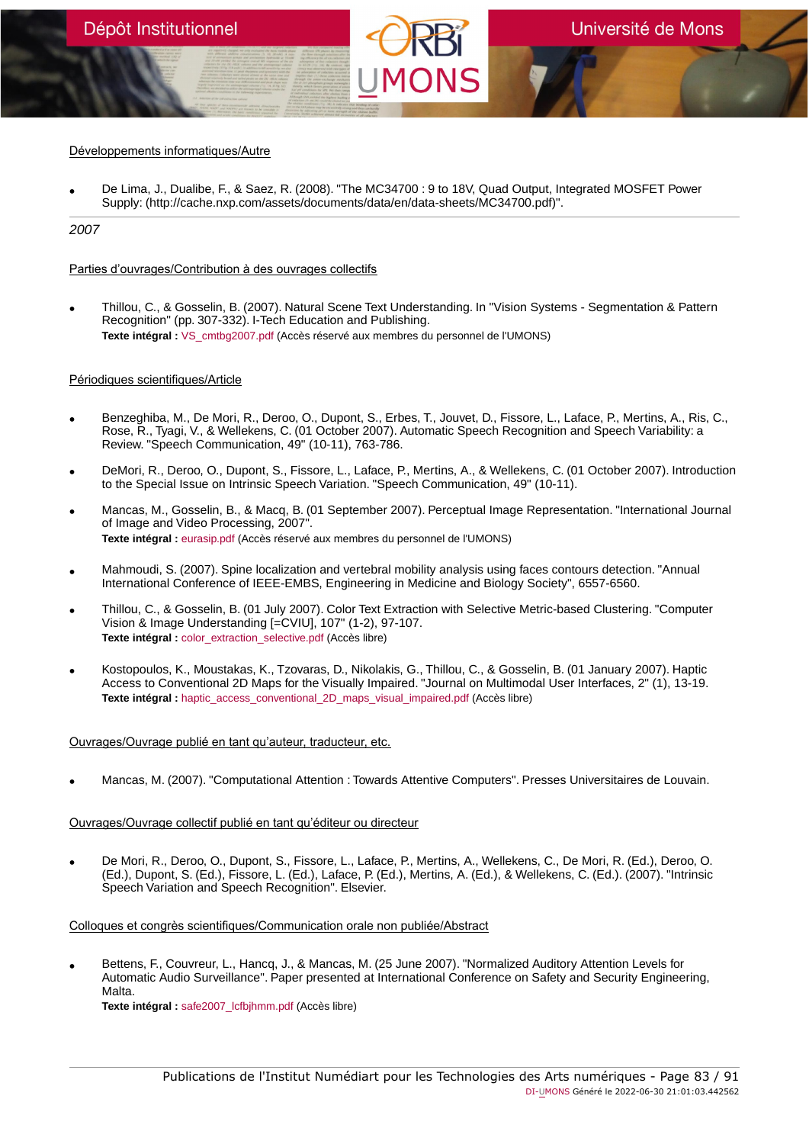# Développements informatiques/Autre

• De Lima, J., Dualibe, F., & Saez, R. (2008). "The MC34700 : 9 to 18V, Quad Output, Integrated MOSFET Power Supply: (http://cache.nxp.com/assets/documents/data/en/data-sheets/MC34700.pdf)".

# 2007

## Parties d'ouvrages/Contribution à des ouvrages collectifs

• Thillou, C., & Gosselin, B. (2007). Natural Scene Text Understanding. In "Vision Systems - Segmentation & Pattern Recognition" (pp. 307-332). I-Tech Education and Publishing. Texte intégral : [VS\\_cmtbg2007.pdf](https://orbi.umons.ac.be/bitstream/20.500.12907/41240/1/VS_cmtbg2007.pdf) (Accès réservé aux membres du personnel de l'UMONS)

### Périodiques scientifiques/Article

- Benzeghiba, M., De Mori, R., Deroo, O., Dupont, S., Erbes, T., Jouvet, D., Fissore, L., Laface, P., Mertins, A., Ris, C., Rose, R., Tyagi, V., & Wellekens, C. (01 October 2007). Automatic Speech Recognition and Speech Variability: a Review. "Speech Communication, 49" (10-11), 763-786.
- DeMori, R., Deroo, O., Dupont, S., Fissore, L., Laface, P., Mertins, A., & Wellekens, C. (01 October 2007). Introduction to the Special Issue on Intrinsic Speech Variation. "Speech Communication, 49" (10-11).
- Mancas, M., Gosselin, B., & Macq, B. (01 September 2007). Perceptual Image Representation. "International Journal of Image and Video Processing, 2007". **Texte intégral :** [eurasip.pdf](https://orbi.umons.ac.be/bitstream/20.500.12907/41258/1/eurasip.pdf) (Accès réservé aux membres du personnel de l'UMONS)
- Mahmoudi, S. (2007). Spine localization and vertebral mobility analysis using faces contours detection. "Annual International Conference of IEEE-EMBS, Engineering in Medicine and Biology Society", 6557-6560.
- Thillou, C., & Gosselin, B. (01 July 2007). Color Text Extraction with Selective Metric-based Clustering. "Computer Vision & Image Understanding [=CVIU], 107" (1-2), 97-107. **Texte intégral :** [color\\_extraction\\_selective.pdf](https://orbi.umons.ac.be/bitstream/20.500.12907/41246/1/color_extraction_selective.pdf) (Accès libre)
- Kostopoulos, K., Moustakas, K., Tzovaras, D., Nikolakis, G., Thillou, C., & Gosselin, B. (01 January 2007). Haptic Access to Conventional 2D Maps for the Visually Impaired. "Journal on Multimodal User Interfaces, 2" (1), 13-19. **Texte intégral :** haptic access conventional 2D maps visual impaired.pdf (Accès libre)

# Ouvrages/Ouvrage publié en tant qu'auteur, traducteur, etc.

• Mancas, M. (2007). "Computational Attention : Towards Attentive Computers". Presses Universitaires de Louvain.

## Ouvrages/Ouvrage collectif publié en tant qu'éditeur ou directeur

• De Mori, R., Deroo, O., Dupont, S., Fissore, L., Laface, P., Mertins, A., Wellekens, C., De Mori, R. (Ed.), Deroo, O. (Ed.), Dupont, S. (Ed.), Fissore, L. (Ed.), Laface, P. (Ed.), Mertins, A. (Ed.), & Wellekens, C. (Ed.). (2007). "Intrinsic Speech Variation and Speech Recognition". Elsevier.

Colloques et congrès scientifiques/Communication orale non publiée/Abstract

• Bettens, F., Couvreur, L., Hancq, J., & Mancas, M. (25 June 2007). "Normalized Auditory Attention Levels for Automatic Audio Surveillance". Paper presented at International Conference on Safety and Security Engineering, Malta.

**Texte intégral :** [safe2007\\_lcfbjhmm.pdf](https://orbi.umons.ac.be/bitstream/20.500.12907/41316/1/safe2007_lcfbjhmm.pdf) (Accès libre)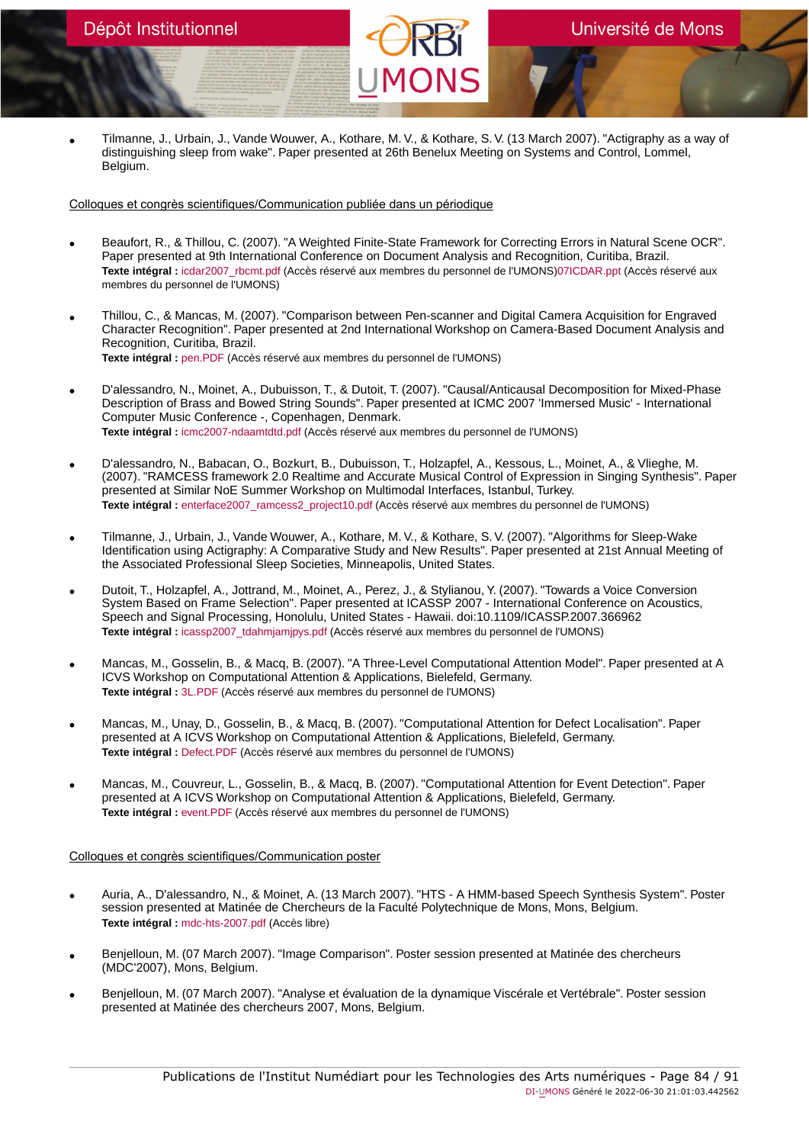• Tilmanne, J., Urbain, J., Vande Wouwer, A., Kothare, M. V., & Kothare, S. V. (13 March 2007). "Actigraphy as a way of distinguishing sleep from wake". Paper presented at 26th Benelux Meeting on Systems and Control, Lommel, Belgium.

### Colloques et congrès scientifiques/Communication publiée dans un périodique

- Beaufort, R., & Thillou, C. (2007). "A Weighted Finite-State Framework for Correcting Errors in Natural Scene OCR". Paper presented at 9th International Conference on Document Analysis and Recognition, Curitiba, Brazil. **Texte intégral :** [icdar2007\\_rbcmt.pdf](https://orbi.umons.ac.be/bitstream/20.500.12907/41275/2/icdar2007_rbcmt.pdf) (Accès réservé aux membres du personnel de l'UMONS[\)07ICDAR.ppt](https://orbi.umons.ac.be/bitstream/20.500.12907/41275/3/07ICDAR.ppt) (Accès réservé aux membres du personnel de l'UMONS)
- Thillou, C., & Mancas, M. (2007). "Comparison between Pen-scanner and Digital Camera Acquisition for Engraved Character Recognition". Paper presented at 2nd International Workshop on Camera-Based Document Analysis and Recognition, Curitiba, Brazil. **Texte intégral :** [pen.PDF](https://orbi.umons.ac.be/bitstream/20.500.12907/41277/1/pen.PDF) (Accès réservé aux membres du personnel de l'UMONS)
- D'alessandro, N., Moinet, A., Dubuisson, T., & Dutoit, T. (2007). "Causal/Anticausal Decomposition for Mixed-Phase Description of Brass and Bowed String Sounds". Paper presented at ICMC 2007 'Immersed Music' - International Computer Music Conference -, Copenhagen, Denmark. **Texte intégral :** [icmc2007-ndaamtdtd.pdf](https://orbi.umons.ac.be/bitstream/20.500.12907/41283/1/icmc2007-ndaamtdtd.pdf) (Accès réservé aux membres du personnel de l'UMONS)
- D'alessandro, N., Babacan, O., Bozkurt, B., Dubuisson, T., Holzapfel, A., Kessous, L., Moinet, A., & Vlieghe, M. (2007). "RAMCESS framework 2.0 Realtime and Accurate Musical Control of Expression in Singing Synthesis". Paper presented at Similar NoE Summer Workshop on Multimodal Interfaces, Istanbul, Turkey. **Texte intégral :** [enterface2007\\_ramcess2\\_project10.pdf](https://orbi.umons.ac.be/bitstream/20.500.12907/41307/1/enterface2007_ramcess2_project10.pdf) (Accès réservé aux membres du personnel de l'UMONS)
- Tilmanne, J., Urbain, J., Vande Wouwer, A., Kothare, M. V., & Kothare, S. V. (2007). "Algorithms for Sleep-Wake Identification using Actigraphy: A Comparative Study and New Results". Paper presented at 21st Annual Meeting of the Associated Professional Sleep Societies, Minneapolis, United States.
- Dutoit, T., Holzapfel, A., Jottrand, M., Moinet, A., Perez, J., & Stylianou, Y. (2007). "Towards a Voice Conversion System Based on Frame Selection". Paper presented at ICASSP 2007 - International Conference on Acoustics, Speech and Signal Processing, Honolulu, United States - Hawaii. doi:10.1109/ICASSP.2007.366962 **Texte intégral :** [icassp2007\\_tdahmjamjpys.pdf](https://orbi.umons.ac.be/bitstream/20.500.12907/41288/1/icassp2007_tdahmjamjpys.pdf) (Accès réservé aux membres du personnel de l'UMONS)
- Mancas, M., Gosselin, B., & Macq, B. (2007). "A Three-Level Computational Attention Model". Paper presented at A ICVS Workshop on Computational Attention & Applications, Bielefeld, Germany. **Texte intégral :** [3L.PDF](https://orbi.umons.ac.be/bitstream/20.500.12907/41282/1/3L.PDF) (Accès réservé aux membres du personnel de l'UMONS)
- Mancas, M., Unay, D., Gosselin, B., & Macq, B. (2007). "Computational Attention for Defect Localisation". Paper presented at A ICVS Workshop on Computational Attention & Applications, Bielefeld, Germany. **Texte intégral :** [Defect.PDF](https://orbi.umons.ac.be/bitstream/20.500.12907/41284/1/Defect.PDF) (Accès réservé aux membres du personnel de l'UMONS)
- Mancas, M., Couvreur, L., Gosselin, B., & Macq, B. (2007). "Computational Attention for Event Detection". Paper presented at A ICVS Workshop on Computational Attention & Applications, Bielefeld, Germany. **Texte intégral :** [event.PDF](https://orbi.umons.ac.be/bitstream/20.500.12907/41304/1/event.PDF) (Accès réservé aux membres du personnel de l'UMONS)

## Colloques et congrès scientifiques/Communication poster

- Auria, A., D'alessandro, N., & Moinet, A. (13 March 2007). "HTS A HMM-based Speech Synthesis System". Poster session presented at Matinée de Chercheurs de la Faculté Polytechnique de Mons, Mons, Belgium. **Texte intégral :** [mdc-hts-2007.pdf](https://orbi.umons.ac.be/bitstream/20.500.12907/41314/1/mdc-hts-2007.pdf) (Accès libre)
- Benjelloun, M. (07 March 2007). "Image Comparison". Poster session presented at Matinée des chercheurs (MDC'2007), Mons, Belgium.
- Benjelloun, M. (07 March 2007). "Analyse et évaluation de la dynamique Viscérale et Vertébrale". Poster session presented at Matinée des chercheurs 2007, Mons, Belgium.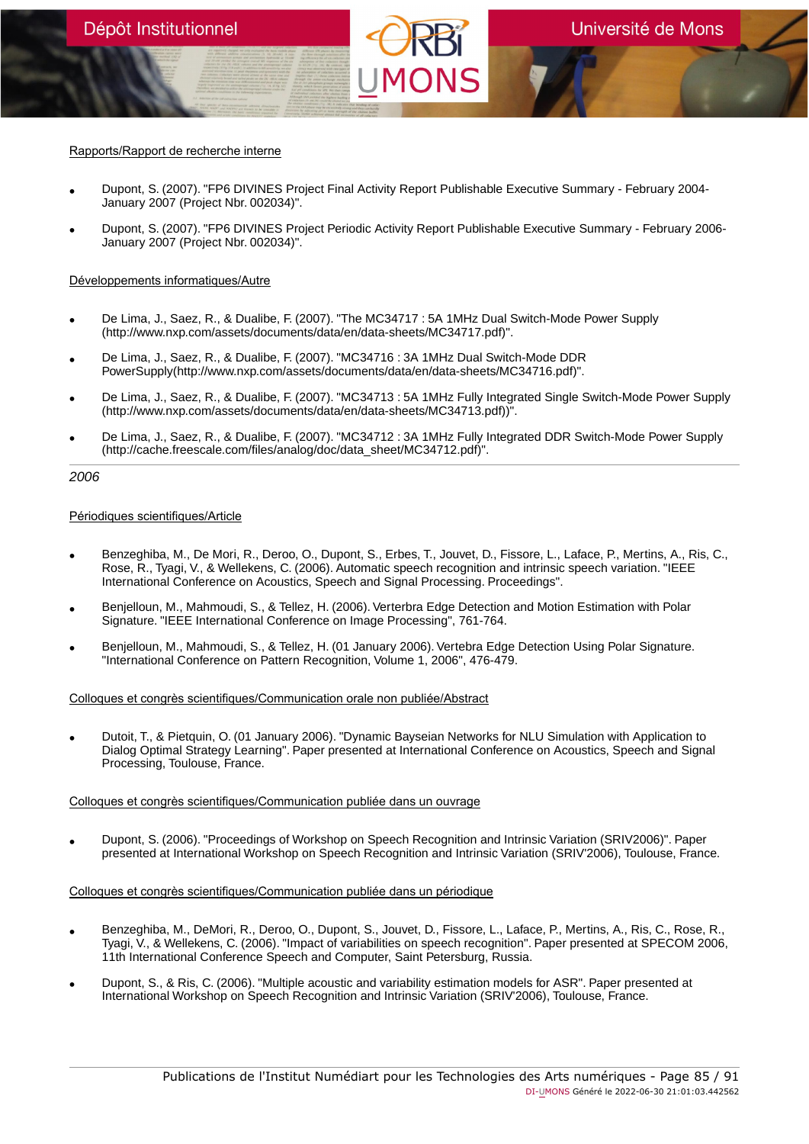# Rapports/Rapport de recherche interne

- Dupont, S. (2007). "FP6 DIVINES Project Final Activity Report Publishable Executive Summary February 2004- January 2007 (Project Nbr. 002034)".
- Dupont, S. (2007). "FP6 DIVINES Project Periodic Activity Report Publishable Executive Summary February 2006- January 2007 (Project Nbr. 002034)".

## Développements informatiques/Autre

- De Lima, J., Saez, R., & Dualibe, F. (2007). "The MC34717 : 5A 1MHz Dual Switch-Mode Power Supply (http://www.nxp.com/assets/documents/data/en/data-sheets/MC34717.pdf)".
- De Lima, J., Saez, R., & Dualibe, F. (2007). "MC34716 : 3A 1MHz Dual Switch-Mode DDR PowerSupply(http://www.nxp.com/assets/documents/data/en/data-sheets/MC34716.pdf)".
- De Lima, J., Saez, R., & Dualibe, F. (2007). "MC34713 : 5A 1MHz Fully Integrated Single Switch-Mode Power Supply (http://www.nxp.com/assets/documents/data/en/data-sheets/MC34713.pdf))".
- De Lima, J., Saez, R., & Dualibe, F. (2007). "MC34712 : 3A 1MHz Fully Integrated DDR Switch-Mode Power Supply (http://cache.freescale.com/files/analog/doc/data\_sheet/MC34712.pdf)".

### 2006

### Périodiques scientifiques/Article

- Benzeghiba, M., De Mori, R., Deroo, O., Dupont, S., Erbes, T., Jouvet, D., Fissore, L., Laface, P., Mertins, A., Ris, C., Rose, R., Tyagi, V., & Wellekens, C. (2006). Automatic speech recognition and intrinsic speech variation. "IEEE International Conference on Acoustics, Speech and Signal Processing. Proceedings".
- Benjelloun, M., Mahmoudi, S., & Tellez, H. (2006). Verterbra Edge Detection and Motion Estimation with Polar Signature. "IEEE International Conference on Image Processing", 761-764.
- Benjelloun, M., Mahmoudi, S., & Tellez, H. (01 January 2006). Vertebra Edge Detection Using Polar Signature. "International Conference on Pattern Recognition, Volume 1, 2006", 476-479.

#### Colloques et congrès scientifiques/Communication orale non publiée/Abstract

• Dutoit, T., & Pietquin, O. (01 January 2006). "Dynamic Bayseian Networks for NLU Simulation with Application to Dialog Optimal Strategy Learning". Paper presented at International Conference on Acoustics, Speech and Signal Processing, Toulouse, France.

## Colloques et congrès scientifiques/Communication publiée dans un ouvrage

• Dupont, S. (2006). "Proceedings of Workshop on Speech Recognition and Intrinsic Variation (SRIV2006)". Paper presented at International Workshop on Speech Recognition and Intrinsic Variation (SRIV'2006), Toulouse, France.

# Colloques et congrès scientifiques/Communication publiée dans un périodique

- Benzeghiba, M., DeMori, R., Deroo, O., Dupont, S., Jouvet, D., Fissore, L., Laface, P., Mertins, A., Ris, C., Rose, R., Tyagi, V., & Wellekens, C. (2006). "Impact of variabilities on speech recognition". Paper presented at SPECOM 2006, 11th International Conference Speech and Computer, Saint Petersburg, Russia.
- Dupont, S., & Ris, C. (2006). "Multiple acoustic and variability estimation models for ASR". Paper presented at International Workshop on Speech Recognition and Intrinsic Variation (SRIV'2006), Toulouse, France.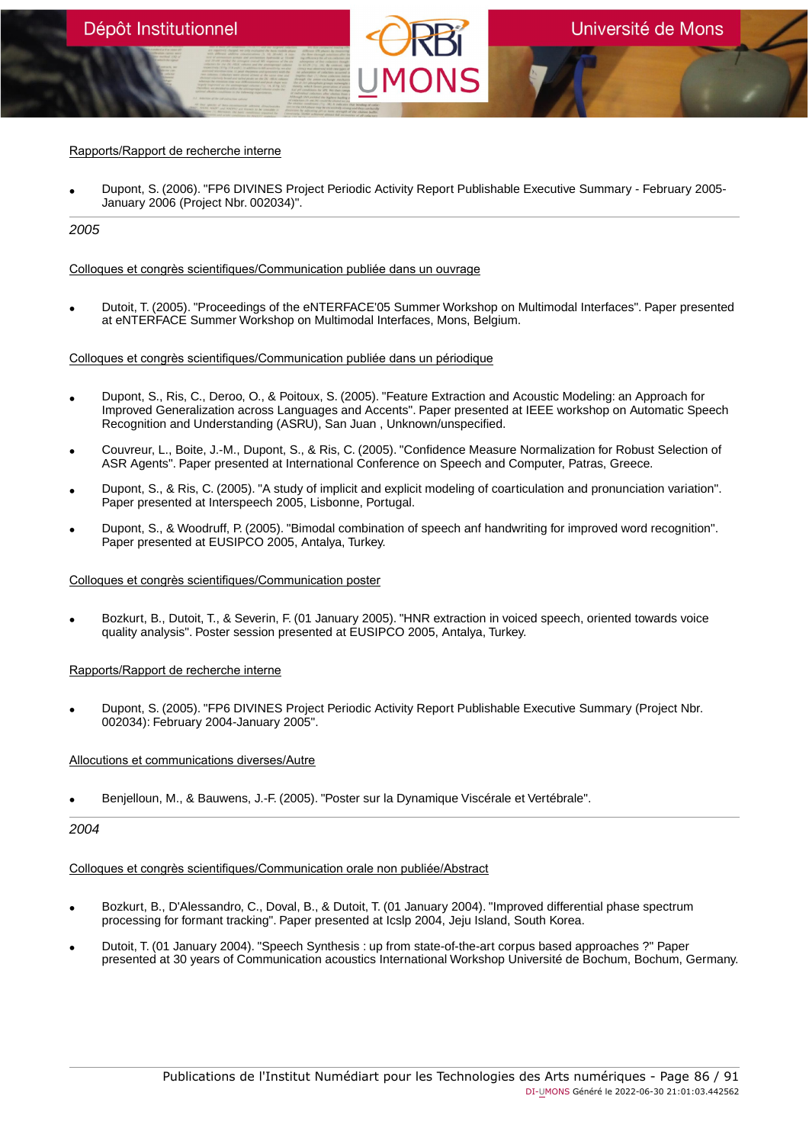# Rapports/Rapport de recherche interne

• Dupont, S. (2006). "FP6 DIVINES Project Periodic Activity Report Publishable Executive Summary - February 2005- January 2006 (Project Nbr. 002034)".

2005

### Colloques et congrès scientifiques/Communication publiée dans un ouvrage

• Dutoit, T. (2005). "Proceedings of the eNTERFACE'05 Summer Workshop on Multimodal Interfaces". Paper presented at eNTERFACE Summer Workshop on Multimodal Interfaces, Mons, Belgium.

### Colloques et congrès scientifiques/Communication publiée dans un périodique

- Dupont, S., Ris, C., Deroo, O., & Poitoux, S. (2005). "Feature Extraction and Acoustic Modeling: an Approach for Improved Generalization across Languages and Accents". Paper presented at IEEE workshop on Automatic Speech Recognition and Understanding (ASRU), San Juan , Unknown/unspecified.
- Couvreur, L., Boite, J.-M., Dupont, S., & Ris, C. (2005). "Confidence Measure Normalization for Robust Selection of ASR Agents". Paper presented at International Conference on Speech and Computer, Patras, Greece.
- Dupont, S., & Ris, C. (2005). "A study of implicit and explicit modeling of coarticulation and pronunciation variation". Paper presented at Interspeech 2005, Lisbonne, Portugal.
- Dupont, S., & Woodruff, P. (2005). "Bimodal combination of speech anf handwriting for improved word recognition". Paper presented at EUSIPCO 2005, Antalya, Turkey.

## Colloques et congrès scientifiques/Communication poster

• Bozkurt, B., Dutoit, T., & Severin, F. (01 January 2005). "HNR extraction in voiced speech, oriented towards voice quality analysis". Poster session presented at EUSIPCO 2005, Antalya, Turkey.

## Rapports/Rapport de recherche interne

• Dupont, S. (2005). "FP6 DIVINES Project Periodic Activity Report Publishable Executive Summary (Project Nbr. 002034): February 2004-January 2005".

## Allocutions et communications diverses/Autre

• Benjelloun, M., & Bauwens, J.-F. (2005). "Poster sur la Dynamique Viscérale et Vertébrale".

#### 2004

### Colloques et congrès scientifiques/Communication orale non publiée/Abstract

- Bozkurt, B., D'Alessandro, C., Doval, B., & Dutoit, T. (01 January 2004). "Improved differential phase spectrum processing for formant tracking". Paper presented at Icslp 2004, Jeju Island, South Korea.
- Dutoit, T. (01 January 2004). "Speech Synthesis : up from state-of-the-art corpus based approaches ?" Paper presented at 30 years of Communication acoustics International Workshop Université de Bochum, Bochum, Germany.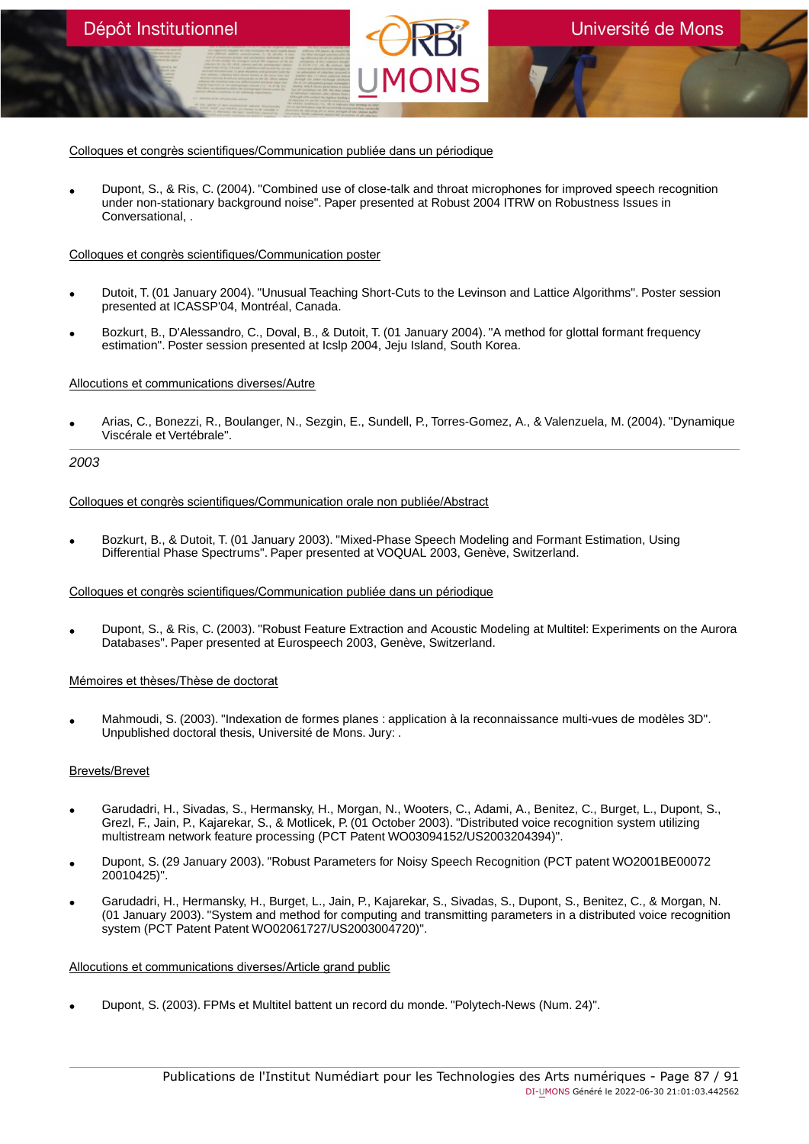• Dupont, S., & Ris, C. (2004). "Combined use of close-talk and throat microphones for improved speech recognition under non-stationary background noise". Paper presented at Robust 2004 ITRW on Robustness Issues in Conversational, .

### Colloques et congrès scientifiques/Communication poster

- Dutoit, T. (01 January 2004). "Unusual Teaching Short-Cuts to the Levinson and Lattice Algorithms". Poster session presented at ICASSP'04, Montréal, Canada.
- Bozkurt, B., D'Alessandro, C., Doval, B., & Dutoit, T. (01 January 2004). "A method for glottal formant frequency estimation". Poster session presented at Icslp 2004, Jeju Island, South Korea.

### Allocutions et communications diverses/Autre

Dépôt Institutionnel

• Arias, C., Bonezzi, R., Boulanger, N., Sezgin, E., Sundell, P., Torres-Gomez, A., & Valenzuela, M. (2004). "Dynamique Viscérale et Vertébrale".

### 2003

#### Colloques et congrès scientifiques/Communication orale non publiée/Abstract

• Bozkurt, B., & Dutoit, T. (01 January 2003). "Mixed-Phase Speech Modeling and Formant Estimation, Using Differential Phase Spectrums". Paper presented at VOQUAL 2003, Genève, Switzerland.

#### Colloques et congrès scientifiques/Communication publiée dans un périodique

• Dupont, S., & Ris, C. (2003). "Robust Feature Extraction and Acoustic Modeling at Multitel: Experiments on the Aurora Databases". Paper presented at Eurospeech 2003, Genève, Switzerland.

#### Mémoires et thèses/Thèse de doctorat

• Mahmoudi, S. (2003). "Indexation de formes planes : application à la reconnaissance multi-vues de modèles 3D". Unpublished doctoral thesis, Université de Mons. Jury: .

#### Brevets/Brevet

- Garudadri, H., Sivadas, S., Hermansky, H., Morgan, N., Wooters, C., Adami, A., Benitez, C., Burget, L., Dupont, S., Grezl, F., Jain, P., Kajarekar, S., & Motlicek, P. (01 October 2003). "Distributed voice recognition system utilizing multistream network feature processing (PCT Patent WO03094152/US2003204394)".
- Dupont, S. (29 January 2003). "Robust Parameters for Noisy Speech Recognition (PCT patent WO2001BE00072 20010425)".
- Garudadri, H., Hermansky, H., Burget, L., Jain, P., Kajarekar, S., Sivadas, S., Dupont, S., Benitez, C., & Morgan, N. (01 January 2003). "System and method for computing and transmitting parameters in a distributed voice recognition system (PCT Patent Patent WO02061727/US2003004720)".

#### Allocutions et communications diverses/Article grand public

• Dupont, S. (2003). FPMs et Multitel battent un record du monde. "Polytech-News (Num. 24)".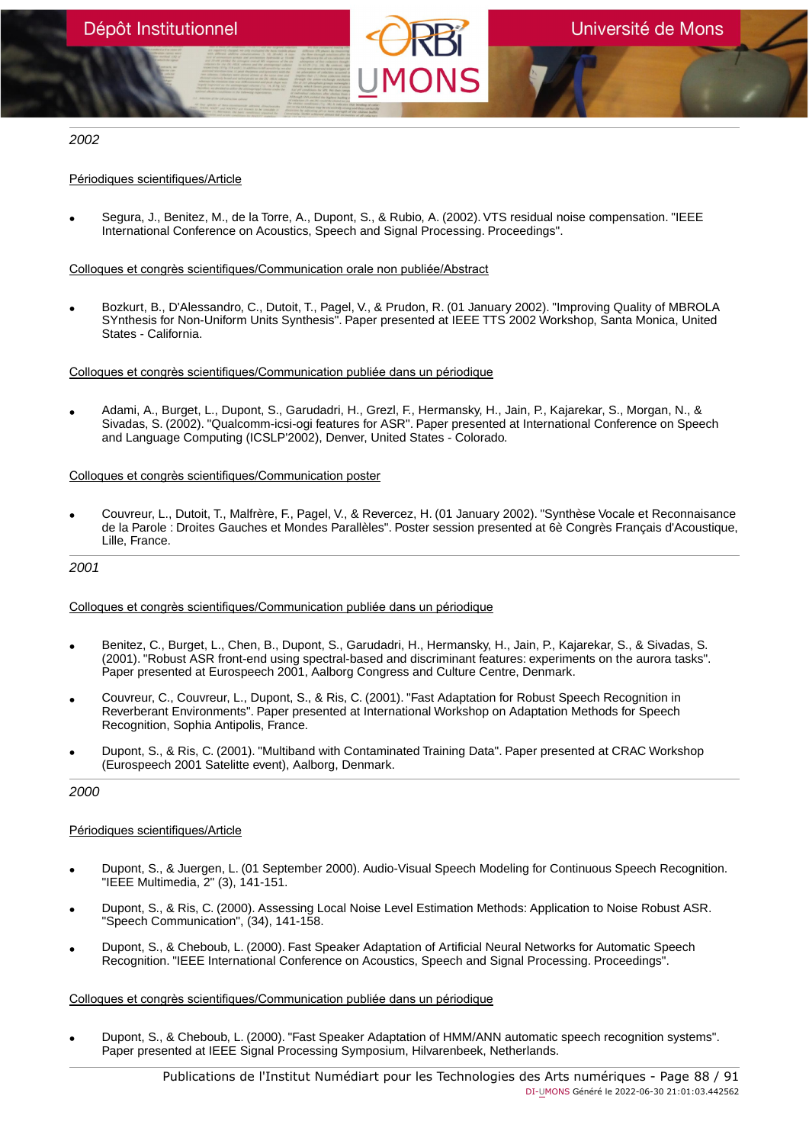# 2002

# Périodiques scientifiques/Article

• Segura, J., Benitez, M., de la Torre, A., Dupont, S., & Rubio, A. (2002). VTS residual noise compensation. "IEEE International Conference on Acoustics, Speech and Signal Processing. Proceedings".

## Colloques et congrès scientifiques/Communication orale non publiée/Abstract

• Bozkurt, B., D'Alessandro, C., Dutoit, T., Pagel, V., & Prudon, R. (01 January 2002). "Improving Quality of MBROLA SYnthesis for Non-Uniform Units Synthesis". Paper presented at IEEE TTS 2002 Workshop, Santa Monica, United States - California.

Colloques et congrès scientifiques/Communication publiée dans un périodique

• Adami, A., Burget, L., Dupont, S., Garudadri, H., Grezl, F., Hermansky, H., Jain, P., Kajarekar, S., Morgan, N., & Sivadas, S. (2002). "Qualcomm-icsi-ogi features for ASR". Paper presented at International Conference on Speech and Language Computing (ICSLP'2002), Denver, United States - Colorado.

### Colloques et congrès scientifiques/Communication poster

• Couvreur, L., Dutoit, T., Malfrère, F., Pagel, V., & Revercez, H. (01 January 2002). "Synthèse Vocale et Reconnaisance de la Parole : Droites Gauches et Mondes Parallèles". Poster session presented at 6è Congrès Français d'Acoustique, Lille, France.

#### 2001

## Colloques et congrès scientifiques/Communication publiée dans un périodique

- Benitez, C., Burget, L., Chen, B., Dupont, S., Garudadri, H., Hermansky, H., Jain, P., Kajarekar, S., & Sivadas, S. (2001). "Robust ASR front-end using spectral-based and discriminant features: experiments on the aurora tasks". Paper presented at Eurospeech 2001, Aalborg Congress and Culture Centre, Denmark.
- Couvreur, C., Couvreur, L., Dupont, S., & Ris, C. (2001). "Fast Adaptation for Robust Speech Recognition in Reverberant Environments". Paper presented at International Workshop on Adaptation Methods for Speech Recognition, Sophia Antipolis, France.
- Dupont, S., & Ris, C. (2001). "Multiband with Contaminated Training Data". Paper presented at CRAC Workshop (Eurospeech 2001 Satelitte event), Aalborg, Denmark.

## 2000

## Périodiques scientifiques/Article

- Dupont, S., & Juergen, L. (01 September 2000). Audio-Visual Speech Modeling for Continuous Speech Recognition. "IEEE Multimedia, 2" (3), 141-151.
- Dupont, S., & Ris, C. (2000). Assessing Local Noise Level Estimation Methods: Application to Noise Robust ASR. "Speech Communication", (34), 141-158.
- Dupont, S., & Cheboub, L. (2000). Fast Speaker Adaptation of Artificial Neural Networks for Automatic Speech Recognition. "IEEE International Conference on Acoustics, Speech and Signal Processing. Proceedings".

## Colloques et congrès scientifiques/Communication publiée dans un périodique

• Dupont, S., & Cheboub, L. (2000). "Fast Speaker Adaptation of HMM/ANN automatic speech recognition systems". Paper presented at IEEE Signal Processing Symposium, Hilvarenbeek, Netherlands.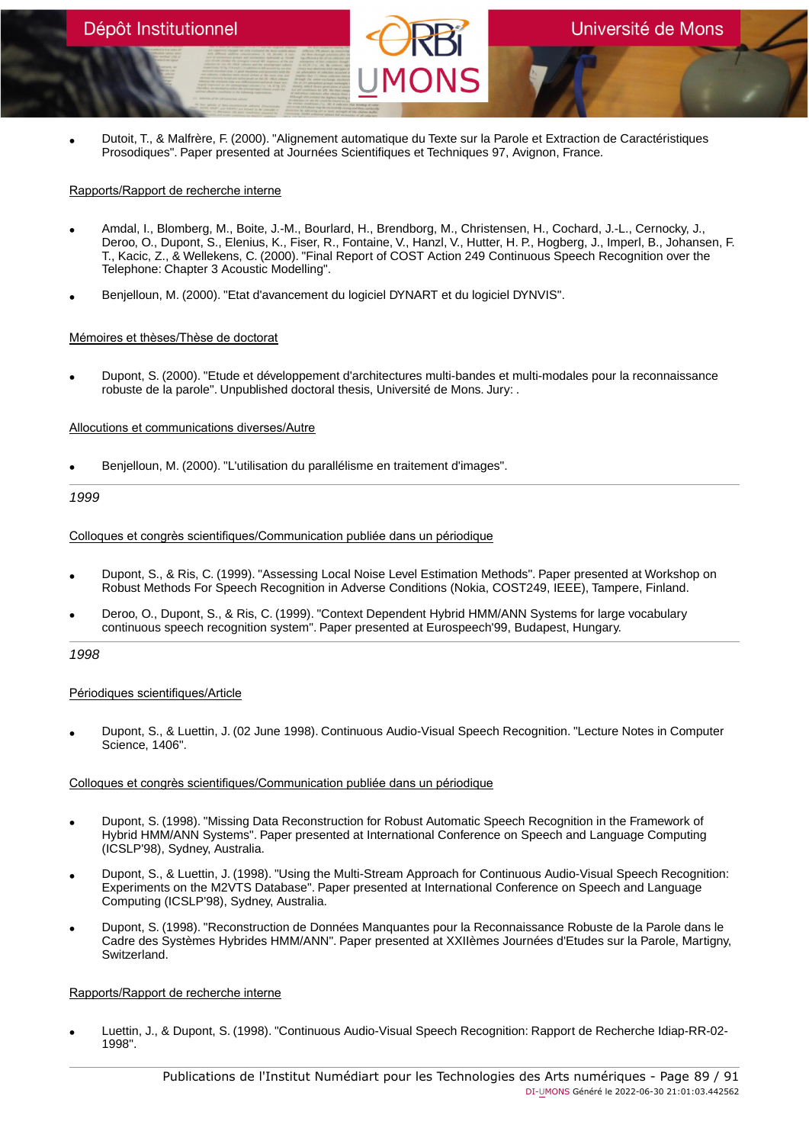• Dutoit, T., & Malfrère, F. (2000). "Alignement automatique du Texte sur la Parole et Extraction de Caractéristiques Prosodiques". Paper presented at Journées Scientifiques et Techniques 97, Avignon, France.

# Rapports/Rapport de recherche interne

- Amdal, I., Blomberg, M., Boite, J.-M., Bourlard, H., Brendborg, M., Christensen, H., Cochard, J.-L., Cernocky, J., Deroo, O., Dupont, S., Elenius, K., Fiser, R., Fontaine, V., Hanzl, V., Hutter, H. P., Hogberg, J., Imperl, B., Johansen, F. T., Kacic, Z., & Wellekens, C. (2000). "Final Report of COST Action 249 Continuous Speech Recognition over the Telephone: Chapter 3 Acoustic Modelling".
- Benjelloun, M. (2000). "Etat d'avancement du logiciel DYNART et du logiciel DYNVIS".

# Mémoires et thèses/Thèse de doctorat

• Dupont, S. (2000). "Etude et développement d'architectures multi-bandes et multi-modales pour la reconnaissance robuste de la parole". Unpublished doctoral thesis, Université de Mons. Jury: .

# Allocutions et communications diverses/Autre

• Benjelloun, M. (2000). "L'utilisation du parallélisme en traitement d'images".

# 1999

## Colloques et congrès scientifiques/Communication publiée dans un périodique

- Dupont, S., & Ris, C. (1999). "Assessing Local Noise Level Estimation Methods". Paper presented at Workshop on Robust Methods For Speech Recognition in Adverse Conditions (Nokia, COST249, IEEE), Tampere, Finland.
- Deroo, O., Dupont, S., & Ris, C. (1999). "Context Dependent Hybrid HMM/ANN Systems for large vocabulary continuous speech recognition system". Paper presented at Eurospeech'99, Budapest, Hungary.

## 1998

## Périodiques scientifiques/Article

• Dupont, S., & Luettin, J. (02 June 1998). Continuous Audio-Visual Speech Recognition. "Lecture Notes in Computer Science, 1406".

## Colloques et congrès scientifiques/Communication publiée dans un périodique

- Dupont, S. (1998). "Missing Data Reconstruction for Robust Automatic Speech Recognition in the Framework of Hybrid HMM/ANN Systems". Paper presented at International Conference on Speech and Language Computing (ICSLP'98), Sydney, Australia.
- Dupont, S., & Luettin, J. (1998). "Using the Multi-Stream Approach for Continuous Audio-Visual Speech Recognition: Experiments on the M2VTS Database". Paper presented at International Conference on Speech and Language Computing (ICSLP'98), Sydney, Australia.
- Dupont, S. (1998). "Reconstruction de Données Manquantes pour la Reconnaissance Robuste de la Parole dans le Cadre des Systèmes Hybrides HMM/ANN". Paper presented at XXIIèmes Journées d'Etudes sur la Parole, Martigny, Switzerland.

## Rapports/Rapport de recherche interne

• Luettin, J., & Dupont, S. (1998). "Continuous Audio-Visual Speech Recognition: Rapport de Recherche Idiap-RR-02- 1998".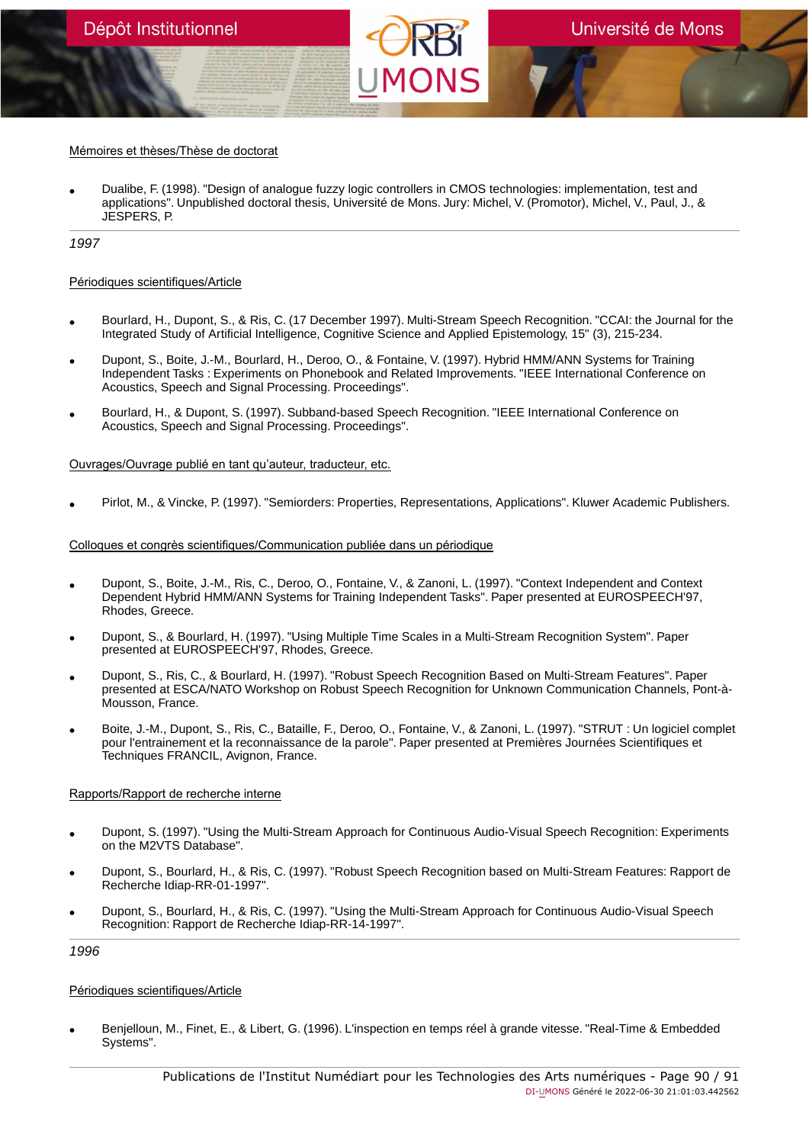## Mémoires et thèses/Thèse de doctorat

• Dualibe, F. (1998). "Design of analogue fuzzy logic controllers in CMOS technologies: implementation, test and applications". Unpublished doctoral thesis, Université de Mons. Jury: Michel, V. (Promotor), Michel, V., Paul, J., & JESPERS, P.

1997

### Périodiques scientifiques/Article

- Bourlard, H., Dupont, S., & Ris, C. (17 December 1997). Multi-Stream Speech Recognition. "CCAI: the Journal for the Integrated Study of Artificial Intelligence, Cognitive Science and Applied Epistemology, 15" (3), 215-234.
- Dupont, S., Boite, J.-M., Bourlard, H., Deroo, O., & Fontaine, V. (1997). Hybrid HMM/ANN Systems for Training Independent Tasks : Experiments on Phonebook and Related Improvements. "IEEE International Conference on Acoustics, Speech and Signal Processing. Proceedings".
- Bourlard, H., & Dupont, S. (1997). Subband-based Speech Recognition. "IEEE International Conference on Acoustics, Speech and Signal Processing. Proceedings".

### Ouvrages/Ouvrage publié en tant qu'auteur, traducteur, etc.

• Pirlot, M., & Vincke, P. (1997). "Semiorders: Properties, Representations, Applications". Kluwer Academic Publishers.

# Colloques et congrès scientifiques/Communication publiée dans un périodique

- Dupont, S., Boite, J.-M., Ris, C., Deroo, O., Fontaine, V., & Zanoni, L. (1997). "Context Independent and Context Dependent Hybrid HMM/ANN Systems for Training Independent Tasks". Paper presented at EUROSPEECH'97, Rhodes, Greece.
- Dupont, S., & Bourlard, H. (1997). "Using Multiple Time Scales in a Multi-Stream Recognition System". Paper presented at EUROSPEECH'97, Rhodes, Greece.
- Dupont, S., Ris, C., & Bourlard, H. (1997). "Robust Speech Recognition Based on Multi-Stream Features". Paper presented at ESCA/NATO Workshop on Robust Speech Recognition for Unknown Communication Channels, Pont-à-Mousson, France.
- Boite, J.-M., Dupont, S., Ris, C., Bataille, F., Deroo, O., Fontaine, V., & Zanoni, L. (1997). "STRUT : Un logiciel complet pour l'entrainement et la reconnaissance de la parole". Paper presented at Premières Journées Scientifiques et Techniques FRANCIL, Avignon, France.

## Rapports/Rapport de recherche interne

- Dupont, S. (1997). "Using the Multi-Stream Approach for Continuous Audio-Visual Speech Recognition: Experiments on the M2VTS Database".
- Dupont, S., Bourlard, H., & Ris, C. (1997). "Robust Speech Recognition based on Multi-Stream Features: Rapport de Recherche Idiap-RR-01-1997".
- Dupont, S., Bourlard, H., & Ris, C. (1997). "Using the Multi-Stream Approach for Continuous Audio-Visual Speech Recognition: Rapport de Recherche Idiap-RR-14-1997".

1996

## Périodiques scientifiques/Article

• Benjelloun, M., Finet, E., & Libert, G. (1996). L'inspection en temps réel à grande vitesse. "Real-Time & Embedded Systems".